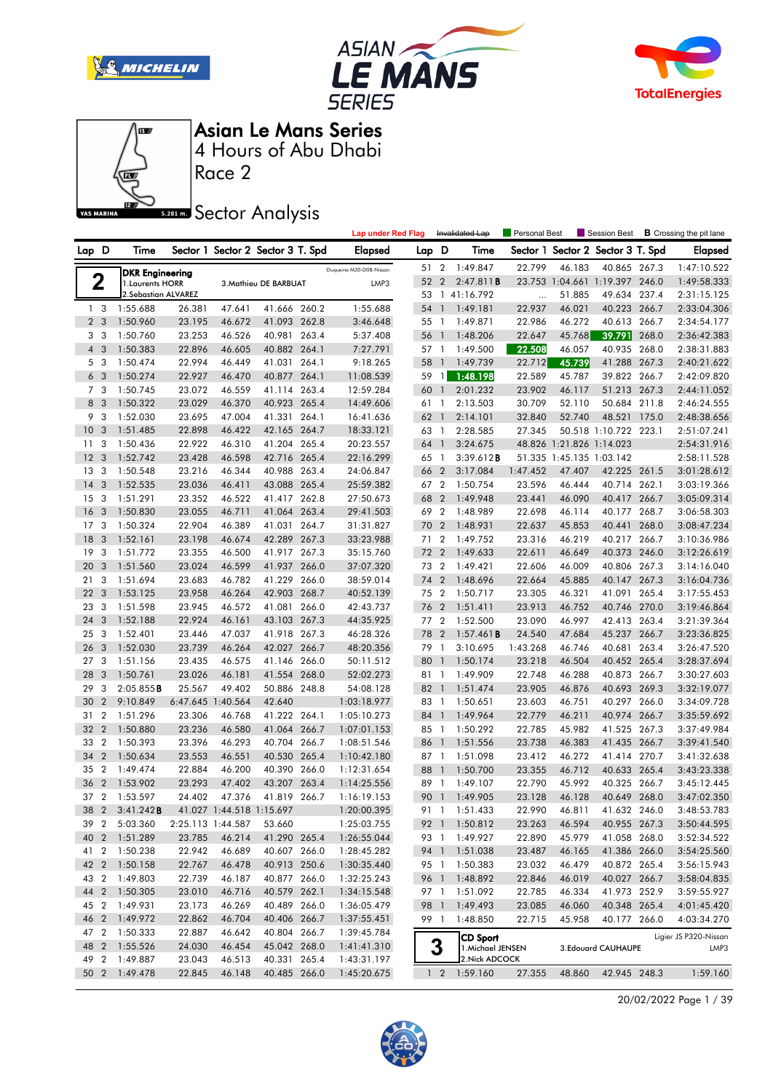







Race 2

**Sector Analysis** 

|                 |                         |                        |        |                          |                                   |       | <b>Lap under Red Flag</b> |       |                | Invalidated Lap   | Personal Best |                          | Session Best                      |       | <b>B</b> Crossing the pit lane |
|-----------------|-------------------------|------------------------|--------|--------------------------|-----------------------------------|-------|---------------------------|-------|----------------|-------------------|---------------|--------------------------|-----------------------------------|-------|--------------------------------|
| Lap D           |                         | Time                   |        |                          | Sector 1 Sector 2 Sector 3 T. Spd |       | <b>Elapsed</b>            | Lap D |                | Time              |               |                          | Sector 1 Sector 2 Sector 3 T. Spd |       | <b>Elapsed</b>                 |
|                 |                         | <b>DKR Engineering</b> |        |                          |                                   |       | Duqueine M30-D08-Nissan   | 51 2  |                | 1:49.847          | 22.799        | 46.183                   | 40.865 267.3                      |       | 1:47:10.522                    |
|                 | $\mathbf 2$             | 1. Laurents HORR       |        |                          | 3. Mathieu DE BARBUAT             |       | LMP3                      | 52    | $\overline{2}$ | 2:47.811B         |               |                          | 23.753 1:04.661 1:19.397 246.0    |       | 1:49:58.333                    |
|                 |                         | 2. Sebastian ALVAREZ   |        |                          |                                   |       |                           |       |                | 53 1 41:16.792    | $\cdots$      | 51.885                   | 49.634                            | 237.4 | 2:31:15.125                    |
|                 | 1 <sub>3</sub>          | 1:55.688               | 26.381 | 47.641                   | 41.666 260.2                      |       | 1:55.688                  | 54    | $\mathbf{1}$   | 1:49.181          | 22.937        | 46.021                   | 40.223 266.7                      |       | 2:33:04.306                    |
|                 | 2 <sub>3</sub>          | 1:50.960               | 23.195 | 46.672                   | 41.093 262.8                      |       | 3:46.648                  | 55 1  |                | 1:49.871          | 22.986        | 46.272                   | 40.613 266.7                      |       | 2:34:54.177                    |
|                 | 3 <sub>3</sub>          | 1:50.760               | 23.253 | 46.526                   | 40.981 263.4                      |       | 5:37.408                  | 56    | $\overline{1}$ | 1:48.206          | 22.647        | 45.768                   | 39.791                            | 268.0 | 2:36:42.383                    |
| $\overline{4}$  | 3                       | 1:50.383               | 22.896 | 46.605                   | 40.882 264.1                      |       | 7:27.791                  | 57 1  |                | 1:49.500          | 22.508        | 46.057                   | 40.935                            | 268.0 | 2:38:31.883                    |
|                 | 5 3                     | 1:50.474               | 22.994 | 46.449                   | 41.031 264.1                      |       | 9:18.265                  | 58    | $\mathbf{1}$   | 1:49.739          | 22.712        | 45.739                   | 41.288 267.3                      |       | 2:40:21.622                    |
|                 | 6 <sub>3</sub>          | 1:50.274               | 22.927 | 46.470                   | 40.877 264.1                      |       | 11:08.539                 | 59 1  |                | 1:48.198          | 22.589        | 45.787                   | 39.822 266.7                      |       | 2:42:09.820                    |
|                 | 7 <sub>3</sub>          | 1:50.745               | 23.072 | 46.559                   | 41.114 263.4                      |       | 12:59.284                 | 60    | $\overline{1}$ | 2:01.232          | 23.902        | 46.117                   | 51.213 267.3                      |       | 2:44:11.052                    |
| 8               | $\overline{3}$          | 1:50.322               | 23.029 | 46.370                   | 40.923 265.4                      |       | 14:49.606                 | 61 1  |                | 2:13.503          | 30.709        | 52.110                   | 50.684                            | 211.8 | 2:46:24.555                    |
|                 | 9 3                     | 1:52.030               | 23.695 | 47.004                   | 41.331 264.1                      |       | 16:41.636                 | 62    | $\overline{1}$ | 2:14.101          | 32.840        | 52.740                   | 48.521                            | 175.0 | 2:48:38.656                    |
| 10              | 3                       | 1:51.485               | 22.898 | 46.422                   | 42.165 264.7                      |       | 18:33.121                 | 63 1  |                | 2:28.585          | 27.345        |                          | 50.518 1:10.722 223.1             |       | 2:51:07.241                    |
| 11              | 3                       | 1:50.436               | 22.922 | 46.310                   | 41.204 265.4                      |       | 20:23.557                 | 64    | $\overline{1}$ | 3:24.675          |               | 48.826 1:21.826 1:14.023 |                                   |       | 2:54:31.916                    |
| 12              | 3                       | 1:52.742               | 23.428 | 46.598                   | 42.716 265.4                      |       | 22:16.299                 | 65 1  |                | 3:39.612B         |               | 51.335 1:45.135 1:03.142 |                                   |       | 2:58:11.528                    |
| 13              | $\overline{\mathbf{3}}$ | 1:50.548               | 23.216 | 46.344                   | 40.988 263.4                      |       | 24:06.847                 | 66    | $\overline{2}$ | 3:17.084          | 1:47.452      | 47.407                   | 42.225 261.5                      |       | 3:01:28.612                    |
| 14              | 3                       | 1:52.535               | 23.036 | 46.411                   | 43.088 265.4                      |       | 25:59.382                 | 67 2  |                | 1:50.754          | 23.596        | 46.444                   | 40.714 262.1                      |       | 3:03:19.366                    |
| 15              | 3                       | 1:51.291               | 23.352 | 46.522                   | 41.417 262.8                      |       | 27:50.673                 | 68    | $\overline{2}$ | 1:49.948          | 23.441        | 46.090                   | 40.417 266.7                      |       | 3:05:09.314                    |
| 16              | 3                       | 1:50.830               | 23.055 | 46.711                   | 41.064 263.4                      |       | 29:41.503                 | 69    | $\overline{2}$ | 1:48.989          | 22.698        | 46.114                   | 40.177                            | 268.7 | 3:06:58.303                    |
| 17 <sub>3</sub> |                         | 1:50.324               | 22.904 | 46.389                   | 41.031 264.7                      |       | 31:31.827                 | 70    | $\overline{2}$ | 1:48.931          | 22.637        | 45.853                   | 40.441                            | 268.0 | 3:08:47.234                    |
| 18              | 3                       | 1:52.161               | 23.198 | 46.674                   | 42.289 267.3                      |       | 33:23.988                 | 71    | $\overline{2}$ | 1:49.752          | 23.316        | 46.219                   | 40.217 266.7                      |       | 3:10:36.986                    |
| 19              | 3                       | 1:51.772               | 23.355 | 46.500                   | 41.917                            | 267.3 | 35:15.760                 | 72    | $\overline{2}$ | 1:49.633          | 22.611        | 46.649                   | 40.373                            | 246.0 | 3:12:26.619                    |
| 20              | 3                       | 1:51.560               | 23.024 | 46.599                   | 41.937 266.0                      |       | 37:07.320                 | 73 2  |                | 1:49.421          | 22.606        | 46.009                   | 40.806 267.3                      |       | 3:14:16.040                    |
| 21              | -3                      | 1:51.694               | 23.683 | 46.782                   | 41.229 266.0                      |       | 38:59.014                 | 74    | $\overline{2}$ | 1:48.696          | 22.664        | 45.885                   | 40.147 267.3                      |       | 3:16:04.736                    |
| 22              | 3                       | 1:53.125               | 23.958 | 46.264                   | 42.903 268.7                      |       | 40:52.139                 | 75 2  |                | 1:50.717          | 23.305        | 46.321                   | 41.091                            | 265.4 | 3:17:55.453                    |
| 23              | 3                       | 1:51.598               | 23.945 | 46.572                   | 41.081                            | 266.0 | 42:43.737                 | 76    | $\overline{2}$ | 1:51.411          | 23.913        | 46.752                   | 40.746                            | 270.0 | 3:19:46.864                    |
| 24              | 3                       | 1:52.188               | 22.924 | 46.161                   | 43.103 267.3                      |       | 44:35.925                 | 77 2  |                | 1:52.500          | 23.090        | 46.997                   | 42.413                            | 263.4 | 3:21:39.364                    |
| 25              | 3                       | 1:52.401               | 23.446 | 47.037                   | 41.918 267.3                      |       | 46:28.326                 | 78    | $\overline{2}$ | 1:57.461B         | 24.540        | 47.684                   | 45.237                            | 266.7 | 3:23:36.825                    |
| 26              | $\overline{3}$          | 1:52.030               | 23.739 | 46.264                   | 42.027 266.7                      |       | 48:20.356                 | 79 1  |                | 3:10.695          | 1:43.268      | 46.746                   | 40.681                            | 263.4 | 3:26:47.520                    |
| 27              | 3                       | 1:51.156               | 23.435 | 46.575                   | 41.146                            | 266.0 | 50:11.512                 | 80    | $\overline{1}$ | 1:50.174          | 23.218        | 46.504                   | 40.452 265.4                      |       | 3:28:37.694                    |
| 28              | -3                      | 1:50.761               | 23.026 | 46.181                   | 41.554 268.0                      |       | 52:02.273                 | 81 1  |                | 1:49.909          | 22.748        | 46.288                   | 40.873 266.7                      |       | 3:30:27.603                    |
| 29              | 3                       | 2:05.855B              | 25.567 | 49.402                   | 50.886 248.8                      |       | 54:08.128                 | 82    | $\overline{1}$ | 1:51.474          | 23.905        | 46.876                   | 40.693 269.3                      |       | 3:32:19.077                    |
| 30              | $\overline{2}$          | 9:10.849               |        | 6:47.645 1:40.564        | 42.640                            |       | 1:03:18.977               | 83 1  |                | 1:50.651          | 23.603        | 46.751                   | 40.297                            | 266.0 | 3:34:09.728                    |
| 31              | $\overline{\mathbf{2}}$ | 1:51.296               | 23.306 | 46.768                   | 41.222 264.1                      |       | 1:05:10.273               | 84    | $\overline{1}$ | 1:49.964          | 22.779        | 46.211                   | 40.974                            | 266.7 | 3:35:59.692                    |
| 32              | $\overline{2}$          | 1:50.880               | 23.236 | 46.580                   | 41.064 266.7                      |       | 1:07:01.153               | 85 1  |                | 1:50.292          | 22.785        | 45.982                   | 41.525 267.3                      |       | 3:37:49.984                    |
| 33              | $\overline{2}$          | 1:50.393               | 23.396 | 46.293                   | 40.704                            | 266.7 | 1:08:51.546               | 86 1  |                | 1:51.556          | 23.738        | 46.383                   | 41.435 266.7                      |       | 3:39:41.540                    |
| 34              | $\overline{2}$          | 1:50.634               | 23.553 | 46.551                   | 40.530 265.4                      |       | 1:10:42.180               | 87 1  |                | 1:51.098          | 23.412        | 46.272                   | 41.414 270.7                      |       | 3:41:32.638                    |
| 35              | $\overline{2}$          | 1:49.474               | 22.884 | 46.200                   | 40.390                            | 266.0 | 1:12:31.654               | 88    | $\overline{1}$ | 1:50.700          | 23.355        | 46.712                   | 40.633                            | 265.4 | 3:43:23.338                    |
| 36              | $\overline{2}$          | 1:53.902               | 23.293 | 47.402                   | 43.207 263.4                      |       | 1:14:25.556               | 89    | $\overline{1}$ | 1:49.107          | 22.790        | 45.992                   | 40.325 266.7                      |       | 3:45:12.445                    |
| 37 2            |                         | 1:53.597               | 24.402 | 47.376                   | 41.819 266.7                      |       | 1:16:19.153               | 90 1  |                | 1:49.905          | 23.128        | 46.128                   | 40.649 268.0                      |       | 3:47:02.350                    |
|                 |                         | 38 2 3:41.242B         |        | 41.027 1:44.518 1:15.697 |                                   |       | 1:20:00.395               |       |                | 91 1 1:51.433     | 22.990        | 46.811                   | 41.632 246.0                      |       | 3:48:53.783                    |
| 39              | $\overline{2}$          | 5:03.360               |        | 2:25.113 1:44.587        | 53.660                            |       | 1:25:03.755               |       |                | 92 1 1:50.812     | 23.263        | 46.594                   | 40.955 267.3                      |       | 3:50:44.595                    |
| 40 2            |                         | 1:51.289               | 23.785 | 46.214                   | 41.290 265.4                      |       | 1:26:55.044               |       |                | 93 1 1:49.927     | 22.890        | 45.979                   | 41.058 268.0                      |       | 3:52:34.522                    |
| 412             |                         | 1:50.238               | 22.942 | 46.689                   | 40.607 266.0                      |       | 1:28:45.282               |       |                | 94 1 1:51.038     | 23.487        | 46.165                   | 41.386 266.0                      |       | 3:54:25.560                    |
|                 |                         | 42 2 1:50.158          | 22.767 | 46.478                   | 40.913 250.6                      |       | 1:30:35.440               |       |                | 95 1 1:50.383     | 23.032        | 46.479                   | 40.872 265.4                      |       | 3:56:15.943                    |
| 43 2            |                         | 1:49.803               | 22.739 | 46.187                   | 40.877 266.0                      |       | 1:32:25.243               |       |                | 96 1 1:48.892     | 22.846        | 46.019                   | 40.027 266.7                      |       | 3:58:04.835                    |
| 44 2            |                         | 1:50.305               | 23.010 | 46.716                   | 40.579 262.1                      |       | 1:34:15.548               |       |                | 97 1 1:51.092     | 22.785        | 46.334                   | 41.973 252.9                      |       | 3:59:55.927                    |
| 45 2            |                         | 1:49.931               | 23.173 | 46.269                   | 40.489 266.0                      |       | 1:36:05.479               |       |                | 98 1 1:49.493     | 23.085        | 46.060                   | 40.348 265.4                      |       | 4:01:45.420                    |
| 46 2            |                         | 1:49.972               | 22.862 | 46.704                   | 40.406 266.7                      |       | 1:37:55.451               | 99 1  |                | 1:48.850          | 22.715        | 45.958                   | 40.177 266.0                      |       | 4:03:34.270                    |
| 47 2            |                         | 1:50.333               | 22.887 | 46.642                   | 40.804 266.7                      |       | 1:39:45.784               |       |                | <b>CD Sport</b>   |               |                          |                                   |       | Ligier JS P320-Nissan          |
| 48 2            |                         | 1:55.526               | 24.030 | 46.454                   | 45.042 268.0                      |       | 1:41:41.310               |       | 3              | 1. Michael JENSEN |               |                          | 3. Edouard CAUHAUPE               |       | LMP3                           |
| 49 2            |                         | 1:49.887               | 23.043 | 46.513                   | 40.331 265.4                      |       | 1:43:31.197               |       |                | 2. Nick ADCOCK    |               |                          |                                   |       |                                |
|                 |                         | 50 2 1:49.478          | 22.845 | 46.148                   | 40.485 266.0                      |       | 1:45:20.675               |       | $1\quad 2$     | 1:59.160          | 27.355        | 48.860                   | 42.945 248.3                      |       | 1:59.160                       |

20/02/2022 Page 1 / 39

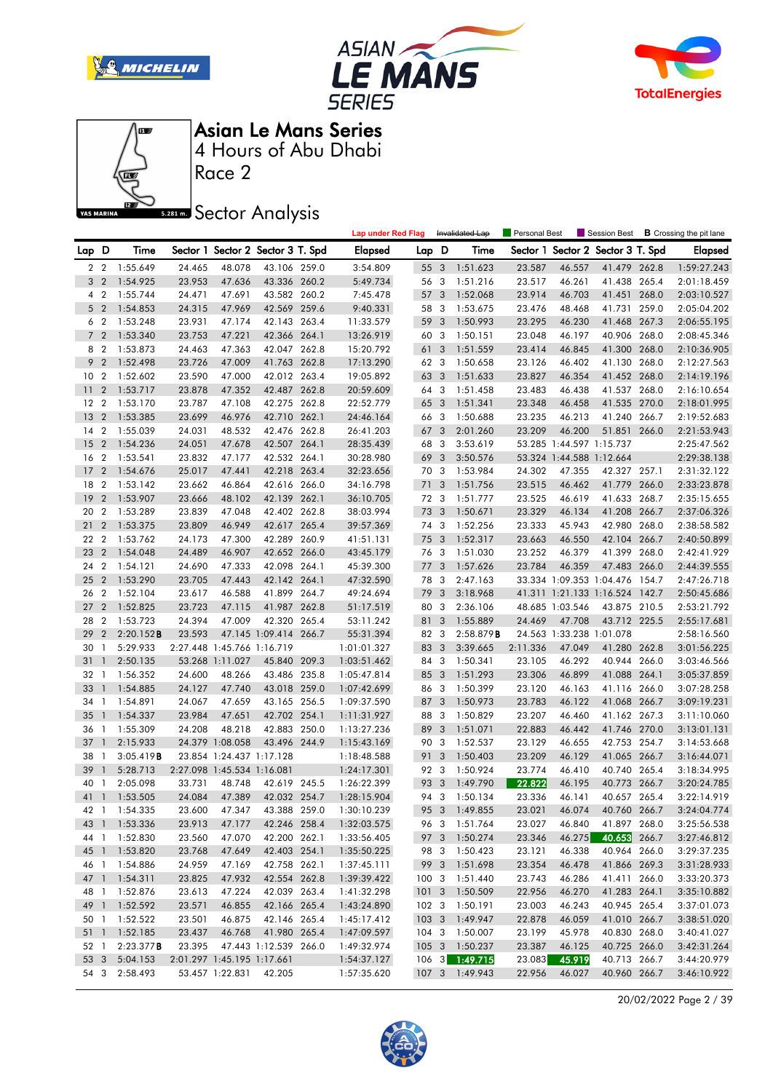







Race 2

**Sector Analysis** 

|                 |                |               |        |                            |                                   | <b>Lap under Red Flag</b> |       |                | Invalidated Lap | Personal Best |                          | Session Best                      |       | <b>B</b> Crossing the pit lane |
|-----------------|----------------|---------------|--------|----------------------------|-----------------------------------|---------------------------|-------|----------------|-----------------|---------------|--------------------------|-----------------------------------|-------|--------------------------------|
| Lap D           |                | Time          |        |                            | Sector 1 Sector 2 Sector 3 T. Spd | <b>Elapsed</b>            | Lap D |                | Time            |               |                          | Sector 1 Sector 2 Sector 3 T. Spd |       | <b>Elapsed</b>                 |
|                 |                | 2 2 1:55.649  | 24.465 | 48.078                     | 43.106 259.0                      | 3:54.809                  | 55 3  |                | 1:51.623        | 23.587        | 46.557                   | 41.479 262.8                      |       | 1:59:27.243                    |
|                 | 3 <sub>2</sub> | 1:54.925      | 23.953 | 47.636                     | 43.336 260.2                      | 5:49.734                  | 56 3  |                | 1:51.216        | 23.517        | 46.261                   | 41.438 265.4                      |       | 2:01:18.459                    |
| 4               | $\overline{2}$ | 1:55.744      | 24.471 | 47.691                     | 43.582 260.2                      | 7:45.478                  | 57 3  |                | 1:52.068        | 23.914        | 46.703                   | 41.451 268.0                      |       | 2:03:10.527                    |
|                 | 5 <sub>2</sub> | 1:54.853      | 24.315 | 47.969                     | 42.569 259.6                      | 9:40.331                  | 58    | -3             | 1:53.675        | 23.476        | 48.468                   | 41.731 259.0                      |       | 2:05:04.202                    |
|                 | 6 2            | 1:53.248      | 23.931 | 47.174                     | 42.143 263.4                      | 11:33.579                 | 59 3  |                | 1:50.993        | 23.295        | 46.230                   | 41.468 267.3                      |       | 2:06:55.195                    |
|                 | 7 <sub>2</sub> | 1:53.340      | 23.753 | 47.221                     | 42.366 264.1                      | 13:26.919                 | 60 3  |                | 1:50.151        | 23.048        | 46.197                   | 40.906 268.0                      |       | 2:08:45.346                    |
|                 | 8 2            | 1:53.873      | 24.463 | 47.363                     | 42.047 262.8                      | 15:20.792                 | 61    | 3              | 1:51.559        | 23.414        | 46.845                   | 41.300 268.0                      |       | 2:10:36.905                    |
|                 | 9 <sub>2</sub> | 1:52.498      | 23.726 | 47.009                     | 41.763 262.8                      | 17:13.290                 | 62 3  |                | 1:50.658        | 23.126        | 46.402                   | 41.130 268.0                      |       | 2:12:27.563                    |
| 10 <sub>2</sub> |                | 1:52.602      | 23.590 | 47.000                     | 42.012 263.4                      | 19:05.892                 | 63 3  |                | 1:51.633        | 23.827        | 46.354                   | 41.452 268.0                      |       | 2:14:19.196                    |
| 11              | $\overline{2}$ | 1:53.717      | 23.878 | 47.352                     | 42.487 262.8                      | 20:59.609                 | 64 3  |                | 1:51.458        | 23.483        | 46.438                   | 41.537 268.0                      |       | 2:16:10.654                    |
| 12              | $\overline{2}$ | 1:53.170      | 23.787 | 47.108                     | 42.275 262.8                      | 22:52.779                 | 65 3  |                | 1:51.341        | 23.348        | 46.458                   | 41.535 270.0                      |       | 2:18:01.995                    |
| 13              | $\overline{2}$ | 1:53.385      | 23.699 | 46.976                     | 42.710 262.1                      | 24:46.164                 | 66    | -3             | 1:50.688        | 23.235        | 46.213                   | 41.240 266.7                      |       | 2:19:52.683                    |
| 14              | $\overline{2}$ | 1:55.039      | 24.031 | 48.532                     | 42.476 262.8                      | 26:41.203                 | 67 3  |                | 2:01.260        | 23.209        | 46.200                   | 51.851 266.0                      |       | 2:21:53.943                    |
| 15              | $\overline{2}$ | 1:54.236      | 24.051 | 47.678                     | 42.507 264.1                      | 28:35.439                 | 68    | 3              | 3:53.619        |               | 53.285 1:44.597 1:15.737 |                                   |       | 2:25:47.562                    |
| 16              | $\overline{2}$ | 1:53.541      | 23.832 | 47.177                     | 42.532 264.1                      | 30:28.980                 | 69    | $\overline{3}$ | 3:50.576        |               | 53.324 1:44.588 1:12.664 |                                   |       | 2:29:38.138                    |
| 17              | $\overline{2}$ | 1:54.676      | 25.017 | 47.441                     | 42.218 263.4                      | 32:23.656                 | 70 3  |                | 1:53.984        | 24.302        | 47.355                   | 42.327 257.1                      |       | 2:31:32.122                    |
| 18              | $\overline{2}$ | 1:53.142      | 23.662 | 46.864                     | 42.616 266.0                      | 34:16.798                 | 71 3  |                | 1:51.756        | 23.515        | 46.462                   | 41.779 266.0                      |       | 2:33:23.878                    |
| 19              | $\overline{2}$ | 1:53.907      | 23.666 | 48.102                     | 42.139 262.1                      | 36:10.705                 | 72 3  |                | 1:51.777        | 23.525        | 46.619                   | 41.633 268.7                      |       | 2:35:15.655                    |
| 20              | $\overline{2}$ | 1:53.289      | 23.839 | 47.048                     | 42.402 262.8                      | 38:03.994                 | 73    | $\overline{3}$ | 1:50.671        | 23.329        | 46.134                   | 41.208 266.7                      |       | 2:37:06.326                    |
| 21              | $\overline{2}$ | 1:53.375      | 23.809 | 46.949                     | 42.617 265.4                      | 39:57.369                 | 74 3  |                | 1:52.256        | 23.333        | 45.943                   | 42.980 268.0                      |       | 2:38:58.582                    |
| 22 2            |                | 1:53.762      | 24.173 | 47.300                     | 42.289 260.9                      | 41:51.131                 | 75 3  |                | 1:52.317        | 23.663        | 46.550                   | 42.104 266.7                      |       | 2:40:50.899                    |
| 23              | $\overline{2}$ | 1:54.048      | 24.489 | 46.907                     | 42.652 266.0                      | 43:45.179                 | 76 3  |                | 1:51.030        | 23.252        | 46.379                   | 41.399                            | 268.0 | 2:42:41.929                    |
| 24              | $\overline{2}$ | 1:54.121      | 24.690 | 47.333                     | 42.098 264.1                      | 45:39.300                 | 77 3  |                | 1:57.626        | 23.784        | 46.359                   | 47.483 266.0                      |       | 2:44:39.555                    |
| 25              | $\overline{2}$ | 1:53.290      | 23.705 | 47.443                     | 42.142 264.1                      | 47:32.590                 | 78    | -3             | 2:47.163        |               |                          | 33.334 1:09.353 1:04.476 154.7    |       | 2:47:26.718                    |
| 26              | $\overline{2}$ | 1:52.104      | 23.617 | 46.588                     | 41.899 264.7                      | 49:24.694                 | 79 3  |                | 3:18.968        |               |                          | 41.311 1:21.133 1:16.524 142.7    |       | 2:50:45.686                    |
| 27              | $\overline{2}$ | 1:52.825      | 23.723 | 47.115                     | 41.987 262.8                      | 51:17.519                 | 80    | 3              | 2:36.106        |               | 48.685 1:03.546          | 43.875 210.5                      |       | 2:53:21.792                    |
| 28              | $\overline{2}$ | 1:53.723      | 24.394 | 47.009                     | 42.320 265.4                      | 53:11.242                 | 81    | 3              | 1:55.889        | 24.469        | 47.708                   | 43.712 225.5                      |       | 2:55:17.681                    |
| 29              | $\overline{2}$ | 2:20.152B     | 23.593 |                            | 47.145 1:09.414 266.7             | 55:31.394                 | 82 3  |                | 2:58.879B       |               | 24.563 1:33.238 1:01.078 |                                   |       | 2:58:16.560                    |
| 30              | $\overline{1}$ | 5:29.933      |        | 2:27.448 1:45.766 1:16.719 |                                   | 1:01:01.327               | 83 3  |                | 3:39.665        | 2:11.336      | 47.049                   | 41.280 262.8                      |       | 3:01:56.225                    |
| 31              | $\overline{1}$ | 2:50.135      |        | 53.268 1:11.027            | 45.840 209.3                      | 1:03:51.462               | 84 3  |                | 1:50.341        | 23.105        | 46.292                   | 40.944 266.0                      |       | 3:03:46.566                    |
| 32              | $\overline{1}$ | 1:56.352      | 24.600 | 48.266                     | 43.486 235.8                      | 1:05:47.814               | 85 3  |                | 1:51.293        | 23.306        | 46.899                   | 41.088 264.1                      |       | 3:05:37.859                    |
| 33              | $\overline{1}$ | 1:54.885      | 24.127 | 47.740                     | 43.018 259.0                      | 1:07:42.699               | 86 3  |                | 1:50.399        | 23.120        | 46.163                   | 41.116 266.0                      |       | 3:07:28.258                    |
| 34              | $\overline{1}$ | 1:54.891      | 24.067 | 47.659                     | 43.165 256.5                      | 1:09:37.590               | 87 3  |                | 1:50.973        | 23.783        | 46.122                   | 41.068 266.7                      |       | 3:09:19.231                    |
| 35              | $\overline{1}$ | 1:54.337      | 23.984 | 47.651                     | 42.702 254.1                      | 1:11:31.927               | 88 3  |                | 1:50.829        | 23.207        | 46.460                   | 41.162 267.3                      |       | 3:11:10.060                    |
| 36              | $\overline{1}$ | 1:55.309      | 24.208 | 48.218                     | 42.883 250.0                      | 1:13:27.236               | 89    | 3              | 1:51.071        | 22.883        | 46.442                   | 41.746 270.0                      |       | 3:13:01.131                    |
| 37              | $\overline{1}$ | 2:15.933      |        | 24.379 1:08.058            | 43.496 244.9                      | 1:15:43.169               | 90 3  |                | 1:52.537        | 23.129        | 46.655                   | 42.753 254.7                      |       | 3:14:53.668                    |
| 38              | $\overline{1}$ | 3:05.419B     |        | 23.854 1:24.437 1:17.128   |                                   | 1:18:48.588               | 91    | 3              | 1:50.403        | 23.209        | 46.129                   | 41.065 266.7                      |       | 3:16:44.071                    |
| 39              | $\mathbf{1}$   | 5:28.713      |        | 2:27.098 1:45.534 1:16.081 |                                   | 1:24:17.301               | 92 3  |                | 1:50.924        | 23.774        | 46.410                   | 40.740 265.4                      |       | 3:18:34.995                    |
| 40              | $\mathbf{1}$   | 2:05.098      | 33.731 | 48.748                     | 42.619 245.5                      | 1:26:22.399               | 93    | 3              | 1:49.790        | 22.822        | 46.195                   | 40.773 266.7                      |       | 3:20:24.785                    |
|                 |                | 41 1 1:53.505 | 24.084 | 47.389                     | 42.032 254.7                      | 1:28:15.904               | 94 3  |                | 1:50.134        | 23.336        | 46.141                   | 40.657 265.4                      |       | 3:22:14.919                    |
|                 |                | 42 1 1:54.335 | 23.600 | 47.347                     | 43.388 259.0                      | 1:30:10.239               |       |                | 95 3 1:49.855   | 23.021        | 46.074                   | 40.760 266.7                      |       | 3:24:04.774                    |
|                 |                | 43 1 1:53.336 | 23.913 | 47.177                     | 42.246 258.4                      | 1:32:03.575               |       |                | 96 3 1:51.764   | 23.027        | 46.840                   | 41.897 268.0                      |       | 3:25:56.538                    |
|                 |                | 44 1 1:52.830 | 23.560 | 47.070                     | 42.200 262.1                      | 1:33:56.405               | 97 3  |                | 1:50.274        | 23.346        | 46.275                   | 40.653 266.7                      |       | 3:27:46.812                    |
|                 |                | 45 1 1:53.820 | 23.768 | 47.649                     | 42.403 254.1                      | 1:35:50.225               |       |                | 98 3 1:50.423   | 23.121        | 46.338                   | 40.964 266.0                      |       | 3:29:37.235                    |
|                 |                | 46 1 1:54.886 | 24.959 | 47.169                     | 42.758 262.1                      | 1:37:45.111               |       |                | 99 3 1:51.698   | 23.354        | 46.478                   | 41.866 269.3                      |       | 3:31:28.933                    |
|                 |                | 47 1 1:54.311 | 23.825 | 47.932                     | 42.554 262.8                      | 1:39:39.422               | 1003  |                | 1:51.440        | 23.743        | 46.286                   | 41.411 266.0                      |       | 3:33:20.373                    |
|                 |                | 48 1 1:52.876 | 23.613 | 47.224                     | 42.039 263.4                      | 1:41:32.298               |       |                | 101 3 1:50.509  | 22.956        | 46.270                   | 41.283 264.1                      |       | 3:35:10.882                    |
|                 |                | 49 1 1:52.592 | 23.571 | 46.855                     | 42.166 265.4                      | 1:43:24.890               |       |                | 102 3 1:50.191  | 23.003        | 46.243                   | 40.945 265.4                      |       | 3:37:01.073                    |
|                 |                | 50 1 1:52.522 | 23.501 | 46.875                     | 42.146 265.4                      | 1:45:17.412               |       |                | 103 3 1:49.947  | 22.878        | 46.059                   | 41.010 266.7                      |       | 3:38:51.020                    |
| $51 \quad 1$    |                | 1:52.185      | 23.437 | 46.768                     | 41.980 265.4                      | 1:47:09.597               |       |                | 104 3 1:50.007  | 23.199        | 45.978                   | 40.830 268.0                      |       | 3:40:41.027                    |
|                 | 52 1           | 2:23.377B     | 23.395 |                            | 47.443 1:12.539 266.0             | 1:49:32.974               |       |                | 105 3 1:50.237  | 23.387        | 46.125                   | 40.725 266.0                      |       | 3:42:31.264                    |
| 53 3            |                | 5:04.153      |        | 2:01.297 1:45.195 1:17.661 |                                   | 1:54:37.127               |       |                | 106 3 1:49.715  | 23.083        | 45.919                   | 40.713 266.7                      |       | 3:44:20.979                    |
|                 | 54 3           | 2:58.493      |        | 53.457 1:22.831            | 42.205                            | 1:57:35.620               |       |                | 107 3 1:49.943  | 22.956        | 46.027                   | 40.960 266.7                      |       | 3:46:10.922                    |
|                 |                |               |        |                            |                                   |                           |       |                |                 |               |                          |                                   |       |                                |

20/02/2022 Page 2 / 39

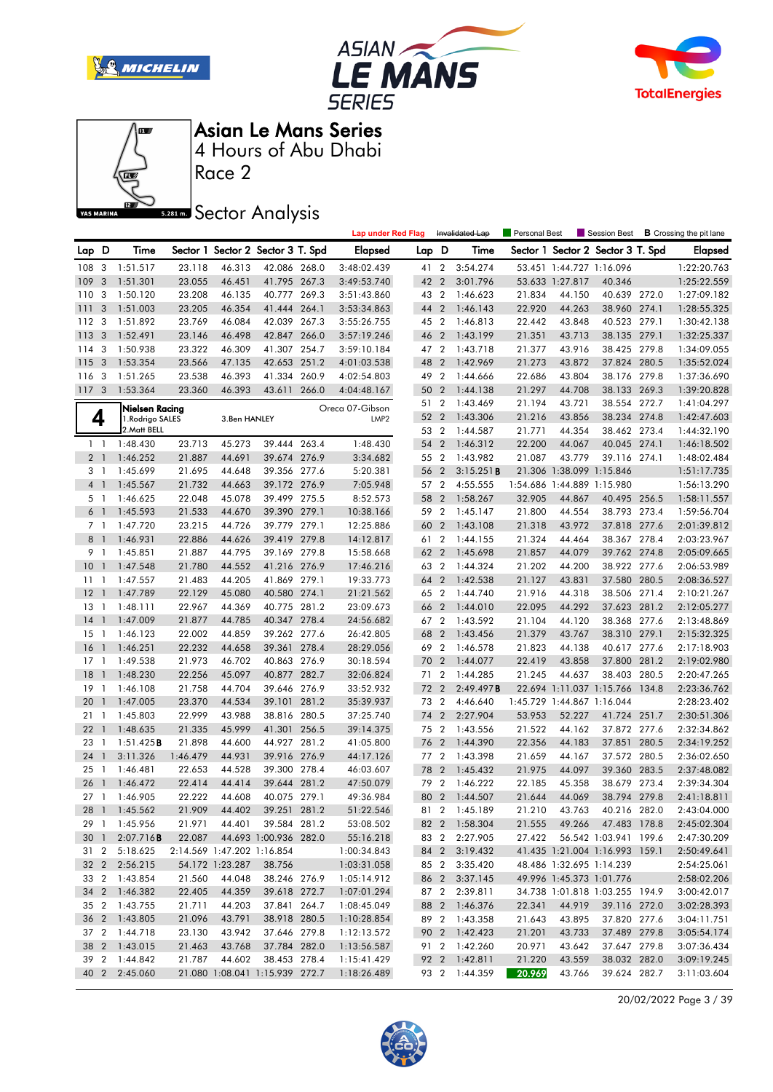







Race 2

### **Sector Analysis**

|                 |                         |                                           |                  |                            |                                   |       | <b>Lap under Red Flag</b> |       |                | Invalidated Lap                | Personal Best |                            | Session Best                      |       | <b>B</b> Crossing the pit lane |
|-----------------|-------------------------|-------------------------------------------|------------------|----------------------------|-----------------------------------|-------|---------------------------|-------|----------------|--------------------------------|---------------|----------------------------|-----------------------------------|-------|--------------------------------|
| Lap D           |                         | Time                                      |                  |                            | Sector 1 Sector 2 Sector 3 T. Spd |       | <b>Elapsed</b>            | Lap D |                | Time                           |               |                            | Sector 1 Sector 2 Sector 3 T. Spd |       | <b>Elapsed</b>                 |
| 108 3           |                         | 1:51.517                                  | 23.118           | 46.313                     | 42.086 268.0                      |       | 3:48:02.439               | 41 2  |                | 3:54.274                       |               | 53.451 1:44.727 1:16.096   |                                   |       | 1:22:20.763                    |
| 109             | $\mathbf{3}$            | 1:51.301                                  | 23.055           | 46.451                     | 41.795 267.3                      |       | 3:49:53.740               | 42 2  |                | 3:01.796                       |               | 53.633 1:27.817            | 40.346                            |       | 1:25:22.559                    |
| 110             | 3                       | 1:50.120                                  | 23.208           | 46.135                     | 40.777 269.3                      |       | 3:51:43.860               | 43 2  |                | 1:46.623                       | 21.834        | 44.150                     | 40.639 272.0                      |       | 1:27:09.182                    |
| 111             | 3                       | 1:51.003                                  | 23.205           | 46.354                     | 41.444 264.1                      |       | 3:53:34.863               | 44    | $\overline{2}$ | 1:46.143                       | 22.920        | 44.263                     | 38.960 274.1                      |       | 1:28:55.325                    |
| 112             | -3                      | 1:51.892                                  | 23.769           | 46.084                     | 42.039 267.3                      |       | 3:55:26.755               | 45 2  |                | 1:46.813                       | 22.442        | 43.848                     | 40.523 279.1                      |       | 1:30:42.138                    |
| 113             | $\mathbf{3}$            | 1:52.491                                  | 23.146           | 46.498                     | 42.847                            | 266.0 | 3:57:19.246               | 46 2  |                | 1:43.199                       | 21.351        | 43.713                     | 38.135 279.1                      |       | 1:32:25.337                    |
| 114             | 3                       | 1:50.938                                  | 23.322           | 46.309                     | 41.307 254.7                      |       | 3:59:10.184               | 47 2  |                | 1:43.718                       | 21.377        | 43.916                     | 38.425 279.8                      |       | 1:34:09.055                    |
| 115             | $\overline{\mathbf{3}}$ | 1:53.354                                  | 23.566           | 47.135                     | 42.653 251.2                      |       | 4:01:03.538               | 48    | $\overline{2}$ | 1:42.969                       | 21.273        | 43.872                     | 37.824 280.5                      |       | 1:35:52.024                    |
| 116             | - 3                     | 1:51.265                                  | 23.538           | 46.393                     | 41.334 260.9                      |       | 4:02:54.803               | 49 2  |                | 1:44.666                       | 22.686        | 43.804                     | 38.176 279.8                      |       | 1:37:36.690                    |
| 117             | $\overline{3}$          | 1:53.364                                  | 23.360           | 46.393                     | 43.611 266.0                      |       | 4:04:48.167               | 50 2  |                | 1:44.138                       | 21.297        | 44.708                     | 38.133 269.3                      |       | 1:39:20.828                    |
|                 |                         |                                           |                  |                            |                                   |       | Oreca 07-Gibson           | 51 2  |                | 1:43.469                       | 21.194        | 43.721                     | 38.554 272.7                      |       | 1:41:04.297                    |
|                 | 4                       | <b>Nielsen Racing</b><br>1. Rodrigo SALES |                  | 3.Ben HANLEY               |                                   |       | LMP <sub>2</sub>          | 52    | $\overline{2}$ | 1:43.306                       | 21.216        | 43.856                     | 38.234 274.8                      |       | 1:42:47.603                    |
|                 |                         | 2. Matt BELL                              |                  |                            |                                   |       |                           | 53 2  |                | 1:44.587                       | 21.771        | 44.354                     | 38.462 273.4                      |       | 1:44:32.190                    |
|                 | $1\quad$                | 1:48.430                                  | 23.713           | 45.273                     | 39.444 263.4                      |       | 1:48.430                  | 54    | $\overline{2}$ | 1:46.312                       | 22.200        | 44.067                     | 40.045 274.1                      |       | 1:46:18.502                    |
| 2 <sub>1</sub>  |                         | 1:46.252                                  | 21.887           | 44.691                     | 39.674 276.9                      |       | 3:34.682                  | 55 2  |                | 1:43.982                       | 21.087        | 43.779                     | 39.116 274.1                      |       | 1:48:02.484                    |
|                 | 3 1                     | 1:45.699                                  | 21.695           | 44.648                     | 39.356 277.6                      |       | 5:20.381                  | 56    | $\overline{2}$ | 3:15.251B                      |               | 21.306 1:38.099 1:15.846   |                                   |       | 1:51:17.735                    |
| 4 <sup>1</sup>  |                         | 1:45.567                                  | 21.732           | 44.663                     | 39.172 276.9                      |       | 7:05.948                  | 57 2  |                | 4:55.555                       |               | 1:54.686 1:44.889 1:15.980 |                                   |       | 1:56:13.290                    |
|                 | 5 1                     | 1:46.625                                  | 22.048           | 45.078                     | 39.499 275.5                      |       | 8:52.573                  | 58    | $\overline{2}$ | 1:58.267                       | 32.905        | 44.867                     | 40.495 256.5                      |       | 1:58:11.557                    |
| 6 <sup>1</sup>  |                         | 1:45.593                                  | 21.533           | 44.670                     | 39.390 279.1                      |       | 10:38.166                 | 59 2  |                | 1:45.147                       | 21.800        | 44.554                     | 38.793 273.4                      |       | 1:59:56.704                    |
|                 | 7 1                     | 1:47.720                                  | 23.215           | 44.726                     | 39.779 279.1                      |       | 12:25.886                 | 60    | $\overline{2}$ | 1:43.108                       | 21.318        | 43.972                     | 37.818 277.6                      |       | 2:01:39.812                    |
| $8-1$           |                         | 1:46.931                                  | 22.886           | 44.626                     | 39.419 279.8                      |       | 14:12.817                 | 61 2  |                | 1:44.155                       | 21.324        | 44.464                     | 38.367 278.4                      |       | 2:03:23.967                    |
|                 | 9 1                     | 1:45.851                                  | 21.887           | 44.795                     | 39.169 279.8                      |       | 15:58.668                 | 62 2  |                | 1:45.698                       | 21.857        | 44.079                     | 39.762 274.8                      |       | 2:05:09.665                    |
| 10              | $\mathbf{1}$            | 1:47.548                                  | 21.780           | 44.552                     | 41.216 276.9                      |       | 17:46.216                 | 63 2  |                | 1:44.324                       | 21.202        | 44.200                     | 38.922 277.6                      |       | 2:06:53.989                    |
| $11-1$          |                         | 1:47.557                                  | 21.483           | 44.205                     | 41.869 279.1                      |       | 19:33.773                 | 64    | $\overline{2}$ | 1:42.538                       | 21.127        | 43.831                     | 37.580 280.5                      |       | 2:08:36.527                    |
| 12              | $\overline{1}$          | 1:47.789                                  | 22.129           | 45.080                     | 40.580 274.1                      |       | 21:21.562                 | 65 2  |                | 1:44.740                       | 21.916        | 44.318                     | 38.506 271.4                      |       | 2:10:21.267                    |
| 13              | $\overline{1}$          | 1:48.111                                  | 22.967           | 44.369                     | 40.775 281.2                      |       | 23:09.673                 | 66 2  |                | 1:44.010                       | 22.095        | 44.292                     | 37.623 281.2                      |       | 2:12:05.277                    |
| 14              | $\mathbf{1}$            | 1:47.009                                  | 21.877           | 44.785                     | 40.347 278.4                      |       | 24:56.682                 | 67 2  |                | 1:43.592                       | 21.104        | 44.120                     | 38.368 277.6                      |       | 2:13:48.869                    |
| 15              | $\overline{1}$          | 1:46.123                                  | 22.002           | 44.859                     | 39.262 277.6                      |       | 26:42.805                 | 68    | $\overline{2}$ | 1:43.456                       | 21.379        | 43.767                     | 38.310 279.1                      |       | 2:15:32.325                    |
| 16              | $\overline{1}$          | 1:46.251                                  | 22.232           | 44.658                     | 39.361 278.4                      |       | 28:29.056                 | 69 2  |                | 1:46.578                       | 21.823        | 44.138                     | 40.617 277.6                      |       | 2:17:18.903                    |
| 17              | $\overline{1}$          | 1:49.538                                  | 21.973           | 46.702                     | 40.863 276.9                      |       | 30:18.594                 | 70    | $\overline{2}$ | 1:44.077                       | 22.419        | 43.858                     | 37.800                            | 281.2 | 2:19:02.980                    |
| 18              | $\mathbf{1}$            | 1:48.230                                  | 22.256           | 45.097                     | 40.877 282.7                      |       | 32:06.824                 | 71 2  |                | 1:44.285                       | 21.245        | 44.637                     | 38.403 280.5                      |       | 2:20:47.265                    |
| 19              | $\overline{1}$          | 1:46.108                                  | 21.758           | 44.704                     | 39.646 276.9                      |       | 33:52.932                 | 72 2  |                | 2:49.497B                      |               |                            | 22.694 1:11.037 1:15.766 134.8    |       | 2:23:36.762                    |
| 20              | $\mathbf{1}$            | 1:47.005                                  | 23.370           | 44.534                     | 39.101                            | 281.2 | 35:39.937                 | 73 2  |                | 4:46.640                       |               | 1:45.729 1:44.867 1:16.044 |                                   |       | 2:28:23.402                    |
| 21              | $\mathbf{1}$            | 1:45.803                                  | 22.999           | 43.988                     | 38.816 280.5                      |       | 37:25.740                 | 74    | $\overline{2}$ | 2:27.904                       | 53.953        | 52.227                     | 41.724 251.7                      |       | 2:30:51.306                    |
| 22              | -1                      | 1:48.635                                  | 21.335           | 45.999                     | 41.301 256.5                      |       | 39:14.375                 | 75 2  |                | 1:43.556                       | 21.522        | 44.162                     | 37.872 277.6                      |       | 2:32:34.862                    |
| 23              | - 1                     | 1:51.425B                                 | 21.898           | 44.600                     | 44.927 281.2                      |       | 41:05.800                 | 76 2  |                | 1:44.390                       | 22.356        | 44.183                     | 37.851 280.5                      |       | 2:34:19.252                    |
| 24              | $\overline{1}$          | 3:11.326                                  | 1:46.479         | 44.931                     | 39.916 276.9                      |       | 44:17.126                 | 77 2  |                | 1:43.398                       | 21.659        | 44.167                     | 37.572 280.5                      |       | 2:36:02.650                    |
| 25              | $\overline{1}$          | 1:46.481                                  | 22.653           | 44.528                     | 39.300 278.4                      |       | 46:03.607                 | 78    | $\overline{2}$ | 1:45.432                       | 21.975        | 44.097                     | 39.360 283.5                      |       | 2:37:48.082                    |
| 26              | $\mathbf{1}$            | 1:46.472                                  | 22.414           | 44.414                     | 39.644 281.2                      |       | 47:50.079                 | 79 2  |                | 1:46.222                       | 22.185        | 45.358                     | 38.679 273.4                      |       | 2:39:34.304                    |
| 27 <sub>1</sub> |                         | 1:46.905                                  | 22.222           | 44.608                     | 40.075 279.1                      |       | 49:36.984                 |       |                | 80 2 1:44.507                  | 21.644        | 44.069                     | 38.794 279.8                      |       | 2:41:18.811                    |
|                 |                         | 28 1 1:45.562                             |                  | 21.909 44.402              | 39.251 281.2                      |       | 51:22.546                 |       |                | 81 2 1:45.189                  |               |                            | 21.210 43.763 40.216 282.0        |       | 2:43:04.000                    |
|                 |                         | 29 1 1:45.956                             | 21.971           | 44.401                     | 39.584 281.2                      |       | 53:08.502                 |       |                | 82 2 1:58.304                  | 21.555        |                            | 49.266 47.483 178.8               |       | 2:45:02.304                    |
|                 | 30 1                    | 2:07.716B                                 | 22.087           |                            | 44.693 1:00.936 282.0             |       | 55:16.218                 |       |                | 83 2 2:27.905                  | 27.422        |                            | 56.542 1:03.941 199.6             |       | 2:47:30.209                    |
|                 |                         | 31 2 5:18.625                             |                  | 2:14.569 1:47.202 1:16.854 |                                   |       | 1:00:34.843               |       |                | 84 2 3:19.432                  |               |                            | 41.435 1:21.004 1:16.993 159.1    |       | 2:50:49.641                    |
|                 |                         | 32 2 2:56.215                             |                  | 54.172 1:23.287            | 38.756                            |       |                           |       |                | 85 2 3:35.420                  |               | 48.486 1:32.695 1:14.239   |                                   |       |                                |
|                 |                         | 33 2 1:43.854                             |                  |                            |                                   |       | 1:03:31.058               |       |                |                                |               | 49.996 1:45.373 1:01.776   |                                   |       | 2:54:25.061                    |
|                 |                         | 34 2 1:46.382                             | 21.560<br>22.405 | 44.048                     | 38.246 276.9                      |       | 1:05:14.912               |       |                | 86 2 3:37.145<br>87 2 2:39.811 |               |                            |                                   |       | 2:58:02.206                    |
|                 |                         | 35 2 1:43.755                             | 21.711           | 44.359                     | 39.618 272.7<br>37.841 264.7      |       | 1:07:01.294               |       |                | 88 2 1:46.376                  | 22.341        |                            | 34.738 1:01.818 1:03.255 194.9    |       | 3:00:42.017                    |
|                 |                         |                                           |                  | 44.203<br>43.791           |                                   |       | 1:08:45.049               |       |                |                                |               | 44.919                     | 39.116 272.0                      |       | 3:02:28.393                    |
|                 |                         | 36 2 1:43.805<br>37 2 1:44.718            | 21.096           |                            | 38.918 280.5                      |       | 1:10:28.854               |       |                | 89 2 1:43.358                  | 21.643        | 43.895                     | 37.820 277.6                      |       | 3:04:11.751                    |
|                 |                         |                                           | 23.130           | 43.942                     | 37.646 279.8                      |       | 1:12:13.572               |       |                | 90 2 1:42.423<br>91 2 1:42.260 | 21.201        | 43.733                     | 37.489 279.8                      |       | 3:05:54.174                    |
|                 |                         | 38 2 1:43.015                             | 21.463           | 43.768                     | 37.784 282.0                      |       | 1:13:56.587               |       |                |                                | 20.971        | 43.642                     | 37.647 279.8                      |       | 3:07:36.434                    |
|                 |                         | 39 2 1:44.842                             | 21.787           | 44.602                     | 38.453 278.4                      |       | 1:15:41.429               |       |                | 92 2 1:42.811                  | 21.220        | 43.559                     | 38.032 282.0                      |       | 3:09:19.245                    |
|                 |                         | 40 2 2:45.060                             |                  |                            | 21.080 1:08.041 1:15.939 272.7    |       | 1:18:26.489               |       |                | 93 2 1:44.359                  | 20.969        | 43.766                     | 39.624 282.7                      |       | 3:11:03.604                    |

20/02/2022 Page 3 / 39

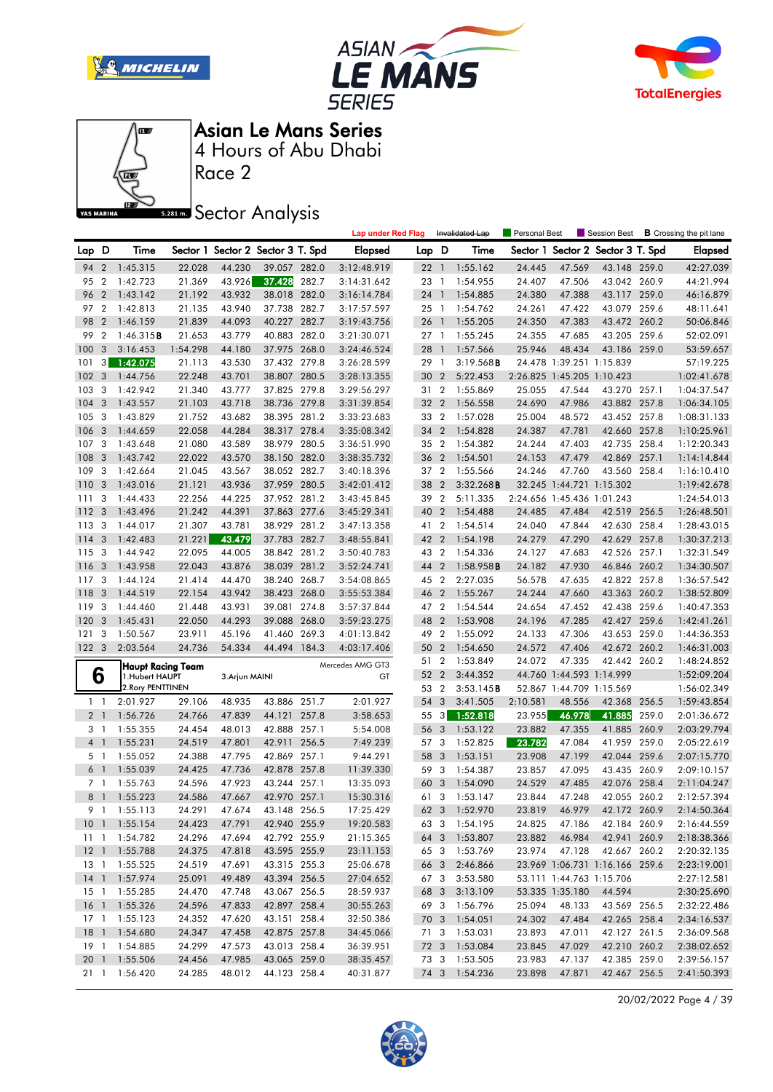







Race 2

**Sector Analysis** 

|                 |                  |                   |          |                |                                   |       | <b>Lap under Red Flag</b> |       |                          | Invalidated Lap     | Personal Best              |                          | Session Best                      |       | <b>B</b> Crossing the pit lane |
|-----------------|------------------|-------------------|----------|----------------|-----------------------------------|-------|---------------------------|-------|--------------------------|---------------------|----------------------------|--------------------------|-----------------------------------|-------|--------------------------------|
| Lap D           |                  | Time              |          |                | Sector 1 Sector 2 Sector 3 T. Spd |       | <b>Elapsed</b>            | Lap D |                          | Time                |                            |                          | Sector 1 Sector 2 Sector 3 T. Spd |       | <b>Elapsed</b>                 |
| 94              | 2                | 1:45.315          | 22.028   | 44.230         | 39.057 282.0                      |       | 3:12:48.919               | 22    | $\overline{1}$           | 1:55.162            | 24.445                     | 47.569                   | 43.148 259.0                      |       | 42:27.039                      |
| 95              | 2                | 1:42.723          | 21.369   | 43.926         | 37.428                            | 282.7 | 3:14:31.642               | 23    | $\mathbf{1}$             | 1:54.955            | 24.407                     | 47.506                   | 43.042 260.9                      |       | 44:21.994                      |
| 96              | $\overline{2}$   | 1:43.142          | 21.192   | 43.932         | 38.018 282.0                      |       | 3:16:14.784               | 24    | $\overline{1}$           | 1:54.885            | 24.380                     | 47.388                   | 43.117 259.0                      |       | 46:16.879                      |
| 97              | $\overline{2}$   | 1:42.813          | 21.135   | 43.940         | 37.738 282.7                      |       | 3:17:57.597               | 25    | $\overline{1}$           | 1:54.762            | 24.261                     | 47.422                   | 43.079 259.6                      |       | 48:11.641                      |
| 98              | $\overline{2}$   | 1:46.159          | 21.839   | 44.093         | 40.227                            | 282.7 | 3:19:43.756               | 26    | $\overline{\phantom{a}}$ | 1:55.205            | 24.350                     | 47.383                   | 43.472 260.2                      |       | 50:06.846                      |
| 99              | $\boldsymbol{2}$ | 1:46.315B         | 21.653   | 43.779         | 40.883 282.0                      |       | 3:21:30.071               | 27    | $\overline{1}$           | 1:55.245            | 24.355                     | 47.685                   | 43.205 259.6                      |       | 52:02.091                      |
| 100             | 3                | 3:16.453          | 1:54.298 | 44.180         | 37.975 268.0                      |       | 3:24:46.524               | 28    | - 1                      | 1:57.566            | 25.946                     | 48.434                   | 43.186 259.0                      |       | 53:59.657                      |
| 101             | 3                | 1:42.075          | 21.113   | 43.530         | 37.432 279.8                      |       | 3:26:28.599               | 29    | $\mathbf{1}$             | $3:19.568$ <b>B</b> |                            | 24.478 1:39.251 1:15.839 |                                   |       | 57:19.225                      |
| 102             | 3                | 1:44.756          | 22.248   | 43.701         | 38.807 280.5                      |       | 3:28:13.355               | 30    | $\overline{2}$           | 5:22.453            | 2:26.825 1:45.205 1:10.423 |                          |                                   |       | 1:02:41.678                    |
| 103             | 3                | 1:42.942          | 21.340   | 43.777         | 37.825 279.8                      |       | 3:29:56.297               | 31    | $\overline{2}$           | 1:55.869            | 25.055                     | 47.544                   | 43.270 257.1                      |       | 1:04:37.547                    |
| 104             | 3                | 1:43.557          | 21.103   | 43.718         | 38.736 279.8                      |       | 3:31:39.854               | 32    | $\overline{2}$           | 1:56.558            | 24.690                     | 47.986                   | 43.882 257.8                      |       | 1:06:34.105                    |
| 105             | 3                | 1:43.829          | 21.752   | 43.682         | 38.395 281.2                      |       | 3:33:23.683               | 33    | $\overline{2}$           | 1:57.028            | 25.004                     | 48.572                   | 43.452 257.8                      |       | 1:08:31.133                    |
| 106             | 3                | 1:44.659          | 22.058   | 44.284         | 38.317 278.4                      |       | 3:35:08.342               | 34    | $\overline{2}$           | 1:54.828            | 24.387                     | 47.781                   | 42.660 257.8                      |       | 1:10:25.961                    |
| 107             | 3                | 1:43.648          | 21.080   | 43.589         | 38.979 280.5                      |       | 3:36:51.990               | 35    | $\overline{2}$           | 1:54.382            | 24.244                     | 47.403                   | 42.735 258.4                      |       | 1:12:20.343                    |
| 108             | 3                | 1:43.742          | 22.022   | 43.570         | 38.150 282.0                      |       | 3:38:35.732               | 36    | $\overline{2}$           | 1:54.501            | 24.153                     | 47.479                   | 42.869                            | 257.1 | 1:14:14.844                    |
| 109             | 3                | 1:42.664          | 21.045   | 43.567         | 38.052 282.7                      |       | 3:40:18.396               | 37    | $\overline{2}$           | 1:55.566            | 24.246                     | 47.760                   | 43.560 258.4                      |       | 1:16:10.410                    |
| 110             | 3                | 1:43.016          | 21.121   | 43.936         | 37.959 280.5                      |       | 3:42:01.412               | 38    | $\overline{2}$           | 3:32.268B           |                            | 32.245 1:44.721 1:15.302 |                                   |       | 1:19:42.678                    |
| 111             | 3                | 1:44.433          | 22.256   | 44.225         | 37.952 281.2                      |       | 3:43:45.845               | 39    | $\overline{2}$           | 5:11.335            | 2:24.656 1:45.436 1:01.243 |                          |                                   |       | 1:24:54.013                    |
| 112             | 3                | 1:43.496          | 21.242   | 44.391         | 37.863 277.6                      |       | 3:45:29.341               | 40    | $\overline{2}$           | 1:54.488            | 24.485                     | 47.484                   | 42.519 256.5                      |       | 1:26:48.501                    |
| 113             | 3                | 1:44.017          | 21.307   | 43.781         | 38.929 281.2                      |       | 3:47:13.358               | 41    | $\overline{2}$           | 1:54.514            | 24.040                     | 47.844                   | 42.630 258.4                      |       | 1:28:43.015                    |
| 114             | 3                | 1:42.483          | 21.221   | 43.479         | 37.783 282.7                      |       | 3:48:55.841               | 42    | $\overline{2}$           | 1:54.198            | 24.279                     | 47.290                   | 42.629 257.8                      |       | 1:30:37.213                    |
| 115 3           |                  | 1:44.942          | 22.095   | 44.005         | 38.842 281.2                      |       | 3:50:40.783               | 43 2  |                          | 1:54.336            | 24.127                     | 47.683                   | 42.526 257.1                      |       | 1:32:31.549                    |
| 116             | 3                | 1:43.958          | 22.043   | 43.876         | 38.039 281.2                      |       | 3:52:24.741               | 44    | $\overline{2}$           | $1:58.958$ B        | 24.182                     | 47.930                   | 46.846 260.2                      |       | 1:34:30.507                    |
| 117             | 3                | 1:44.124          | 21.414   | 44.470         | 38.240 268.7                      |       | 3:54:08.865               | 45    | $\overline{2}$           | 2:27.035            | 56.578                     | 47.635                   | 42.822 257.8                      |       | 1:36:57.542                    |
| 118             | 3                | 1:44.519          | 22.154   | 43.942         | 38.423 268.0                      |       | 3:55:53.384               | 46    | $\overline{2}$           | 1:55.267            | 24.244                     | 47.660                   | 43.363 260.2                      |       | 1:38:52.809                    |
| 119             | 3                | 1:44.460          | 21.448   | 43.931         | 39.081 274.8                      |       | 3:57:37.844               | 47 2  |                          | 1:54.544            | 24.654                     | 47.452                   | 42.438 259.6                      |       | 1:40:47.353                    |
| 120             | 3                | 1:45.431          | 22.050   | 44.293         | 39.088 268.0                      |       | 3:59:23.275               | 48    | $\overline{2}$           | 1:53.908            | 24.196                     | 47.285                   | 42.427 259.6                      |       | 1:42:41.261                    |
| 121             | 3                | 1:50.567          | 23.911   | 45.196         | 41.460 269.3                      |       | 4:01:13.842               | 49    | $\overline{2}$           | 1:55.092            | 24.133                     | 47.306                   | 43.653 259.0                      |       | 1:44:36.353                    |
| 1223            |                  | 2:03.564          | 24.736   | 54.334         | 44.494 184.3                      |       | 4:03:17.406               | 50    | $\overline{2}$           | 1:54.650            | 24.572                     | 47.406                   | 42.672 260.2                      |       | 1:46:31.003                    |
|                 |                  | Haupt Racing Team |          |                |                                   |       | Mercedes AMG GT3          | 51 2  |                          | 1:53.849            | 24.072                     | 47.335                   | 42.442 260.2                      |       | 1:48:24.852                    |
| 6               |                  | 1.Hubert HAUPT    |          | 3. Arjun MAINI |                                   |       | GT                        | 52    | $\overline{2}$           | 3:44.352            |                            | 44.760 1:44.593 1:14.999 |                                   |       | 1:52:09.204                    |
|                 |                  | 2. Rory PENTTINEN |          |                |                                   |       |                           | 53    | $\overline{2}$           | 3:53.145B           |                            | 52.867 1:44.709 1:15.569 |                                   |       | 1:56:02.349                    |
| $1\quad$        |                  | 2:01.927          | 29.106   | 48.935         | 43.886 251.7                      |       | 2:01.927                  | 54    | 3                        | 3:41.505            | 2:10.581                   | 48.556                   | 42.368 256.5                      |       | 1:59:43.854                    |
| 2 <sub>1</sub>  |                  | 1:56.726          | 24.766   | 47.839         | 44.121 257.8                      |       | 3:58.653                  | 55    | $3^{\circ}$              | 1:52.818            | 23.955                     | 46.978                   | 41.885                            | 259.0 | 2:01:36.672                    |
| 3               | -1               | 1:55.355          | 24.454   | 48.013         | 42.888 257.1                      |       | 5:54.008                  | 56    | 3                        | 1:53.122            | 23.882                     | 47.355                   | 41.885                            | 260.9 | 2:03:29.794                    |
| 4 <sup>1</sup>  |                  | 1:55.231          | 24.519   | 47.801         | 42.911                            | 256.5 | 7:49.239                  | 57    | 3                        | 1:52.825            | 23.782                     | 47.084                   | 41.959                            | 259.0 | 2:05:22.619                    |
| 5 <sub>1</sub>  |                  | 1:55.052          | 24.388   | 47.795         | 42.869 257.1                      |       | 9:44.291                  | 58    | $\overline{3}$           | 1:53.151            | 23.908                     | 47.199                   | 42.044 259.6                      |       | 2:07:15.770                    |
| 6 <sup>1</sup>  |                  | 1:55.039          | 24.425   | 47.736         | 42.878 257.8                      |       | 11:39.330                 | 59    | $\overline{\mathbf{3}}$  | 1:54.387            | 23.857                     | 47.095                   | 43.435 260.9                      |       | 2:09:10.157                    |
| 7 1             |                  | 1:55.763          | 24.596   | 47.923         | 43.244 257.1                      |       | 13:35.093                 | 60    | 3                        | 1:54.090            | 24.529                     | 47.485                   | 42.076                            | 258.4 | 2:11:04.247                    |
| 8 <sup>1</sup>  |                  | 1:55.223          | 24.586   | 47.667         | 42.970 257.1                      |       | 15:30.316                 | 61    | $\mathbf{3}$             | 1:53.147            | 23.844                     | 47.248                   | 42.055 260.2                      |       | 2:12:57.394                    |
|                 | 9 <sub>1</sub>   | 1:55.113          | 24.291   | 47.674         | 43.148 256.5                      |       | 17:25.429                 |       |                          | 62 3 1:52.970       | 23.819                     | 46.979                   | 42.172 260.9                      |       | 2:14:50.364                    |
|                 |                  | 10 1 1:55.154     | 24.423   | 47.791         | 42.940 255.9                      |       | 19:20.583                 |       |                          | 63 3 1:54.195       | 24.825                     | 47.186                   | 42.184 260.9                      |       | 2:16:44.559                    |
|                 |                  | 11 1:54.782       | 24.296   | 47.694         | 42.792 255.9                      |       | 21:15.365                 |       |                          | 64 3 1:53.807       | 23.882                     | 46.984                   | 42.941 260.9                      |       | 2:18:38.366                    |
|                 |                  | 12 1 1:55.788     | 24.375   | 47.818         | 43.595 255.9                      |       | 23:11.153                 |       |                          | 65 3 1:53.769       | 23.974                     | 47.128                   | 42.667 260.2                      |       | 2:20:32.135                    |
| 13 1            |                  | 1:55.525          | 24.519   | 47.691         | 43.315 255.3                      |       | 25:06.678                 |       | 66 3                     | 2:46.866            |                            |                          | 23.969 1:06.731 1:16.166 259.6    |       | 2:23:19.001                    |
|                 |                  | 14 1 1:57.974     | 25.091   | 49.489         | 43.394 256.5                      |       | 27:04.652                 |       | 673                      | 3:53.580            |                            |                          | 53.111 1:44.763 1:15.706          |       | 2:27:12.581                    |
| $15-1$          |                  | 1:55.285          | 24.470   | 47.748         | 43.067 256.5                      |       | 28:59.937                 | 68 3  |                          | 3:13.109            |                            | 53.335 1:35.180          | 44.594                            |       | 2:30:25.690                    |
| 16 <sub>1</sub> |                  | 1:55.326          | 24.596   | 47.833         | 42.897 258.4                      |       | 30:55.263                 |       |                          | 69 3 1:56.796       | 25.094                     | 48.133                   | 43.569 256.5                      |       | 2:32:22.486                    |
| 17 <sub>1</sub> |                  | 1:55.123          | 24.352   | 47.620         | 43.151 258.4                      |       | 32:50.386                 |       |                          | 70 3 1:54.051       | 24.302                     | 47.484                   | 42.265 258.4                      |       | 2:34:16.537                    |
| $18-1$          |                  | 1:54.680          | 24.347   | 47.458         | 42.875 257.8                      |       | 34:45.066                 |       |                          | 71 3 1:53.031       | 23.893                     | 47.011                   | 42.127 261.5                      |       | 2:36:09.568                    |
| 19 1            |                  | 1:54.885          | 24.299   | 47.573         | 43.013 258.4                      |       | 36:39.951                 |       |                          | 72 3 1:53.084       | 23.845                     | 47.029                   | 42.210 260.2                      |       | 2:38:02.652                    |
| 20 1            |                  | 1:55.506          | 24.456   | 47.985         | 43.065 259.0                      |       | 38:35.457                 |       |                          | 73 3 1:53.505       | 23.983                     | 47.137                   | 42.385 259.0                      |       | 2:39:56.157                    |
|                 |                  | 21 1 1:56.420     | 24.285   | 48.012         | 44.123 258.4                      |       | 40:31.877                 |       |                          | 74 3 1:54.236       | 23.898                     | 47.871                   | 42.467 256.5                      |       | 2:41:50.393                    |

20/02/2022 Page 4 / 39

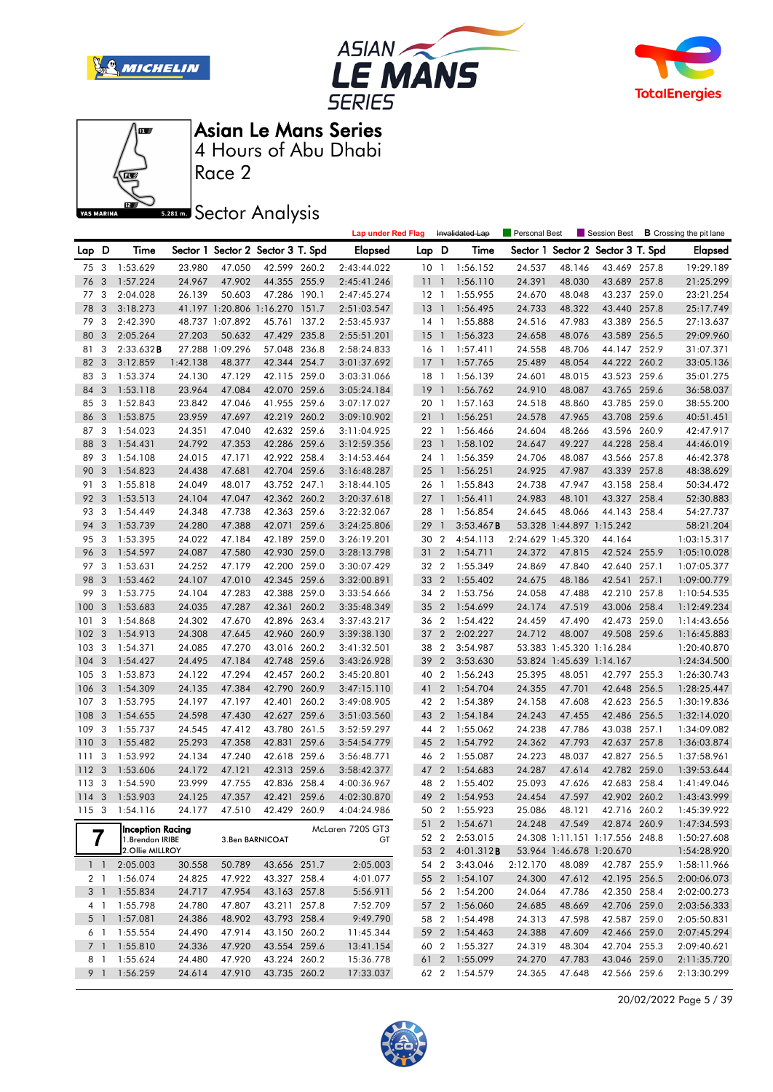







Race 2

### **Sector Analysis**

|                |                |                                      |          |                 |                                   |       | <b>Lap under Red Flag</b> |                 |                | Invalidated Lap   | Personal Best     |                          | Session Best                   |       | <b>B</b> Crossing the pit lane |
|----------------|----------------|--------------------------------------|----------|-----------------|-----------------------------------|-------|---------------------------|-----------------|----------------|-------------------|-------------------|--------------------------|--------------------------------|-------|--------------------------------|
| Lap D          |                | Time                                 |          |                 | Sector 1 Sector 2 Sector 3 T. Spd |       | <b>Elapsed</b>            | Lap D           |                | Time              | Sector 1          |                          | Sector 2 Sector 3 T. Spd       |       | <b>Elapsed</b>                 |
| 75             | 3              | 1:53.629                             | 23.980   | 47.050          | 42.599 260.2                      |       | 2:43:44.022               | 10 <sub>1</sub> |                | 1:56.152          | 24.537            | 48.146                   | 43.469 257.8                   |       | 19:29.189                      |
| 76             | 3              | 1:57.224                             | 24.967   | 47.902          | 44.355 255.9                      |       | 2:45:41.246               | 11              | $\overline{1}$ | 1:56.110          | 24.391            | 48.030                   | 43.689 257.8                   |       | 21:25.299                      |
| 77             | 3              | 2:04.028                             | 26.139   | 50.603          | 47.286 190.1                      |       | 2:47:45.274               | $12-1$          |                | 1:55.955          | 24.670            | 48.048                   | 43.237 259.0                   |       | 23:21.254                      |
| 78             | 3              | 3:18.273                             |          |                 | 41.197 1:20.806 1:16.270          | 151.7 | 2:51:03.547               | 13              | $\overline{1}$ | 1:56.495          | 24.733            | 48.322                   | 43.440 257.8                   |       | 25:17.749                      |
| 79             | 3              | 2:42.390                             |          | 48.737 1:07.892 | 45.761 137.2                      |       | 2:53:45.937               | 14 1            |                | 1:55.888          | 24.516            | 47.983                   | 43.389 256.5                   |       | 27:13.637                      |
| 80             | 3              | 2:05.264                             | 27.203   | 50.632          | 47.429 235.8                      |       | 2:55:51.201               | 15              | $\overline{1}$ | 1:56.323          | 24.658            | 48.076                   | 43.589 256.5                   |       | 29:09.960                      |
| 81             | 3              | 2:33.632B                            |          | 27.288 1:09.296 | 57.048 236.8                      |       | 2:58:24.833               | 16 1            |                | 1:57.411          | 24.558            | 48.706                   | 44.147 252.9                   |       | 31:07.371                      |
| 82             | 3              | 3:12.859                             | 1:42.138 | 48.377          | 42.344 254.7                      |       | 3:01:37.692               | $17-1$          |                | 1:57.765          | 25.489            | 48.054                   | 44.222 260.2                   |       | 33:05.136                      |
| 83             | 3              | 1:53.374                             | 24.130   | 47.129          | 42.115 259.0                      |       | 3:03:31.066               | 18 1            |                | 1:56.139          | 24.601            | 48.015                   | 43.523 259.6                   |       | 35:01.275                      |
| 84             | 3              | 1:53.118                             | 23.964   | 47.084          | 42.070 259.6                      |       | 3:05:24.184               | 19              | $\overline{1}$ | 1:56.762          | 24.910            | 48.087                   | 43.765 259.6                   |       | 36:58.037                      |
| 85             | 3              | 1:52.843                             | 23.842   | 47.046          | 41.955 259.6                      |       | 3:07:17.027               | 20 1            |                | 1:57.163          | 24.518            | 48.860                   | 43.785 259.0                   |       | 38:55.200                      |
| 86             | 3              | 1:53.875                             | 23.959   | 47.697          | 42.219 260.2                      |       | 3:09:10.902               | 21 1            |                | 1:56.251          | 24.578            | 47.965                   | 43.708 259.6                   |       | 40:51.451                      |
| 87             | 3              | 1:54.023                             | 24.351   | 47.040          | 42.632 259.6                      |       | 3:11:04.925               | 22 1            |                | 1:56.466          | 24.604            | 48.266                   | 43.596 260.9                   |       | 42:47.917                      |
| 88             | 3              | 1:54.431                             | 24.792   | 47.353          | 42.286 259.6                      |       | 3:12:59.356               | 23              | $\overline{1}$ | 1:58.102          | 24.647            | 49.227                   | 44.228 258.4                   |       | 44:46.019                      |
| 89             | 3              | 1:54.108                             | 24.015   | 47.171          | 42.922 258.4                      |       | 3:14:53.464               | 24 1            |                | 1:56.359          | 24.706            | 48.087                   | 43.566 257.8                   |       | 46:42.378                      |
| 90             | 3              | 1:54.823                             | 24.438   | 47.681          | 42.704 259.6                      |       | 3:16:48.287               | 25              | $\overline{1}$ | 1:56.251          | 24.925            | 47.987                   | 43.339 257.8                   |       | 48:38.629                      |
| 91             | 3              | 1:55.818                             | 24.049   | 48.017          | 43.752 247.1                      |       | 3:18:44.105               | 26 1            |                | 1:55.843          | 24.738            | 47.947                   | 43.158 258.4                   |       | 50:34.472                      |
| 92             | 3              | 1:53.513                             | 24.104   | 47.047          | 42.362 260.2                      |       | 3:20:37.618               | 27              | $\overline{1}$ | 1:56.411          | 24.983            | 48.101                   | 43.327 258.4                   |       | 52:30.883                      |
| 93             | 3              | 1:54.449                             | 24.348   | 47.738          | 42.363 259.6                      |       | 3:22:32.067               | 28 1            |                | 1:56.854          | 24.645            | 48.066                   | 44.143 258.4                   |       | 54:27.737                      |
| 94             | 3              | 1:53.739                             | 24.280   | 47.388          | 42.071                            | 259.6 | 3:24:25.806               | 29              | $\overline{1}$ | 3:53.467B         |                   | 53.328 1:44.897 1:15.242 |                                |       | 58:21.204                      |
| 95             | 3              | 1:53.395                             | 24.022   | 47.184          | 42.189                            | 259.0 | 3:26:19.201               | 30              | $\overline{2}$ | 4:54.113          | 2:24.629 1:45.320 |                          | 44.164                         |       | 1:03:15.317                    |
| 96             | 3              | 1:54.597                             | 24.087   | 47.580          | 42.930 259.0                      |       | 3:28:13.798               | 31              | $\overline{2}$ | 1:54.711          | 24.372            | 47.815                   | 42.524 255.9                   |       | 1:05:10.028                    |
| 97             | 3              | 1:53.631                             | 24.252   | 47.179          | 42.200 259.0                      |       | 3:30:07.429               | 32 2            |                | 1:55.349          | 24.869            | 47.840                   | 42.640 257.1                   |       | 1:07:05.377                    |
| 98             | 3              | 1:53.462                             | 24.107   | 47.010          | 42.345 259.6                      |       | 3:32:00.891               | 33 2            |                | 1:55.402          | 24.675            | 48.186                   | 42.541                         | 257.1 | 1:09:00.779                    |
| 99             | 3              | 1:53.775                             | 24.104   | 47.283          | 42.388                            | 259.0 | 3:33:54.666               | 34 2            |                | 1:53.756          | 24.058            | 47.488                   | 42.210 257.8                   |       | 1:10:54.535                    |
| 100            | 3              | 1:53.683                             | 24.035   | 47.287          | 42.361                            | 260.2 | 3:35:48.349               | 35 2            |                | 1:54.699          | 24.174            | 47.519                   | 43.006 258.4                   |       | 1:12:49.234                    |
| 101            | 3              | 1:54.868                             | 24.302   | 47.670          | 42.896 263.4                      |       | 3:37:43.217               | 36 2            |                | 1:54.422          | 24.459            | 47.490                   | 42.473 259.0                   |       | 1:14:43.656                    |
| 102            | 3              | 1:54.913                             | 24.308   | 47.645          | 42.960 260.9                      |       | 3:39:38.130               | 37              | $\overline{2}$ | 2:02.227          | 24.712            | 48.007                   | 49.508 259.6                   |       | 1:16:45.883                    |
| 103            | 3              | 1:54.371                             | 24.085   | 47.270          | 43.016 260.2                      |       | 3:41:32.501               | 38              | $\overline{2}$ | 3:54.987          |                   | 53.383 1:45.320 1:16.284 |                                |       | 1:20:40.870                    |
| 104            | 3              | 1:54.427                             | 24.495   | 47.184          | 42.748 259.6                      |       | 3:43:26.928               | 39              | $\overline{2}$ | 3:53.630          |                   | 53.824 1:45.639 1:14.167 |                                |       | 1:24:34.500                    |
| 105            | 3              | 1:53.873                             | 24.122   | 47.294          | 42.457 260.2                      |       | 3:45:20.801               | 40 2            |                | 1:56.243          | 25.395            | 48.051                   | 42.797 255.3                   |       | 1:26:30.743                    |
| 106            | 3              | 1:54.309                             | 24.135   | 47.384          | 42.790 260.9                      |       | 3:47:15.110               | 41              | $\overline{2}$ | 1:54.704          | 24.355            | 47.701                   | 42.648 256.5                   |       | 1:28:25.447                    |
| 107            | 3              | 1:53.795                             | 24.197   | 47.197          | 42.401                            | 260.2 | 3:49:08.905               | 42 2            |                | 1:54.389          | 24.158            | 47.608                   | 42.623 256.5                   |       | 1:30:19.836                    |
| 108            | 3              | 1:54.655                             | 24.598   | 47.430          | 42.627 259.6                      |       | 3:51:03.560               | 43              | $\overline{2}$ | 1:54.184          | 24.243            | 47.455                   | 42.486 256.5                   |       | 1:32:14.020                    |
| 109            | 3              | 1:55.737                             | 24.545   | 47.412          | 43.780 261.5                      |       | 3:52:59.297               | 44 2            |                | 1:55.062          | 24.238            | 47.786                   | 43.038 257.1                   |       | 1:34:09.082                    |
| 110            | 3              | 1:55.482                             | 25.293   | 47.358          | 42.831 259.6                      |       | 3:54:54.779               | 45 2            |                | 1:54.792          | 24.362            | 47.793                   | 42.637                         | 257.8 | 1:36:03.874                    |
| 111            | 3              | 1:53.992                             | 24.134   | 47.240          | 42.618 259.6                      |       | 3:56:48.771               | 46 2            |                | 1:55.087          | 24.223            | 48.037                   | 42.827 256.5                   |       | 1:37:58.961                    |
| 112            | 3              | 1:53.606                             | 24.172   | 47.121          | 42.313 259.6                      |       | 3:58:42.377               | 47              | $\overline{2}$ | 1:54.683          | 24.287            | 47.614                   | 42.782 259.0                   |       | 1:39:53.644                    |
| 113            | 3              | 1:54.590                             | 23.999   | 47.755          | 42.836 258.4                      |       | 4:00:36.967               | 48 2            |                | 1:55.402          | 25.093            | 47.626                   | 42.683 258.4                   |       | 1:41:49.046                    |
| $114 - 3$      |                | 1:53.903                             | 24.125   | 47.357          | 42.421 259.6                      |       | 4:02:30.870               | 49              |                | 2 1:54.953        | 24.454            | 47.597                   | 42.902 260.2                   |       | 1:43:43.999                    |
|                |                | 115 3 1:54.116                       | 24.177   | 47.510          | 42.429 260.9                      |       | 4:04:24.986               |                 |                | 50 2 1:55.923     | 25.086            | 48.121                   | 42 716 260 2                   |       | 1:45:39.922                    |
|                |                |                                      |          |                 |                                   |       |                           |                 |                | 51 2 1:54.671     | 24.248            | 47.549                   | 42.874 260.9                   |       | 1:47:34.593                    |
| 7              |                | Inception Racing<br>1. Brendan IRIBE |          |                 |                                   |       | McLaren 720S GT3          |                 | 52 2           | 2:53.015          |                   |                          | 24.308 1:11.151 1:17.556 248.8 |       | 1:50:27.608                    |
|                |                | 2.Ollie MILLROY                      |          |                 | 3.Ben BARNICOAT                   |       | GT                        | 53 2            |                | 4:01.312 <b>B</b> |                   | 53.964 1:46.678 1:20.670 |                                |       | 1:54:28.920                    |
|                | $1\quad$       | 2:05.003                             | 30.558   | 50.789          | 43.656 251.7                      |       | 2:05.003                  | 54 2            |                | 3:43.046          | 2:12.170          | 48.089                   | 42.787 255.9                   |       | 1:58:11.966                    |
| 2 <sub>1</sub> |                | 1:56.074                             | 24.825   | 47.922          | 43.327 258.4                      |       | 4:01.077                  | 55 2            |                | 1:54.107          | 24.300            | 47.612                   | 42.195 256.5                   |       | 2:00:06.073                    |
| 3 <sup>1</sup> |                | 1:55.834                             | 24.717   | 47.954          | 43.163 257.8                      |       | 5:56.911                  | 56 2            |                | 1:54.200          | 24.064            | 47.786                   | 42.350 258.4                   |       | 2:02:00.273                    |
| 4 <sup>1</sup> |                | 1:55.798                             | 24.780   | 47.807          | 43.211 257.8                      |       | 7:52.709                  | 57 2            |                | 1:56.060          | 24.685            | 48.669                   | 42.706 259.0                   |       | 2:03:56.333                    |
| $5-1$          |                | 1:57.081                             | 24.386   | 48.902          | 43.793 258.4                      |       | 9:49.790                  | 58 2            |                | 1:54.498          | 24.313            | 47.598                   | 42.587 259.0                   |       | 2:05:50.831                    |
| 6 1            |                | 1:55.554                             | 24.490   | 47.914          | 43.150 260.2                      |       | 11:45.344                 | 59 2            |                | 1:54.463          | 24.388            | 47.609                   | 42.466 259.0                   |       | 2:07:45.294                    |
|                | 7 <sub>1</sub> | 1:55.810                             | 24.336   | 47.920          | 43.554 259.6                      |       | 13:41.154                 | 60 2            |                | 1:55.327          | 24.319            | 48.304                   | 42.704 255.3                   |       | 2:09:40.621                    |
| 8 1            |                | 1:55.624                             | 24.480   | 47.920          | 43.224 260.2                      |       | 15:36.778                 | 61              | $\overline{2}$ | 1:55.099          | 24.270            | 47.783                   | 43.046 259.0                   |       | 2:11:35.720                    |
| 9 1            |                | 1:56.259                             | 24.614   | 47.910          | 43.735 260.2                      |       | 17:33.037                 |                 |                | 62 2 1:54.579     | 24.365            | 47.648                   | 42.566 259.6                   |       | 2:13:30.299                    |
|                |                |                                      |          |                 |                                   |       |                           |                 |                |                   |                   |                          |                                |       |                                |

20/02/2022 Page 5 / 39

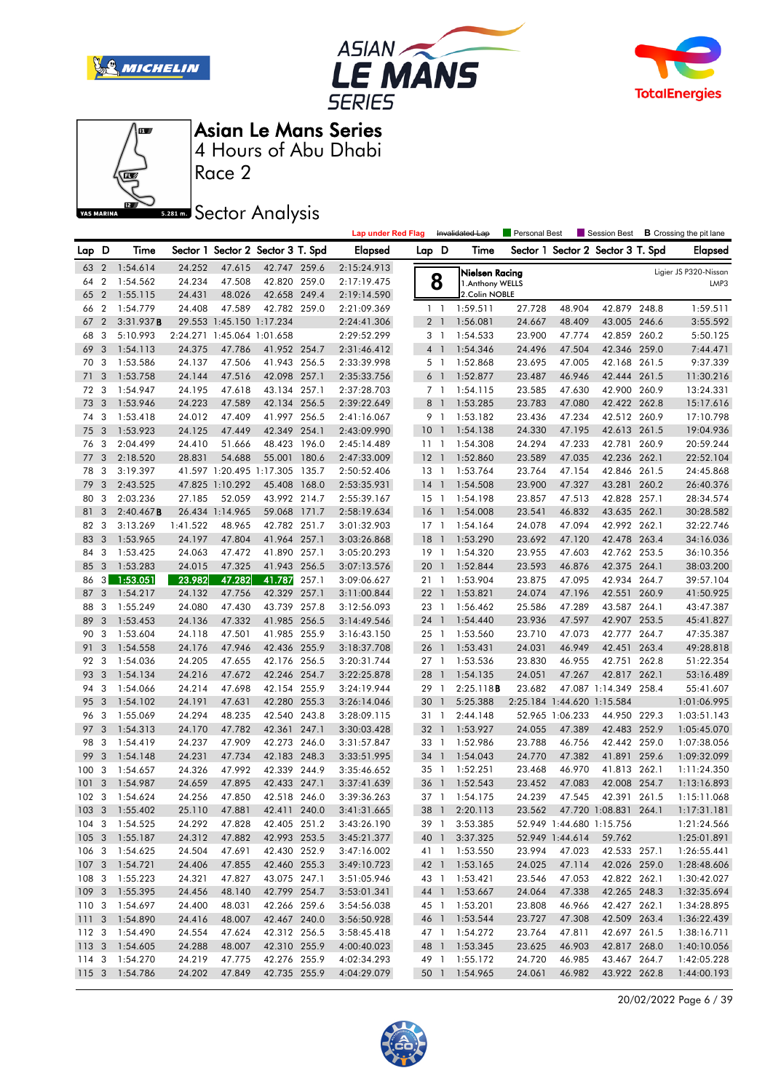







Race 2

### **Sector Analysis**

|                  |                |                      |                  |                            |                                   |       | <b>Lap under Red Flag</b>  |                 |                          | Invalidated Lap      | Personal Best    |                            | Session Best                      |       | <b>B</b> Crossing the pit lane |
|------------------|----------------|----------------------|------------------|----------------------------|-----------------------------------|-------|----------------------------|-----------------|--------------------------|----------------------|------------------|----------------------------|-----------------------------------|-------|--------------------------------|
| Lap D            |                | Time                 |                  |                            | Sector 1 Sector 2 Sector 3 T. Spd |       | <b>Elapsed</b>             | Lap D           |                          | Time                 |                  |                            | Sector 1 Sector 2 Sector 3 T. Spd |       | <b>Elapsed</b>                 |
| 63               | $\overline{2}$ | 1:54.614             | 24.252           | 47.615                     | 42.747 259.6                      |       | 2:15:24.913                |                 |                          | Nielsen Racing       |                  |                            |                                   |       | Ligier JS P320-Nissan          |
| 64               | $\overline{2}$ | 1:54.562             | 24.234           | 47.508                     | 42.820 259.0                      |       | 2:17:19.475                |                 | 8                        | 1.Anthony WELLS      |                  |                            |                                   |       | LMP3                           |
| 65               | $\overline{2}$ | 1:55.115             | 24.431           | 48.026                     | 42.658 249.4                      |       | 2:19:14.590                |                 |                          | 2.Colin NOBLE        |                  |                            |                                   |       |                                |
| 66               | $\overline{2}$ | 1:54.779             | 24.408           | 47.589                     | 42.782 259.0                      |       | 2:21:09.369                |                 | $1\quad$                 | 1:59.511             | 27.728           | 48.904                     | 42.879 248.8                      |       | 1:59.511                       |
| 67               | $\overline{2}$ | 3:31.937B            |                  | 29.553 1:45.150 1:17.234   |                                   |       | 2:24:41.306                |                 | 2 <sub>1</sub>           | 1:56.081             | 24.667           | 48.409                     | 43.005 246.6                      |       | 3:55.592                       |
| 68               | 3              | 5:10.993             |                  | 2:24.271 1:45.064 1:01.658 |                                   |       | 2:29:52.299                |                 | 3 1                      | 1:54.533             | 23.900           | 47.774                     | 42.859 260.2                      |       | 5:50.125                       |
| 69               | 3              | 1:54.113             | 24.375           | 47.786                     | 41.952 254.7                      |       | 2:31:46.412                |                 | 4 1                      | 1:54.346             | 24.496           | 47.504                     | 42.346 259.0                      |       | 7:44.471                       |
| 70               | 3              | 1:53.586             | 24.137           | 47.506                     | 41.943 256.5                      |       | 2:33:39.998                |                 | 5 <sub>1</sub>           | 1:52.868             | 23.695           | 47.005                     | 42.168 261.5                      |       | 9:37.339                       |
| 71               | 3              | 1:53.758             | 24.144           | 47.516                     | 42.098 257.1                      |       | 2:35:33.756                |                 | 6 <sup>1</sup>           | 1:52.877             | 23.487           | 46.946                     | 42.444                            | 261.5 | 11:30.216                      |
| 72               | 3              | 1:54.947             | 24.195           | 47.618                     | 43.134 257.1                      |       | 2:37:28.703                |                 | 7 <sub>1</sub>           | 1:54.115             | 23.585           | 47.630                     | 42.900 260.9                      |       | 13:24.331                      |
| 73               | 3              | 1:53.946             | 24.223           | 47.589                     | 42.134 256.5                      |       | 2:39:22.649                | 8               | $\overline{1}$           | 1:53.285             | 23.783           | 47.080                     | 42.422 262.8                      |       | 15:17.616                      |
| 74               | 3              | 1:53.418             | 24.012           | 47.409                     | 41.997 256.5                      |       | 2:41:16.067                |                 | 9 1                      | 1:53.182             | 23.436           | 47.234                     | 42.512 260.9                      |       | 17:10.798                      |
| 75               | 3              | 1:53.923             | 24.125           | 47.449                     | 42.349                            | 254.1 | 2:43:09.990                | 10 <sup>°</sup> | $\overline{\phantom{a}}$ | 1:54.138             | 24.330           | 47.195                     | 42.613 261.5                      |       | 19:04.936                      |
| 76               | 3              | 2:04.499             | 24.410           | 51.666                     | 48.423 196.0                      |       | 2:45:14.489                | 11              | $\overline{1}$           | 1:54.308             | 24.294           | 47.233                     | 42.781 260.9                      |       | 20:59.244                      |
| 77               | 3              | 2:18.520             | 28.831           | 54.688                     | 55.001                            | 180.6 | 2:47:33.009                | 12              | $\overline{\phantom{0}}$ | 1:52.860             | 23.589           | 47.035                     | 42.236 262.1                      |       | 22:52.104                      |
| 78               | 3              | 3:19.397             |                  | 41.597 1:20.495 1:17.305   |                                   | 135.7 | 2:50:52.406                | $13-1$          |                          | 1:53.764             | 23.764           | 47.154                     | 42.846 261.5                      |       | 24:45.868                      |
| 79               | 3              | 2:43.525             |                  | 47.825 1:10.292            | 45.408                            | 168.0 | 2:53:35.931                | $14-1$          |                          | 1:54.508             | 23.900           | 47.327                     | 43.281                            | 260.2 | 26:40.376                      |
| 80               | 3              | 2:03.236             | 27.185           | 52.059                     | 43.992 214.7                      |       | 2:55:39.167                | $15-1$          |                          | 1:54.198             | 23.857           | 47.513                     | 42.828 257.1                      |       | 28:34.574                      |
| 81               | 3              | 2:40.467B            |                  | 26.434 1:14.965            | 59.068                            | 171.7 | 2:58:19.634                | 16              | $\overline{1}$           | 1:54.008             | 23.541           | 46.832                     | 43.635 262.1                      |       | 30:28.582                      |
| 82               | 3              | 3:13.269             | 1:41.522         | 48.965                     | 42.782 251.7                      |       | 3:01:32.903                | $17-1$          |                          | 1:54.164             | 24.078           | 47.094                     | 42.992 262.1                      |       | 32:22.746                      |
| 83               | 3              | 1:53.965             | 24.197           | 47.804                     | 41.964 257.1                      |       | 3:03:26.868                | 18              | $\overline{1}$           | 1:53.290             | 23.692           | 47.120                     | 42.478 263.4                      |       | 34:16.036                      |
| 84               | 3              | 1:53.425             | 24.063           | 47.472                     | 41.890 257.1                      |       | 3:05:20.293                | $19-1$          |                          | 1:54.320             | 23.955           | 47.603                     | 42.762 253.5                      |       | 36:10.356                      |
| 85               | 3              | 1:53.283             | 24.015           | 47.325                     | 41.943 256.5                      |       | 3:07:13.576                | 201             |                          | 1:52.844             | 23.593           | 46.876                     | 42.375 264.1                      |       | 38:03.200                      |
| 86               | 3 <sup>1</sup> | 1:53.051             | 23.982           | 47.282                     | 41.787                            | 257.1 | 3:09:06.627                | 21 1            |                          | 1:53.904             | 23.875           | 47.095                     | 42.934 264.7                      |       | 39:57.104                      |
| 87               | 3              | 1:54.217             | 24.132           | 47.756                     | 42.329                            | 257.1 | 3:11:00.844                | 22              | $\overline{1}$           | 1:53.821             | 24.074           | 47.196                     | 42.551                            | 260.9 | 41:50.925                      |
| 88               | 3              | 1:55.249             | 24.080           | 47.430                     | 43.739 257.8                      |       | 3:12:56.093                | 23 1            |                          | 1:56.462             | 25.586           | 47.289                     | 43.587 264.1                      |       | 43:47.387                      |
| 89<br>90         | 3<br>3         | 1:53.453             | 24.136           | 47.332<br>47.501           | 41.985 256.5<br>41.985 255.9      |       | 3:14:49.546                | 24 1            |                          | 1:54.440             | 23.936           | 47.597                     | 42.907 253.5                      |       | 45:41.827                      |
| 91               | 3              | 1:53.604<br>1:54.558 | 24.118<br>24.176 | 47.946                     | 42.436 255.9                      |       | 3:16:43.150<br>3:18:37.708 | 25 1<br>26      | $\overline{1}$           | 1:53.560<br>1:53.431 | 23.710<br>24.031 | 47.073<br>46.949           | 42.777 264.7<br>42.451            | 263.4 | 47:35.387<br>49:28.818         |
| 92               | -3             | 1:54.036             | 24.205           | 47.655                     | 42.176 256.5                      |       | 3:20:31.744                | 27 1            |                          | 1:53.536             | 23.830           | 46.955                     | 42.751 262.8                      |       | 51:22.354                      |
| 93               | 3              | 1:54.134             | 24.216           | 47.672                     | 42.246 254.7                      |       | 3:22:25.878                | 28 1            |                          | 1:54.135             | 24.051           | 47.267                     | 42.817 262.1                      |       | 53:16.489                      |
| 94               | 3              | 1:54.066             | 24.214           | 47.698                     | 42.154 255.9                      |       | 3:24:19.944                | 29              | $\overline{1}$           | 2:25.118B            | 23.682           |                            | 47.087 1:14.349 258.4             |       | 55:41.607                      |
| 95               | 3              | 1:54.102             | 24.191           | 47.631                     | 42.280 255.3                      |       | 3:26:14.046                | 30              | $\mathbf{1}$             | 5:25.388             |                  | 2:25.184 1:44.620 1:15.584 |                                   |       | 1:01:06.995                    |
| 96               | 3              | 1:55.069             | 24.294           | 48.235                     | 42.540 243.8                      |       | 3:28:09.115                | 31 1            |                          | 2:44.148             |                  | 52.965 1:06.233            | 44.950 229.3                      |       | 1:03:51.143                    |
| 97               | 3              | 1:54.313             | 24.170           | 47.782                     | 42.361                            | 247.1 | 3:30:03.428                | 32 1            |                          | 1:53.927             | 24.055           | 47.389                     | 42.483 252.9                      |       | 1:05:45.070                    |
| 98               | 3              | 1:54.419             | 24.237           | 47.909                     | 42.273                            | 246.0 | 3:31:57.847                | 33 1            |                          | 1:52.986             | 23.788           | 46.756                     | 42.442 259.0                      |       | 1:07:38.056                    |
| 99               | 3              | 1:54.148             | 24.231           | 47.734                     | 42.183 248.3                      |       | 3:33:51.995                | 34              | $\mathbf{1}$             | 1:54.043             | 24.770           | 47.382                     | 41.891 259.6                      |       | 1:09:32.099                    |
| 100              | 3              | 1:54.657             | 24.326           | 47.992                     | 42.339 244.9                      |       | 3:35:46.652                | 35 1            |                          | 1:52.251             | 23.468           | 46.970                     | 41.813 262.1                      |       | 1:11:24.350                    |
| 101              | 3              | 1:54.987             | 24.659           | 47.895                     | 42.433 247.1                      |       | 3:37:41.639                | 36 1            |                          | 1:52.543             | 23.452           | 47.083                     | 42.008 254.7                      |       | 1:13:16.893                    |
| 102              | 3              | 1:54.624             | 24.256           | 47.850                     | 42.518 246.0                      |       | 3:39:36.263                | 37 1            |                          | 1:54.175             | 24.239           | 47.545                     | 42.391                            | 261.5 | 1:15:11.068                    |
|                  |                | 103 3 1:55.402       | 25.110           | 47.881                     | 42.411 240.0                      |       | 3:41:31.665                | 38 1            |                          | 2:20.113             | 23.562           |                            | 47.720 1:08.831 264.1             |       | 1:17:31.181                    |
|                  |                | 104 3 1:54.525       | 24.292           | 47.828                     | 42.405 251.2                      |       | 3:43:26.190                |                 |                          | 39 1 3:53.385        |                  |                            | 52.949 1:44.680 1:15.756          |       | 1:21:24.566                    |
|                  |                | 105 3 1:55.187       | 24.312           | 47.882                     | 42.993 253.5                      |       | 3:45:21.377                |                 |                          | 40 1 3:37.325        |                  | 52.949 1:44.614            | 59.762                            |       | 1:25:01.891                    |
| 106 3            |                | 1:54.625             | 24.504           | 47.691                     | 42.430 252.9                      |       | 3:47:16.002                |                 |                          | 41 1 1:53.550        | 23.994           | 47.023                     | 42.533 257.1                      |       | 1:26:55.441                    |
| 107 <sub>3</sub> |                | 1:54.721             | 24.406           | 47.855                     | 42.460 255.3                      |       | 3:49:10.723                |                 |                          | 42 1 1:53.165        | 24.025           | 47.114                     | 42.026 259.0                      |       | 1:28:48.606                    |
| 108 3            |                | 1:55.223             | 24.321           | 47.827                     | 43.075 247.1                      |       | 3:51:05.946                |                 |                          | 43 1 1:53.421        | 23.546           | 47.053                     | 42.822 262.1                      |       | 1:30:42.027                    |
| 109 <sup>3</sup> |                | 1:55.395             | 24.456           | 48.140                     | 42.799 254.7                      |       | 3:53:01.341                |                 |                          | 44 1 1:53.667        | 24.064           | 47.338                     | 42.265 248.3                      |       | 1:32:35.694                    |
| 110 3            |                | 1:54.697             | 24,400           | 48.031                     | 42.266 259.6                      |       | 3:54:56.038                |                 |                          | 45 1 1:53.201        | 23.808           | 46.966                     | 42.427 262.1                      |       | 1:34:28.895                    |
| 1113             |                | 1:54.890             | 24.416           | 48.007                     | 42.467 240.0                      |       | 3:56:50.928                |                 |                          | 46 1 1:53.544        | 23.727           | 47.308                     | 42.509 263.4                      |       | 1:36:22.439                    |
| 112 3            |                | 1:54.490             | 24.554           | 47.624                     | 42.312 256.5                      |       | 3:58:45.418                |                 |                          | 47 1 1:54.272        | 23.764           | 47.811                     | 42.697 261.5                      |       | 1:38:16.711                    |
| 1133             |                | 1:54.605             | 24.288           | 48.007                     | 42.310 255.9                      |       | 4:00:40.023                |                 |                          | 48 1 1:53.345        | 23.625           | 46.903                     | 42.817 268.0                      |       | 1:40:10.056                    |
| 114 3            |                | 1:54.270             | 24.219           | 47.775                     | 42.276 255.9                      |       | 4:02:34.293                |                 |                          | 49 1 1:55.172        | 24.720           | 46.985                     | 43.467 264.7                      |       | 1:42:05.228                    |
| 115 3            |                | 1:54.786             | 24.202           | 47.849                     | 42.735 255.9                      |       | 4:04:29.079                |                 |                          | 50 1 1:54.965        | 24.061           | 46.982                     | 43.922 262.8                      |       | 1:44:00.193                    |

20/02/2022 Page 6 / 39

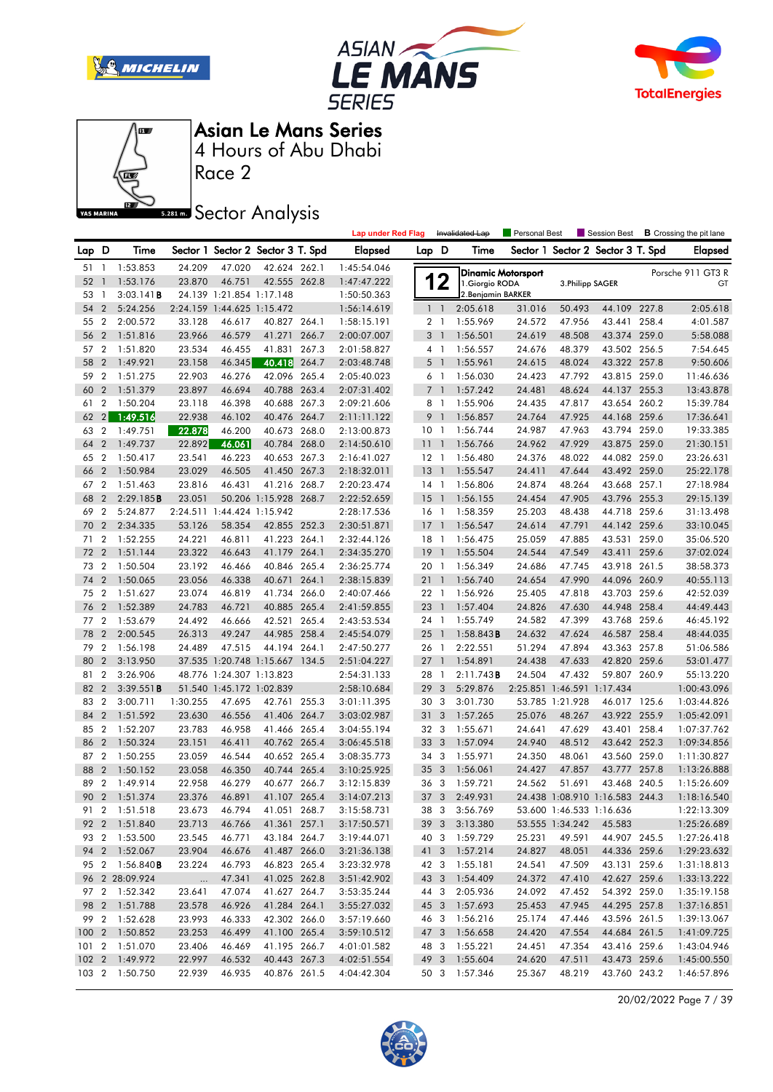







Race 2

# **Sector Analysis**

|       |                |                        |                |                            |                                   |       | <b>Lap under Red Flag</b> |                 |                | Invalidated Lap     | Personal Best |                            | Session Best                      |       | <b>B</b> Crossing the pit lane |
|-------|----------------|------------------------|----------------|----------------------------|-----------------------------------|-------|---------------------------|-----------------|----------------|---------------------|---------------|----------------------------|-----------------------------------|-------|--------------------------------|
| Lap D |                | Time                   |                |                            | Sector 1 Sector 2 Sector 3 T. Spd |       | <b>Elapsed</b>            | Lap D           |                | Time                |               |                            | Sector 1 Sector 2 Sector 3 T. Spd |       | <b>Elapsed</b>                 |
| 51 1  |                | 1:53.853               | 24.209         | 47.020                     | 42.624 262.1                      |       | 1:45:54.046               |                 |                | Dinamic Motorsport  |               |                            |                                   |       | Porsche 911 GT3 R              |
| 52    | $\overline{1}$ | 1:53.176               | 23.870         | 46.751                     | 42.555 262.8                      |       | 1:47:47.222               | 1               | $\mathbf 2$    | 1. Giorgio RODA     |               | 3. Philipp SAGER           |                                   |       | GT                             |
| 53    | $\overline{1}$ | 3:03.141B              |                | 24.139 1:21.854 1:17.148   |                                   |       | 1:50:50.363               |                 |                | 2. Benjamin BARKER  |               |                            |                                   |       |                                |
| 54    | $\overline{2}$ | 5:24.256               |                | 2:24.159 1:44.625 1:15.472 |                                   |       | 1:56:14.619               |                 | 1 <sup>1</sup> | 2:05.618            | 31.016        | 50.493                     | 44.109 227.8                      |       | 2:05.618                       |
| 55    | $\overline{2}$ | 2:00.572               | 33.128         | 46.617                     | 40.827 264.1                      |       | 1:58:15.191               |                 | 2 <sub>1</sub> | 1:55.969            | 24.572        | 47.956                     | 43.441 258.4                      |       | 4:01.587                       |
| 56    | $\overline{2}$ | 1:51.816               | 23.966         | 46.579                     | 41.271                            | 266.7 | 2:00:07.007               |                 | 3 <sup>1</sup> | 1:56.501            | 24.619        | 48.508                     | 43.374 259.0                      |       | 5:58.088                       |
| 57    | $\overline{2}$ | 1:51.820               | 23.534         | 46.455                     | 41.831                            | 267.3 | 2:01:58.827               |                 | $4-1$          | 1:56.557            | 24.676        | 48.379                     | 43.502 256.5                      |       | 7:54.645                       |
| 58    | $\overline{2}$ | 1:49.921               | 23.158         | 46.345                     | 40.418 264.7                      |       | 2:03:48.748               |                 | $5-1$          | 1:55.961            | 24.615        | 48.024                     | 43.322 257.8                      |       | 9:50.606                       |
| 59    | $\overline{2}$ | 1:51.275               | 22.903         | 46.276                     | 42.096 265.4                      |       | 2:05:40.023               |                 | 6 1            | 1:56.030            | 24.423        | 47.792                     | 43.815 259.0                      |       | 11:46.636                      |
| 60    | $\overline{2}$ | 1:51.379               | 23.897         | 46.694                     | 40.788 263.4                      |       | 2:07:31.402               |                 | 7 <sub>1</sub> | 1:57.242            | 24.481        | 48.624                     | 44.137 255.3                      |       | 13:43.878                      |
| 61    | 2              | 1:50.204               | 23.118         | 46.398                     | 40.688 267.3                      |       | 2:09:21.606               |                 | 8 1            | 1:55.906            | 24.435        | 47.817                     | 43.654 260.2                      |       | 15:39.784                      |
| 62    | 2              | 1:49.516               | 22.938         | 46.102                     | 40.476 264.7                      |       | 2:11:11.122               |                 | 9 1            | 1:56.857            | 24.764        | 47.925                     | 44.168 259.6                      |       | 17:36.641                      |
| 63    | $\overline{2}$ | 1:49.751               | 22.878         | 46.200                     | 40.673 268.0                      |       | 2:13:00.873               | 10 <sub>1</sub> |                | 1:56.744            | 24.987        | 47.963                     | 43.794 259.0                      |       | 19:33.385                      |
| 64    | $\overline{2}$ | 1:49.737               | 22.892         | 46.061                     | 40.784 268.0                      |       | 2:14:50.610               | 11 <sub>1</sub> |                | 1:56.766            | 24.962        | 47.929                     | 43.875 259.0                      |       | 21:30.151                      |
| 65    | $\overline{2}$ | 1:50.417               | 23.541         | 46.223                     | 40.653 267.3                      |       | 2:16:41.027               | $12-1$          |                | 1:56.480            | 24.376        | 48.022                     | 44.082 259.0                      |       | 23:26.631                      |
| 66    | $\overline{2}$ | 1:50.984               | 23.029         | 46.505                     | 41.450 267.3                      |       | 2:18:32.011               | $13-1$          |                | 1:55.547            | 24.411        | 47.644                     | 43.492 259.0                      |       | 25:22.178                      |
| 67    | $\overline{2}$ | 1:51.463               | 23.816         | 46.431                     | 41.216 268.7                      |       | 2:20:23.474               | 14 1            |                | 1:56.806            | 24.874        | 48.264                     | 43.668 257.1                      |       | 27:18.984                      |
| 68    | $\overline{2}$ | 2:29.185B              | 23.051         |                            | 50.206 1:15.928 268.7             |       | 2:22:52.659               | 15              | $\overline{1}$ | 1:56.155            | 24.454        | 47.905                     | 43.796 255.3                      |       | 29:15.139                      |
| 69    | $\overline{2}$ | 5:24.877               |                | 2:24.511 1:44.424 1:15.942 |                                   |       | 2:28:17.536               | 16              | $\overline{1}$ | 1:58.359            | 25.203        | 48.438                     | 44.718 259.6                      |       | 31:13.498                      |
| 70    | $\overline{2}$ | 2:34.335               | 53.126         | 58.354                     | 42.855 252.3                      |       | 2:30:51.871               | $17-1$          |                | 1:56.547            | 24.614        | 47.791                     | 44.142 259.6                      |       | 33:10.045                      |
| 71    | $\overline{2}$ | 1:52.255               | 24.221         | 46.811                     | 41.223 264.1                      |       | 2:32:44.126               | $18-1$          |                | 1:56.475            | 25.059        | 47.885                     | 43.531 259.0                      |       | 35:06.520                      |
| 72    | $\overline{2}$ | 1:51.144               | 23.322         | 46.643                     | 41.179                            | 264.1 | 2:34:35.270               | 19              | $\overline{1}$ | 1:55.504            | 24.544        | 47.549                     | 43.411                            | 259.6 | 37:02.024                      |
| 73    | $\overline{2}$ | 1:50.504               | 23.192         | 46.466                     | 40.846 265.4                      |       | 2:36:25.774               | 20              | $\overline{1}$ | 1:56.349            | 24.686        | 47.745                     | 43.918 261.5                      |       | 38:58.373                      |
| 74    | $\overline{2}$ | 1:50.065               | 23.056         | 46.338                     | 40.671 264.1                      |       | 2:38:15.839               | 211             |                | 1:56.740            | 24.654        | 47.990                     | 44.096 260.9                      |       | 40:55.113                      |
| 75    | $\overline{2}$ | 1:51.627               | 23.074         | 46.819                     | 41.734 266.0                      |       | 2:40:07.466               | 22 1            |                | 1:56.926            | 25.405        | 47.818                     | 43.703 259.6                      |       | 42:52.039                      |
| 76    | $\overline{2}$ | 1:52.389               | 24.783         | 46.721                     | 40.885 265.4                      |       | 2:41:59.855               | 23              | $\overline{1}$ | 1:57.404            | 24.826        | 47.630                     | 44.948 258.4                      |       | 44:49.443                      |
| 77    | $\overline{2}$ | 1:53.679               | 24.492         | 46.666                     | 42.521 265.4                      |       | 2:43:53.534               |                 | 24 1           | 1:55.749            | 24.582        | 47.399                     | 43.768 259.6                      |       | 46:45.192                      |
| 78    | $\overline{2}$ | 2:00.545               | 26.313         | 49.247                     | 44.985 258.4                      |       | 2:45:54.079               | $25-1$          |                | $1:58.843$ <b>B</b> | 24.632        | 47.624                     | 46.587 258.4                      |       | 48:44.035                      |
| 79    | $\overline{2}$ | 1:56.198               | 24.489         | 47.515                     | 44.194 264.1                      |       | 2:47:50.277               | 26 1            |                | 2:22.551            | 51.294        | 47.894                     | 43.363 257.8                      |       | 51:06.586                      |
| 80    | $\overline{2}$ | 3:13.950               |                | 37.535 1:20.748 1:15.667   |                                   | 134.5 | 2:51:04.227               | $27-1$          |                | 1:54.891            | 24.438        | 47.633                     | 42.820 259.6                      |       | 53:01.477                      |
| 81    | $\overline{2}$ | 3:26.906               |                | 48.776 1:24.307 1:13.823   |                                   |       | 2:54:31.133               | 28 1            |                | 2:11.743B           | 24.504        | 47.432                     | 59.807 260.9                      |       | 55:13.220                      |
| 82    | $\overline{2}$ | 3:39.551B              |                | 51.540 1:45.172 1:02.839   |                                   |       | 2:58:10.684               | 29              | 3              | 5:29.876            |               | 2:25.851 1:46.591 1:17.434 |                                   |       | 1:00:43.096                    |
| 83    | $\overline{2}$ | 3:00.711               | 1:30.255       | 47.695                     | 42.761 255.3                      |       | 3:01:11.395               |                 | 30 3           | 3:01.730            |               | 53.785 1:21.928            | 46.017 125.6                      |       | 1:03:44.826                    |
| 84    | $\overline{2}$ | 1:51.592               | 23.630         | 46.556                     | 41.406 264.7                      |       | 3:03:02.987               | 31 <sub>3</sub> |                | 1:57.265            | 25.076        | 48.267                     | 43.922 255.9                      |       | 1:05:42.091                    |
| 85    | $\overline{2}$ | 1:52.207               | 23.783         | 46.958                     | 41.466 265.4                      |       | 3:04:55.194               | 32 3            |                | 1:55.671            | 24.641        | 47.629                     | 43.401 258.4                      |       | 1:07:37.762                    |
| 86    | $\overline{2}$ | 1:50.324               | 23.151         | 46.411                     | 40.762 265.4                      |       | 3:06:45.518               | 33 3            |                | 1:57.094            | 24.940        | 48.512                     | 43.642 252.3                      |       | 1:09:34.856                    |
| 87    | $\overline{2}$ | 1:50.255               | 23.059         | 46.544                     | 40.652 265.4                      |       | 3:08:35.773               |                 | 343            | 1:55.971            | 24.350        | 48.061                     | 43.560 259.0                      |       | 1:11:30.827                    |
| 88    | $\overline{2}$ | 1:50.152               | 23.058         | 46.350                     | 40.744 265.4                      |       | 3:10:25.925               | 35 <sub>3</sub> |                | 1:56.061            | 24.427        | 47.857                     | 43.777 257.8                      |       | 1:13:26.888                    |
| 89    | $\overline{2}$ | 1:49.914               | 22.958         | 46.279                     | 40.677 266.7                      |       | 3:12:15.839               | 36 3            |                | 1:59.721            | 24.562        | 51.691                     | 43.468 240.5                      |       | 1:15:26.609                    |
| 90    |                | 2 1:51.374             | 23.376         | 46.891                     | 41.107 265.4                      |       | 3:14:07.213               |                 | 37 3           | 2:49.931            |               |                            | 24.438 1:08.910 1:16.583 244.3    |       | 1:18:16.540                    |
|       |                | 91 2 1:51.518          | 23.673         | 46.794                     | 41.051 268.7                      |       | 3:15:58.731               |                 |                | 38 3 3:56.769       |               | 53.600 1:46.533 1:16.636   |                                   |       | 1:22:13.309                    |
|       |                | 92 2 1:51.840          | 23.713         | 46.766                     | 41.361 257.1                      |       | 3:17:50.571               |                 |                | 39 3 3:13.380       |               | 53.555 1:34.242            | 45.583                            |       | 1:25:26.689                    |
|       |                | 93 2 1:53.500          | 23.545         | 46.771                     | 43.184 264.7                      |       | 3:19:44.071               |                 |                | 40 3 1:59.729       | 25.231        | 49.591                     | 44.907 245.5                      |       | 1:27:26.418                    |
|       |                | 94 2 1:52.067          | 23.904         | 46.676                     | 41.487 266.0                      |       | 3:21:36.138               |                 |                | 41 3 1:57.214       | 24.827        | 48.051                     | 44.336 259.6                      |       | 1:29:23.632                    |
|       |                | 95 2 1:56.840 <b>B</b> | 23.224         | 46.793                     | 46.823 265.4                      |       | 3:23:32.978               |                 |                | 42 3 1:55.181       | 24.541        | 47.509                     | 43.131 259.6                      |       | 1:31:18.813                    |
|       |                | 96 2 28:09.924         | $\sim 100$ and | 47.341                     | 41.025 262.8                      |       | 3:51:42.902               |                 |                | 43 3 1:54.409       | 24.372        | 47.410                     | 42.627 259.6                      |       | 1:33:13.222                    |
|       |                | 97 2 1:52.342          | 23.641         | 47.074                     | 41.627 264.7                      |       | 3:53:35.244               |                 | 44 3           | 2:05.936            | 24.092        | 47.452                     | 54.392 259.0                      |       | 1:35:19.158                    |
|       |                | 98 2 1:51.788          | 23.578         | 46.926                     | 41.284 264.1                      |       | 3:55:27.032               |                 |                | 45 3 1:57.693       | 25.453        | 47.945                     | 44.295 257.8                      |       | 1:37:16.851                    |
|       |                | 99 2 1:52.628          | 23.993         | 46.333                     | 42.302 266.0                      |       | 3:57:19.660               |                 |                | 46 3 1:56.216       | 25.174        | 47.446                     | 43.596 261.5                      |       | 1:39:13.067                    |
|       |                | 100 2 1:50.852         | 23.253         | 46.499                     | 41.100 265.4                      |       | 3:59:10.512               |                 |                | 47 3 1:56.658       | 24.420        | 47.554                     | 44.684 261.5                      |       | 1:41:09.725                    |
|       |                | 101 2 1:51.070         | 23.406         | 46.469                     | 41.195 266.7                      |       | 4:01:01.582               |                 |                | 48 3 1:55.221       | 24.451        | 47.354                     | 43.416 259.6                      |       | 1:43:04.946                    |
|       |                | 102 2 1:49.972         | 22.997         | 46.532                     | 40.443 267.3                      |       | 4:02:51.554               |                 |                | 49 3 1:55.604       | 24.620        | 47.511                     | 43.473 259.6                      |       | 1:45:00.550                    |
|       |                | 103 2 1:50.750         | 22.939         | 46.935                     | 40.876 261.5                      |       | 4:04:42.304               |                 |                | 50 3 1:57.346       | 25.367        | 48.219                     | 43.760 243.2                      |       | 1:46:57.896                    |
|       |                |                        |                |                            |                                   |       |                           |                 |                |                     |               |                            |                                   |       |                                |

20/02/2022 Page 7 / 39

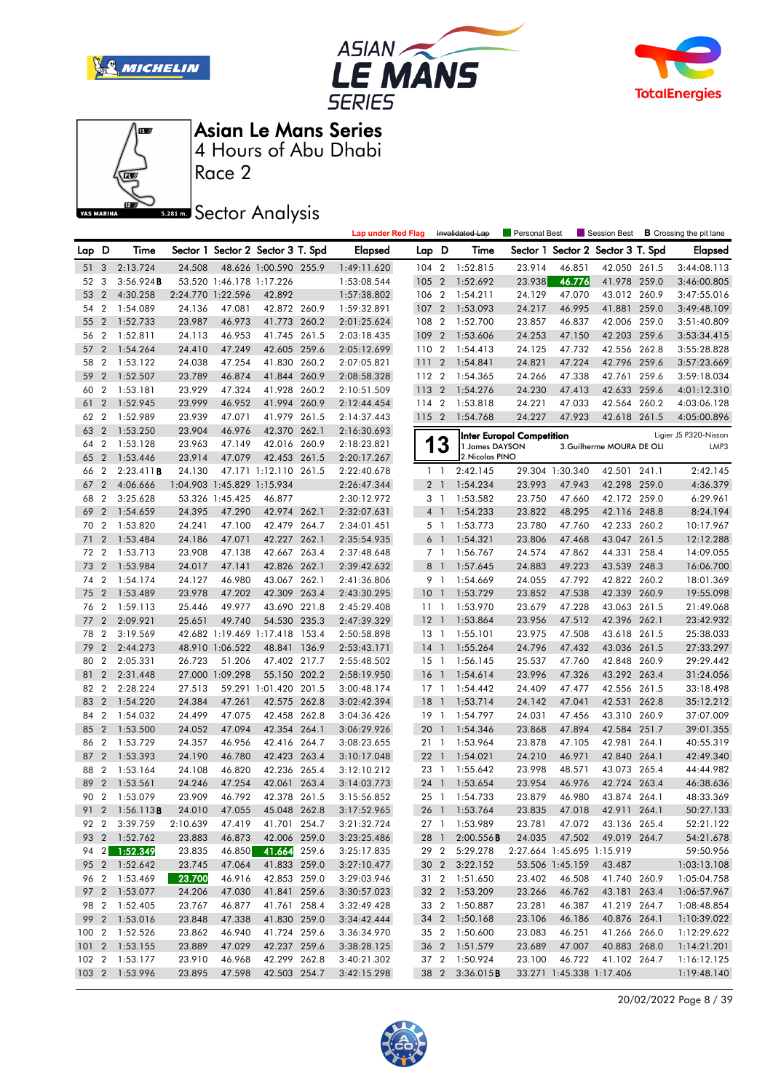







Race 2

## **Sector Analysis**

|                 |                |                                 |                    |                            |                                   |       | <b>Lap under Red Flag</b>  |                 |                | Invalidated Lap                | Personal Best                    |                          |                                   |       | Session Best <b>B</b> Crossing the pit lane |
|-----------------|----------------|---------------------------------|--------------------|----------------------------|-----------------------------------|-------|----------------------------|-----------------|----------------|--------------------------------|----------------------------------|--------------------------|-----------------------------------|-------|---------------------------------------------|
| Lap D           |                | Time                            |                    |                            | Sector 1 Sector 2 Sector 3 T. Spd |       | <b>Elapsed</b>             | Lap D           |                | Time                           |                                  |                          | Sector 1 Sector 2 Sector 3 T. Spd |       | <b>Elapsed</b>                              |
| 51 <sub>3</sub> |                | 2:13.724                        | 24.508             |                            | 48.626 1:00.590 255.9             |       | 1:49:11.620                | $104 \quad 2$   |                | 1:52.815                       | 23.914                           | 46.851                   | 42.050 261.5                      |       | 3:44:08.113                                 |
| 52              | 3              | 3:56.924B                       |                    | 53.520 1:46.178 1:17.226   |                                   |       | 1:53:08.544                | 105 2           |                | 1:52.692                       | 23.938                           | 46.776                   | 41.978 259.0                      |       | 3:46:00.805                                 |
| 53              | $\overline{2}$ | 4:30.258                        |                    | 2:24.770 1:22.596          | 42.892                            |       | 1:57:38.802                | 106 2           |                | 1:54.211                       | 24.129                           | 47.070                   | 43.012 260.9                      |       | 3:47:55.016                                 |
| 54              | $\overline{2}$ | 1:54.089                        | 24.136             | 47.081                     | 42.872 260.9                      |       | 1:59:32.891                | 107 2           |                | 1:53.093                       | 24.217                           | 46.995                   | 41.881 259.0                      |       | 3:49:48.109                                 |
| 55              | $\overline{2}$ | 1:52.733                        | 23.987             | 46.973                     | 41.773 260.2                      |       | 2:01:25.624                | 108 2           |                | 1:52.700                       | 23.857                           | 46.837                   | 42.006 259.0                      |       | 3:51:40.809                                 |
| 56              | $\overline{2}$ | 1:52.811                        | 24.113             | 46.953                     | 41.745 261.5                      |       | 2:03:18.435                | 109 2           |                | 1:53.606                       | 24.253                           | 47.150                   | 42.203 259.6                      |       | 3:53:34.415                                 |
| 57              | $\overline{2}$ | 1:54.264                        | 24.410             | 47.249                     | 42.605 259.6                      |       | 2:05:12.699                | 110 2           |                | 1:54.413                       | 24.125                           | 47.732                   | 42.556 262.8                      |       | 3:55:28.828                                 |
| 58              | $\overline{2}$ | 1:53.122                        | 24.038             | 47.254                     | 41.830 260.2                      |       | 2:07:05.821                | 111             | $\overline{2}$ | 1:54.841                       | 24.821                           | 47.224                   | 42.796 259.6                      |       | 3:57:23.669                                 |
| 59              | $\overline{2}$ | 1:52.507                        | 23.789             | 46.874                     | 41.844 260.9                      |       | 2:08:58.328                | 112 2           |                | 1:54.365                       | 24.266                           | 47.338                   | 42.761 259.6                      |       | 3:59:18.034                                 |
| 60              | $\overline{2}$ | 1:53.181                        | 23.929             | 47.324                     | 41.928 260.2                      |       | 2:10:51.509                | 113 2           |                | 1:54.276                       | 24.230                           | 47.413                   | 42.633 259.6                      |       | 4:01:12.310                                 |
| 61              | $\overline{2}$ | 1:52.945                        | 23.999             | 46.952                     | 41.994 260.9                      |       | 2:12:44.454                | 114 2           |                | 1:53.818                       | 24.221                           | 47.033                   | 42.564 260.2                      |       | 4:03:06.128                                 |
| 62              | $\overline{2}$ | 1:52.989                        | 23.939             | 47.071                     | 41.979 261.5                      |       | 2:14:37.443                | 1152            |                | 1:54.768                       | 24.227                           | 47.923                   | 42.618 261.5                      |       | 4:05:00.896                                 |
| 63              | $\overline{2}$ | 1:53.250                        | 23.904             | 46.976                     | 42.370 262.1                      |       | 2:16:30.693                |                 |                |                                | <b>Inter Europol Competition</b> |                          |                                   |       | Ligier JS P320-Nissan                       |
| 64              | $\overline{2}$ | 1:53.128                        | 23.963             | 47.149                     | 42.016 260.9                      |       | 2:18:23.821                | 1               | 3              | 1. James DAYSON                |                                  |                          | 3. Guilherme MOURA DE OLI         |       | LMP3                                        |
| 65              | $\overline{2}$ | 1:53.446                        | 23.914             | 47.079                     | 42.453 261.5                      |       | 2:20:17.267                |                 |                | 2. Nicolas PINO                |                                  |                          |                                   |       |                                             |
| 66              | $\overline{2}$ | 2:23.411B                       | 24.130             |                            | 47.171 1:12.110 261.5             |       | 2:22:40.678                |                 | $1\quad$       | 2:42.145                       |                                  | 29.304 1:30.340          | 42.501 241.1                      |       | 2:42.145                                    |
| 67              | $\overline{2}$ | 4:06.666                        |                    | 1:04.903 1:45.829 1:15.934 |                                   |       | 2:26:47.344                |                 | 2 <sub>1</sub> | 1:54.234                       | 23.993                           | 47.943                   | 42.298 259.0                      |       | 4:36.379                                    |
| 68              | $\overline{2}$ | 3:25.628                        |                    | 53.326 1:45.425            | 46.877                            |       | 2:30:12.972                |                 | 3 <sup>1</sup> | 1:53.582                       | 23.750                           | 47.660                   | 42.172 259.0                      |       | 6:29.961                                    |
| 69              | $\overline{2}$ | 1:54.659                        | 24.395             | 47.290                     | 42.974 262.1                      |       | 2:32:07.631                |                 | 4 <sup>1</sup> | 1:54.233                       | 23.822                           | 48.295                   | 42.116 248.8                      |       | 8:24.194                                    |
| 70              | $\overline{2}$ | 1:53.820                        | 24.241             | 47.100                     | 42.479 264.7                      |       | 2:34:01.451                |                 | 5 <sub>1</sub> | 1:53.773                       | 23.780                           | 47.760                   | 42.233 260.2                      |       | 10:17.967                                   |
| 71              | $\overline{2}$ | 1:53.484                        | 24.186             | 47.071                     | 42.227 262.1                      |       | 2:35:54.935                | 6 <sup>1</sup>  |                | 1:54.321                       | 23.806                           | 47.468                   | 43.047 261.5                      |       | 12:12.288                                   |
| 72              | $\overline{2}$ | 1:53.713                        | 23.908             | 47.138                     | 42.667 263.4                      |       | 2:37:48.648                |                 | 7 <sub>1</sub> | 1:56.767                       | 24.574                           | 47.862                   | 44.331                            | 258.4 | 14:09.055                                   |
| 73              | $\overline{2}$ | 1:53.984                        | 24.017             | 47.141                     | 42.826 262.1                      |       | 2:39:42.632                | 8 <sup>1</sup>  |                | 1:57.645                       | 24.883                           | 49.223                   | 43.539 248.3                      |       | 16:06.700                                   |
| 74              | $\overline{2}$ | 1:54.174                        | 24.127             | 46.980                     | 43.067 262.1                      |       | 2:41:36.806                |                 | 9 1            | 1:54.669                       | 24.055                           | 47.792                   | 42.822 260.2                      |       | 18:01.369                                   |
| 75              | $\overline{2}$ | 1:53.489                        | 23.978             | 47.202                     | 42.309 263.4                      |       | 2:43:30.295                | 10 <sub>1</sub> |                | 1:53.729                       | 23.852                           | 47.538                   | 42.339 260.9                      |       | 19:55.098                                   |
| 76              | $\overline{2}$ | 1:59.113                        | 25.446             | 49.977                     | 43.690 221.8                      |       | 2:45:29.408                | 111             |                | 1:53.970                       | 23.679                           | 47.228                   | 43.063 261.5                      |       | 21:49.068                                   |
| 77              | $\overline{2}$ | 2:09.921                        | 25.651             | 49.740                     | 54.530 235.3                      |       | 2:47:39.329                | $12-1$          |                | 1:53.864                       | 23.956                           | 47.512                   | 42.396 262.1                      |       | 23:42.932                                   |
| 78              | $\overline{2}$ | 3:19.569                        |                    |                            | 42.682 1:19.469 1:17.418          | 153.4 | 2:50:58.898                | 13 1            |                | 1:55.101                       | 23.975                           | 47.508                   | 43.618 261.5                      |       | 25:38.033                                   |
| 79              | $\overline{2}$ | 2:44.273                        |                    | 48.910 1:06.522            | 48.841                            | 136.9 | 2:53:43.171                | $14-1$          |                | 1:55.264                       | 24.796                           | 47.432                   | 43.036 261.5                      |       | 27:33.297                                   |
| 80              | $\overline{2}$ | 2:05.331                        | 26.723             | 51.206                     | 47.402 217.7                      |       | 2:55:48.502                | $15-1$          |                | 1:56.145                       | 25.537                           | 47.760                   | 42.848 260.9                      |       | 29:29.442                                   |
| 81              | $\overline{2}$ | 2:31.448                        |                    | 27.000 1:09.298            | 55.150 202.2                      |       | 2:58:19.950                | 16              | $\overline{1}$ | 1:54.614                       | 23.996                           | 47.326                   | 43.292 263.4                      |       | 31:24.056                                   |
| 82              | $\overline{2}$ | 2:28.224                        | 27.513             |                            | 59.291 1:01.420 201.5             |       | 3:00:48.174                | $17-1$          |                | 1:54.442                       | 24.409                           | 47.477                   | 42.556 261.5                      |       | 33:18.498                                   |
| 83              | $\overline{2}$ | 1:54.220                        | 24.384             | 47.261                     | 42.575 262.8                      |       | 3:02:42.394                | 18              | $\overline{1}$ | 1:53.714                       | 24.142                           | 47.041                   | 42.531                            | 262.8 | 35:12.212                                   |
| 84              | $\overline{2}$ | 1:54.032                        | 24.499             | 47.075                     | 42.458 262.8                      |       | 3:04:36.426                | 19 1            |                | 1:54.797                       | 24.031                           | 47.456                   | 43.310 260.9                      |       | 37:07.009                                   |
| 85              | $\overline{2}$ | 1:53.500                        | 24.052             | 47.094                     | 42.354 264.1                      |       | 3:06:29.926                | 20              | $\mathbf{1}$   | 1:54.346                       | 23.868                           | 47.894                   | 42.584 251.7                      |       | 39:01.355                                   |
| 86              | $\overline{2}$ | 1:53.729                        | 24.357             | 46.956                     | 42.416 264.7                      |       | 3:08:23.655                | 21 1            |                | 1:53.964                       | 23.878                           | 47.105                   | 42.981 264.1                      |       | 40:55.319                                   |
| 87              | $\overline{2}$ | 1:53.393                        | 24.190             | 46.780                     | 42.423 263.4                      |       | 3:10:17.048                | 22 1            |                | 1:54.021                       | 24.210                           | 46.971                   | 42.840 264.1                      |       | 42:49.340                                   |
| 88              | $\overline{2}$ | 1:53.164                        | 24.108             | 46.820                     | 42.236 265.4                      |       | 3:12:10.212                | 23 1            |                | 1:55.642                       | 23.998                           | 48.571                   | 43.073 265.4                      |       | 44:44.982                                   |
| 89              | $\overline{2}$ | 1:53.561                        | 24.246             | 47.254                     | 42.061 263.4                      |       | 3:14:03.773                | 24              | $\overline{1}$ | 1:53.654                       | 23.954                           | 46.976                   | 42.724 263.4                      |       | 46:38.636                                   |
| 90 2            |                | 1:53.079                        | 23.909             | 46.792                     | 42.378 261.5<br>45.048 262.8      |       | 3:15:56.852                |                 |                | 25 1 1:54.733                  | 23.879                           | 46.980                   | 43.874 264.1                      |       | 48:33.369                                   |
|                 |                | 91 2 1:56.113B                  | 24.010             | 47.055                     |                                   |       | 3:17:52.965                |                 |                | 26 1 1:53.764                  | 23.835                           |                          | 47.018 42.911 264.1               |       | 50:27.133                                   |
| 92 2            |                | 3:39.759                        | 2:10.639<br>23.883 | 47.419                     | 41.701 254.7                      |       | 3:21:32.724                |                 |                | 27 1 1:53.989                  | 23.781<br>24.035                 | 47.072                   | 43.136 265.4                      |       | 52:21.122                                   |
|                 |                | 93 2 1:52.762                   |                    | 46.873                     | 42.006 259.0<br>41.664 259.6      |       | 3:23:25.486                |                 | 28 1           | 2:00.556B                      | 2:27.664 1:45.695 1:15.919       | 47.502                   | 49.019 264.7                      |       | 54:21.678                                   |
|                 |                | 94 2 1:52.349<br>95 2 1:52.642  | 23.835<br>23.745   | 46.850<br>47.064           | 41.833 259.0                      |       | 3:25:17.835<br>3:27:10.477 |                 | 292            | 5:29.278<br>30 2 3:22.152      |                                  |                          | 43.487                            |       | 59:50.956                                   |
|                 |                |                                 |                    |                            |                                   |       |                            |                 |                |                                | 23.402                           | 53.506 1:45.159          |                                   |       | 1:03:13.108                                 |
|                 |                | 96 2 1:53.469<br>97 2 1:53.077  | 23.700<br>24.206   | 46.916                     | 42.853 259.0<br>41.841 259.6      |       | 3:29:03.946                |                 |                | 31 2 1:51.650                  | 23.266                           | 46.508<br>46.762         | 41.740 260.9                      |       | 1:05:04.758                                 |
|                 |                |                                 | 23.767             | 47.030                     | 41.761 258.4                      |       | 3:30:57.023<br>3:32:49.428 |                 |                | 32 2 1:53.209<br>33 2 1:50.887 | 23.281                           | 46.387                   | 43.181 263.4                      |       | 1:06:57.967                                 |
|                 |                | 98 2 1:52.405                   |                    | 46.877                     |                                   |       |                            |                 |                | 34 2 1:50.168                  |                                  |                          | 41.219 264.7                      |       | 1:08:48.854                                 |
|                 |                | 99 2 1:53.016<br>100 2 1:52.526 | 23.848<br>23.862   | 47.338                     | 41.830 259.0<br>41.724 259.6      |       | 3:34:42.444<br>3:36:34.970 |                 |                | 35 2 1:50.600                  | 23.106<br>23.083                 | 46.186<br>46.251         | 40.876 264.1<br>41.266 266.0      |       | 1:10:39.022<br>1:12:29.622                  |
|                 |                | 101 2 1:53.155                  | 23.889             | 46.940<br>47.029           | 42.237 259.6                      |       | 3:38:28.125                |                 |                | 36 2 1:51.579                  | 23.689                           | 47.007                   | 40.883 268.0                      |       | 1:14:21.201                                 |
|                 |                | 102 2 1:53.177                  | 23.910             | 46.968                     | 42.299 262.8                      |       | 3:40:21.302                |                 |                | 37 2 1:50.924                  | 23.100                           | 46.722                   | 41.102 264.7                      |       | 1:16:12.125                                 |
|                 |                | 103 2 1:53.996                  | 23.895             | 47.598                     | 42.503 254.7                      |       | 3:42:15.298                |                 |                | 38 2 3:36.015B                 |                                  | 33.271 1:45.338 1:17.406 |                                   |       | 1:19:48.140                                 |
|                 |                |                                 |                    |                            |                                   |       |                            |                 |                |                                |                                  |                          |                                   |       |                                             |

20/02/2022 Page 8 / 39

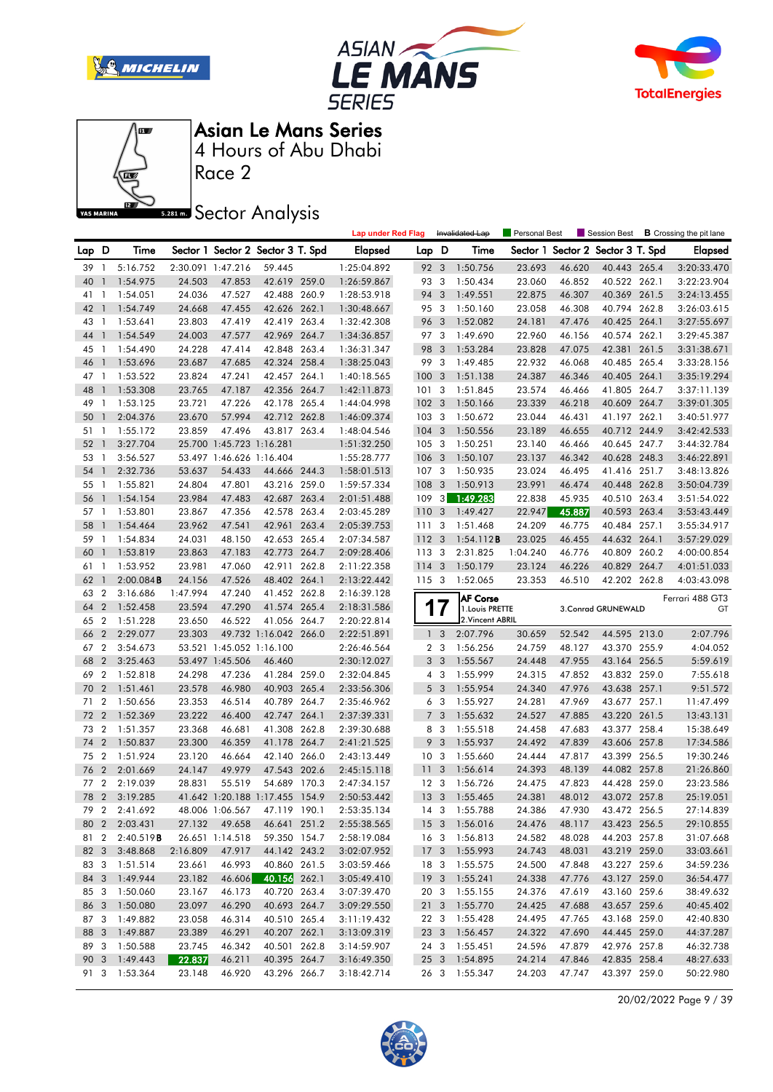







Race 2

### **Sector Analysis**

|          |                                  |                     |                    |                                   |                                       |       | <b>Lap under Red Flag</b> |                  |                         | Invalidated Lap                     | Personal Best |                  |                                   |       | Session Best <b>B</b> Crossing the pit lane |
|----------|----------------------------------|---------------------|--------------------|-----------------------------------|---------------------------------------|-------|---------------------------|------------------|-------------------------|-------------------------------------|---------------|------------------|-----------------------------------|-------|---------------------------------------------|
| Lap D    |                                  | Time                |                    | Sector 1 Sector 2 Sector 3 T. Spd |                                       |       | <b>Elapsed</b>            | Lap D            |                         | Time                                |               |                  | Sector 1 Sector 2 Sector 3 T. Spd |       | <b>Elapsed</b>                              |
| 39       | $\overline{1}$                   | 5:16.752            |                    | 2:30.091 1:47.216                 | 59.445                                |       | 1:25:04.892               | 92 3             |                         | 1:50.756                            | 23.693        | 46.620           | 40.443 265.4                      |       | 3:20:33.470                                 |
| 40       | $\mathbf{1}$                     | 1:54.975            | 24.503             | 47.853                            | 42.619 259.0                          |       | 1:26:59.867               | 93 3             |                         | 1:50.434                            | 23.060        | 46.852           | 40.522 262.1                      |       | 3:22:23.904                                 |
| 41       | - 1                              | 1:54.051            | 24.036             | 47.527                            | 42.488 260.9                          |       | 1:28:53.918               | 94 3             |                         | 1:49.551                            | 22.875        | 46.307           | 40.369 261.5                      |       | 3:24:13.455                                 |
| 42       | -1                               | 1:54.749            | 24.668             | 47.455                            | 42.626 262.1                          |       | 1:30:48.667               | 95 3             |                         | 1:50.160                            | 23.058        | 46.308           | 40.794 262.8                      |       | 3:26:03.615                                 |
| 43       | - 1                              | 1:53.641            | 23.803             | 47.419                            | 42.419 263.4                          |       | 1:32:42.308               | 96 3             |                         | 1:52.082                            | 24.181        | 47.476           | 40.425 264.1                      |       | 3:27:55.697                                 |
| 44       | $\overline{1}$                   | 1:54.549            | 24.003             | 47.577                            | 42.969 264.7                          |       | 1:34:36.857               | 97 3             |                         | 1:49.690                            | 22.960        | 46.156           | 40.574 262.1                      |       | 3:29:45.387                                 |
| 45       | $\overline{1}$                   | 1:54.490            | 24.228             | 47.414                            | 42.848 263.4                          |       | 1:36:31.347               | 98 3             |                         | 1:53.284                            | 23.828        | 47.075           | 42.381                            | 261.5 | 3:31:38.671                                 |
| 46       | -1                               | 1:53.696            | 23.687             | 47.685                            | 42.324 258.4                          |       | 1:38:25.043               | 99               | $\overline{\mathbf{3}}$ | 1:49.485                            | 22.932        | 46.068           | 40.485 265.4                      |       | 3:33:28.156                                 |
| 47 1     |                                  | 1:53.522            | 23.824             | 47.241                            | 42.457 264.1                          |       | 1:40:18.565               | 1003             |                         | 1:51.138                            | 24.387        | 46.346           | 40.405 264.1                      |       | 3:35:19.294                                 |
| 48       | $\mathbf{1}$                     | 1:53.308            | 23.765             | 47.187                            | 42.356 264.7                          |       | 1:42:11.873               | 1013             |                         | 1:51.845                            | 23.574        | 46.466           | 41.805 264.7                      |       | 3:37:11.139                                 |
| 49       | $\mathbf{1}$                     | 1:53.125            | 23.721             | 47.226                            | 42.178 265.4                          |       | 1:44:04.998               | $102 \quad 3$    |                         | 1:50.166                            | 23.339        | 46.218           | 40.609 264.7                      |       | 3:39:01.305                                 |
| 50       | -1                               | 2:04.376            | 23.670             | 57.994                            | 42.712 262.8                          |       | 1:46:09.374               | 103 <sub>3</sub> |                         | 1:50.672                            | 23.044        | 46.431           | 41.197 262.1                      |       | 3:40:51.977                                 |
| 51       | - 1                              | 1:55.172            | 23.859             | 47.496                            | 43.817 263.4                          |       | 1:48:04.546               | $104 - 3$        |                         | 1:50.556                            | 23.189        | 46.655           | 40.712 244.9                      |       | 3:42:42.533                                 |
| 52       | -1                               | 3:27.704            |                    | 25.700 1:45.723 1:16.281          |                                       |       | 1:51:32.250               | 1053             |                         | 1:50.251                            | 23.140        | 46.466           | 40.645 247.7                      |       | 3:44:32.784                                 |
| 53       | $\mathbf{1}$                     | 3:56.527            |                    | 53.497 1:46.626 1:16.404          |                                       |       | 1:55:28.777               | 106 <sub>3</sub> |                         | 1:50.107                            | 23.137        | 46.342           | 40.628 248.3                      |       | 3:46:22.891                                 |
| 54       | $\mathbf{1}$                     | 2:32.736            | 53.637             | 54.433                            | 44.666 244.3                          |       | 1:58:01.513               | 1073             |                         | 1:50.935                            | 23.024        | 46.495           | 41.416 251.7                      |       | 3:48:13.826                                 |
| 55       | $\overline{1}$                   | 1:55.821            | 24.804             | 47.801                            | 43.216 259.0                          |       | 1:59:57.334               | 108 <sub>3</sub> |                         | 1:50.913                            | 23.991        | 46.474           | 40.448 262.8                      |       | 3:50:04.739                                 |
| 56       | $\mathbf{1}$                     | 1:54.154            | 23.984             | 47.483                            | 42.687 263.4                          |       | 2:01:51.488               | 109              | 3                       | 1:49.283                            | 22.838        | 45.935           | 40.510 263.4                      |       | 3:51:54.022                                 |
| 57       | 1                                | 1:53.801            | 23.867             | 47.356                            | 42.578 263.4                          |       | 2:03:45.289               | 110              | $\mathbf{3}$            | 1:49.427                            | 22.947        | 45.887           | 40.593 263.4                      |       | 3:53:43.449                                 |
| 58       | $\mathbf{1}$                     | 1:54.464            | 23.962             | 47.541                            | 42.961 263.4                          |       | 2:05:39.753               | 111              | 3                       | 1:51.468                            | 24.209        | 46.775           | 40.484 257.1                      |       | 3:55:34.917                                 |
| 59       | $\mathbf{1}$                     | 1:54.834            | 24.031             | 48.150                            | 42.653 265.4                          |       | 2:07:34.587               | 112              | $\overline{\mathbf{3}}$ | 1:54.112B                           | 23.025        | 46.455           | 44.632 264.1                      |       | 3:57:29.029                                 |
| 60       |                                  |                     |                    |                                   | 42.773 264.7                          |       |                           | 113              | -3                      | 2:31.825                            | 1:04.240      |                  | 40.809                            | 260.2 | 4:00:00.854                                 |
|          | $\overline{1}$                   | 1:53.819            | 23.863             | 47.183                            | 42.911                                | 262.8 | 2:09:28.406               |                  |                         | 1:50.179                            |               | 46.776<br>46.226 |                                   |       | 4:01:51.033                                 |
| 61       | 1                                | 1:53.952            | 23.981             | 47.060                            |                                       |       | 2:11:22.358               | 114 3<br>115 3   |                         |                                     | 23.124        |                  | 40.829 264.7                      |       |                                             |
| 62       | -1                               | $2:00.084$ <b>B</b> | 24.156<br>1:47.994 | 47.526                            | 48.402 264.1                          |       | 2:13:22.442               |                  |                         | 1:52.065                            | 23.353        | 46.510           | 42.202 262.8                      |       | 4:03:43.098                                 |
| 63       | $\overline{2}$                   | 3:16.686            |                    | 47.240                            | 41.452 262.8                          |       | 2:16:39.128               |                  |                         | <b>AF Corse</b>                     |               |                  |                                   |       | Ferrari 488 GT3                             |
| 64       | $\overline{2}$                   | 1:52.458            | 23.594             | 47.290                            | 41.574 265.4                          |       | 2:18:31.586               | T                | 7                       | 1. Louis PRETTE<br>2. Vincent ABRIL |               |                  | 3. Conrad GRUNEWALD               |       | GT                                          |
| 65<br>66 | $\boldsymbol{2}$                 | 1:51.228            | 23.650<br>23.303   | 46.522                            | 41.056 264.7<br>49.732 1:16.042 266.0 |       | 2:20:22.814               |                  | 3                       | 2:07.796                            | 30.659        |                  |                                   |       | 2:07.796                                    |
|          | $\overline{c}$<br>$\overline{2}$ | 2:29.077            |                    | 53.521 1:45.052 1:16.100          |                                       |       | 2:22:51.891               | $\mathbf{1}$     | 2 <sub>3</sub>          | 1:56.256                            |               | 52.542           | 44.595 213.0                      |       |                                             |
| 67       |                                  | 3:54.673            |                    |                                   |                                       |       | 2:26:46.564               |                  |                         |                                     | 24.759        | 48.127           | 43.370 255.9                      |       | 4:04.052                                    |
| 68       | $\overline{2}$                   | 3:25.463            |                    | 53.497 1:45.506                   | 46.460                                |       | 2:30:12.027               |                  | 3 <sub>3</sub>          | 1:55.567                            | 24.448        | 47.955           | 43.164 256.5                      |       | 5:59.619                                    |
| 69       | $\overline{2}$                   | 1:52.818            | 24.298             | 47.236                            | 41.284 259.0                          |       | 2:32:04.845               |                  | $4 \quad 3$             | 1:55.999                            | 24.315        | 47.852           | 43.832 259.0                      |       | 7:55.618                                    |
| 70       | $\overline{2}$                   | 1:51.461            | 23.578             | 46.980                            | 40.903 265.4                          |       | 2:33:56.306               |                  | 5 <sub>3</sub>          | 1:55.954                            | 24.340        | 47.976           | 43.638 257.1                      |       | 9:51.572                                    |
| 71       | $\overline{2}$                   | 1:50.656            | 23.353             | 46.514                            | 40.789 264.7                          |       | 2:35:46.962               |                  | 6 <sub>3</sub>          | 1:55.927                            | 24.281        | 47.969           | 43.677 257.1                      |       | 11:47.499                                   |
| 72       | $\overline{2}$                   | 1:52.369            | 23.222             | 46.400                            | 42.747 264.1                          |       | 2:37:39.331               |                  | 7 <sub>3</sub>          | 1:55.632                            | 24.527        | 47.885           | 43.220 261.5                      |       | 13:43.131                                   |
| 73       | $\overline{2}$                   | 1:51.357            | 23.368             | 46.681                            | 41.308 262.8                          |       | 2:39:30.688               |                  | 8 3                     | 1:55.518                            | 24.458        | 47.683           | 43.377 258.4                      |       | 15:38.649                                   |
| 74       | $\overline{2}$                   | 1:50.837            | 23.300             | 46.359                            | 41.178 264.7                          |       | 2:41:21.525               | 9                | $\overline{\mathbf{3}}$ | 1:55.937                            | 24.492        | 47.839           | 43.606 257.8                      |       | 17:34.586                                   |
| 75       | $\overline{2}$                   | 1:51.924            | 23.120             | 46.664                            | 42.140 266.0                          |       | 2:43:13.449               | 10 <sup>3</sup>  |                         | 1:55.660                            | 24.444        | 47.817           | 43.399 256.5                      |       | 19:30.246                                   |
| 76       | $\overline{2}$                   | 2:01.669            | 24.147             | 49.979                            | 47.543 202.6                          |       | 2:45:15.118               | 11               | 3                       | 1:56.614                            | 24.393        | 48.139           | 44.082 257.8                      |       | 21:26.860                                   |
| 77 2     |                                  | 2:19.039            | 28.831             | 55.519                            | 54.689 170.3                          |       | 2:47:34.157               | 12 <sup>3</sup>  |                         | 1:56.726                            | 24.475        | 47.823           | 44.428 259.0                      |       | 23:23.586                                   |
| 78       |                                  | 2 3:19.285          |                    | 41.642 1:20.188 1:17.455 154.9    |                                       |       | 2:50:53.442               | 13 <sup>3</sup>  |                         | 1:55.465                            | 24.381        | 48.012           | 43.072 257.8                      |       | 25:19.051                                   |
|          |                                  | 79 2 2:41.692       |                    | 48.006 1:06.567                   | 47.119 190.1                          |       | 2:53:35.134               |                  |                         | 14 3 1:55.788                       | 24.386        | 47.930           | 43.472 256.5                      |       | 27:14.839                                   |
|          |                                  | 80 2 2:03.431       | 27.132             | 49.658                            | 46.641 251.2                          |       | 2:55:38.565               |                  |                         | 15 3 1:56.016                       | 24.476        | 48.117           | 43.423 256.5                      |       | 29:10.855                                   |
| 81 2     |                                  | 2:40.519B           |                    | 26.651 1:14.518                   | 59.350 154.7                          |       | 2:58:19.084               |                  |                         | 16 3 1:56.813                       | 24.582        | 48.028           | 44.203 257.8                      |       | 31:07.668                                   |
| 82 3     |                                  | 3:48.868            | 2:16.809           | 47.917                            | 44.142 243.2                          |       | 3:02:07.952               |                  |                         | 17 3 1:55.993                       | 24.743        | 48.031           | 43.219 259.0                      |       | 33:03.661                                   |
|          |                                  | 83 3 1:51.514       | 23.661             | 46.993                            | 40.860 261.5                          |       | 3:03:59.466               |                  |                         | 18 3 1:55.575                       | 24.500        | 47.848           | 43.227 259.6                      |       | 34:59.236                                   |
| 84 3     |                                  | 1:49.944            | 23.182             | 46.606                            | 40.156 262.1                          |       | 3:05:49.410               |                  |                         | 19 3 1:55.241                       | 24.338        | 47.776           | 43.127 259.0                      |       | 36:54.477                                   |
| 85 3     |                                  | 1:50.060            | 23.167             | 46.173                            | 40.720 263.4                          |       | 3:07:39.470               |                  |                         | 20 3 1:55.155                       | 24.376        | 47.619           | 43.160 259.6                      |       | 38:49.632                                   |
| 86 3     |                                  | 1:50.080            | 23.097             | 46.290                            | 40.693 264.7                          |       | 3:09:29.550               |                  |                         | 21 3 1:55.770                       | 24.425        | 47.688           | 43.657 259.6                      |       | 40:45.402                                   |
| 87 3     |                                  | 1:49.882            | 23.058             | 46.314                            | 40.510 265.4                          |       | 3:11:19.432               |                  |                         | 22 3 1:55.428                       | 24.495        | 47.765           | 43.168 259.0                      |       | 42:40.830                                   |
| 88 3     |                                  | 1:49.887            | 23.389             | 46.291                            | 40.207 262.1                          |       | 3:13:09.319               |                  |                         | 23 3 1:56.457                       | 24.322        | 47.690           | 44.445 259.0                      |       | 44:37.287                                   |
| 89 3     |                                  | 1:50.588            | 23.745             | 46.342                            | 40.501 262.8                          |       | 3:14:59.907               |                  |                         | 24 3 1:55.451                       | 24.596        | 47.879           | 42.976 257.8                      |       | 46:32.738                                   |
|          |                                  | 90 3 1:49.443       | 22.837             | 46.211                            | 40.395 264.7                          |       | 3:16:49.350               |                  |                         | 25 3 1:54.895                       | 24.214        | 47.846           | 42.835 258.4                      |       | 48:27.633                                   |
|          |                                  | 91 3 1:53.364       | 23.148             | 46.920                            | 43.296 266.7                          |       | 3:18:42.714               |                  |                         | 26 3 1:55.347                       | 24.203        | 47.747           | 43.397 259.0                      |       | 50:22.980                                   |

20/02/2022 Page 9 / 39

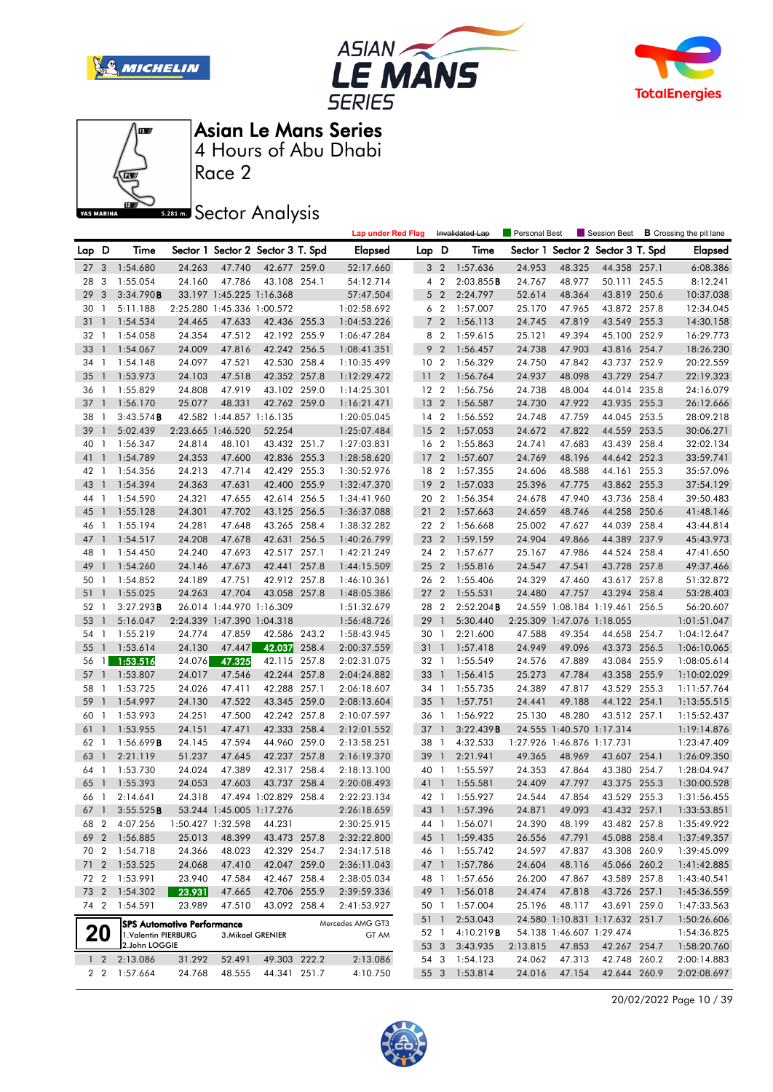







Race 2

**Sector Analysis** 

|                 |                          |                      |                                   |                          |                                   |       | <b>Lap under Red Flag</b> |                 |                | Invalidated Lap   | Personal Best |                            |                                   | Session Best <b>B</b> Crossing the pit lane |
|-----------------|--------------------------|----------------------|-----------------------------------|--------------------------|-----------------------------------|-------|---------------------------|-----------------|----------------|-------------------|---------------|----------------------------|-----------------------------------|---------------------------------------------|
| Lap D           |                          | Time                 |                                   |                          | Sector 1 Sector 2 Sector 3 T. Spd |       | <b>Elapsed</b>            | Lap D           |                | Time              |               |                            | Sector 1 Sector 2 Sector 3 T. Spd | <b>Elapsed</b>                              |
| 27 <sub>3</sub> |                          | 1:54.680             | 24.263                            | 47.740                   | 42.677 259.0                      |       | 52:17.660                 |                 | 3 <sub>2</sub> | 1:57.636          | 24.953        | 48.325                     | 44.358 257.1                      | 6:08.386                                    |
| 28              | 3                        | 1:55.054             | 24.160                            | 47.786                   | 43.108 254.1                      |       | 54:12.714                 |                 | 4 <sup>2</sup> | 2:03.855B         | 24.767        | 48.977                     | 50.111 245.5                      | 8:12.241                                    |
| 29              | 3                        | 3:34.790B            |                                   |                          | 33.197 1:45.225 1:16.368          |       | 57:47.504                 |                 | 5 <sub>2</sub> | 2:24.797          | 52.614        | 48.364                     | 43.819 250.6                      | 10:37.038                                   |
| 30              | $\overline{1}$           | 5:11.188             |                                   |                          | 2:25.280 1:45.336 1:00.572        |       | 1:02:58.692               |                 | 6 <sub>2</sub> | 1:57.007          | 25.170        | 47.965                     | 43.872 257.8                      | 12:34.045                                   |
| 31              | $\overline{1}$           | 1:54.534             | 24.465                            | 47.633                   | 42.436 255.3                      |       | 1:04:53.226               |                 | 7 <sup>2</sup> | 1:56.113          | 24.745        | 47.819                     | 43.549 255.3                      | 14:30.158                                   |
| 32              | $\overline{1}$           | 1:54.058             | 24.354                            | 47.512                   | 42.192 255.9                      |       | 1:06:47.284               |                 | 8 2            | 1:59.615          | 25.121        | 49.394                     | 45.100 252.9                      | 16:29.773                                   |
| 33              | $\overline{1}$           | 1:54.067             | 24.009                            | 47.816                   | 42.242 256.5                      |       | 1:08:41.351               |                 | 9 <sub>2</sub> | 1:56.457          | 24.738        | 47.903                     | 43.816 254.7                      | 18:26.230                                   |
| 34              | $\overline{1}$           | 1:54.148             | 24.097                            | 47.521                   | 42.530 258.4                      |       | 1:10:35.499               | 10 <sub>2</sub> |                | 1:56.329          | 24.750        | 47.842                     | 43.737 252.9                      | 20:22.559                                   |
| 35              | $\overline{1}$           | 1:53.973             | 24.103                            | 47.518                   | 42.352 257.8                      |       | 1:12:29.472               | 11 <sub>2</sub> |                | 1:56.764          | 24.937        | 48.098                     | 43.729 254.7                      | 22:19.323                                   |
| 36              | $\overline{1}$           | 1:55.829             | 24.808                            | 47.919                   | 43.102 259.0                      |       | 1:14:25.301               | 12 <sub>2</sub> |                | 1:56.756          | 24.738        | 48.004                     | 44.014 235.8                      | 24:16.079                                   |
| 37              | $\overline{1}$           | 1:56.170             | 25.077                            | 48.331                   | 42.762 259.0                      |       | 1:16:21.471               | 13 2            |                | 1:56.587          | 24.730        | 47.922                     | 43.935 255.3                      | 26:12.666                                   |
| 38              | $\overline{\phantom{a}}$ | 3:43.574B            |                                   |                          | 42.582 1:44.857 1:16.135          |       | 1:20:05.045               | $14 \quad 2$    |                | 1:56.552          | 24.748        | 47.759                     | 44.045 253.5                      | 28:09.218                                   |
| 39              | $\mathbf{1}$             | 5:02.439             |                                   | 2:23.665 1:46.520        | 52.254                            |       | 1:25:07.484               | 15 2            |                | 1:57.053          | 24.672        | 47.822                     | 44.559 253.5                      | 30:06.271                                   |
| 40              | $\overline{1}$           | 1:56.347             | 24.814                            | 48.101                   | 43.432 251.7                      |       | 1:27:03.831               | 16 2            |                | 1:55.863          | 24.741        | 47.683                     | 43.439 258.4                      | 32:02.134                                   |
| 41              | $\mathbf{1}$             | 1:54.789             | 24.353                            | 47.600                   | 42.836 255.3                      |       | 1:28:58.620               | 17 <sup>2</sup> |                | 1:57.607          | 24.769        | 48.196                     | 44.642 252.3                      | 33:59.741                                   |
| 42 1            |                          | 1:54.356             | 24.213                            | 47.714                   | 42.429 255.3                      |       | 1:30:52.976               | 18 2            |                | 1:57.355          | 24.606        | 48.588                     | 44.161 255.3                      | 35:57.096                                   |
| 43              | $\overline{1}$           | 1:54.394             | 24.363                            | 47.631                   | 42.400 255.9                      |       | 1:32:47.370               | 19 <sup>2</sup> |                | 1:57.033          | 25.396        | 47.775                     | 43.862 255.3                      | 37:54.129                                   |
| 44              | $\overline{1}$           | 1:54.590             | 24.321                            | 47.655                   | 42.614 256.5                      |       | 1:34:41.960               | 20 2            |                | 1:56.354          | 24.678        | 47.940                     | 43.736 258.4                      | 39:50.483                                   |
| 45              | $\mathbf{1}$             | 1:55.128             | 24.301                            | 47.702                   | 43.125 256.5                      |       | 1:36:37.088               | 21              | $\overline{2}$ | 1:57.663          | 24.659        | 48.746                     | 44.258 250.6                      | 41:48.146                                   |
| 46              | $\overline{1}$           | 1:55.194             | 24.281                            | 47.648                   | 43.265 258.4                      |       | 1:38:32.282               | 22 2            |                | 1:56.668          | 25.002        | 47.627                     | 44.039 258.4                      | 43:44.814                                   |
| 47              | $\overline{1}$           | 1:54.517             | 24.208                            | 47.678                   | 42.631                            | 256.5 | 1:40:26.799               | 23 2            |                | 1:59.159          | 24.904        | 49.866                     | 44.389 237.9                      | 45:43.973                                   |
| 48              | - 1                      | 1:54.450             | 24.240                            | 47.693                   | 42.517 257.1                      |       | 1:42:21.249               | 24 2            |                | 1:57.677          | 25.167        | 47.986                     | 44.524 258.4                      | 47:41.650                                   |
| 49              | $\overline{1}$           | 1:54.260             | 24.146                            | 47.673                   | 42.441 257.8                      |       | 1:44:15.509               | 25 2            |                | 1:55.816          | 24.547        | 47.541                     | 43.728 257.8                      | 49:37.466                                   |
| 50 1            |                          | 1:54.852             | 24.189                            | 47.751                   | 42.912 257.8                      |       | 1:46:10.361               | 26 2            |                | 1:55.406          | 24.329        | 47.460                     | 43.617 257.8                      | 51:32.872                                   |
| 51              | $\overline{1}$           | 1:55.025             | 24.263                            | 47.704                   | 43.058 257.8                      |       | 1:48:05.386               | 27 <sub>2</sub> |                | 1:55.531          | 24.480        | 47.757                     | 43.294 258.4                      | 53:28.403                                   |
| 52              | $\overline{1}$           | 3:27.293B            |                                   | 26.014 1:44.970 1:16.309 |                                   |       | 1:51:32.679               | 28 2            |                | 2:52.204B         |               |                            | 24.559 1:08.184 1:19.461 256.5    | 56:20.607                                   |
| 53              | $\mathbf{1}$             | 5:16.047             |                                   |                          | 2:24.339 1:47.390 1:04.318        |       | 1:56:48.726               | 29              | $\overline{1}$ | 5:30.440          |               | 2:25.309 1:47.076 1:18.055 |                                   | 1:01:51.047                                 |
| 54 1            |                          | 1:55.219             | 24.774                            | 47.859                   | 42.586 243.2                      |       | 1:58:43.945               | 30 1            |                | 2:21.600          | 47.588        | 49.354                     | 44.658 254.7                      | 1:04:12.647                                 |
| 55              | $\overline{1}$           | 1:53.614             | 24.130                            | 47.447                   | 42.037                            | 258.4 | 2:00:37.559               | 31 1            |                | 1:57.418          | 24.949        | 49.096                     | 43.373 256.5                      | 1:06:10.065                                 |
| 56              | $\overline{1}$           | 1:53.516             | 24.076                            | 47.325                   | 42.115 257.8                      |       | 2:02:31.075               | 32 1            |                | 1:55.549          | 24.576        | 47.889                     | 43.084 255.9                      | 1:08:05.614                                 |
| 57              | $\overline{1}$           | 1:53.807             | 24.017                            | 47.546                   | 42.244 257.8                      |       | 2:04:24.882               | 33 1            |                | 1:56.415          | 25.273        | 47.784                     | 43.358 255.9                      | 1:10:02.029                                 |
| 58 1            |                          | 1:53.725             | 24.026                            | 47.411                   | 42.288 257.1                      |       | 2:06:18.607               | 34 1            |                | 1:55.735          | 24.389        | 47.817                     | 43.529 255.3                      | 1:11:57.764                                 |
| 59              | $\overline{1}$           | 1:54.997             | 24.130                            | 47.522                   | 43.345 259.0                      |       | 2:08:13.604               | $35 \quad 1$    |                | 1:57.751          | 24.441        | 49.188                     | 44.122 254.1                      | 1:13:55.515                                 |
| 60              | $\overline{1}$           | 1:53.993             | 24.251                            | 47.500                   | 42.242 257.8                      |       | 2:10:07.597               | 36 1            |                | 1:56.922          | 25.130        | 48.280                     | 43.512 257.1                      | 1:15:52.437                                 |
| 61              | $\overline{1}$           | 1:53.955             | 24.151                            | 47.471                   | 42.333 258.4                      |       | 2:12:01.552               | 37 1            |                | 3:22.439B         |               | 24.555 1:40.570 1:17.314   |                                   | 1:19:14.876                                 |
| 62 1            |                          | 1:56.699B            | 24.145                            | 47.594                   | 44.960 259.0                      |       | 2:13:58.251               | 38 1            |                | 4:32.533          |               | 1:27.926 1:46.876 1:17.731 |                                   | 1:23:47.409                                 |
| 63              | $\overline{1}$           | 2:21.119             | 51.237                            | 47.645                   | 42.237 257.8                      |       | 2:16:19.370               | 39 1            |                | 2:21.941          | 49.365        | 48.969                     | 43.607 254.1                      | 1:26:09.350                                 |
| 64              | $\overline{1}$           | 1:53.730             | 24.024                            | 47.389                   | 42.317 258.4                      |       | 2:18:13.100               | 40 1            |                | 1:55.597          | 24.353        | 47.864                     | 43.380 254.7                      | 1:28:04.947                                 |
| 65              | $\mathbf{1}$             | 1:55.393             | 24.053                            | 47.603                   | 43.737 258.4                      |       | 2:20:08.493               | 41              | $\overline{1}$ | 1:55.581          | 24.409        | 47.797                     | 43.375 255.3                      | 1:30:00.528                                 |
| 66 1            |                          | 2:14.641             | 24.318                            |                          | 47.494 1:02.829 258.4             |       | 2:22:23.134               | 42 1            |                | 1:55.927          | 24.544        | 47.854                     | 43.529 255.3                      | 1:31:56.455                                 |
| 67              |                          | 1 $3:55.525B$        |                                   |                          | 53.244 1:45.005 1:17.276          |       | 2:26:18.659               |                 |                | 43 1 1:57.396     | 24.871        | 49.093                     | 43.432 257.1                      | 1:33:53.851                                 |
| 68              | $\overline{2}$           | 4:07.256             |                                   | 1:50.427 1:32.598        | 44.231                            |       | 2:30:25.915               |                 | 44 1           | 1:56.071          | 24.390        | 48.199                     | 43.482 257.8                      | 1:35:49.922                                 |
| 69 2            |                          | 1:56.885             | 25.013                            | 48.399                   | 43.473 257.8                      |       | 2:32:22.800               | 45 1            |                | 1:59.435          | 26.556        | 47.791                     | 45.088 258.4                      | 1:37:49.357                                 |
|                 |                          | 70 2 1:54.718        | 24.366                            | 48.023                   | 42.329 254.7                      |       | 2:34:17.518               | 46 1            |                | 1:55.742          | 24.597        | 47.837                     | 43.308 260.9                      | 1:39:45.099                                 |
| 71              |                          | 2 1:53.525           | 24.068                            | 47.410                   | 42.047 259.0                      |       | 2:36:11.043               |                 |                | 47 1 1:57.786     | 24.604        | 48.116                     | 45.066 260.2                      | 1:41:42.885                                 |
| 72 2            |                          | 1:53.991             | 23.940                            | 47.584                   | 42.467 258.4                      |       | 2:38:05.034               | 48 1            |                | 1:57.656          | 26.200        | 47.867                     | 43.589 257.8                      | 1:43:40.541                                 |
|                 |                          | 73 2 1:54.302        | 23.931                            | 47.665                   | 42.706 255.9                      |       | 2:39:59.336               |                 | 49 1           | 1:56.018          | 24.474        | 47.818                     | 43.726 257.1                      | 1:45:36.559                                 |
|                 |                          | 74 2 1:54.591        | 23.989                            | 47.510                   | 43.092 258.4                      |       | 2:41:53.927               | 50 1            |                | 1:57.004          | 25.196        | 48.117                     | 43.691 259.0                      | 1:47:33.563                                 |
|                 |                          |                      |                                   |                          |                                   |       |                           |                 | 51 1           | 2:53.043          |               |                            | 24.580 1:10.831 1:17.632 251.7    | 1:50:26.606                                 |
|                 | <b>20</b>                | 1. Valentin PIERBURG | <b>SPS Automotive Performance</b> |                          | 3. Mikael GRENIER                 |       | Mercedes AMG GT3<br>GT AM | 52 1            |                | 4:10.219 <b>B</b> |               | 54.138 1:46.607 1:29.474   |                                   | 1:54:36.825                                 |
|                 |                          | 2.John LOGGIE        |                                   |                          |                                   |       |                           |                 | 53 3           | 3:43.935          | 2:13.815      | 47.853                     | 42.267 254.7                      | 1:58:20.760                                 |
|                 | $1\quad2$                | 2:13.086             | 31.292                            | 52.491                   | 49.303 222.2                      |       | 2:13.086                  |                 |                | 54 3 1:54.123     | 24.062        | 47.313                     | 42.748 260.2                      | 2:00:14.883                                 |
|                 |                          | 2 2 1:57.664         | 24.768                            | 48.555                   | 44.341 251.7                      |       | 4:10.750                  |                 |                | 55 3 1:53.814     | 24.016        | 47.154                     | 42.644 260.9                      | 2:02:08.697                                 |

20/02/2022 Page 10 / 39

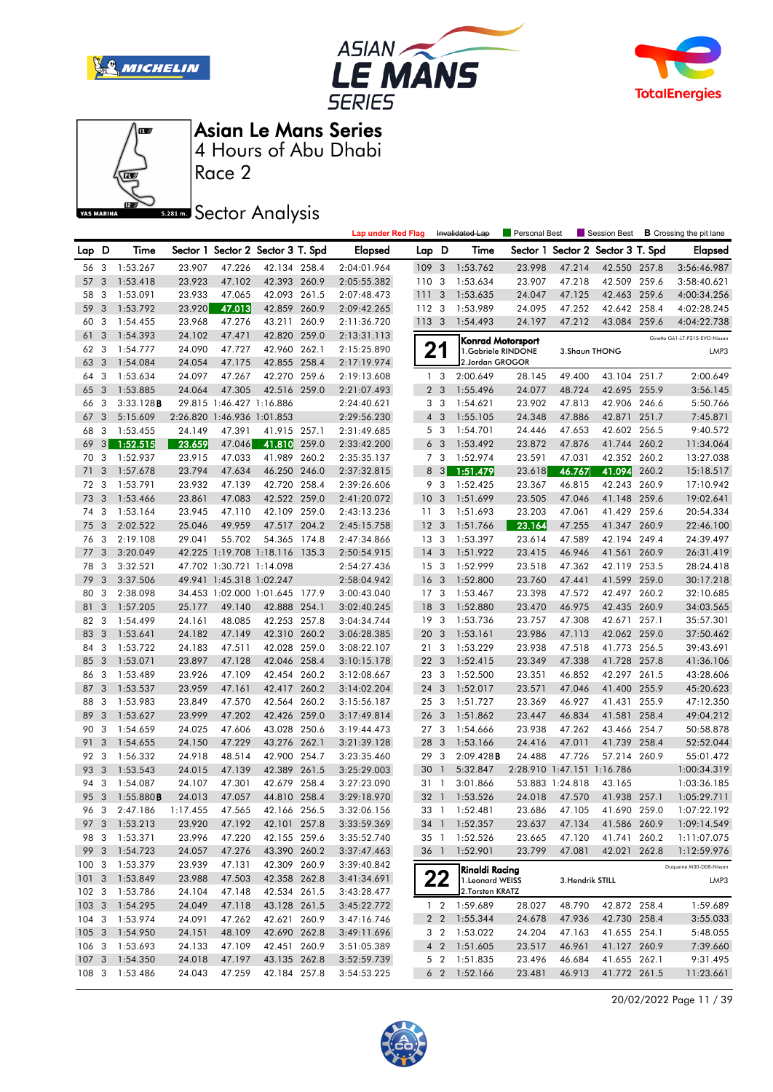







Race 2

**Sector Analysis** 

|                  |                |                      |                    |                            |                                   |       | <b>Lap under Red Flag</b>  |                  |                | Invalidated Lap                     | Personal Best              |                  | Session Best                               |       | <b>B</b> Crossing the pit lane |
|------------------|----------------|----------------------|--------------------|----------------------------|-----------------------------------|-------|----------------------------|------------------|----------------|-------------------------------------|----------------------------|------------------|--------------------------------------------|-------|--------------------------------|
| Lap D            |                | Time                 |                    |                            | Sector 1 Sector 2 Sector 3 T. Spd |       | <b>Elapsed</b>             | Lap D            |                | Time                                |                            |                  | Sector 1 Sector 2 Sector 3 T. Spd          |       | Elapsed                        |
| 56 3             |                | 1:53.267             | 23.907             | 47.226                     | 42.134 258.4                      |       | 2:04:01.964                | 109 <sub>3</sub> |                | 1:53.762                            | 23.998                     | 47.214           | 42.550 257.8                               |       | 3:56:46.987                    |
| 57               | 3              | 1:53.418             | 23.923             | 47.102                     | 42.393 260.9                      |       | 2:05:55.382                | 110 3            |                | 1:53.634                            | 23.907                     | 47.218           | 42.509 259.6                               |       | 3:58:40.621                    |
| 58               | 3              | 1:53.091             | 23.933             | 47.065                     | 42.093 261.5                      |       | 2:07:48.473                | 1113             |                | 1:53.635                            | 24.047                     | 47.125           | 42.463                                     | 259.6 | 4:00:34.256                    |
| 59               | 3              | 1:53.792             | 23.920             | 47.013                     | 42.859 260.9                      |       | 2:09:42.265                | 112 3            |                | 1:53.989                            | 24.095                     | 47.252           | 42.642 258.4                               |       | 4:02:28.245                    |
| 60               | 3              | 1:54.455             | 23.968             | 47.276                     | 43.211                            | 260.9 | 2:11:36.720                | 113 3            |                | 1:54.493                            | 24.197                     | 47.212           | 43.084 259.6                               |       | 4:04:22.738                    |
| 61               | 3              | 1:54.393             | 24.102             | 47.471                     | 42.820 259.0                      |       | 2:13:31.113                |                  |                |                                     | <b>Konrad Motorsport</b>   |                  |                                            |       | Ginetta G61-LT-P315-EVO-Nissan |
| 62               | 3              | 1:54.777             | 24.090             | 47.727                     | 42.960                            | 262.1 | 2:15:25.890                |                  | 21             | 1.Gabriele RINDONE                  |                            | 3. Shaun THONG   |                                            |       | LMP3                           |
| 63               | $\overline{3}$ | 1:54.084             | 24.054             | 47.175                     | 42.855 258.4                      |       | 2:17:19.974                |                  |                | 2.Jordan GROGOR                     |                            |                  |                                            |       |                                |
| 64               | 3              | 1:53.634             | 24.097             | 47.267                     | 42.270 259.6                      |       | 2:19:13.608                |                  | 1 <sub>3</sub> | 2:00.649                            | 28.145                     | 49.400           | 43.104 251.7                               |       | 2:00.649                       |
| 65               | 3              | 1:53.885             | 24.064             | 47.305                     | 42.516 259.0                      |       | 2:21:07.493                |                  | 2 <sub>3</sub> | 1:55.496                            | 24.077                     | 48.724           | 42.695 255.9                               |       | 3:56.145                       |
| 66               | 3              | 3:33.128B            |                    | 29.815 1:46.427 1:16.886   |                                   |       | 2:24:40.621                |                  | 3 <sub>3</sub> | 1:54.621                            | 23.902                     | 47.813           | 42.906 246.6                               |       | 5:50.766                       |
| 67               | 3              | 5:15.609             |                    | 2:26.820 1:46.936 1:01.853 |                                   |       | 2:29:56.230                |                  | $4 \quad 3$    | 1:55.105                            | 24.348                     | 47.886           | 42.871                                     | 251.7 | 7:45.871                       |
| 68               | 3              | 1:53.455             | 24.149             | 47.391                     | 41.915 257.1                      |       | 2:31:49.685                |                  | 5 <sub>3</sub> | 1:54.701                            | 24.446                     | 47.653           | 42.602 256.5                               |       | 9:40.572                       |
| 69               | 3              | 1:52.515             | 23.659             | 47.046                     | 41.810                            | 259.0 | 2:33:42.200                |                  | 6 <sub>3</sub> | 1:53.492                            | 23.872                     | 47.876           | 41.744                                     | 260.2 | 11:34.064                      |
| 70               | 3              | 1:52.937             | 23.915             | 47.033                     | 41.989                            | 260.2 | 2:35:35.137                |                  | 7 <sub>3</sub> | 1:52.974                            | 23.591                     | 47.031           | 42.352 260.2                               |       | 13:27.038                      |
| 71               | 3              | 1:57.678             | 23.794             | 47.634                     | 46.250 246.0                      |       | 2:37:32.815                |                  | 8 3            | 1:51.479                            | 23.618                     | 46.767           | 41.094                                     | 260.2 | 15:18.517                      |
| 72               | 3              | 1:53.791             | 23.932             | 47.139                     | 42.720 258.4                      |       | 2:39:26.606                |                  | 9 3            | 1:52.425                            | 23.367                     | 46.815           | 42.243 260.9                               |       | 17:10.942                      |
| 73               | 3              | 1:53.466             | 23.861             | 47.083                     | 42.522 259.0                      |       | 2:41:20.072                | 10 <sup>°</sup>  | 3              | 1:51.699                            | 23.505                     | 47.046           | 41.148 259.6                               |       | 19:02.641                      |
| 74               | 3              | 1:53.164             | 23.945             | 47.110                     | 42.109                            | 259.0 | 2:43:13.236                | 11               | 3              | 1:51.693                            | 23.203                     | 47.061           | 41.429                                     | 259.6 | 20:54.334                      |
| 75               | 3              | 2:02.522             | 25.046             | 49.959                     | 47.517 204.2                      |       | 2:45:15.758                | 12               | 3              | 1:51.766                            | 23.164                     | 47.255           | 41.347 260.9                               |       | 22:46.100                      |
| 76               | 3              | 2:19.108             | 29.041             | 55.702                     | 54.365 174.8                      |       | 2:47:34.866                | 13 <sub>3</sub>  |                | 1:53.397                            | 23.614                     | 47.589           | 42.194 249.4                               |       | 24:39.497                      |
| 77               | 3              | 3:20.049             |                    |                            | 42.225 1:19.708 1:18.116 135.3    |       | 2:50:54.915                | 14               | 3              | 1:51.922                            | 23.415                     | 46.946           | 41.561                                     | 260.9 | 26:31.419                      |
| 78               | 3              | 3:32.521             |                    | 47.702 1:30.721 1:14.098   |                                   |       | 2:54:27.436                | 15 <sub>3</sub>  |                | 1:52.999                            | 23.518                     | 47.362           | 42.119 253.5                               |       | 28:24.418                      |
| 79               | 3              | 3:37.506             |                    | 49.941 1:45.318 1:02.247   |                                   |       | 2:58:04.942                | 16               | 3              | 1:52.800                            | 23.760                     | 47.441           | 41.599 259.0                               |       | 30:17.218                      |
| 80               | 3              | 2:38.098             |                    |                            | 34.453 1:02.000 1:01.645 177.9    |       | 3:00:43.040                | 17 <sub>3</sub>  |                | 1:53.467                            | 23.398                     | 47.572           | 42.497 260.2                               |       | 32:10.685                      |
| 81               | 3              | 1:57.205             | 25.177             | 49.140                     | 42.888 254.1                      |       | 3:02:40.245                | 18               | 3              | 1:52.880                            | 23.470                     | 46.975           | 42.435 260.9                               |       | 34:03.565                      |
| 82               | 3              | 1:54.499             | 24.161             | 48.085                     | 42.253 257.8                      |       | 3:04:34.744                | 19 <sup>3</sup>  |                | 1:53.736                            | 23.757                     | 47.308           | 42.671 257.1                               |       | 35:57.301                      |
| 83               | 3              | 1:53.641             | 24.182             | 47.149                     | 42.310 260.2                      |       | 3:06:28.385                | 20               | 3              | 1:53.161                            | 23.986                     | 47.113           | 42.062 259.0                               |       | 37:50.462                      |
| 84               | 3              | 1:53.722             | 24.183             | 47.511                     | 42.028 259.0                      |       | 3:08:22.107                | 21               | 3              | 1:53.229                            | 23.938                     | 47.518           | 41.773 256.5                               |       | 39:43.691                      |
| 85               | 3              | 1:53.071             | 23.897             | 47.128                     | 42.046 258.4                      |       | 3:10:15.178                | 22               | 3              | 1:52.415                            | 23.349                     | 47.338           | 41.728                                     | 257.8 | 41:36.106                      |
| 86               | 3              | 1:53.489             | 23.926             | 47.109                     | 42.454 260.2                      |       | 3:12:08.667                | 23 3             |                | 1:52.500                            | 23.351                     | 46.852           | 42.297 261.5                               |       | 43:28.606                      |
| 87               | 3              | 1:53.537             | 23.959             | 47.161                     | 42.417 260.2                      |       | 3:14:02.204                | 24               | 3              | 1:52.017                            | 23.571                     | 47.046           | 41.400 255.9                               |       | 45:20.623                      |
| 88               | 3              | 1:53.983             | 23.849             | 47.570                     | 42.564 260.2                      |       | 3:15:56.187                | 25 3             |                | 1:51.727                            | 23.369                     | 46.927           | 41.431                                     | 255.9 | 47:12.350                      |
| 89               | 3              | 1:53.627             | 23.999             | 47.202                     | 42.426 259.0                      |       | 3:17:49.814                | 26 3             |                | 1:51.862                            | 23.447                     | 46.834           | 41.581                                     | 258.4 | 49:04.212                      |
| 90               | 3              | 1:54.659             | 24.025             | 47.606                     | 43.028 250.6                      |       | 3:19:44.473                | 27 <sub>3</sub>  |                | 1:54.666                            | 23.938                     | 47.262           | 43.466 254.7                               |       | 50:58.878                      |
| 91               | 3              | 1:54.655             | 24.150             | 47.229                     | 43.276 262.1                      |       | 3:21:39.128                | 28               | 3              | 1:53.166                            | 24.416                     | 47.011           | 41.739 258.4                               |       | 52:52.044                      |
| 92               | 3              | 1:56.332             | 24.918             | 48.514                     | 42.900 254.7                      |       | 3:23:35.460                | 29               | 3              | 2:09.428B                           | 24.488                     | 47.726           | 57.214 260.9                               |       | 55:01.472                      |
| 93               | 3              | 1:53.543             | 24.015             | 47.139                     | 42.389 261.5                      |       | 3:25:29.003                | 30               | $\overline{1}$ | 5:32.847                            | 2:28.910 1:47.151 1:16.786 |                  |                                            |       | 1:00:34.319                    |
| 94               | $\mathbf{3}$   | 1:54.087             | 24.107             | 47.301                     | 42.679 258.4                      |       | 3:27:23.090                | 31 1             |                | 3:01.866                            |                            | 53.883 1:24.818  | 43.165                                     |       | 1:03:36.185                    |
| 95 3             |                | 1:55.880B            | 24.013<br>1:17.455 | 47.057                     | 44.810 258.4                      |       | 3:29:18.970                | 32 <sub>1</sub>  |                | 1:53.526                            | 24.018                     | 47.570           | 41.938 257.1<br>23.686 47.105 41.690 259.0 |       | 1:05:29.711<br>1:07:22.192     |
| 96               |                | 3 2:47.186           |                    | 47.565                     | 42.166 256.5                      |       | 3:32:06.156                |                  |                | 33 1 1:52.481                       |                            |                  |                                            |       | 1:09:14.549                    |
| 97 3<br>98 3     |                | 1:53.213             | 23.920<br>23.996   | 47.192                     | 42.101 257.8<br>42.155 259.6      |       | 3:33:59.369<br>3:35:52.740 |                  |                | 34 1 1:52.357                       | 23.637<br>23.665           | 47.134<br>47.120 | 41.586 260.9                               |       |                                |
| 99 3             |                | 1:53.371<br>1:54.723 | 24.057             | 47.220<br>47.276           | 43.390 260.2                      |       | 3:37:47.463                | 36 1             |                | 35 1 1:52.526<br>1:52.901           | 23.799                     | 47.081           | 41.741 260.2<br>42.021 262.8               |       | 1:11:07.075                    |
| 1003             |                | 1:53.379             | 23.939             | 47.131                     | 42.309 260.9                      |       | 3:39:40.842                |                  |                |                                     |                            |                  |                                            |       | 1:12:59.976                    |
| 1013             |                | 1:53.849             | 23.988             | 47.503                     | 42.358 262.8                      |       | 3:41:34.691                |                  |                | <b>Rinaldi Racing</b>               |                            |                  |                                            |       | Duqueine M30-D08-Nissan        |
| 102 <sub>3</sub> |                | 1:53.786             | 24.104             | 47.148                     | 42.534 261.5                      |       | 3:43:28.477                |                  | 22             | 1.Leonard WEISS<br>2. Torsten KRATZ |                            | 3. Hendrik STILL |                                            |       | LMP3                           |
| 1033             |                | 1:54.295             | 24.049             | 47.118                     | 43.128 261.5                      |       | 3:45:22.772                |                  |                | 1 2 1:59.689                        | 28.027                     | 48.790           | 42.872 258.4                               |       | 1:59.689                       |
| $104 - 3$        |                | 1:53.974             | 24.091             | 47.262                     | 42.621 260.9                      |       | 3:47:16.746                |                  | 2 <sub>2</sub> | 1:55.344                            | 24.678                     | 47.936           | 42.730 258.4                               |       | 3:55.033                       |
| 1053             |                | 1:54.950             | 24.151             | 48.109                     | 42.690 262.8                      |       | 3:49:11.696                |                  | 3 <sub>2</sub> | 1:53.022                            | 24.204                     | 47.163           | 41.655 254.1                               |       | 5:48.055                       |
| 106 3            |                | 1:53.693             | 24.133             | 47.109                     | 42.451 260.9                      |       | 3:51:05.389                |                  | 4 <sup>2</sup> | 1:51.605                            | 23.517                     | 46.961           | 41.127 260.9                               |       | 7:39.660                       |
| 107 <sub>3</sub> |                | 1:54.350             | 24.018             | 47.197                     | 43.135 262.8                      |       | 3:52:59.739                |                  | 5 <sub>2</sub> | 1:51.835                            | 23.496                     | 46.684           | 41.655 262.1                               |       | 9:31.495                       |
| 108 3            |                | 1:53.486             | 24.043             | 47.259                     | 42.184 257.8                      |       | 3:54:53.225                |                  |                | 6 2 1:52.166                        | 23.481                     | 46.913           | 41.772 261.5                               |       | 11:23.661                      |
|                  |                |                      |                    |                            |                                   |       |                            |                  |                |                                     |                            |                  |                                            |       |                                |

20/02/2022 Page 11 / 39

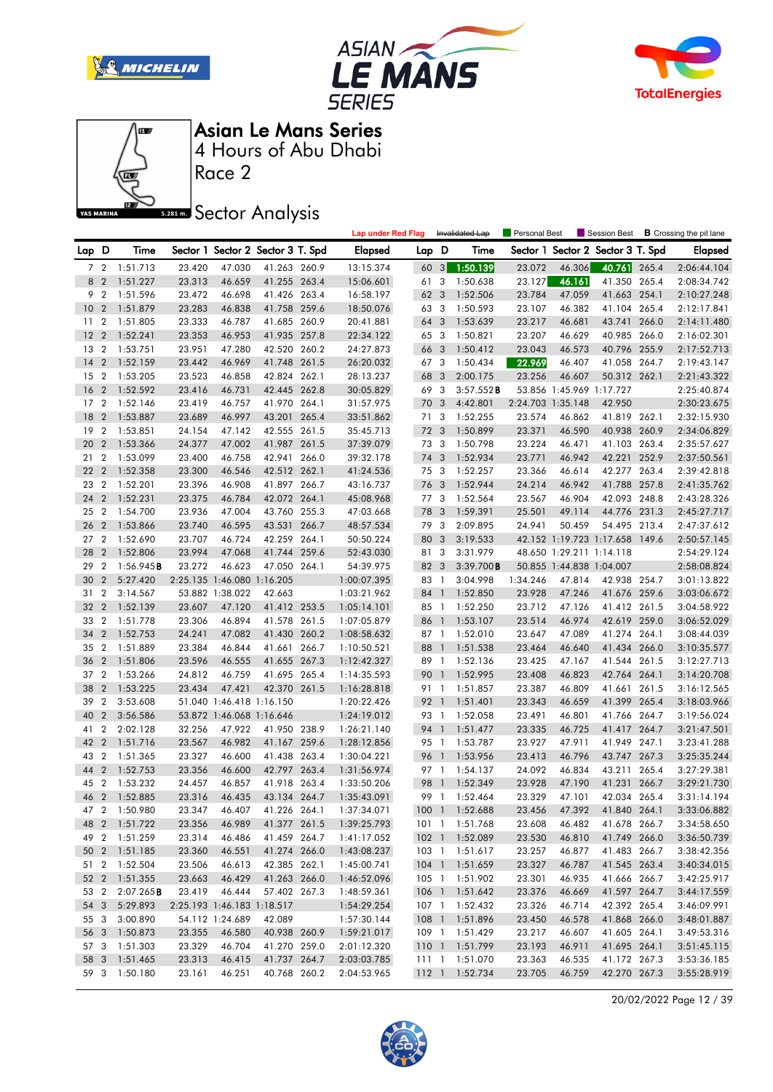







Race 2

**Sector Analysis** 

|                 |                         |               |                  |                            |                                   |       | <b>Lap under Red Flag</b> |      |                | Invalidated Lap                  | Personal Best     |                          |                                   |       | Session Best <b>B</b> Crossing the pit lane |
|-----------------|-------------------------|---------------|------------------|----------------------------|-----------------------------------|-------|---------------------------|------|----------------|----------------------------------|-------------------|--------------------------|-----------------------------------|-------|---------------------------------------------|
| Lap D           |                         | Time          |                  |                            | Sector 1 Sector 2 Sector 3 T. Spd |       | <b>Elapsed</b>            | Lap  | D              | Time                             |                   |                          | Sector 1 Sector 2 Sector 3 T. Spd |       | <b>Elapsed</b>                              |
|                 |                         | 7 2 1:51.713  | 23.420           | 47.030                     | 41.263 260.9                      |       | 13:15.374                 | 60   |                | $3 - 1:50.139$                   | 23.072            | 46.306                   | 40.761 265.4                      |       | 2:06:44.104                                 |
|                 | 8 2                     | 1:51.227      | 23.313           | 46.659                     | 41.255 263.4                      |       | 15:06.601                 | 61   | 3              | 1:50.638                         | 23.127            | 46.161                   | 41.350 265.4                      |       | 2:08:34.742                                 |
| 9               | $\overline{2}$          | 1:51.596      | 23.472           | 46.698                     | 41.426 263.4                      |       | 16:58.197                 | 62   | 3              | 1:52.506                         | 23.784            | 47.059                   | 41.663 254.1                      |       | 2:10:27.248                                 |
| 10              | $\overline{2}$          | 1:51.879      | 23.283           | 46.838                     | 41.758 259.6                      |       | 18:50.076                 | 63 3 |                | 1:50.593                         | 23.107            | 46.382                   | 41.104                            | 265.4 | 2:12:17.841                                 |
| 11 <sub>2</sub> |                         | 1:51.805      | 23.333           | 46.787                     | 41.685 260.9                      |       | 20:41.881                 | 64   | 3              | 1:53.639                         | 23.217            | 46.681                   | 43.741                            | 266.0 | 2:14:11.480                                 |
| 12              | $\overline{2}$          | 1:52.241      | 23.353           | 46.953                     | 41.935 257.8                      |       | 22:34.122                 | 65 3 |                | 1:50.821                         | 23.207            | 46.629                   | 40.985 266.0                      |       | 2:16:02.301                                 |
| 13              | $\overline{2}$          | 1:53.751      | 23.951           | 47.280                     | 42.520 260.2                      |       | 24:27.873                 | 66   | 3              | 1:50.412                         | 23.043            | 46.573                   | 40.796 255.9                      |       | 2:17:52.713                                 |
| 14              | $\overline{2}$          | 1:52.159      | 23.442           | 46.969                     | 41.748 261.5                      |       | 26:20.032                 | 67 3 |                | 1:50.434                         | 22.969            | 46.407                   | 41.058                            | 264.7 | 2:19:43.147                                 |
| 15 <sub>2</sub> |                         | 1:53.205      | 23.523           | 46.858                     | 42.824 262.1                      |       | 28:13.237                 | 68   | 3              | 2:00.175                         | 23.256            | 46.607                   | 50.312 262.1                      |       | 2:21:43.322                                 |
| 16              | $\overline{2}$          | 1:52.592      | 23.416           | 46.731                     | 42.445 262.8                      |       | 30:05.829                 | 69 3 |                | 3:57.552B                        |                   | 53.856 1:45.969 1:17.727 |                                   |       | 2:25:40.874                                 |
| 17              | $\overline{2}$          | 1:52.146      | 23.419           | 46.757                     | 41.970 264.1                      |       | 31:57.975                 | 70   | 3              | 4:42.801                         | 2:24.703 1:35.148 |                          | 42.950                            |       | 2:30:23.675                                 |
| 18              | $\overline{2}$          | 1:53.887      | 23.689           | 46.997                     | 43.201 265.4                      |       | 33:51.862                 | 71   | 3              | 1:52.255                         | 23.574            | 46.862                   | 41.819 262.1                      |       | 2:32:15.930                                 |
| 19              | $\overline{2}$          | 1:53.851      | 24.154           | 47.142                     | 42.555 261.5                      |       | 35:45.713                 | 72   | 3              | 1:50.899                         | 23.371            | 46.590                   | 40.938 260.9                      |       | 2:34:06.829                                 |
| 20              | $\overline{2}$          | 1:53.366      | 24.377           | 47.002                     | 41.987 261.5                      |       | 37:39.079                 | 73 3 |                | 1:50.798                         | 23.224            | 46.471                   | 41.103 263.4                      |       | 2:35:57.627                                 |
| 21              | $\overline{2}$          | 1:53.099      | 23.400           | 46.758                     | 42.941 266.0                      |       | 39:32.178                 | 74   | 3              | 1:52.934                         | 23.771            | 46.942                   | 42.221                            | 252.9 | 2:37:50.561                                 |
| 22              | $\overline{2}$          | 1:52.358      | 23.300           | 46.546                     | 42.512 262.1                      |       | 41:24.536                 | 75 3 |                | 1:52.257                         | 23.366            | 46.614                   | 42.277 263.4                      |       | 2:39:42.818                                 |
| 23              | $\overline{\mathbf{c}}$ | 1:52.201      | 23.396           | 46.908                     | 41.897 266.7                      |       | 43:16.737                 | 76   | 3              | 1:52.944                         | 24.214            | 46.942                   | 41.788 257.8                      |       | 2:41:35.762                                 |
| 24              | $\overline{2}$          | 1:52.231      | 23.375           | 46.784                     | 42.072 264.1                      |       | 45:08.968                 | 77 3 |                | 1:52.564                         | 23.567            | 46.904                   | 42.093 248.8                      |       | 2:43:28.326                                 |
| 25              | $\overline{2}$          | 1:54.700      | 23.936           | 47.004                     | 43.760 255.3                      |       | 47:03.668                 | 78   | 3              | 1:59.391                         | 25.501            | 49.114                   | 44.776 231.3                      |       | 2:45:27.717                                 |
| 26              | $\overline{2}$          | 1:53.866      | 23.740           | 46.595                     | 43.531                            | 266.7 | 48:57.534                 | 79   | $\overline{3}$ | 2:09.895                         | 24.941            | 50.459                   | 54.495 213.4                      |       | 2:47:37.612                                 |
| 27 <sub>2</sub> |                         | 1:52.690      | 23.707           | 46.724                     | 42.259 264.1                      |       | 50:50.224                 | 80   | 3              | 3:19.533                         |                   | 42.152 1:19.723 1:17.658 |                                   | 149.6 | 2:50:57.145                                 |
| 28              | $\overline{2}$          | 1:52.806      | 23.994           | 47.068                     | 41.744                            | 259.6 | 52:43.030                 | 81 3 |                | 3:31.979                         |                   | 48.650 1:29.211 1:14.118 |                                   |       | 2:54:29.124                                 |
| 29              | $\overline{2}$          | 1:56.945B     | 23.272           | 46.623                     | 47.050 264.1                      |       | 54:39.975                 | 82 3 |                | 3:39.700B                        |                   | 50.855 1:44.838 1:04.007 |                                   |       | 2:58:08.824                                 |
| 30              | $\overline{2}$          | 5:27.420      |                  | 2:25.135 1:46.080 1:16.205 |                                   |       | 1:00:07.395               | 83 1 |                | 3:04.998                         | 1:34.246          | 47.814                   | 42.938 254.7                      |       | 3:01:13.822                                 |
| 31 2            |                         | 3:14.567      |                  | 53.882 1:38.022            | 42.663                            |       | 1:03:21.962               | 84 1 |                | 1:52.850                         | 23.928            | 47.246                   | 41.676 259.6                      |       | 3:03:06.672                                 |
| 32              | $\overline{2}$          | 1:52.139      | 23.607           | 47.120                     | 41.412 253.5                      |       | 1:05:14.101               | 85 1 |                | 1:52.250                         | 23.712            | 47.126                   | 41.412 261.5                      |       | 3:04:58.922                                 |
| 33              | $\overline{2}$          | 1:51.778      | 23.306           | 46.894                     | 41.578 261.5                      |       | 1:07:05.879               | 86 1 |                | 1:53.107                         | 23.514            | 46.974                   | 42.619                            | 259.0 | 3:06:52.029                                 |
| 34              | $\overline{2}$          | 1:52.753      | 24.241           | 47.082                     | 41.430 260.2                      |       | 1:08:58.632               | 87 1 |                | 1:52.010                         | 23.647            | 47.089                   | 41.274 264.1                      |       | 3:08:44.039                                 |
| 35              | $\overline{2}$          | 1:51.889      | 23.384           | 46.844                     | 41.661 266.7                      |       | 1:10:50.521               | 88   | $\overline{1}$ | 1:51.538                         | 23.464            | 46.640                   | 41.434 266.0                      |       | 3:10:35.577                                 |
| 36              | $\overline{2}$          | 1:51.806      | 23.596           | 46.555                     | 41.655 267.3                      |       | 1:12:42.327               | 89 1 |                | 1:52.136                         | 23.425            | 47.167                   | 41.544 261.5                      |       | 3:12:27.713                                 |
| 37              | $\overline{2}$          | 1:53.266      | 24.812           | 46.759                     | 41.695 265.4                      |       | 1:14:35.593               | 90   | $\overline{1}$ | 1:52.995                         | 23.408            | 46.823                   | 42.764 264.1                      |       | 3:14:20.708                                 |
| 38              | $\overline{2}$          | 1:53.225      | 23.434           | 47.421                     | 42.370 261.5                      |       | 1:16:28.818               | 91 1 |                | 1:51.857                         | 23.387            | 46.809                   | 41.661                            | 261.5 | 3:16:12.565                                 |
| 39              | $\overline{2}$          | 3:53.608      |                  | 51.040 1:46.418 1:16.150   |                                   |       | 1:20:22.426               | 92 1 |                | 1:51.401                         | 23.343            | 46.659                   | 41.399                            | 265.4 | 3:18:03.966                                 |
| 40              | $\overline{2}$          | 3:56.586      |                  | 53.872 1:46.068 1:16.646   |                                   |       | 1:24:19.012               | 93 1 |                | 1:52.058                         | 23.491            | 46.801                   | 41.766                            | 264.7 | 3:19:56.024                                 |
| 41              | 2                       | 2:02.128      | 32.256           | 47.922                     | 41.950 238.9                      |       | 1:26:21.140               | 94 1 |                | 1:51.477                         | 23.335            | 46.725                   | 41.417 264.7                      |       | 3:21:47.501                                 |
| 42              | $\overline{2}$          | 1:51.716      | 23.567           | 46.982                     | 41.167 259.6                      |       | 1:28:12.856               | 95 1 |                | 1:53.787                         | 23.927            | 47.911                   | 41.949 247.1                      |       | 3:23:41.288                                 |
| 43              | $\overline{2}$          | 1:51.365      | 23.327           | 46.600                     | 41.438 263.4                      |       | 1:30:04.221               | 96 1 |                | 1:53.956                         | 23.413            | 46.796                   | 43.747 267.3                      |       | 3:25:35.244                                 |
| 44              | $\overline{2}$          | 1:52.753      | 23.356           | 46.600                     | 42.797                            | 263.4 | 1:31:56.974               | 97 1 |                | 1:54.137                         | 24.092            | 46.834                   | 43.211                            | 265.4 | 3:27:29.381                                 |
| 45              | $\overline{2}$          | 1:53.232      | 24.457           | 46.857                     | 41.918                            | 263.4 | 1:33:50.206               | 98   | $\overline{1}$ | 1:52.349                         | 23.928            | 47.190                   | 41.231                            | 266.7 | 3:29:21.730                                 |
| 46 2            |                         | 1:52.885      | 23.316           | 46.435                     | 43.134 264.7                      |       | 1:35:43.091               | 99 1 |                | 1:52.464                         | 23.329            | 47.101                   | 42.034 265.4                      |       | 3:31:14.194                                 |
|                 |                         | 47 2 1:50.980 | 23.347           | 46.407                     | 41.226 264.1                      |       | 1:37:34.071               |      |                | 100 1 1:52.688                   | 23.456            | 47.392                   | 41.840 264.1                      |       | 3:33:06.882                                 |
|                 |                         | 48 2 1:51.722 | 23.356           | 46.989                     | 41.377 261.5                      |       | 1:39:25.793               |      |                | 101 1 1:51.768                   | 23.608            | 46.482                   | 41.678 266.7                      |       | 3:34:58.650                                 |
|                 |                         | 49 2 1:51.259 | 23.314           | 46.486                     | 41.459 264.7                      |       | 1:41:17.052               |      |                | 102 1 1:52.089                   | 23.530            | 46.810                   | 41.749 266.0                      |       | 3:36:50.739                                 |
|                 |                         | 50 2 1:51.185 | 23.360           | 46.551                     | 41.274 266.0                      |       | 1:43:08.237               |      |                | 103 1 1:51.617                   | 23.257            | 46.877                   | 41.483 266.7                      |       | 3:38:42.356                                 |
|                 |                         | 51 2 1:52.504 | 23.506           | 46.613                     | 42.385 262.1                      |       | 1:45:00.741               |      |                | 104 1 1:51.659                   | 23.327            | 46.787                   | 41.545 263.4                      |       | 3:40:34.015                                 |
|                 |                         |               |                  | 46.429                     |                                   |       |                           |      |                |                                  |                   |                          |                                   |       |                                             |
|                 |                         | 52 2 1:51.355 | 23.663<br>23.419 |                            | 41.263 266.0                      |       | 1:46:52.096               |      |                | 105 1 1:51.902                   | 23.301<br>23.376  | 46.935<br>46.669         | 41.666 266.7<br>41.597 264.7      |       | 3:42:25.917                                 |
| 53 2<br>54 3    |                         | 2:07.265B     |                  | 46.444                     | 57.402 267.3                      |       | 1:48:59.361               |      |                | 106 1 1:51.642<br>107 1 1:52.432 |                   |                          | 42.392 265.4                      |       | 3:44:17.559                                 |
|                 |                         | 5:29.893      |                  | 2:25.193 1:46.183 1:18.517 |                                   |       | 1:54:29.254               |      |                |                                  | 23.326            | 46.714                   |                                   |       | 3:46:09.991                                 |
| 55 3            |                         | 3:00.890      |                  | 54.112 1:24.689            | 42.089                            |       | 1:57:30.144               |      |                | 108 1 1:51.896                   | 23.450            | 46.578                   | 41.868 266.0                      |       | 3:48:01.887                                 |
| 56 3            |                         | 1:50.873      | 23.355           | 46.580                     | 40.938 260.9                      |       | 1:59:21.017               |      |                | 109 1 1:51.429                   | 23.217            | 46.607                   | 41.605 264.1                      |       | 3:49:53.316                                 |
| 57 3            |                         | 1:51.303      | 23.329           | 46.704                     | 41.270 259.0                      |       | 2:01:12.320               |      |                | 110 1 1:51.799                   | 23.193            | 46.911                   | 41.695 264.1                      |       | 3:51:45.115                                 |
| 58 3            |                         | 1:51.465      | 23.313           | 46.415                     | 41.737 264.7                      |       | 2:03:03.785               |      |                | 111 1 1:51.070                   | 23.363            | 46.535                   | 41.172 267.3                      |       | 3:53:36.185                                 |
| 59 3            |                         | 1:50.180      | 23.161           | 46.251                     | 40.768 260.2                      |       | 2:04:53.965               |      |                | 112 1 1:52.734                   | 23.705            | 46.759                   | 42.270 267.3                      |       | 3:55:28.919                                 |

20/02/2022 Page 12 / 39

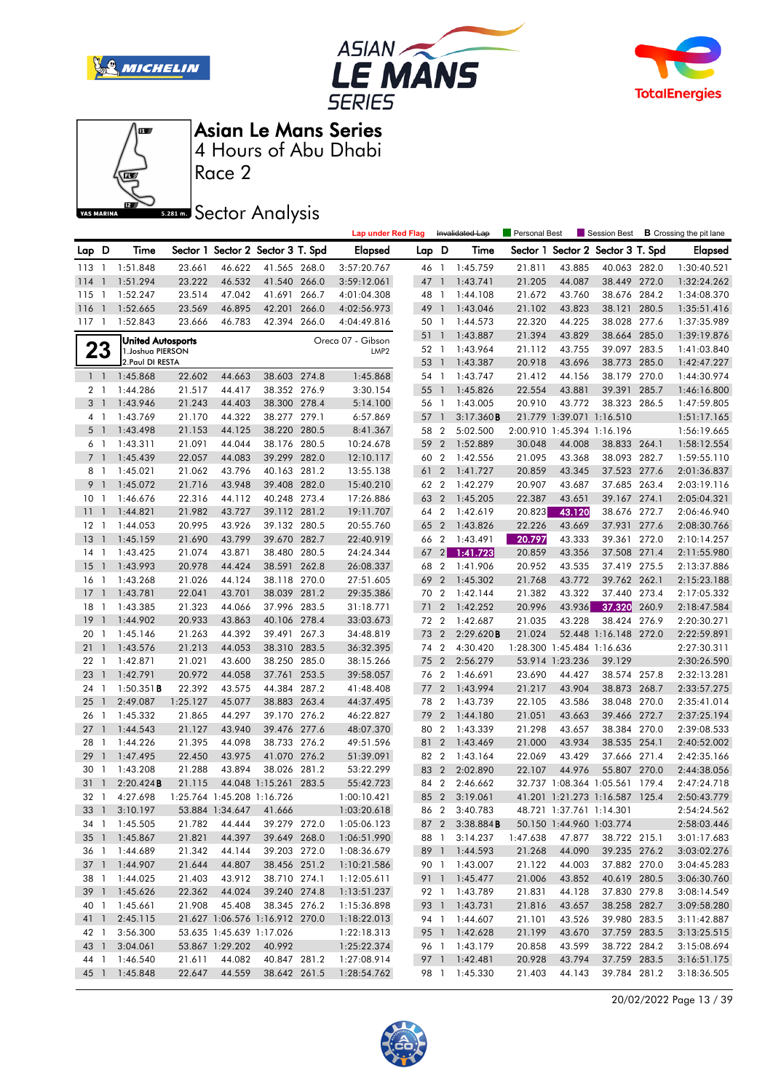







Race 2

**S281ms** Sector Analysis

|                |                |                                               |          |                            |                                   |       | <b>Lap under Red Flag</b> |       |                  | Invalidated Lap        | <b>Personal Best</b> |                            | Session Best                   |       | <b>B</b> Crossing the pit lane |
|----------------|----------------|-----------------------------------------------|----------|----------------------------|-----------------------------------|-------|---------------------------|-------|------------------|------------------------|----------------------|----------------------------|--------------------------------|-------|--------------------------------|
| Lap D          |                | Time                                          |          |                            | Sector 1 Sector 2 Sector 3 T. Spd |       | <b>Elapsed</b>            | Lap D |                  | Time                   | Sector 1             |                            | Sector 2 Sector 3 T. Spd       |       | <b>Elapsed</b>                 |
| 113 1          |                | 1:51.848                                      | 23.661   | 46.622                     | 41.565 268.0                      |       | 3:57:20.767               | 46 1  |                  | 1:45.759               | 21.811               | 43.885                     | 40.063 282.0                   |       | 1:30:40.521                    |
| 114            | $\overline{1}$ | 1:51.294                                      | 23.222   | 46.532                     | 41.540 266.0                      |       | 3:59:12.061               | 47    | $\overline{1}$   | 1:43.741               | 21.205               | 44.087                     | 38.449 272.0                   |       | 1:32:24.262                    |
| 115            | $\overline{1}$ | 1:52.247                                      | 23.514   | 47.042                     | 41.691 266.7                      |       | 4:01:04.308               | 48 1  |                  | 1:44.108               | 21.672               | 43.760                     | 38.676 284.2                   |       | 1:34:08.370                    |
| 116            | $\overline{1}$ | 1:52.665                                      | 23.569   | 46.895                     | 42.201                            | 266.0 | 4:02:56.973               | 49    | $\overline{1}$   | 1:43.046               | 21.102               | 43.823                     | 38.121                         | 280.5 | 1:35:51.416                    |
| 117            | $\overline{1}$ | 1:52.843                                      | 23.666   | 46.783                     | 42.394 266.0                      |       | 4:04:49.816               | 50 1  |                  | 1:44.573               | 22.320               | 44.225                     | 38.028 277.6                   |       | 1:37:35.989                    |
|                |                |                                               |          |                            |                                   |       | Oreca 07 - Gibson         | 51    | $\mathbf{1}$     | 1:43.887               | 21.394               | 43.829                     | 38.664 285.0                   |       | 1:39:19.876                    |
|                | 23             | <b>United Autosports</b><br>1. Joshua PIERSON |          |                            |                                   |       | LMP <sub>2</sub>          | 52 1  |                  | 1:43.964               | 21.112               | 43.755                     | 39.097 283.5                   |       | 1:41:03.840                    |
|                |                | 2. Paul DI RESTA                              |          |                            |                                   |       |                           | 53 1  |                  | 1:43.387               | 20.918               | 43.696                     | 38.773 285.0                   |       | 1:42:47.227                    |
| $1\quad$       |                | 1:45.868                                      | 22.602   | 44.663                     | 38.603 274.8                      |       | 1:45.868                  | 54 1  |                  | 1:43.747               | 21.412               | 44.156                     | 38.179                         | 270.0 | 1:44:30.974                    |
| 2 <sub>1</sub> |                | 1:44.286                                      | 21.517   | 44.417                     | 38.352 276.9                      |       | 3:30.154                  | 55    | $\overline{1}$   | 1:45.826               | 22.554               | 43.881                     | 39.391                         | 285.7 | 1:46:16.800                    |
| 3              | $\overline{1}$ | 1:43.946                                      | 21.243   | 44.403                     | 38.300 278.4                      |       | 5:14.100                  | 56 1  |                  | 1:43.005               | 20.910               | 43.772                     | 38.323 286.5                   |       | 1:47:59.805                    |
| 41             |                | 1:43.769                                      | 21.170   | 44.322                     | 38.277 279.1                      |       | 6:57.869                  | 57 1  |                  | 3:17.360B              |                      | 21.779 1:39.071 1:16.510   |                                |       | 1:51:17.165                    |
| 5 <sub>1</sub> |                | 1:43.498                                      | 21.153   | 44.125                     | 38.220 280.5                      |       | 8:41.367                  | 58 2  |                  | 5:02.500               |                      | 2:00.910 1:45.394 1:16.196 |                                |       | 1:56:19.665                    |
| 61             |                | 1:43.311                                      | 21.091   | 44.044                     | 38.176 280.5                      |       | 10:24.678                 | 59    | $\overline{2}$   | 1:52.889               | 30.048               | 44.008                     | 38.833 264.1                   |       | 1:58:12.554                    |
| 7 <sub>1</sub> |                | 1:45.439                                      | 22.057   | 44.083                     | 39.299 282.0                      |       | 12:10.117                 | 60 2  |                  | 1:42.556               | 21.095               | 43.368                     | 38.093 282.7                   |       | 1:59:55.110                    |
| 8              | $\overline{1}$ | 1:45.021                                      | 21.062   | 43.796                     | 40.163 281.2                      |       | 13:55.138                 | 61    | $\overline{2}$   | 1:41.727               | 20.859               | 43.345                     | 37.523 277.6                   |       | 2:01:36.837                    |
| 9              | $\overline{1}$ | 1:45.072                                      | 21.716   | 43.948                     | 39.408 282.0                      |       | 15:40.210                 | 62 2  |                  | 1:42.279               | 20.907               | 43.687                     | 37.685 263.4                   |       | 2:03:19.116                    |
| 10             | $\overline{1}$ | 1:46.676                                      | 22.316   | 44.112                     | 40.248 273.4                      |       | 17:26.886                 | 63    | $\overline{2}$   | 1:45.205               | 22.387               | 43.651                     | 39.167 274.1                   |       | 2:05:04.321                    |
| 11             | $\mathbf{1}$   | 1:44.821                                      | 21.982   | 43.727                     | 39.112 281.2                      |       | 19:11.707                 | 64 2  |                  | 1:42.619               | 20.823               | 43.120                     | 38.676 272.7                   |       | 2:06:46.940                    |
| $12 \,$        | $\overline{1}$ | 1:44.053                                      | 20.995   | 43.926                     | 39.132 280.5                      |       | 20:55.760                 | 65 2  |                  | 1:43.826               | 22.226               | 43.669                     | 37.931                         | 277.6 | 2:08:30.766                    |
| 13             | $\overline{1}$ | 1:45.159                                      | 21.690   | 43.799                     | 39.670 282.7                      |       | 22:40.919                 | 66 2  |                  | 1:43.491               | 20.797               | 43.333                     | 39.361                         | 272.0 | 2:10:14.257                    |
| 14 1           |                | 1:43.425                                      | 21.074   | 43.871                     | 38.480 280.5                      |       | 24:24.344                 | 67    | $\left 2\right $ | 1:41.723               | 20.859               | 43.356                     | 37.508 271.4                   |       | 2:11:55.980                    |
| 15             | $\overline{1}$ | 1:43.993                                      | 20.978   | 44.424                     | 38.591 262.8                      |       | 26:08.337                 | 68 2  |                  | 1:41.906               | 20.952               | 43.535                     | 37.419 275.5                   |       | 2:13:37.886                    |
| 16             | $\overline{1}$ | 1:43.268                                      | 21.026   | 44.124                     | 38.118 270.0                      |       | 27:51.605                 | 69    | $\overline{2}$   | 1:45.302               | 21.768               | 43.772                     | 39.762 262.1                   |       | 2:15:23.188                    |
| 17             | $\overline{1}$ | 1:43.781                                      | 22.041   | 43.701                     | 38.039 281.2                      |       | 29:35.386                 | 70 2  |                  | 1:42.144               | 21.382               | 43.322                     | 37.440 273.4                   |       | 2:17:05.332                    |
| 18             | $\overline{1}$ | 1:43.385                                      | 21.323   | 44.066                     | 37.996 283.5                      |       | 31:18.771                 | 71    | $\overline{2}$   | 1:42.252               | 20.996               | 43.936                     | 37.320                         | 260.9 | 2:18:47.584                    |
| 19             | $\mathbf{1}$   | 1:44.902                                      | 20.933   | 43.863                     | 40.106 278.4                      |       | 33:03.673                 | 72 2  |                  | 1:42.687               | 21.035               | 43.228                     | 38.424 276.9                   |       | 2:20:30.271                    |
| 20             | -1             | 1:45.146                                      | 21.263   | 44.392                     | 39.491 267.3                      |       | 34:48.819                 | 73    | $\overline{2}$   | 2:29.620B              | 21.024               |                            | 52.448 1:16.148 272.0          |       | 2:22:59.891                    |
| 21             | $\overline{1}$ | 1:43.576                                      | 21.213   | 44.053                     | 38.310 283.5                      |       | 36:32.395                 | 74 2  |                  | 4:30.420               |                      | 1:28.300 1:45.484 1:16.636 |                                |       | 2:27:30.311                    |
| $22 \quad 1$   |                | 1:42.871                                      | 21.021   | 43.600                     | 38.250 285.0                      |       | 38:15.266                 | 75    | $\overline{2}$   | 2:56.279               |                      | 53.914 1:23.236            | 39.129                         |       | 2:30:26.590                    |
| 23             | $\mathbf{1}$   | 1:42.791                                      | 20.972   | 44.058                     | 37.761 253.5                      |       | 39:58.057                 | 76 2  |                  | 1:46.691               | 23.690               | 44.427                     | 38.574 257.8                   |       | 2:32:13.281                    |
| 24             | -1             | $1:50.351$ <b>B</b>                           | 22.392   | 43.575                     | 44.384 287.2                      |       | 41:48.408                 | 77    | $\overline{2}$   | 1:43.994               | 21.217               | 43.904                     | 38.873                         | 268.7 | 2:33:57.275                    |
| 25             | $\mathbf{1}$   | 2:49.087                                      | 1:25.127 | 45.077                     | 38.883 263.4                      |       | 44:37.495                 | 78    | $\overline{2}$   | 1:43.739               | 22.105               | 43.586                     | 38.048 270.0                   |       | 2:35:41.014                    |
| 26             | $\overline{1}$ | 1:45.332                                      | 21.865   | 44.297                     | 39.170 276.2                      |       | 46:22.827                 | 79    | $\overline{2}$   | 1:44.180               | 21.051               | 43.663                     | 39.466 272.7                   |       | 2:37:25.194                    |
| 27             | $\mathbf{1}$   | 1:44.543                                      | 21.127   | 43.940                     | 39.476 277.6                      |       | 48:07.370                 | 80    | $\overline{2}$   | 1:43.339               | 21.298               | 43.657                     | 38.384 270.0                   |       | 2:39:08.533                    |
| 28             | $\overline{1}$ | 1:44.226                                      | 21.395   | 44.098                     | 38.733 276.2                      |       | 49:51.596                 | 81    | $\overline{2}$   | 1:43.469               | 21.000               | 43.934                     | 38.535 254.1                   |       | 2:40:52.002                    |
| 29             | $\mathbf{1}$   | 1:47.495                                      | 22.450   | 43.975                     | 41.070 276.2                      |       | 51:39.091                 | 82 2  |                  | 1:43.164               | 22.069               | 43.429                     | 37.666 271.4                   |       | 2:42:35.166                    |
| 30             | $\overline{1}$ | 1:43.208                                      | 21.288   | 43.894                     | 38.026 281.2                      |       | 53:22.299                 | 83    | $\overline{2}$   | 2:02.890               | 22.107               | 44.976                     | 55.807 270.0                   |       | 2:44:38.056                    |
| 31             | $\mathbf{1}$   | 2:20.424B                                     | 21.115   |                            | 44.048 1:15.261 283.5             |       | 55:42.723                 | 84 2  |                  | 2:46.662               |                      |                            | 32.737 1:08.364 1:05.561 179.4 |       | 2:47:24.718                    |
| 32             | $\overline{1}$ | 4:27.698                                      |          | 1:25.764 1:45.208 1:16.726 |                                   |       | 1:00:10.421               | 85 2  |                  | 3:19.061               |                      |                            | 41.201 1:21.273 1:16.587 125.4 |       | 2:50:43.779                    |
|                |                | 33 1 3:10.197                                 |          | 53.884 1:34.647 41.666     |                                   |       | 1:03:20.618               |       | 86 2             | 3:40.783               |                      | 48.721 1:37.761 1:14.301   |                                |       | 2:54:24.562                    |
|                |                | 34 1 1:45.505                                 | 21.782   | 44.444                     | 39.279 272.0                      |       | 1:05:06.123               |       |                  | 87 2 3:38.884 <b>B</b> |                      | 50.150 1:44.960 1:03.774   |                                |       | 2:58:03.446                    |
|                |                | 35 1 1:45.867                                 | 21.821   | 44.397                     | 39.649 268.0                      |       | 1:06:51.990               |       | 88 1             | 3:14.237               | 1:47.638             | 47.877                     | 38.722 215.1                   |       | 3:01:17.683                    |
|                |                | 36 1 1:44.689                                 | 21.342   | 44.144                     | 39.203 272.0                      |       | 1:08:36.679               |       |                  | 89 1 1:44.593          | 21.268               | 44.090                     | 39.235 276.2                   |       | 3:03:02.276                    |
|                |                | 37 1 1:44.907                                 | 21.644   | 44.807                     | 38.456 251.2                      |       | 1:10:21.586               |       |                  | 90 1 1:43.007          | 21.122               | 44.003                     | 37.882 270.0                   |       | 3:04:45.283                    |
|                |                | 38 1 1:44.025                                 | 21.403   | 43.912                     | 38.710 274.1                      |       | 1:12:05.611               |       |                  | 91 1:45.477            | 21.006               | 43.852                     | 40.619 280.5                   |       | 3:06:30.760                    |
|                |                | 39 1 1:45.626                                 | 22.362   | 44.024                     | 39.240 274.8                      |       | 1:13:51.237               |       |                  | 92 1 1:43.789          | 21.831               | 44.128                     | 37.830 279.8                   |       | 3:08:14.549                    |
| 40 1           |                | 1:45.661                                      | 21.908   | 45.408                     | 38.345 276.2                      |       | 1:15:36.898               |       |                  | 93 1 1:43.731          | 21.816               | 43.657                     | 38.258 282.7                   |       | 3:09:58.280                    |
| 41 1           |                | 2:45.115                                      |          |                            | 21.627 1:06.576 1:16.912 270.0    |       | 1:18:22.013               |       |                  | 94 1 1:44.607          | 21.101               | 43.526                     | 39.980 283.5                   |       | 3:11:42.887                    |
| 42 1           |                | 3:56.300                                      |          | 53.635 1:45.639 1:17.026   |                                   |       | 1:22:18.313               |       |                  | 95 1 1:42.628          | 21.199               | 43.670                     | 37.759 283.5                   |       | 3:13:25.515                    |
| 43 1           |                | 3:04.061                                      |          | 53.867 1:29.202            | 40.992                            |       | 1:25:22.374               |       |                  | 96 1 1:43.179          | 20.858               | 43.599                     | 38.722 284.2                   |       | 3:15:08.694                    |
| 44 1           |                | 1:46.540                                      | 21.611   | 44.082                     | 40.847 281.2                      |       | 1:27:08.914               |       |                  | 97 1 1:42.481          | 20.928               | 43.794                     | 37.759 283.5                   |       | 3:16:51.175                    |
| 45 1           |                | 1:45.848                                      | 22.647   | 44.559                     | 38.642 261.5                      |       | 1:28:54.762               |       |                  | 98 1 1:45.330          | 21.403               | 44.143                     | 39.784 281.2                   |       | 3:18:36.505                    |

20/02/2022 Page 13 / 39

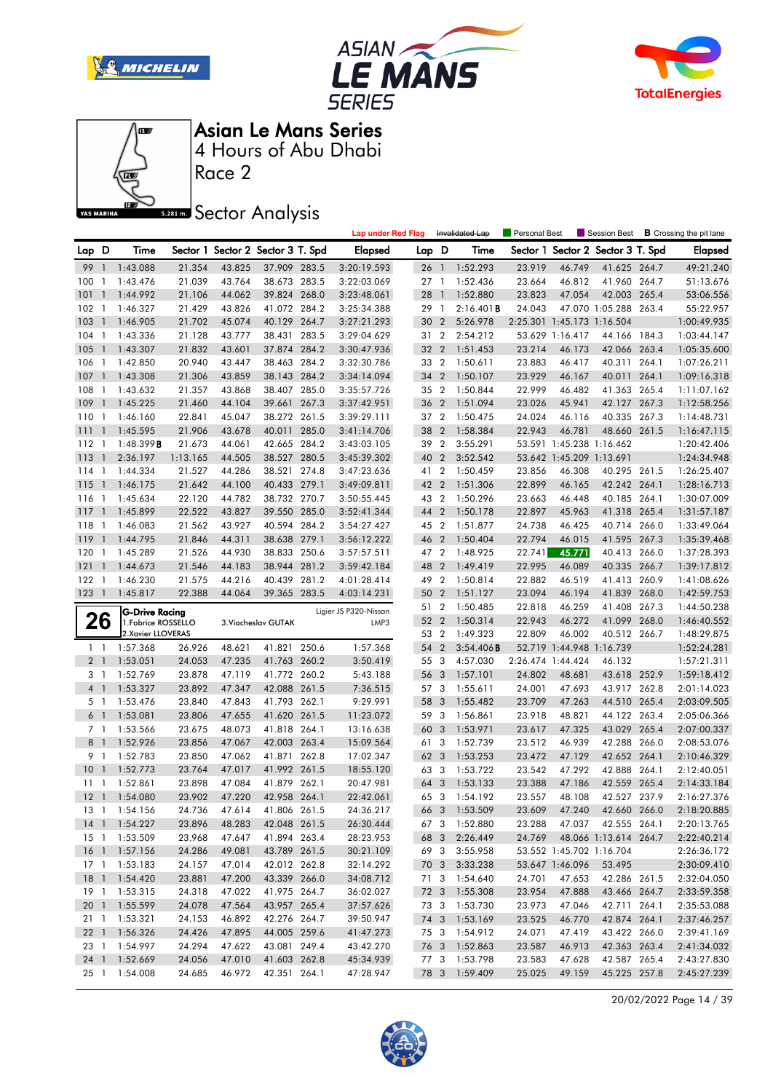







Race 2

**Sector Analysis** 

|                |                          |                                          |          |                                   |                     |       | <b>Lap under Red Flag</b> |                 |                | Invalidated Lap | Personal Best |                            | Session Best                      |       | <b>B</b> Crossing the pit lane |
|----------------|--------------------------|------------------------------------------|----------|-----------------------------------|---------------------|-------|---------------------------|-----------------|----------------|-----------------|---------------|----------------------------|-----------------------------------|-------|--------------------------------|
| Lap D          |                          | Time                                     |          | Sector 1 Sector 2 Sector 3 T. Spd |                     |       | <b>Elapsed</b>            | Lap D           |                | Time            |               |                            | Sector 1 Sector 2 Sector 3 T. Spd |       | <b>Elapsed</b>                 |
| 99             | $\overline{1}$           | 1:43.088                                 | 21.354   | 43.825                            | 37.909 283.5        |       | 3:20:19.593               | 26 <sub>1</sub> |                | 1:52.293        | 23.919        | 46.749                     | 41.625 264.7                      |       | 49:21.240                      |
| 100            | $\overline{1}$           | 1:43.476                                 | 21.039   | 43.764                            | 38.673 283.5        |       | 3:22:03.069               | 27 <sub>1</sub> |                | 1:52.436        | 23.664        | 46.812                     | 41.960 264.7                      |       | 51:13.676                      |
| 101            | $\overline{1}$           | 1:44.992                                 | 21.106   | 44.062                            | 39.824 268.0        |       | 3:23:48.061               | 28 1            |                | 1:52.880        | 23.823        | 47.054                     | 42.003 265.4                      |       | 53:06.556                      |
| 102            | $\overline{1}$           | 1:46.327                                 | 21.429   | 43.826                            | 41.072 284.2        |       | 3:25:34.388               | 29              | $\overline{1}$ | 2:16.401B       | 24.043        |                            | 47.070 1:05.288 263.4             |       | 55:22.957                      |
| 103            | $\overline{1}$           | 1:46.905                                 | 21.702   | 45.074                            | 40.129 264.7        |       | 3:27:21.293               | 30 <sub>2</sub> |                | 5:26.978        |               | 2:25.301 1:45.173 1:16.504 |                                   |       | 1:00:49.935                    |
| 104            | $\overline{1}$           | 1:43.336                                 | 21.128   | 43.777                            | 38.431 283.5        |       | 3:29:04.629               | 31 2            |                | 2:54.212        |               | 53.629 1:16.417            | 44.166 184.3                      |       | 1:03:44.147                    |
| 105            | $\overline{1}$           | 1:43.307                                 | 21.832   | 43.601                            | 37.874 284.2        |       | 3:30:47.936               | 32 2            |                | 1:51.453        | 23.214        | 46.173                     | 42.066 263.4                      |       | 1:05:35.600                    |
| 106            | $\overline{1}$           | 1:42.850                                 | 20.940   | 43.447                            | 38.463 284.2        |       | 3:32:30.786               | 33 2            |                | 1:50.611        | 23.883        | 46.417                     | 40.311 264.1                      |       | 1:07:26.211                    |
| 107            | $\overline{1}$           | 1:43.308                                 | 21.306   | 43.859                            | 38.143 284.2        |       | 3:34:14.094               | 34 2            |                | 1:50.107        | 23.929        | 46.167                     | 40.011 264.1                      |       | 1:09:16.318                    |
| 108            | $\overline{1}$           | 1:43.632                                 | 21.357   | 43.868                            | 38.407 285.0        |       | 3:35:57.726               | 35 2            |                | 1:50.844        | 22.999        | 46.482                     | 41.363 265.4                      |       | 1:11:07.162                    |
| 109            | $\mathbf{1}$             | 1:45.225                                 | 21.460   | 44.104                            | 39.661 267.3        |       | 3:37:42.951               | 36 2            |                | 1:51.094        | 23.026        | 45.941                     | 42.127 267.3                      |       | 1:12:58.256                    |
| 110            | $\overline{1}$           | 1:46.160                                 | 22.841   | 45.047                            | 38.272 261.5        |       | 3:39:29.111               | 37 2            |                | 1:50.475        | 24.024        | 46.116                     | 40.335 267.3                      |       | 1:14:48.731                    |
| 111            | $\mathbf{1}$             | 1:45.595                                 | 21.906   | 43.678                            | 40.011              | 285.0 | 3:41:14.706               | 38 2            |                | 1:58.384        | 22.943        | 46.781                     | 48.660 261.5                      |       | 1:16:47.115                    |
| 112            | $\overline{1}$           | $1:48.399$ <b>B</b>                      | 21.673   | 44.061                            | 42.665 284.2        |       | 3:43:03.105               | 39              | $\overline{2}$ | 3:55.291        |               | 53.591 1:45.238 1:16.462   |                                   |       | 1:20:42.406                    |
| 113            | $\overline{1}$           | 2:36.197                                 | 1:13.165 | 44.505                            | 38.527 280.5        |       | 3:45:39.302               | 40              | $\overline{2}$ | 3:52.542        |               | 53.642 1:45.209 1:13.691   |                                   |       | 1:24:34.948                    |
| 114            | $\overline{1}$           | 1:44.334                                 | 21.527   | 44.286                            | 38.521 274.8        |       | 3:47:23.636               | 41 2            |                | 1:50.459        | 23.856        | 46.308                     | 40.295 261.5                      |       | 1:26:25.407                    |
| 115            | $\overline{1}$           | 1:46.175                                 | 21.642   | 44.100                            | 40.433 279.1        |       | 3:49:09.811               | 42 2            |                | 1:51.306        | 22.899        | 46.165                     | 42.242 264.1                      |       | 1:28:16.713                    |
| 116            | $\overline{1}$           | 1:45.634                                 | 22.120   | 44.782                            | 38.732 270.7        |       | 3:50:55.445               | 43 2            |                | 1:50.296        | 23.663        | 46.448                     | 40.185 264.1                      |       | 1:30:07.009                    |
| 117            | $\mathbf{1}$             | 1:45.899                                 | 22.522   | 43.827                            | 39.550 285.0        |       | 3:52:41.344               | 44              | $\overline{2}$ | 1:50.178        | 22.897        | 45.963                     | 41.318 265.4                      |       | 1:31:57.187                    |
| 118            | $\overline{1}$           | 1:46.083                                 | 21.562   | 43.927                            | 40.594 284.2        |       | 3:54:27.427               | 45 2            |                | 1:51.877        | 24.738        | 46.425                     | 40.714 266.0                      |       | 1:33:49.064                    |
| 119            | $\mathbf{1}$             | 1:44.795                                 | 21.846   | 44.311                            | 38.638 279.1        |       | 3:56:12.222               | 46 2            |                | 1:50.404        | 22.794        | 46.015                     | 41.595 267.3                      |       | 1:35:39.468                    |
| 120            | $\overline{1}$           | 1:45.289                                 | 21.526   | 44.930                            | 38.833              | 250.6 | 3:57:57.511               | 47 2            |                | 1:48.925        | 22.741        | 45.771                     | 40.413                            | 266.0 | 1:37:28.393                    |
| 121            | $\mathbf{1}$             | 1:44.673                                 | 21.546   | 44.183                            | 38.944 281.2        |       | 3:59:42.184               | 48              | $\overline{2}$ | 1:49.419        | 22.995        | 46.089                     | 40.335 266.7                      |       | 1:39:17.812                    |
| 122            | $\overline{1}$           | 1:46.230                                 | 21.575   | 44.216                            | 40.439 281.2        |       | 4:01:28.414               | 49 2            |                | 1:50.814        | 22.882        | 46.519                     | 41.413 260.9                      |       | 1:41:08.626                    |
| 123            | $\overline{\phantom{a}}$ | 1:45.817                                 | 22.388   | 44.064                            | 39.365 283.5        |       | 4:03:14.231               | 50 2            |                | 1:51.127        | 23.094        | 46.194                     | 41.839 268.0                      |       | 1:42:59.753                    |
|                |                          |                                          |          |                                   |                     |       |                           | 51              | $\overline{2}$ | 1:50.485        | 22.818        | 46.259                     | 41.408                            | 267.3 | 1:44:50.238                    |
|                |                          |                                          |          |                                   |                     |       |                           |                 |                |                 |               |                            |                                   |       |                                |
|                |                          | G-Drive Racing                           |          |                                   |                     |       | Ligier JS P320-Nissan     | 52 2            |                | 1:50.314        | 22.943        | 46.272                     | 41.099 268.0                      |       | 1:46:40.552                    |
|                | 26                       | 1. Fabrice ROSSELLO<br>2.Xavier LLOVERAS |          |                                   | 3. Viacheslav GUTAK |       | LMP3                      | 53 2            |                | 1:49.323        | 22.809        | 46.002                     | 40.512 266.7                      |       | 1:48:29.875                    |
| $1\quad$       |                          | 1:57.368                                 | 26.926   | 48.621                            | 41.821 250.6        |       | 1:57.368                  | 54              | $\overline{2}$ | 3:54.406B       |               | 52.719 1:44.948 1:16.739   |                                   |       | 1:52:24.281                    |
| 2 <sub>1</sub> |                          | 1:53.051                                 | 24.053   | 47.235                            | 41.763 260.2        |       | 3:50.419                  | 55 3            |                | 4:57.030        |               | 2:26.474 1:44.424          | 46.132                            |       | 1:57:21.311                    |
| 3 1            |                          | 1:52.769                                 | 23.878   | 47.119                            | 41.772 260.2        |       | 5:43.188                  | 56              | 3              | 1:57.101        | 24.802        | 48.681                     | 43.618 252.9                      |       | 1:59:18.412                    |
| 4 <sup>1</sup> |                          | 1:53.327                                 | 23.892   | 47.347                            | 42.088 261.5        |       | 7:36.515                  | 57 3            |                | 1:55.611        | 24.001        | 47.693                     | 43.917 262.8                      |       | 2:01:14.023                    |
| 5 1            |                          | 1:53.476                                 | 23.840   | 47.843                            | 41.793 262.1        |       | 9:29.991                  | 58 3            |                | 1:55.482        | 23.709        | 47.263                     | 44.510 265.4                      |       | 2:03:09.505                    |
| 6 <sup>1</sup> |                          | 1:53.081                                 | 23.806   | 47.655                            | 41.620 261.5        |       | 11:23.072                 | 59 3            |                | 1:56.861        | 23.918        | 48.821                     | 44.122                            | 263.4 | 2:05:06.366                    |
| 7 1            |                          | 1:53.566                                 | 23.675   | 48.073                            | 41.818 264.1        |       | 13:16.638                 | 60              | 3              | 1:53.971        | 23.617        | 47.325                     | 43.029 265.4                      |       | 2:07:00.337                    |
| 8              | $\overline{1}$           | 1:52.926                                 | 23.856   | 47.067                            | 42.003 263.4        |       | 15:09.564                 | 61 3            |                | 1:52.739        | 23.512        | 46.939                     | 42.288 266.0                      |       | 2:08:53.076                    |
| 9 1            |                          | 1:52.783                                 | 23.850   | 47.062                            | 41.871 262.8        |       | 17:02.347                 | 62 3            |                | 1:53.253        | 23.472        | 47.129                     | 42.652 264.1                      |       | 2:10:46.329                    |
| 10             | $\overline{1}$           | 1:52.773                                 | 23.764   | 47.017                            | 41.992 261.5        |       | 18:55.120                 | 63 3            |                | 1:53.722        | 23.542        | 47.292                     | 42.888 264.1                      |       | 2:12:40.051                    |
| 11             | $\overline{1}$           | 1:52.861                                 | 23.898   | 47.084                            | 41.879 262.1        |       | 20:47.981                 | 64              | 3              | 1:53.133        | 23.388        | 47.186                     | 42.559 265.4                      |       | 2:14:33.184                    |
|                |                          | 12 1 1:54.080                            | 23.902   | 47.220                            | 42.958 264.1        |       | 22:42.061                 | 65 3            |                | 1:54.192        | 23.557        | 48.108                     | 42.527 237.9                      |       | 2:16:27.376                    |
|                |                          | 13 1 1:54.156                            | 24.736   | 47.614                            | 41.806 261.5        |       | 24:36.217                 |                 |                | 66 3 1:53.509   | 23.609        |                            | 47.240  42.660  266.0             |       | 2:18:20.885                    |
|                |                          | 14 1 1:54.227                            | 23.896   | 48.283                            | 42.048 261.5        |       | 26:30.444                 |                 |                | 67 3 1:52.880   | 23.288        |                            | 47.037 42.555 264.1               |       | 2:20:13.765                    |
|                |                          | 15 1 1:53.509                            | 23.968   | 47.647                            | 41.894 263.4        |       | 28:23.953                 | 68 3            |                | 2:26.449        | 24.769        |                            | 48.066 1:13.614 264.7             |       | 2:22:40.214                    |
|                |                          | 16 1 1:57.156                            | 24.286   | 49.081                            | 43.789 261.5        |       | 30:21.109                 |                 | 69 3           | 3:55.958        |               | 53.552 1:45.702 1:16.704   |                                   |       | 2:26:36.172                    |
|                |                          | 17 1 1:53.183                            | 24.157   | 47.014                            | 42.012 262.8        |       | 32:14.292                 |                 |                | 70 3 3:33.238   |               | 53.647 1:46.096            | 53.495                            |       | 2:30:09.410                    |
|                |                          | 18 1 1:54.420                            | 23.881   | 47.200                            | 43.339 266.0        |       | 34:08.712                 | 71 3            |                | 1:54.640        | 24.701        | 47.653                     | 42.286 261.5                      |       | 2:32:04.050                    |
|                |                          | 19 1 1:53.315                            | 24.318   | 47.022                            | 41.975 264.7        |       | 36:02.027                 |                 |                | 72 3 1:55.308   | 23.954        | 47.888                     | 43.466 264.7                      |       | 2:33:59.358                    |
|                |                          | 20 1 1:55.599                            | 24.078   | 47.564                            | 43.957 265.4        |       | 37:57.626                 |                 |                | 73 3 1:53.730   | 23.973        | 47.046                     | 42.711 264.1                      |       | 2:35:53.088                    |
|                |                          | 21 1 1:53.321                            | 24.153   | 46.892                            | 42.276 264.7        |       | 39:50.947                 |                 |                | 74 3 1:53.169   | 23.525        | 46.770                     | 42.874 264.1                      |       | 2:37:46.257                    |
|                |                          | 22 1 1:56.326                            | 24.426   | 47.895                            | 44.005 259.6        |       | 41:47.273                 | 75 3            |                | 1:54.912        | 24.071        | 47.419                     | 43.422 266.0                      |       | 2:39:41.169                    |
|                |                          | 23 1 1:54.997                            | 24.294   | 47.622                            | 43.081 249.4        |       | 43:42.270                 |                 |                | 76 3 1:52.863   | 23.587        | 46.913                     | 42.363 263.4                      |       | 2:41:34.032                    |
|                |                          | 24 1 1:52.669                            | 24.056   | 47.010                            | 41.603 262.8        |       | 45:34.939                 |                 |                | 77 3 1:53.798   | 23.583        | 47.628                     | 42.587 265.4                      |       | 2:43:27.830                    |
|                |                          | 25 1 1:54.008                            | 24.685   | 46.972                            | 42.351 264.1        |       | 47:28.947                 |                 |                | 78 3 1:59.409   | 25.025        | 49.159                     | 45.225 257.8                      |       | 2:45:27.239                    |

20/02/2022 Page 14 / 39

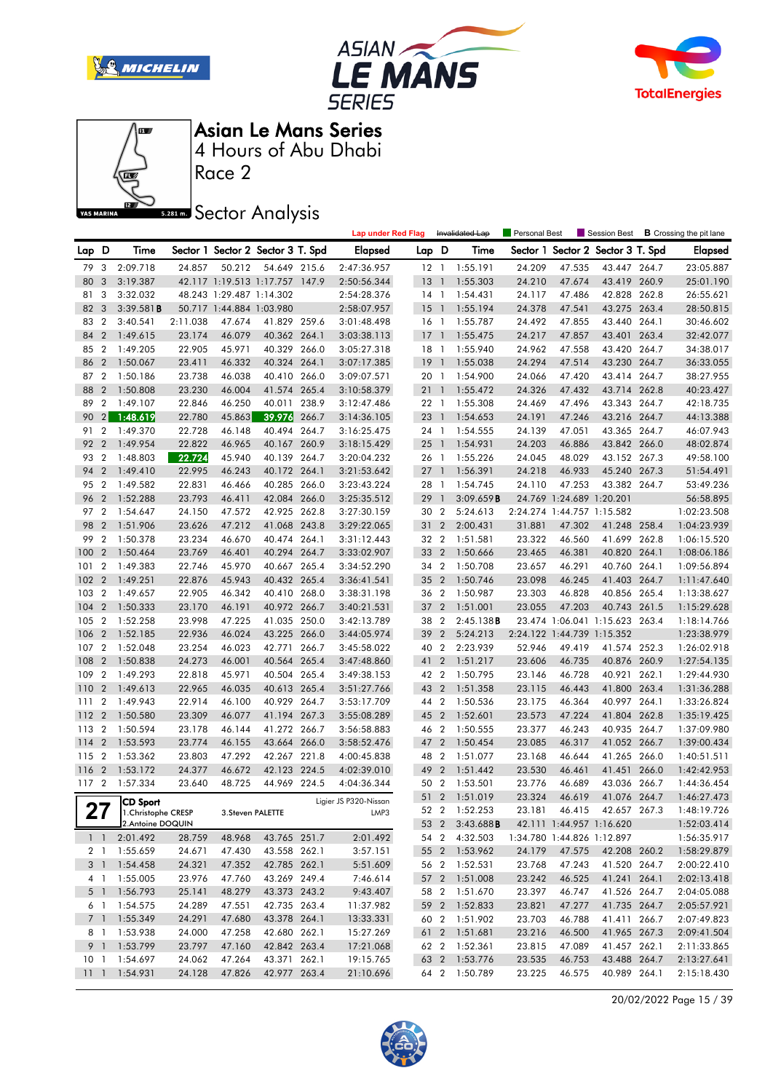







Race 2

**S281ms** Sector Analysis

|                 |                  |                      |                  |                          |                                   |       | <b>Lap under Red Flag</b> |       |                          | Invalidated Lap                | <b>Personal Best</b> |                          |                                   |       | Session Best <b>B</b> Crossing the pit lane |
|-----------------|------------------|----------------------|------------------|--------------------------|-----------------------------------|-------|---------------------------|-------|--------------------------|--------------------------------|----------------------|--------------------------|-----------------------------------|-------|---------------------------------------------|
| Lap             | D                | Time                 |                  |                          | Sector 1 Sector 2 Sector 3 T. Spd |       | <b>Elapsed</b>            | Lap D |                          | Time                           |                      |                          | Sector 1 Sector 2 Sector 3 T. Spd |       | <b>Elapsed</b>                              |
| 79              | 3                | 2:09.718             | 24.857           | 50.212                   | 54.649 215.6                      |       | 2:47:36.957               |       |                          | 12 1 1:55.191                  | 24.209               | 47.535                   | 43.447 264.7                      |       | 23:05.887                                   |
| 80              | 3                | 3:19.387             |                  |                          | 42.117 1:19.513 1:17.757 147.9    |       | 2:50:56.344               | 13    | $\overline{1}$           | 1:55.303                       | 24.210               | 47.674                   | 43.419 260.9                      |       | 25:01.190                                   |
| 81              | 3                | 3:32.032             |                  | 48.243 1:29.487 1:14.302 |                                   |       | 2:54:28.376               |       |                          | 14 1 1:54.431                  | 24.117               | 47.486                   | 42.828 262.8                      |       | 26:55.621                                   |
| 82              | 3                | 3:39.581B            |                  | 50.717 1:44.884 1:03.980 |                                   |       | 2:58:07.957               | 15    | $\blacksquare$           | 1:55.194                       | 24.378               | 47.541                   | 43.275 263.4                      |       | 28:50.815                                   |
| 83              | $\overline{2}$   | 3:40.541             | 2:11.038         | 47.674                   | 41.829 259.6                      |       | 3:01:48.498               | 16    | $\overline{1}$           | 1:55.787                       | 24.492               | 47.855                   | 43.440 264.1                      |       | 30:46.602                                   |
| 84              | $\overline{2}$   | 1:49.615             | 23.174           | 46.079                   | 40.362 264.1                      |       | 3:03:38.113               | 17    | $\overline{\phantom{a}}$ | 1:55.475                       | 24.217               | 47.857                   | 43.401 263.4                      |       | 32:42.077                                   |
| 85              | $\overline{2}$   | 1:49.205             | 22.905           | 45.971                   | 40.329 266.0                      |       | 3:05:27.318               |       |                          | 18 1 1:55.940                  | 24.962               | 47.558                   | 43.420 264.7                      |       | 34:38.017                                   |
| 86              | $\overline{2}$   | 1:50.067             | 23.411           | 46.332                   | 40.324 264.1                      |       | 3:07:17.385               | 19    | $\overline{1}$           | 1:55.038                       | 24.294               | 47.514                   | 43.230 264.7                      |       | 36:33.055                                   |
| 87              | $\overline{2}$   | 1:50.186             | 23.738           | 46.038                   | 40.410 266.0                      |       | 3:09:07.571               | 20    | $\overline{1}$           | 1:54.900                       | 24.066               | 47.420                   | 43.414 264.7                      |       | 38:27.955                                   |
| 88              | $\overline{2}$   | 1:50.808             | 23.230           | 46.004                   | 41.574 265.4                      |       | 3:10:58.379               | 21    | $\overline{1}$           | 1:55.472                       | 24.326               | 47.432                   | 43.714 262.8                      |       | 40:23.427                                   |
| 89              | $\overline{2}$   | 1:49.107             | 22.846           | 46.250                   | 40.011 238.9                      |       | 3:12:47.486               | 22 1  |                          | 1:55.308                       | 24.469               | 47.496                   | 43.343 264.7                      |       | 42:18.735                                   |
| 90              | 2 <sub>1</sub>   | 1:48.619             | 22.780           | 45.863                   | 39.976                            | 266.7 | 3:14:36.105               | 23    | $\overline{1}$           | 1:54.653                       | 24.191               | 47.246                   | 43.216 264.7                      |       | 44:13.388                                   |
| 91              | 2                | 1:49.370             | 22.728           | 46.148                   | 40.494 264.7                      |       | 3:16:25.475               | 24    | $\overline{1}$           | 1:54.555                       | 24.139               | 47.051                   | 43.365 264.7                      |       | 46:07.943                                   |
| 92              | $\overline{2}$   | 1:49.954             | 22.822           | 46.965                   | 40.167 260.9                      |       | 3:18:15.429               | 25    | $\overline{\phantom{a}}$ | 1:54.931                       | 24.203               | 46.886                   | 43.842 266.0                      |       | 48:02.874                                   |
| 93              | $\overline{2}$   | 1:48.803             | 22.724           | 45.940                   | 40.139 264.7                      |       | 3:20:04.232               | 26 1  |                          | 1:55.226                       | 24.045               | 48.029                   | 43.152 267.3                      |       | 49:58.100                                   |
| 94              | $\overline{2}$   | 1:49.410             | 22.995           | 46.243                   | 40.172 264.1                      |       | 3:21:53.642               | 27    | $\overline{1}$           | 1:56.391                       | 24.218               | 46.933                   | 45.240 267.3                      |       | 51:54.491                                   |
| 95              | $\overline{2}$   | 1:49.582             | 22.831           | 46.466                   | 40.285 266.0                      |       | 3:23:43.224               | 28    | $\overline{1}$           | 1:54.745                       | 24.110               | 47.253                   | 43.382 264.7                      |       | 53:49.236                                   |
| 96              | $\overline{2}$   | 1:52.288             | 23.793           | 46.411                   | 42.084 266.0                      |       | 3:25:35.512               | 29    | $\overline{\phantom{a}}$ | 3:09.659B                      |                      | 24.769 1:24.689 1:20.201 |                                   |       | 56:58.895                                   |
| 97 2            |                  | 1:54.647             | 24.150           | 47.572                   | 42.925 262.8                      |       | 3:27:30.159               | 30 2  |                          | 5:24.613                       |                      |                          | 2:24.274 1:44.757 1:15.582        |       | 1:02:23.508                                 |
| 98              | $\overline{2}$   | 1:51.906             | 23.626           | 47.212                   | 41.068 243.8                      |       | 3:29:22.065               | 31    | $\overline{2}$           | 2:00.431                       | 31.881               | 47.302                   | 41.248 258.4                      |       | 1:04:23.939                                 |
| 99              | $\boldsymbol{2}$ | 1:50.378             | 23.234           | 46.670                   | 40.474 264.1                      |       | 3:31:12.443               | 32    | $\overline{2}$           | 1:51.581                       | 23.322               | 46.560                   | 41.699 262.8                      |       | 1:06:15.520                                 |
| 100             | $\overline{2}$   | 1:50.464             | 23.769           | 46.401                   | 40.294 264.7                      |       | 3:33:02.907               | 33    | $\overline{2}$           | 1:50.666                       | 23.465               | 46.381                   | 40.820 264.1                      |       | 1:08:06.186                                 |
| 101             | 2                | 1:49.383             | 22.746           | 45.970                   | 40.667 265.4                      |       | 3:34:52.290               | 34 2  |                          | 1:50.708                       | 23.657               | 46.291                   | 40.760 264.1                      |       | 1:09:56.894                                 |
| 102             | $\overline{2}$   | 1:49.251             | 22.876           | 45.943                   | 40.432 265.4                      |       | 3:36:41.541               | 35    | $\overline{2}$           | 1:50.746                       | 23.098               | 46.245                   | 41.403 264.7                      |       | 1:11:47.640                                 |
| 103             | 2                | 1:49.657             | 22.905           | 46.342                   | 40.410 268.0                      |       | 3:38:31.198               | 36    | $\overline{2}$           | 1:50.987                       | 23.303               | 46.828                   | 40.856 265.4                      |       | 1:13:38.627                                 |
| 104             | $\overline{2}$   | 1:50.333             | 23.170           | 46.191                   | 40.972 266.7                      |       | 3:40:21.531               | 37    | $\overline{2}$           | 1:51.001                       | 23.055               | 47.203                   | 40.743 261.5                      |       | 1:15:29.628                                 |
| 105             | $\overline{2}$   | 1:52.258             | 23.998           | 47.225                   | 41.035 250.0                      |       | 3:42:13.789               | 38    | $\overline{2}$           | 2:45.138B                      |                      |                          | 23.474 1:06.041 1:15.623 263.4    |       | 1:18:14.766                                 |
| 106             | $\overline{2}$   | 1:52.185             | 22.936           | 46.024                   | 43.225 266.0                      |       | 3:44:05.974               | 39    | $\overline{2}$           | 5:24.213                       |                      |                          | 2:24.122 1:44.739 1:15.352        |       | 1:23:38.979                                 |
| 107             | 2                | 1:52.048             | 23.254           | 46.023                   | 42.771                            | 266.7 | 3:45:58.022               | 40    | $\overline{2}$           | 2:23.939                       | 52.946               | 49.419                   | 41.574 252.3                      |       | 1:26:02.918                                 |
| 108             | $\overline{2}$   | 1:50.838             | 24.273           | 46.001                   | 40.564 265.4                      |       | 3:47:48.860               | 41    | $\overline{2}$           | 1:51.217                       | 23.606               | 46.735                   | 40.876 260.9                      |       | 1:27:54.135                                 |
| 109             | $\overline{2}$   | 1:49.293             | 22.818           | 45.971                   | 40.504 265.4                      |       | 3:49:38.153               | 42    | $\overline{2}$           | 1:50.795                       | 23.146               | 46.728                   | 40.921                            | 262.1 | 1:29:44.930                                 |
| 110             | $\overline{2}$   | 1:49.613             | 22.965           | 46.035                   | 40.613 265.4                      |       | 3:51:27.766               | 43    | $\overline{2}$           | 1:51.358                       | 23.115               | 46.443                   | 41.800 263.4                      |       | 1:31:36.288                                 |
| 111             | 2                | 1:49.943             | 22.914           | 46.100                   | 40.929 264.7                      |       | 3:53:17.709               | 44    | $\overline{2}$           | 1:50.536                       | 23.175               | 46.364                   | 40.997                            | 264.1 | 1:33:26.824                                 |
| 112             | $\overline{2}$   | 1:50.580             | 23.309           | 46.077                   | 41.194 267.3                      |       | 3:55:08.289               | 45    | $\overline{2}$           | 1:52.601                       | 23.573               | 47.224                   | 41.804 262.8                      |       | 1:35:19.425                                 |
| 113             | $\boldsymbol{2}$ | 1:50.594             | 23.178           | 46.144                   | 41.272 266.7                      |       | 3:56:58.883               | 46    | $\overline{2}$           | 1:50.555                       | 23.377               | 46.243                   | 40.935 264.7                      |       | 1:37:09.980                                 |
| 114             | $\overline{2}$   | 1:53.593             | 23.774           | 46.155                   | 43.664 266.0                      |       | 3:58:52.476               | 47    | $\overline{2}$           | 1:50.454                       | 23.085               | 46.317                   | 41.052 266.7                      |       | 1:39:00.434                                 |
| 115             | $\boldsymbol{2}$ | 1:53.362             | 23.803           | 47.292                   | 42.267 221.8                      |       | 4:00:45.838               | 48    | $\overline{2}$           | 1:51.077                       | 23.168               | 46.644                   | 41.265 266.0                      |       | 1:40:51.511                                 |
| 116             | $\overline{2}$   | 1:53.172             | 24.377           | 46.672                   | 42.123 224.5                      |       | 4:02:39.010               | 49    | $\overline{2}$           | 1:51.442                       | 23.530               | 46.461                   | 41.451 266.0                      |       | 1:42:42.953                                 |
| 117 2           |                  | 1:57.334             | 23.640           | 48.725                   | 44.969 224.5                      |       | 4:04:36.344               | 50    | $\overline{2}$           | 1:53.501                       | 23.776               | 46.689                   | 43.036 266.7                      |       | 1:44:36.454                                 |
| クフ              |                  | <b>CD Sport</b>      |                  |                          |                                   |       | Ligier JS P320-Nissan     |       |                          | 51 2 1:51.019                  | 23.324               | 46.619                   | 41.076 264.7                      |       | 1:46:27.473                                 |
| Z I             |                  | 1. Christophe CRESP  |                  | 3.Steven PALETTE         |                                   |       | LMP3                      |       |                          | 52 2 1:52.253                  | 23.181               | 46.415                   | 42.657 267.3                      |       | 1:48:19.726                                 |
|                 |                  | 2.Antoine DOQUIN     |                  |                          |                                   |       |                           |       |                          | 53 2 3:43.688 <b>B</b>         |                      |                          | 42.111 1:44.957 1:16.620          |       | 1:52:03.414                                 |
|                 |                  | 1 1 2:01.492         | 28.759           | 48.968                   | 43.765 251.7                      |       | 2:01.492                  |       |                          | 54 2 4:32.503                  |                      |                          | 1:34.780 1:44.826 1:12.897        |       | 1:56:35.917                                 |
|                 |                  | 2 1 1:55.659         | 24.671           | 47.430                   | 43.558 262.1                      |       | 3:57.151                  |       |                          | 55 2 1:53.962                  | 24.179               | 47.575                   | 42.208 260.2                      |       | 1:58:29.879                                 |
|                 |                  | 3 1 1:54.458         | 24.321           | 47.352                   | 42.785 262.1                      |       | 5:51.609                  |       |                          | 56 2 1:52.531                  | 23.768               | 47.243                   | 41.520 264.7                      |       | 2:00:22.410                                 |
|                 |                  | 4 1 1:55.005         | 23.976           | 47.760                   | 43.269 249.4                      |       | 7:46.614                  |       |                          | 57 2 1:51.008                  | 23.242               | 46.525                   | 41.241 264.1                      |       | 2:02:13.418                                 |
|                 | 5 <sup>1</sup>   | 1:56.793             | 25.141           | 48.279                   | 43.373 243.2                      |       | 9:43.407                  |       |                          | 58 2 1:51.670                  | 23.397               | 46.747                   | 41.526 264.7                      |       | 2:04:05.088                                 |
| 7 <sup>1</sup>  | 6 1              | 1:54.575<br>1:55.349 | 24.289           | 47.551<br>47.680         | 42.735 263.4<br>43.378 264.1      |       | 11:37.982                 |       |                          | 59 2 1:52.833<br>60 2 1:51.902 | 23.821               | 47.277                   | 41.735 264.7                      |       | 2:05:57.921                                 |
|                 | 8 1              | 1:53.938             | 24.291<br>24.000 | 47.258                   | 42.680 262.1                      |       | 13:33.331<br>15:27.269    |       |                          |                                | 23.703<br>23.216     | 46.788<br>46.500         | 41.411 266.7<br>41.965 267.3      |       | 2:07:49.823                                 |
|                 |                  | 9 1 1:53.799         | 23.797           | 47.160                   | 42.842 263.4                      |       | 17:21.068                 |       |                          | 61 2 1:51.681<br>62 2 1:52.361 | 23.815               | 47.089                   | 41.457 262.1                      |       | 2:09:41.504<br>2:11:33.865                  |
| 10 <sub>1</sub> |                  | 1:54.697             | 24.062           | 47.264                   | 43.371 262.1                      |       | 19:15.765                 |       |                          | 63 2 1:53.776                  | 23.535               | 46.753                   | 43.488 264.7                      |       | 2:13:27.641                                 |
| $11 \quad 1$    |                  | 1:54.931             | 24.128           | 47.826                   | 42.977 263.4                      |       | 21:10.696                 |       |                          | 64 2 1:50.789                  | 23.225               | 46.575                   | 40.989 264.1                      |       | 2:15:18.430                                 |
|                 |                  |                      |                  |                          |                                   |       |                           |       |                          |                                |                      |                          |                                   |       |                                             |

20/02/2022 Page 15 / 39

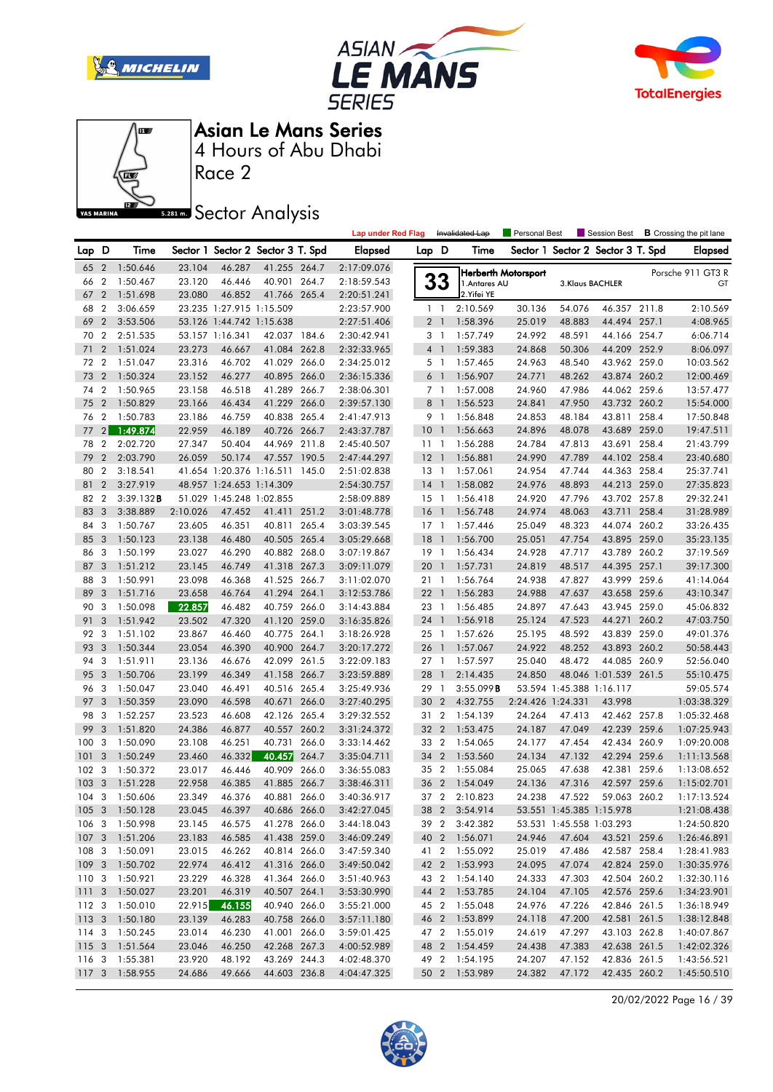







Race 2

### **Sector Analysis**

|                  |                         |                |          |                          |                                   |       | <b>Lap under Red Flag</b> |        |                | Invalidated Lap | Personal Best       |                          | Session Best                      |       | <b>B</b> Crossing the pit lane |
|------------------|-------------------------|----------------|----------|--------------------------|-----------------------------------|-------|---------------------------|--------|----------------|-----------------|---------------------|--------------------------|-----------------------------------|-------|--------------------------------|
| Lap D            |                         | Time           |          |                          | Sector 1 Sector 2 Sector 3 T. Spd |       | <b>Elapsed</b>            | Lap D  |                | Time            |                     |                          | Sector 1 Sector 2 Sector 3 T. Spd |       | <b>Elapsed</b>                 |
|                  |                         | 65 2 1:50.646  | 23.104   | 46.287                   | 41.255 264.7                      |       | 2:17:09.076               |        |                |                 | Herberth Motorsport |                          |                                   |       | Porsche 911 GT3 R              |
| 66               | $\overline{2}$          | 1:50.467       | 23.120   | 46.446                   | 40.901 264.7                      |       | 2:18:59.543               |        | <b>33</b>      | 1. Antares AU   |                     | 3.Klaus BACHLER          |                                   |       | GT                             |
| 67               | $\overline{2}$          | 1:51.698       | 23.080   | 46.852                   | 41.766 265.4                      |       | 2:20:51.241               |        |                | 2. Yifei YE     |                     |                          |                                   |       |                                |
| 68               | $\overline{2}$          | 3:06.659       |          | 23.235 1:27.915 1:15.509 |                                   |       | 2:23:57.900               |        | $1\quad$       | 2:10.569        | 30.136              | 54.076                   | 46.357 211.8                      |       | 2:10.569                       |
| 69               | $\overline{2}$          | 3:53.506       |          | 53.126 1:44.742 1:15.638 |                                   |       | 2:27:51.406               |        | 2 <sub>1</sub> | 1:58.396        | 25.019              | 48.883                   | 44.494 257.1                      |       | 4:08.965                       |
| 70               | $\overline{2}$          | 2:51.535       |          | 53.157 1:16.341          | 42.037 184.6                      |       | 2:30:42.941               |        | 3 <sub>1</sub> | 1:57.749        | 24.992              | 48.591                   | 44.166 254.7                      |       | 6:06.714                       |
| 71               | $\overline{2}$          | 1:51.024       | 23.273   | 46.667                   | 41.084 262.8                      |       | 2:32:33.965               |        | 4 <sup>1</sup> | 1:59.383        | 24.868              | 50.306                   | 44.209 252.9                      |       | 8:06.097                       |
| 72 2             |                         | 1:51.047       | 23.316   | 46.702                   | 41.029 266.0                      |       | 2:34:25.012               |        | 5 1            | 1:57.465        | 24.963              | 48.540                   | 43.962 259.0                      |       | 10:03.562                      |
| 73               | $\overline{2}$          | 1:50.324       | 23.152   | 46.277                   | 40.895 266.0                      |       | 2:36:15.336               |        | 6 <sup>1</sup> | 1:56.907        | 24.771              | 48.262                   | 43.874 260.2                      |       | 12:00.469                      |
| 74               | $\overline{2}$          | 1:50.965       | 23.158   | 46.518                   | 41.289 266.7                      |       | 2:38:06.301               |        | 7 <sub>1</sub> | 1:57.008        | 24.960              | 47.986                   | 44.062 259.6                      |       | 13:57.477                      |
| 75               | $\overline{2}$          | 1:50.829       | 23.166   | 46.434                   | 41.229 266.0                      |       | 2:39:57.130               |        | 8 <sup>1</sup> | 1:56.523        | 24.841              | 47.950                   | 43.732 260.2                      |       | 15:54.000                      |
| 76               | $\overline{2}$          | 1:50.783       | 23.186   | 46.759                   | 40.838 265.4                      |       | 2:41:47.913               |        | 9 1            | 1:56.848        | 24.853              | 48.184                   | 43.811 258.4                      |       | 17:50.848                      |
| 77               | 2                       | 1:49.874       | 22.959   | 46.189                   | 40.726 266.7                      |       | 2:43:37.787               | $10-1$ |                | 1:56.663        | 24.896              | 48.078                   | 43.689 259.0                      |       | 19:47.511                      |
| 78               | $\overline{2}$          | 2:02.720       | 27.347   | 50.404                   | 44.969 211.8                      |       | 2:45:40.507               | 1111   |                | 1:56.288        | 24.784              | 47.813                   | 43.691 258.4                      |       | 21:43.799                      |
| 79               | $\overline{2}$          | 2:03.790       | 26.059   | 50.174                   | 47.557 190.5                      |       | 2:47:44.297               | $12-1$ |                | 1:56.881        | 24.990              | 47.789                   | 44.102 258.4                      |       | 23:40.680                      |
| 80               | $\overline{2}$          | 3:18.541       |          |                          | 41.654 1:20.376 1:16.511 145.0    |       | 2:51:02.838               | $13-1$ |                | 1:57.061        | 24.954              | 47.744                   | 44.363 258.4                      |       | 25:37.741                      |
| 81               | $\overline{2}$          | 3:27.919       |          | 48.957 1:24.653 1:14.309 |                                   |       | 2:54:30.757               | $14-1$ |                | 1:58.082        | 24.976              | 48.893                   | 44.213 259.0                      |       | 27:35.823                      |
| 82               | $\overline{2}$          | $3:39.132$ B   |          | 51.029 1:45.248 1:02.855 |                                   |       | 2:58:09.889               | $15-1$ |                | 1:56.418        | 24.920              | 47.796                   | 43.702 257.8                      |       | 29:32.241                      |
| 83               | 3                       | 3:38.889       | 2:10.026 | 47.452                   | 41.411 251.2                      |       | 3:01:48.778               | 16     | $\overline{1}$ | 1:56.748        | 24.974              | 48.063                   | 43.711                            | 258.4 | 31:28.989                      |
| 84               | 3                       | 1:50.767       | 23.605   | 46.351                   | 40.811 265.4                      |       | 3:03:39.545               | $17-1$ |                | 1:57.446        | 25.049              | 48.323                   | 44.074 260.2                      |       | 33:26.435                      |
| 85               | 3                       | 1:50.123       | 23.138   | 46.480                   | 40.505 265.4                      |       | 3:05:29.668               | $18-1$ |                | 1:56.700        | 25.051              | 47.754                   | 43.895 259.0                      |       | 35:23.135                      |
| 86               | 3                       | 1:50.199       | 23.027   | 46.290                   | 40.882 268.0                      |       | 3:07:19.867               | $19-1$ |                | 1:56.434        | 24.928              | 47.717                   | 43.789 260.2                      |       | 37:19.569                      |
| 87               | 3                       | 1:51.212       | 23.145   | 46.749                   | 41.318 267.3                      |       | 3:09:11.079               | 20     | $\overline{1}$ | 1:57.731        | 24.819              | 48.517                   | 44.395 257.1                      |       | 39:17.300                      |
| 88               | 3                       | 1:50.991       | 23.098   | 46.368                   | 41.525 266.7                      |       | 3:11:02.070               | 21 1   |                | 1:56.764        | 24.938              | 47.827                   | 43.999 259.6                      |       | 41:14.064                      |
| 89               | 3                       | 1:51.716       | 23.658   | 46.764                   | 41.294 264.1                      |       | 3:12:53.786               | $22$ 1 |                | 1:56.283        | 24.988              | 47.637                   | 43.658 259.6                      |       | 43:10.347                      |
| 90               | 3                       | 1:50.098       | 22.857   | 46.482                   | 40.759 266.0                      |       | 3:14:43.884               | 23 1   |                | 1:56.485        | 24.897              | 47.643                   | 43.945 259.0                      |       | 45:06.832                      |
| 91               | 3                       | 1:51.942       | 23.502   | 47.320                   | 41.120 259.0                      |       | 3:16:35.826               | 24 1   |                | 1:56.918        | 25.124              | 47.523                   | 44.271                            | 260.2 | 47:03.750                      |
| 92               | 3                       | 1:51.102       | 23.867   | 46.460                   | 40.775 264.1                      |       | 3:18:26.928               | 25 1   |                | 1:57.626        | 25.195              | 48.592                   | 43.839 259.0                      |       | 49:01.376                      |
| 93               | 3                       | 1:50.344       | 23.054   | 46.390                   | 40.900 264.7                      |       | 3:20:17.272               | 26 1   |                | 1:57.067        | 24.922              | 48.252                   | 43.893 260.2                      |       | 50:58.443                      |
| 94               | 3                       | 1:51.911       | 23.136   | 46.676                   | 42.099                            | 261.5 | 3:22:09.183               | $27-1$ |                | 1:57.597        | 25.040              | 48.472                   | 44.085 260.9                      |       | 52:56.040                      |
| 95               | $\overline{3}$          | 1:50.706       | 23.199   | 46.349                   | 41.158 266.7                      |       | 3:23:59.889               | 28     | $\mathbf{1}$   | 2:14.435        | 24.850              |                          | 48.046 1:01.539 261.5             |       | 55:10.475                      |
| 96               | - 3                     | 1:50.047       | 23.040   | 46.491                   | 40.516 265.4                      |       | 3:25:49.936               | 29 1   |                | 3:55.099B       |                     | 53.594 1:45.388 1:16.117 |                                   |       | 59:05.574                      |
| 97               | 3                       | 1:50.359       | 23.090   | 46.598                   | 40.671                            | 266.0 | 3:27:40.295               | 30 2   |                | 4:32.755        | 2:24.426 1:24.331   |                          | 43.998                            |       | 1:03:38.329                    |
| 98               | 3                       | 1:52.257       | 23.523   | 46.608                   | 42.126 265.4                      |       | 3:29:32.552               | 31 2   |                | 1:54.139        | 24.264              | 47.413                   | 42.462 257.8                      |       | 1:05:32.468                    |
| 99               | 3                       | 1:51.820       | 24.386   | 46.877                   | 40.557 260.2                      |       | 3:31:24.372               | 32 2   |                | 1:53.475        | 24.187              | 47.049                   | 42.239 259.6                      |       | 1:07:25.943                    |
| 100              | 3                       | 1:50.090       | 23.108   | 46.251                   | 40.731                            | 266.0 | 3:33:14.462               | 33 2   |                | 1:54.065        | 24.177              | 47.454                   | 42.434 260.9                      |       | 1:09:20.008                    |
| 101              | 3                       | 1:50.249       | 23.460   | 46.332                   | 40.457                            | 264.7 | 3:35:04.711               | 34 2   |                | 1:53.560        | 24.134              | 47.132                   | 42.294 259.6                      |       | 1:11:13.568                    |
| 102              | -3                      | 1:50.372       | 23.017   | 46.446                   | 40.909                            | 266.0 | 3:36:55.083               | 35 2   |                | 1:55.084        | 25.065              | 47.638                   | 42.381                            | 259.6 | 1:13:08.652                    |
| 103              | $\overline{3}$          | 1:51.228       | 22.958   | 46.385                   | 41.885 266.7                      |       | 3:38:46.311               | 36     | $\overline{2}$ | 1:54.049        | 24.136              | 47.316                   | 42.597 259.6                      |       | 1:15:02.701                    |
| $104 \quad 3$    |                         | 1:50.606       | 23.349   | 46.376                   | 40.881 266.0                      |       | 3:40:36.917               |        | 37 2           | 2:10.823        | 24.238              | 47.522                   | 59.063 260.2                      |       | 1:17:13.524                    |
|                  |                         | 105 3 1:50.128 | 23.045   | 46.397                   | 40.686 266.0                      |       | 3:42:27.045               |        |                | 38 2 3:54.914   |                     | 53.551 1:45.385 1:15.978 |                                   |       | 1:21:08.438                    |
|                  |                         | 106 3 1:50.998 | 23.145   | 46.575                   | 41.278 266.0                      |       | 3:44:18.043               |        |                | 39 2 3:42.382   |                     | 53.531 1:45.558 1:03.293 |                                   |       | 1:24:50.820                    |
| 107 <sub>3</sub> |                         | 1:51.206       | 23.183   | 46.585                   | 41.438 259.0                      |       | 3:46:09.249               |        |                | 40 2 1:56.071   | 24.946              | 47.604                   | 43.521 259.6                      |       | 1:26:46.891                    |
|                  |                         | 108 3 1:50.091 | 23.015   | 46.262                   | 40.814 266.0                      |       | 3:47:59.340               |        |                | 41 2 1:55.092   | 25.019              | 47.486                   | 42.587 258.4                      |       | 1:28:41.983                    |
|                  |                         | 109 3 1:50.702 | 22.974   | 46.412                   | 41.316 266.0                      |       | 3:49:50.042               |        |                | 42 2 1:53.993   | 24.095              | 47.074                   | 42.824 259.0                      |       | 1:30:35.976                    |
| 110              | $\overline{\mathbf{3}}$ | 1:50.921       | 23.229   | 46.328                   | 41.364 266.0                      |       | 3:51:40.963               |        | 43 2           | 1:54.140        | 24.333              | 47.303                   | 42.504 260.2                      |       | 1:32:30.116                    |
| 1113             |                         | 1:50.027       | 23.201   | 46.319                   | 40.507 264.1                      |       | 3:53:30.990               |        |                | 44 2 1:53.785   | 24.104              | 47.105                   | 42.576 259.6                      |       | 1:34:23.901                    |
| 112 3            |                         | 1:50.010       | 22.915   | 46.155                   | 40.940 266.0                      |       | 3:55:21.000               |        |                | 45 2 1:55.048   | 24.976              | 47.226                   | 42.846 261.5                      |       | 1:36:18.949                    |
|                  |                         | 113 3 1:50.180 | 23.139   | 46.283                   | 40.758 266.0                      |       | 3:57:11.180               |        |                | 46 2 1:53.899   | 24.118              | 47.200                   | 42.581 261.5                      |       | 1:38:12.848                    |
| 114 3            |                         | 1:50.245       | 23.014   | 46.230                   | 41.001 266.0                      |       | 3:59:01.425               |        |                | 47 2 1:55.019   | 24.619              | 47.297                   | 43.103 262.8                      |       | 1:40:07.867                    |
| 1153             |                         | 1:51.564       | 23.046   | 46.250                   | 42.268 267.3                      |       | 4:00:52.989               |        |                | 48 2 1:54.459   | 24.438              | 47.383                   | 42.638 261.5                      |       | 1:42:02.326                    |
| 116 3            |                         | 1:55.381       | 23.920   | 48.192                   | 43.269 244.3                      |       | 4:02:48.370               |        |                | 49 2 1:54.195   | 24.207              | 47.152                   | 42.836 261.5                      |       | 1:43:56.521                    |
|                  |                         | 117 3 1:58.955 | 24.686   | 49.666                   | 44.603 236.8                      |       | 4:04:47.325               |        |                | 50 2 1:53.989   | 24.382              | 47.172                   | 42.435 260.2                      |       | 1:45:50.510                    |
|                  |                         |                |          |                          |                                   |       |                           |        |                |                 |                     |                          |                                   |       |                                |

20/02/2022 Page 16 / 39

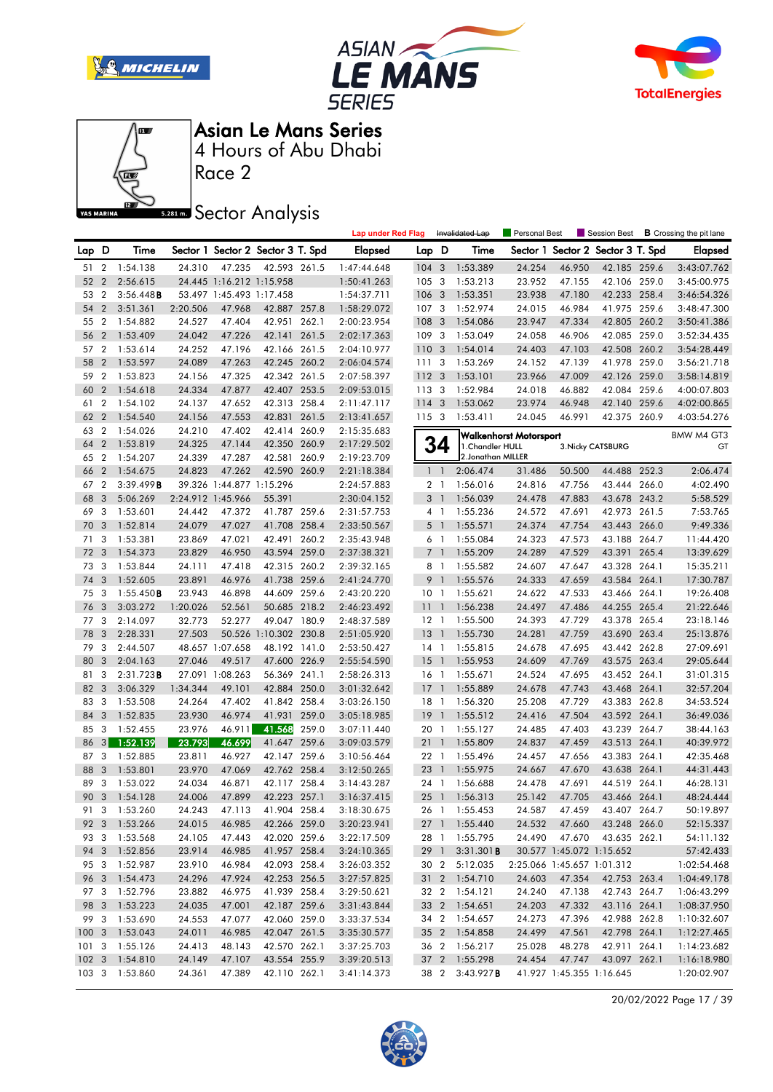







Race 2

**Sector Analysis** 

|                  |                |                     |          |                          |                                   |       | <b>Lap under Red Flag</b> |                 |                         | Invalidated Lap    | Personal Best          |                            | Session Best             |       | <b>B</b> Crossing the pit lane |
|------------------|----------------|---------------------|----------|--------------------------|-----------------------------------|-------|---------------------------|-----------------|-------------------------|--------------------|------------------------|----------------------------|--------------------------|-------|--------------------------------|
| Lap D            |                | Time                |          |                          | Sector 1 Sector 2 Sector 3 T. Spd |       | <b>Elapsed</b>            | Lap D           |                         | Time               | Sector 1               |                            | Sector 2 Sector 3 T. Spd |       | <b>Elapsed</b>                 |
| 51               | $\overline{2}$ | 1:54.138            | 24.310   | 47.235                   | 42.593 261.5                      |       | 1:47:44.648               | 104             | 3                       | 1:53.389           | 24.254                 | 46.950                     | 42.185 259.6             |       | 3:43:07.762                    |
| 52               | $\overline{2}$ | 2:56.615            |          | 24.445 1:16.212 1:15.958 |                                   |       | 1:50:41.263               | 105             | $\overline{\mathbf{3}}$ | 1:53.213           | 23.952                 | 47.155                     | 42.106 259.0             |       | 3:45:00.975                    |
| 53               | $\overline{2}$ | 3:56.448B           |          | 53.497 1:45.493 1:17.458 |                                   |       | 1:54:37.711               | 106             | 3                       | 1:53.351           | 23.938                 | 47.180                     | 42.233 258.4             |       | 3:46:54.326                    |
| 54               | $\overline{2}$ | 3:51.361            | 2:20.506 | 47.968                   | 42.887 257.8                      |       | 1:58:29.072               | 107             | $\overline{\mathbf{3}}$ | 1:52.974           | 24.015                 | 46.984                     | 41.975 259.6             |       | 3:48:47.300                    |
| 55               | $\overline{2}$ | 1:54.882            | 24.527   | 47.404                   | 42.951 262.1                      |       | 2:00:23.954               | 108             | 3                       | 1:54.086           | 23.947                 | 47.334                     | 42.805                   | 260.2 | 3:50:41.386                    |
| 56               | $\overline{2}$ | 1:53.409            | 24.042   | 47.226                   | 42.141 261.5                      |       | 2:02:17.363               | 109             | 3                       | 1:53.049           | 24.058                 | 46.906                     | 42.085 259.0             |       | 3:52:34.435                    |
| 57               | $\overline{2}$ | 1:53.614            | 24.252   | 47.196                   | 42.166 261.5                      |       | 2:04:10.977               | 110 3           |                         | 1:54.014           | 24.403                 | 47.103                     | 42.508 260.2             |       | 3:54:28.449                    |
| 58               | $\overline{2}$ | 1:53.597            | 24.089   | 47.263                   | 42.245 260.2                      |       | 2:06:04.574               | 111             | 3                       | 1:53.269           | 24.152                 | 47.139                     | 41.978 259.0             |       | 3:56:21.718                    |
| 59               | $\overline{2}$ | 1:53.823            | 24.156   | 47.325                   | 42.342 261.5                      |       | 2:07:58.397               | 112 3           |                         | 1:53.101           | 23.966                 | 47.009                     | 42.126 259.0             |       | 3:58:14.819                    |
| 60               | $\overline{2}$ | 1:54.618            | 24.334   | 47.877                   | 42.407 253.5                      |       | 2:09:53.015               | 113 3           |                         | 1:52.984           | 24.018                 | 46.882                     | 42.084 259.6             |       | 4:00:07.803                    |
| 61               | $\overline{2}$ | 1:54.102            | 24.137   | 47.652                   | 42.313 258.4                      |       | 2:11:47.117               | 114 3           |                         | 1:53.062           | 23.974                 | 46.948                     | 42.140 259.6             |       | 4:02:00.865                    |
| 62               | $\overline{2}$ | 1:54.540            | 24.156   | 47.553                   | 42.831                            | 261.5 | 2:13:41.657               | 1153            |                         | 1:53.411           | 24.045                 | 46.991                     | 42.375 260.9             |       | 4:03:54.276                    |
| 63               | $\overline{2}$ | 1:54.026            | 24.210   | 47.402                   | 42.414                            | 260.9 | 2:15:35.683               |                 |                         |                    | Walkenhorst Motorsport |                            |                          |       | BMW M4 GT3                     |
| 64               | $\overline{2}$ | 1:53.819            | 24.325   | 47.144                   | 42.350 260.9                      |       | 2:17:29.502               |                 | 34                      | 1. Chandler HULL   |                        |                            | 3. Nicky CATSBURG        |       | GT                             |
| 65               | $\overline{2}$ | 1:54.207            | 24.339   | 47.287                   | 42.581 260.9                      |       | 2:19:23.709               |                 |                         | 2. Jonathan MILLER |                        |                            |                          |       |                                |
| 66               | $\overline{2}$ | 1:54.675            | 24.823   | 47.262                   | 42.590 260.9                      |       | 2:21:18.384               |                 | $1\quad$                | 2:06.474           | 31.486                 | 50.500                     | 44.488 252.3             |       | 2:06.474                       |
| 67               | $\overline{2}$ | 3:39.499B           |          | 39.326 1:44.877 1:15.296 |                                   |       | 2:24:57.883               |                 | 2 <sub>1</sub>          | 1:56.016           | 24.816                 | 47.756                     | 43.444 266.0             |       | 4:02.490                       |
| 68               | 3              | 5:06.269            |          | 2:24.912 1:45.966        | 55.391                            |       | 2:30:04.152               |                 | 3 <sup>1</sup>          | 1:56.039           | 24.478                 | 47.883                     | 43.678 243.2             |       | 5:58.529                       |
| 69               | 3              | 1:53.601            | 24.442   | 47.372                   | 41.787 259.6                      |       | 2:31:57.753               |                 | $4-1$                   | 1:55.236           | 24.572                 | 47.691                     | 42.973 261.5             |       | 7:53.765                       |
| 70               | 3              | 1:52.814            | 24.079   | 47.027                   | 41.708 258.4                      |       | 2:33:50.567               |                 | 5 <sub>1</sub>          | 1:55.571           | 24.374                 | 47.754                     | 43.443 266.0             |       | 9:49.336                       |
| 71               | 3              | 1:53.381            | 23.869   | 47.021                   | 42.491                            | 260.2 | 2:35:43.948               |                 | 6 1                     | 1:55.084           | 24.323                 | 47.573                     | 43.188 264.7             |       | 11:44.420                      |
| 72               | -3             | 1:54.373            | 23.829   | 46.950                   | 43.594 259.0                      |       | 2:37:38.321               |                 | 7 <sup>1</sup>          | 1:55.209           | 24.289                 | 47.529                     | 43.391 265.4             |       | 13:39.629                      |
| 73               | -3             | 1:53.844            | 24.111   | 47.418                   | 42.315 260.2                      |       | 2:39:32.165               |                 | 8 1                     | 1:55.582           | 24.607                 | 47.647                     | 43.328 264.1             |       | 15:35.211                      |
| 74               | 3              | 1:52.605            | 23.891   | 46.976                   | 41.738 259.6                      |       | 2:41:24.770               |                 | 9 1                     | 1:55.576           | 24.333                 | 47.659                     | 43.584 264.1             |       | 17:30.787                      |
| 75               | -3             | $1:55.450$ <b>B</b> | 23.943   | 46.898                   | 44.609 259.6                      |       | 2:43:20.220               | 10 <sub>1</sub> |                         | 1:55.621           | 24.622                 | 47.533                     | 43.466 264.1             |       | 19:26.408                      |
| 76               | 3              | 3:03.272            | 1:20.026 | 52.561                   | 50.685 218.2                      |       | 2:46:23.492               | 11              | $\mathbf{1}$            | 1:56.238           | 24.497                 | 47.486                     | 44.255 265.4             |       | 21:22.646                      |
| 77               | -3             | 2:14.097            | 32.773   | 52.277                   | 49.047 180.9                      |       | 2:48:37.589               | $12-1$          |                         | 1:55.500           | 24.393                 | 47.729                     | 43.378 265.4             |       | 23:18.146                      |
| 78               | 3              | 2:28.331            | 27.503   |                          | 50.526 1:10.302 230.8             |       | 2:51:05.920               | $13-1$          |                         | 1:55.730           | 24.281                 | 47.759                     | 43.690 263.4             |       | 25:13.876                      |
| 79               | 3              | 2:44.507            |          | 48.657 1:07.658          | 48.192 141.0                      |       | 2:53:50.427               | $14-1$          |                         | 1:55.815           | 24.678                 | 47.695                     | 43.442 262.8             |       | 27:09.691                      |
| 80               | 3              | 2:04.163            | 27.046   | 49.517                   | 47.600 226.9                      |       | 2:55:54.590               | 15              | $\overline{1}$          | 1:55.953           | 24.609                 | 47.769                     | 43.575 263.4             |       | 29:05.644                      |
| 81               | 3              | 2:31.723B           |          | 27.091 1:08.263          | 56.369 241.1                      |       | 2:58:26.313               | 16 <sub>1</sub> |                         | 1:55.671           | 24.524                 | 47.695                     | 43.452 264.1             |       | 31:01.315                      |
| 82               | 3              | 3:06.329            | 1:34.344 | 49.101                   | 42.884 250.0                      |       | 3:01:32.642               | 17              | $\overline{1}$          | 1:55.889           | 24.678                 | 47.743                     | 43.468 264.1             |       | 32:57.204                      |
| 83               | 3              | 1:53.508            | 24.264   | 47.402                   | 41.842 258.4                      |       | 3:03:26.150               | 18              | $\overline{1}$          | 1:56.320           | 25.208                 | 47.729                     | 43.383                   | 262.8 | 34:53.524                      |
| 84               | 3              | 1:52.835            | 23.930   | 46.974                   | 41.931                            | 259.0 | 3:05:18.985               | 19              | $\overline{1}$          | 1:55.512           | 24.416                 | 47.504                     | 43.592 264.1             |       | 36:49.036                      |
| 85               | 3              | 1:52.455            | 23.976   | 46.911                   | 41.568                            | 259.0 | 3:07:11.440               | 20 1            |                         | 1:55.127           | 24.485                 | 47.403                     | 43.239 264.7             |       | 38:44.163                      |
| 86               | 3 <sup>1</sup> | 1:52.139            | 23.793   | 46.699                   | 41.647                            | 259.6 | 3:09:03.579               | 211             |                         | 1:55.809           | 24.837                 | 47.459                     | 43.513 264.1             |       | 40:39.972                      |
| 87               | 3              | 1:52.885            | 23.811   | 46.927                   | 42.147 259.6                      |       | 3:10:56.464               | 22 1            |                         | 1:55.496           | 24.457                 | 47.656                     | 43.383 264.1             |       | 42:35.468                      |
| 88               | 3              | 1:53.801            | 23.970   | 47.069                   | 42.762 258.4                      |       | 3:12:50.265               | 23              | $\overline{1}$          | 1:55.975           | 24.667                 | 47.670                     | 43.638 264.1             |       | 44:31.443                      |
| 89               | 3              | 1:53.022            | 24.034   | 46.871                   | 42.117 258.4                      |       | 3:14:43.287               | 24 1            |                         | 1:56.688           | 24.478                 | 47.691                     | 44.519 264.1             |       | 46:28.131                      |
| 90               | $\overline{3}$ | 1:54.128            | 24.006   | 47.899                   | 42.223 257.1                      |       | 3:16:37.415               | $25 \quad 1$    |                         | 1:56.313           | 25.142                 | 47.705                     | 43.466 264.1             |       | 48:24.444                      |
| 91               |                | 3 1:53.260          | 24.243   | 47.113                   | 41.904 258.4                      |       | 3:18:30.675               |                 |                         | 26 1 1:55.453      | 24.587                 | 47.459                     | 43.407 264.7             |       | 50:19.897                      |
|                  |                | 92 3 1:53.266       | 24.015   | 46.985                   | 42.266 259.0                      |       | 3:20:23.941               |                 |                         | 27 1 1:55.440      | 24.532                 | 47.660                     | 43.248 266.0             |       | 52:15.337                      |
| 93 3             |                | 1:53.568            | 24.105   | 47.443                   | 42.020 259.6                      |       | 3:22:17.509               | 28 1            |                         | 1:55.795           | 24.490                 | 47.670                     | 43.635 262.1             |       | 54:11.132                      |
| 94 3             |                | 1:52.856            | 23.914   | 46.985                   | 41.957 258.4                      |       | 3:24:10.365               |                 | 29 1                    | 3:31.301B          |                        | 30.577 1:45.072 1:15.652   |                          |       | 57:42.433                      |
| 95 3             |                | 1:52.987            | 23.910   | 46.984                   | 42.093 258.4                      |       | 3:26:03.352               |                 | 30 2                    | 5:12.035           |                        | 2:25.066 1:45.657 1:01.312 |                          |       | 1:02:54.468                    |
| 96 3             |                | 1:54.473            | 24.296   | 47.924                   | 42.253 256.5                      |       | 3:27:57.825               |                 |                         | 31 2 1:54.710      | 24.603                 | 47.354                     | 42.753 263.4             |       | 1:04:49.178                    |
| 97 3             |                | 1:52.796            | 23.882   | 46.975                   | 41.939 258.4                      |       | 3:29:50.621               |                 |                         | 32 2 1:54.121      | 24.240                 | 47.138                     | 42.743 264.7             |       | 1:06:43.299                    |
| 98 3             |                | 1:53.223            | 24.035   | 47.001                   | 42.187 259.6                      |       | 3:31:43.844               |                 |                         | 33 2 1:54.651      | 24.203                 | 47.332                     | 43.116 264.1             |       | 1:08:37.950                    |
| 99 3             |                | 1:53.690            | 24.553   | 47.077                   | 42.060 259.0                      |       | 3:33:37.534               | 34 2            |                         | 1:54.657           | 24.273                 | 47.396                     | 42.988 262.8             |       | 1:10:32.607                    |
| 1003             |                | 1:53.043            | 24.011   | 46.985                   | 42.047 261.5                      |       | 3:35:30.577               |                 |                         | 35 2 1:54.858      | 24.499                 | 47.561                     | 42.798 264.1             |       | 1:12:27.465                    |
| 1013             |                | 1:55.126            | 24.413   | 48.143                   | 42.570 262.1                      |       | 3:37:25.703               |                 |                         | 36 2 1:56.217      | 25.028                 | 48.278                     | 42.911 264.1             |       | 1:14:23.682                    |
| $102 \quad 3$    |                | 1:54.810            | 24.149   | 47.107                   | 43.554 255.9                      |       | 3:39:20.513               |                 |                         | 37 2 1:55.298      | 24.454                 | 47.747                     | 43.097 262.1             |       | 1:16:18.980                    |
| 103 <sub>3</sub> |                | 1:53.860            | 24.361   | 47.389                   | 42.110 262.1                      |       | 3:41:14.373               |                 | 38 2                    | 3:43.927B          |                        | 41.927 1:45.355 1:16.645   |                          |       | 1:20:02.907                    |

20/02/2022 Page 17 / 39

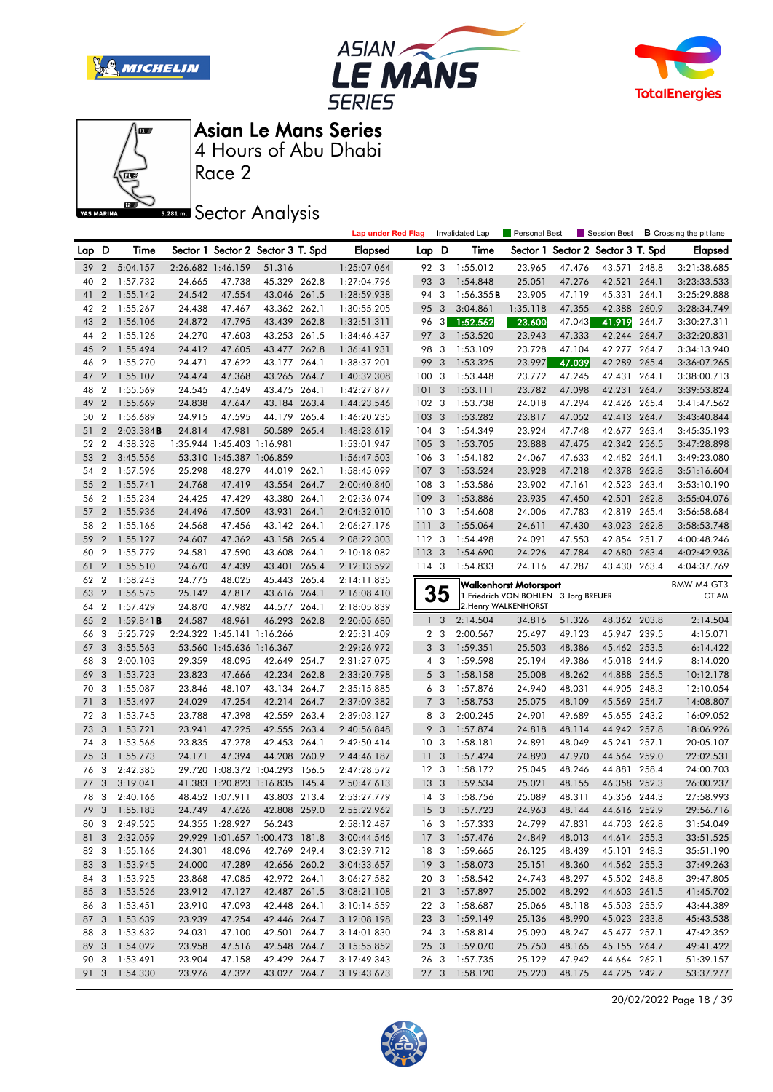







Race 2

### **Sector Analysis**

|      |                  |                     |        |                            |                                   |       | <b>Lap under Red Flag</b> |                 |                         | Invalidated Lap | <b>Personal Best</b>                   |        | Session Best             |       | <b>B</b> Crossing the pit lane |
|------|------------------|---------------------|--------|----------------------------|-----------------------------------|-------|---------------------------|-----------------|-------------------------|-----------------|----------------------------------------|--------|--------------------------|-------|--------------------------------|
| Lap  | D                | Time                |        |                            | Sector 1 Sector 2 Sector 3 T. Spd |       | <b>Elapsed</b>            | Lap D           |                         | Time            | Sector 1                               |        | Sector 2 Sector 3 T. Spd |       | <b>Elapsed</b>                 |
| 39   | $\overline{2}$   | 5:04.157            |        | 2:26.682 1:46.159          | 51.316                            |       | 1:25:07.064               | 92 3            |                         | 1:55.012        | 23.965                                 | 47.476 | 43.571 248.8             |       | 3:21:38.685                    |
| 40   | $\overline{2}$   | 1:57.732            | 24.665 | 47.738                     | 45.329 262.8                      |       | 1:27:04.796               | 93              | 3                       | 1:54.848        | 25.051                                 | 47.276 | 42.521                   | 264.1 | 3:23:33.533                    |
| 41   | $\overline{2}$   | 1:55.142            | 24.542 | 47.554                     | 43.046 261.5                      |       | 1:28:59.938               | 94              | 3                       | 1:56.355B       | 23.905                                 | 47.119 | 45.331 264.1             |       | 3:25:29.888                    |
| 42   | $\overline{2}$   | 1:55.267            | 24.438 | 47.467                     | 43.362 262.1                      |       | 1:30:55.205               | 95              | 3                       | 3:04.861        | 1:35.118                               | 47.355 | 42.388 260.9             |       | 3:28:34.749                    |
| 43   | $\overline{2}$   | 1:56.106            | 24.872 | 47.795                     | 43.439 262.8                      |       | 1:32:51.311               | 96              | 3                       | 1:52.562        | 23.600                                 | 47.043 | 41.919                   | 264.7 | 3:30:27.311                    |
| 44   | $\overline{2}$   | 1:55.126            | 24.270 | 47.603                     | 43.253 261.5                      |       | 1:34:46.437               | 97              | 3                       | 1:53.520        | 23.943                                 | 47.333 | 42.244 264.7             |       | 3:32:20.831                    |
| 45   | $\overline{2}$   | 1:55.494            | 24.412 | 47.605                     | 43.477 262.8                      |       | 1:36:41.931               | 98              | 3                       | 1:53.109        | 23.728                                 | 47.104 | 42.277 264.7             |       | 3:34:13.940                    |
| 46   | $\overline{2}$   | 1:55.270            | 24.471 | 47.622                     | 43.177                            | 264.1 | 1:38:37.201               | 99              | 3                       | 1:53.325        | 23.997                                 | 47.039 | 42.289                   | 265.4 | 3:36:07.265                    |
| 47   | $\overline{2}$   | 1:55.107            | 24.474 | 47.368                     | 43.265 264.7                      |       | 1:40:32.308               | 100             | -3                      | 1:53.448        | 23.772                                 | 47.245 | 42.431                   | 264.1 | 3:38:00.713                    |
| 48   | $\boldsymbol{2}$ | 1:55.569            | 24.545 | 47.549                     | 43.475 264.1                      |       | 1:42:27.877               | 101             | 3                       | 1:53.111        | 23.782                                 | 47.098 | 42.231                   | 264.7 | 3:39:53.824                    |
| 49   | $\overline{2}$   | 1:55.669            | 24.838 | 47.647                     | 43.184 263.4                      |       | 1:44:23.546               | $102 - 3$       |                         | 1:53.738        | 24.018                                 | 47.294 | 42.426 265.4             |       | 3:41:47.562                    |
| 50   | 2                | 1:56.689            | 24.915 | 47.595                     | 44.179 265.4                      |       | 1:46:20.235               | 103             | 3                       | 1:53.282        | 23.817                                 | 47.052 | 42.413 264.7             |       | 3:43:40.844                    |
| 51   | $\overline{2}$   | 2:03.384B           | 24.814 | 47.981                     | 50.589                            | 265.4 | 1:48:23.619               | 104             | 3                       | 1:54.349        | 23.924                                 | 47.748 | 42.677                   | 263.4 | 3:45:35.193                    |
| 52   | 2                | 4:38.328            |        | 1:35.944 1:45.403 1:16.981 |                                   |       | 1:53:01.947               | 105             | $\overline{\mathbf{3}}$ | 1:53.705        | 23.888                                 | 47.475 | 42.342 256.5             |       | 3:47:28.898                    |
| 53   | $\overline{2}$   | 3:45.556            |        | 53.310 1:45.387 1:06.859   |                                   |       | 1:56:47.503               | 106 3           |                         | 1:54.182        | 24.067                                 | 47.633 | 42.482 264.1             |       | 3:49:23.080                    |
| 54   | $\overline{2}$   | 1:57.596            | 25.298 | 48.279                     | 44.019 262.1                      |       | 1:58:45.099               | 107             | $\overline{\mathbf{3}}$ | 1:53.524        | 23.928                                 | 47.218 | 42.378 262.8             |       | 3:51:16.604                    |
| 55   | $\overline{2}$   | 1:55.741            | 24.768 | 47.419                     | 43.554                            | 264.7 | 2:00:40.840               | 108             | 3                       | 1:53.586        | 23.902                                 | 47.161 | 42.523                   | 263.4 | 3:53:10.190                    |
| 56   | $\overline{2}$   | 1:55.234            | 24.425 | 47.429                     | 43.380 264.1                      |       | 2:02:36.074               | 109             | 3                       | 1:53.886        | 23.935                                 | 47.450 | 42.501                   | 262.8 | 3:55:04.076                    |
| 57   | $\overline{2}$   | 1:55.936            | 24.496 | 47.509                     | 43.931                            | 264.1 | 2:04:32.010               | 110 3           |                         | 1:54.608        | 24.006                                 | 47.783 | 42.819 265.4             |       | 3:56:58.684                    |
| 58   | 2                | 1:55.166            | 24.568 | 47.456                     | 43.142 264.1                      |       | 2:06:27.176               | 111             | 3                       | 1:55.064        | 24.611                                 | 47.430 | 43.023 262.8             |       | 3:58:53.748                    |
| 59   | $\overline{2}$   | 1:55.127            | 24.607 | 47.362                     | 43.158 265.4                      |       | 2:08:22.303               | 112 3           |                         | 1:54.498        | 24.091                                 | 47.553 | 42.854 251.7             |       | 4:00:48.246                    |
| 60   | $\overline{2}$   | 1:55.779            | 24.581 | 47.590                     | 43.608 264.1                      |       | 2:10:18.082               | 113 3           |                         | 1:54.690        | 24.226                                 | 47.784 | 42.680 263.4             |       | 4:02:42.936                    |
| 61   | $\overline{2}$   | 1:55.510            | 24.670 | 47.439                     | 43.401 265.4                      |       | 2:12:13.592               | $114 - 3$       |                         | 1:54.833        | 24.116                                 | 47.287 | 43.430 263.4             |       | 4:04:37.769                    |
| 62   | 2                | 1:58.243            | 24.775 | 48.025                     | 45.443 265.4                      |       | 2:14:11.835               |                 |                         |                 | <b>Walkenhorst Motorsport</b>          |        |                          |       | BMW M4 GT3                     |
| 63   | $\overline{2}$   | 1:56.575            | 25.142 | 47.817                     | 43.616 264.1                      |       | 2:16:08.410               |                 | 35                      |                 | 1. Friedrich VON BOHLEN 3. Jorg BREUER |        |                          |       | GT AM                          |
| 64   | $\overline{2}$   | 1:57.429            | 24.870 | 47.982                     | 44.577 264.1                      |       | 2:18:05.839               |                 |                         |                 | 2. Henry WALKENHORST                   |        |                          |       |                                |
| 65   | $\overline{2}$   | $1:59.841$ <b>B</b> | 24.587 | 48.961                     | 46.293 262.8                      |       | 2:20:05.680               | $\mathbf{1}$    | 3                       | 2:14.504        | 34.816                                 | 51.326 | 48.362 203.8             |       | 2:14.504                       |
| 66   | 3                | 5:25.729            |        | 2:24.322 1:45.141 1:16.266 |                                   |       | 2:25:31.409               |                 | 2 <sub>3</sub>          | 2:00.567        | 25.497                                 | 49.123 | 45.947 239.5             |       | 4:15.071                       |
| 67   | 3                | 3:55.563            |        | 53.560 1:45.636 1:16.367   |                                   |       | 2:29:26.972               | 3               | $\overline{\mathbf{3}}$ | 1:59.351        | 25.503                                 | 48.386 | 45.462 253.5             |       | 6:14.422                       |
| 68   | 3                | 2:00.103            | 29.359 | 48.095                     | 42.649 254.7                      |       | 2:31:27.075               |                 | $4 \quad 3$             | 1:59.598        | 25.194                                 | 49.386 | 45.018 244.9             |       | 8:14.020                       |
| 69   | 3                | 1:53.723            | 23.823 | 47.666                     | 42.234 262.8                      |       | 2:33:20.798               |                 | 5 <sub>3</sub>          | 1:58.158        | 25.008                                 | 48.262 | 44.888 256.5             |       | 10:12.178                      |
| 70   | 3                | 1:55.087            | 23.846 | 48.107                     | 43.134 264.7                      |       | 2:35:15.885               |                 | 6 <sub>3</sub>          | 1:57.876        | 24.940                                 | 48.031 | 44.905 248.3             |       | 12:10.054                      |
| 71   | 3                | 1:53.497            | 24.029 | 47.254                     | 42.214                            | 264.7 | 2:37:09.382               | $\overline{7}$  | 3                       | 1:58.753        | 25.075                                 | 48.109 | 45.569 254.7             |       | 14:08.807                      |
| 72   | -3               | 1:53.745            | 23.788 | 47.398                     | 42.559 263.4                      |       | 2:39:03.127               | 8               | - 3                     | 2:00.245        | 24.901                                 | 49.689 | 45.655 243.2             |       | 16:09.052                      |
| 73   | 3                | 1:53.721            | 23.941 | 47.225                     | 42.555 263.4                      |       | 2:40:56.848               | 9               | $\mathbf{3}$            | 1:57.874        | 24.818                                 | 48.114 | 44.942 257.8             |       | 18:06.926                      |
| 74   | 3                | 1:53.566            | 23.835 | 47.278                     | 42.453                            | 264.1 | 2:42:50.414               | 10              | 3                       | 1:58.181        | 24.891                                 | 48.049 | 45.241                   | 257.1 | 20:05.107                      |
| 75   | 3                | 1:55.773            | 24.171 | 47.394                     | 44.208 260.9                      |       | 2:44:46.187               | 11              | 3                       | 1:57.424        | 24.890                                 | 47.970 | 44.564 259.0             |       | 22:02.531                      |
| 76   | -3               | 2:42.385            |        |                            | 29.720 1:08.372 1:04.293 156.5    |       | 2:47:28.572               | 12 <sup>3</sup> |                         | 1:58.172        | 25.045                                 | 48.246 | 44.881 258.4             |       | 24:00.703                      |
| 77   | 3                | 3:19.041            |        | 41.383 1:20.823 1:16.835   |                                   | 145.4 | 2:50:47.613               | 13              | 3                       | 1:59.534        | 25.021                                 | 48.155 | 46.358 252.3             |       | 26:00.237                      |
| 78   | 3                | 2:40.166            |        | 48.452 1:07.911            | 43.803 213.4                      |       | 2:53:27.779               | $14 \quad 3$    |                         | 1:58.756        | 25.089                                 | 48.311 | 45.356 244.3             |       | 27:58.993                      |
| 79   |                  | 3 1:55.183          | 24.749 |                            | 47.626 42.808 259.0               |       | 2:55:22.962               |                 |                         | 15 3 1:57.723   | 24.963                                 | 48.144 | 44.616 252.9             |       | 29:56.716                      |
|      |                  | 80 3 2:49.525       |        | 24.355 1:28.927 56.243     |                                   |       | 2:58:12.487               |                 |                         | 16 3 1:57.333   | 24.799                                 | 47.831 | 44.703 262.8             |       | 31:54.049                      |
|      |                  | 81 3 2:32.059       |        |                            | 29.929 1:01.657 1:00.473 181.8    |       | 3:00:44.546               |                 |                         | 17 3 1:57.476   | 24.849                                 | 48.013 | 44.614 255.3             |       | 33:51.525                      |
|      |                  | 82 3 1:55.166       | 24.301 | 48.096                     | 42.769 249.4                      |       | 3:02:39.712               |                 |                         | 18 3 1:59.665   | 26.125                                 | 48.439 | 45.101 248.3             |       | 35:51.190                      |
|      |                  | 83 3 1:53.945       | 24.000 | 47.289                     | 42.656 260.2                      |       | 3:04:33.657               |                 |                         | 19 3 1:58.073   | 25.151                                 | 48.360 | 44.562 255.3             |       | 37:49.263                      |
|      |                  | 84 3 1:53.925       | 23.868 | 47.085                     | 42.972 264.1                      |       | 3:06:27.582               |                 |                         | 20 3 1:58.542   | 24.743                                 | 48.297 | 45.502 248.8             |       | 39:47.805                      |
|      |                  | 85 3 1:53.526       | 23.912 | 47.127                     | 42.487 261.5                      |       | 3:08:21.108               |                 |                         | 21 3 1:57.897   | 25.002                                 | 48.292 | 44.603 261.5             |       | 41:45.702                      |
|      |                  | 86 3 1:53.451       | 23.910 | 47.093                     | 42.448 264.1                      |       | 3:10:14.559               |                 |                         | 22 3 1:58.687   | 25.066                                 | 48.118 | 45.503 255.9             |       | 43:44.389                      |
| 87 3 |                  | 1:53.639            | 23.939 | 47.254                     | 42.446 264.7                      |       | 3:12:08.198               |                 |                         | 23 3 1:59.149   | 25.136                                 | 48.990 | 45.023 233.8             |       | 45:43.538                      |
|      |                  | 88 3 1:53.632       | 24.031 | 47.100                     | 42.501 264.7                      |       | 3:14:01.830               |                 |                         | 24 3 1:58.814   | 25.090                                 | 48.247 | 45.477 257.1             |       | 47:42.352                      |
|      |                  | 89 3 1:54.022       | 23.958 | 47.516                     | 42.548 264.7                      |       | 3:15:55.852               |                 |                         | 25 3 1:59.070   | 25.750                                 | 48.165 | 45.155 264.7             |       | 49:41.422                      |
| 90 3 |                  | 1:53.491            | 23.904 | 47.158                     | 42.429 264.7                      |       | 3:17:49.343               |                 |                         | 26 3 1:57.735   | 25.129                                 | 47.942 | 44.664 262.1             |       | 51:39.157                      |
|      |                  | 91 3 1:54.330       | 23.976 | 47.327                     | 43.027 264.7                      |       | 3:19:43.673               |                 |                         | 27 3 1:58.120   | 25.220                                 | 48.175 | 44.725 242.7             |       | 53:37.277                      |

20/02/2022 Page 18 / 39

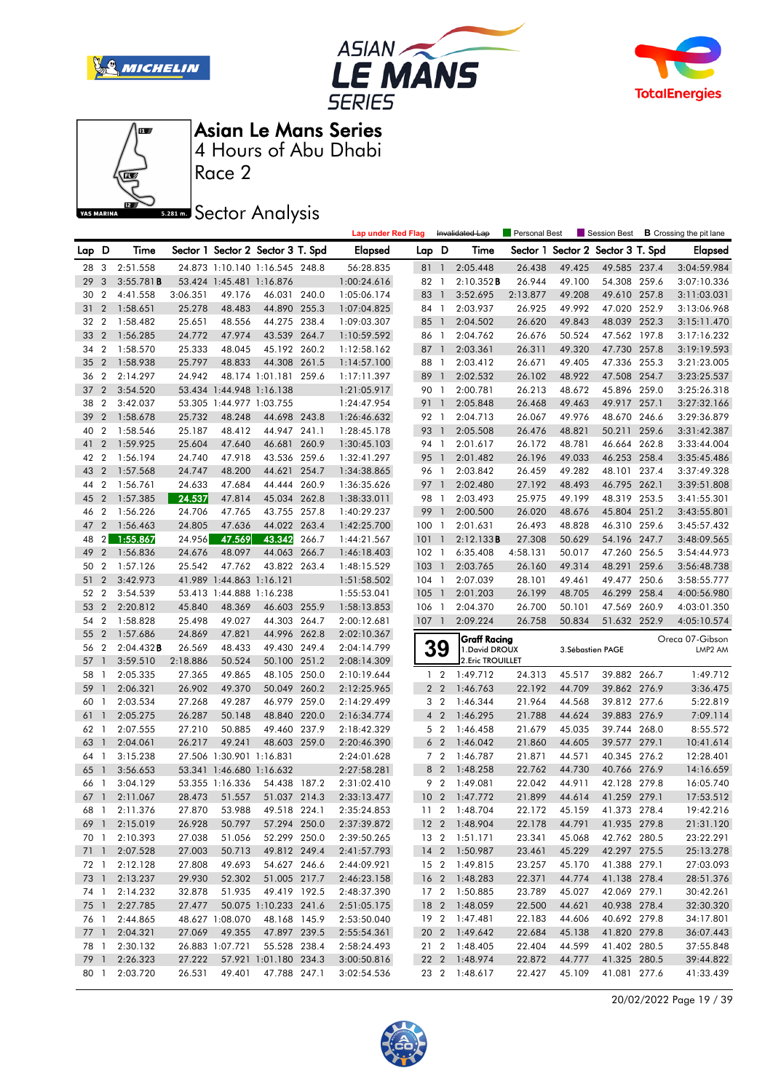







Race 2

**Sector Analysis** 

|      |                    |                           |                  |                          |                                   |       | <b>Lap under Red Flag</b>  |                  |                | Invalidated Lap           | Personal Best    |                  | Session Best                      |       | <b>B</b> Crossing the pit lane |
|------|--------------------|---------------------------|------------------|--------------------------|-----------------------------------|-------|----------------------------|------------------|----------------|---------------------------|------------------|------------------|-----------------------------------|-------|--------------------------------|
| Lap  | D                  | Time                      |                  |                          | Sector 1 Sector 2 Sector 3 T. Spd |       | <b>Elapsed</b>             | Lap D            |                | Time                      |                  |                  | Sector 1 Sector 2 Sector 3 T. Spd |       | <b>Elapsed</b>                 |
| 28 3 |                    | 2:51.558                  |                  |                          | 24.873 1:10.140 1:16.545 248.8    |       | 56:28.835                  | 811              |                | 2:05.448                  | 26.438           | 49.425           | 49.585 237.4                      |       | 3:04:59.984                    |
| 29   | 3                  | 3:55.781B                 |                  | 53.424 1:45.481 1:16.876 |                                   |       | 1:00:24.616                | 82 1             |                | 2:10.352B                 | 26.944           | 49.100           | 54.308 259.6                      |       | 3:07:10.336                    |
| 30   | $\overline{2}$     | 4:41.558                  | 3:06.351         | 49.176                   | 46.031 240.0                      |       | 1:05:06.174                | 83 1             |                | 3:52.695                  | 2:13.877         | 49.208           | 49.610 257.8                      |       | 3:11:03.031                    |
| 31   | $\overline{2}$     | 1:58.651                  | 25.278           | 48.483                   | 44.890 255.3                      |       | 1:07:04.825                | 84 1             |                | 2:03.937                  | 26.925           | 49.992           | 47.020 252.9                      |       | 3:13:06.968                    |
| 32   | $\overline{2}$     | 1:58.482                  | 25.651           | 48.556                   | 44.275 238.4                      |       | 1:09:03.307                | 85 1             |                | 2:04.502                  | 26.620           | 49.843           | 48.039 252.3                      |       | 3:15:11.470                    |
| 33   | $\overline{2}$     | 1:56.285                  | 24.772           | 47.974                   | 43.539 264.7                      |       | 1:10:59.592                | 86 1             |                | 2:04.762                  | 26.676           | 50.524           | 47.562 197.8                      |       | 3:17:16.232                    |
| 34   | $\overline{2}$     | 1:58.570                  | 25.333           | 48.045                   | 45.192 260.2                      |       | 1:12:58.162                | 87 1             |                | 2:03.361                  | 26.311           | 49.320           | 47.730 257.8                      |       | 3:19:19.593                    |
| 35   | $\overline{2}$     | 1:58.938                  | 25.797           | 48.833                   | 44.308 261.5                      |       | 1:14:57.100                | 88               | $\overline{1}$ | 2:03.412                  | 26.671           | 49.405           | 47.336 255.3                      |       | 3:21:23.005                    |
| 36   | $\overline{2}$     | 2:14.297                  | 24.942           |                          | 48.174 1:01.181 259.6             |       | 1:17:11.397                | 89 1             |                | 2:02.532                  | 26.102           | 48.922           | 47.508 254.7                      |       | 3:23:25.537                    |
| 37   | $\overline{2}$     | 3:54.520                  |                  | 53.434 1:44.948 1:16.138 |                                   |       | 1:21:05.917                | 90 1             |                | 2:00.781                  | 26.213           | 48.672           | 45.896 259.0                      |       | 3:25:26.318                    |
| 38   | 2                  | 3:42.037                  |                  | 53.305 1:44.977 1:03.755 |                                   |       | 1:24:47.954                | 91 1             |                | 2:05.848                  | 26.468           | 49.463           | 49.917 257.1                      |       | 3:27:32.166                    |
| 39   | $\overline{2}$     | 1:58.678                  | 25.732           | 48.248                   | 44.698 243.8                      |       | 1:26:46.632                | 92 1             |                | 2:04.713                  | 26.067           | 49.976           | 48.670 246.6                      |       | 3:29:36.879                    |
| 40   | $\overline{2}$     | 1:58.546                  | 25.187           | 48.412                   | 44.947 241.1                      |       | 1:28:45.178                | 93 1             |                | 2:05.508                  | 26.476           | 48.821           | 50.211                            | 259.6 | 3:31:42.387                    |
| 41   | $\overline{2}$     | 1:59.925                  | 25.604           | 47.640                   | 46.681                            | 260.9 | 1:30:45.103                | 94 1             |                | 2:01.617                  | 26.172           | 48.781           | 46.664 262.8                      |       | 3:33:44.004                    |
| 42   | $\boldsymbol{2}$   | 1:56.194                  | 24.740           | 47.918                   | 43.536 259.6                      |       | 1:32:41.297                | 95 1             |                | 2:01.482                  | 26.196           | 49.033           | 46.253 258.4                      |       | 3:35:45.486                    |
| 43   | $\overline{2}$     | 1:57.568                  | 24.747           | 48.200                   | 44.621 254.7                      |       | 1:34:38.865                | 96 1             |                | 2:03.842                  | 26.459           | 49.282           | 48.101 237.4                      |       | 3:37:49.328                    |
| 44   | $\overline{2}$     | 1:56.761                  | 24.633           | 47.684                   | 44.444 260.9                      |       | 1:36:35.626                | 97 1             |                | 2:02.480                  | 27.192           | 48.493           | 46.795 262.1                      |       | 3:39:51.808                    |
| 45   | $\overline{2}$     | 1:57.385                  | 24.537           | 47.814                   | 45.034 262.8                      |       | 1:38:33.011                | 98 1             |                | 2:03.493                  | 25.975           | 49.199           | 48.319 253.5                      |       | 3:41:55.301                    |
| 46   | $\overline{2}$     | 1:56.226                  | 24.706           | 47.765                   | 43.755 257.8                      |       | 1:40:29.237                | 99               | $\overline{1}$ | 2:00.500                  | 26.020           | 48.676           | 45.804                            | 251.2 | 3:43:55.801                    |
| 47   | $\overline{2}$     | 1:56.463                  | 24.805           | 47.636                   | 44.022 263.4                      |       | 1:42:25.700                | 1001             |                | 2:01.631                  | 26.493           | 48.828           | 46.310 259.6                      |       | 3:45:57.432                    |
| 48   | 2 <sub>1</sub>     | 1:55.867                  | 24.956           | 47.569                   | 43.342                            | 266.7 | 1:44:21.567                | 101              | $\overline{1}$ | 2:12.133B                 | 27.308           | 50.629           | 54.196 247.7                      |       | 3:48:09.565                    |
| 49   | $\overline{2}$     | 1:56.836                  | 24.676           | 48.097                   | 44.063                            | 266.7 | 1:46:18.403                | $102 \quad 1$    |                | 6:35.408                  | 4:58.131         | 50.017           | 47.260 256.5                      |       | 3:54:44.973                    |
| 50   | $\overline{2}$     | 1:57.126                  | 25.542           | 47.762                   | 43.822 263.4                      |       | 1:48:15.529                | 103              | $\overline{1}$ | 2:03.765                  | 26.160           | 49.314           | 48.291 259.6                      |       | 3:56:48.738                    |
| 51   | $\overline{2}$     | 3:42.973                  |                  | 41.989 1:44.863 1:16.121 |                                   |       | 1:51:58.502                | 104 1            |                | 2:07.039                  | 28.101           | 49.461           | 49.477 250.6                      |       | 3:58:55.777                    |
| 52   | $\overline{2}$     | 3:54.539                  |                  | 53.413 1:44.888 1:16.238 |                                   |       | 1:55:53.041                | 105 <sub>1</sub> |                | 2:01.203                  | 26.199           | 48.705           | 46.299 258.4                      |       | 4:00:56.980                    |
| 53   | $\overline{2}$     | 2:20.812                  | 45.840           | 48.369                   | 46.603 255.9                      |       | 1:58:13.853                | 106 1            |                | 2:04.370                  | 26.700           | 50.101           | 47.569 260.9                      |       | 4:03:01.350                    |
| 54   | $\boldsymbol{2}$   | 1:58.828                  | 25.498           | 49.027                   | 44.303 264.7                      |       | 2:00:12.681                | $107-1$          |                | 2:09.224                  | 26.758           | 50.834           | 51.632 252.9                      |       | 4:05:10.574                    |
| 55   | $\overline{2}$     | 1:57.686                  | 24.869           | 47.821                   | 44.996 262.8                      |       | 2:02:10.367                |                  |                | <b>Graff Racing</b>       |                  |                  |                                   |       | Oreca 07-Gibson                |
| 56   | $\overline{2}$     | $2:04.432$ B              | 26.569           | 48.433                   | 49.430 249.4                      |       | 2:04:14.799                | 39               |                | 1. David DROUX            |                  |                  | 3. Sébastien PAGE                 |       | LMP2 AM                        |
| 57   | $\mathbf{1}$       | 3:59.510                  | 2:18.886         | 50.524                   | 50.100 251.2                      |       | 2:08:14.309                |                  |                | 2. Eric TROUILLET         |                  |                  |                                   |       |                                |
| 58   | 1                  | 2:05.335                  | 27.365           | 49.865                   | 48.105 250.0                      |       | 2:10:19.644                | 1 <sub>2</sub>   |                | 1:49.712                  | 24.313           | 45.517           | 39.882 266.7                      |       | 1:49.712                       |
| 59   | $\mathbf{1}$       | 2:06.321                  | 26.902           | 49.370                   | 50.049 260.2                      |       | 2:12:25.965                | 2 <sub>2</sub>   |                | 1:46.763                  | 22.192           | 44.709           | 39.862 276.9                      |       | 3:36.475                       |
| 60   | $\mathbf{1}$       | 2:03.534                  | 27.268           | 49.287                   | 46.979 259.0                      |       | 2:14:29.499                | 3 <sub>2</sub>   |                | 1:46.344                  | 21.964           | 44.568           | 39.812 277.6                      |       | 5:22.819                       |
| 61   | $\mathbf{1}$       | 2:05.275                  | 26.287           | 50.148                   | 48.840 220.0                      |       | 2:16:34.774                | 4 <sup>2</sup>   |                | 1:46.295                  | 21.788           | 44.624           | 39.883 276.9                      |       | 7:09.114                       |
| 62   | 1                  | 2:07.555                  | 27.210           | 50.885                   | 49.460 237.9                      |       | 2:18:42.329                | 5 <sub>2</sub>   |                | 1:46.458                  | 21.679           | 45.035           | 39.744 268.0                      |       | 8:55.572                       |
| 63   | $\mathbf{1}$       | 2:04.061                  | 26.217           | 49.241                   | 48.603 259.0                      |       | 2:20:46.390                | 6 <sub>2</sub>   |                | 1:46.042                  | 21.860           | 44.605           | 39.577 279.1                      |       | 10:41.614                      |
| 64   | $\overline{1}$     | 3:15.238                  |                  | 27.506 1:30.901 1:16.831 |                                   |       | 2:24:01.628                | 7 <sub>2</sub>   |                | 1:46.787                  | 21.871           | 44.571           | 40.345 276.2                      |       | 12:28.401                      |
| 65   | $\mathbf{1}$<br>-1 | 3:56.653                  |                  | 53.341 1:46.680 1:16.632 |                                   |       | 2:27:58.281                | 8 2              |                | 1:48.258                  | 22.762           | 44.730           | 40.766 276.9                      |       | 14:16.659                      |
| 66   |                    | 3:04.129                  |                  | 53.355 1:16.336          | 54.438 187.2<br>51.037 214.3      |       | 2:31:02.410                | 9 <sub>2</sub>   |                | 1:49.081<br>10 2 1:47.772 | 22.042<br>21.899 | 44.911<br>44.614 | 42.128 279.8                      |       | 16:05.740                      |
|      | 67 1               | 2:11.067<br>68 1 2:11.376 | 28.473<br>27.870 | 51.557<br>53.988         | 49.518 224.1                      |       | 2:33:13.477<br>2:35:24.853 |                  |                | 11 2 1:48.704             | 22.172           | 45.159           | 41.259 279.1<br>41.373 278.4      |       | 17:53.512<br>19:42.216         |
|      |                    | 69 1 2:15.019             | 26.928           | 50.797                   | 57.294 250.0                      |       | 2:37:39.872                |                  |                | 12 2 1:48.904             | 22.178           | 44.791           | 41.935 279.8                      |       | 21:31.120                      |
|      |                    | 70 1 2:10.393             | 27.038           | 51.056                   | 52.299 250.0                      |       | 2:39:50.265                |                  |                | 13 2 1:51.171             | 23.341           | 45.068           | 42.762 280.5                      |       | 23:22.291                      |
|      |                    | 71 1 2:07.528             | 27.003           | 50.713                   | 49.812 249.4                      |       | 2:41:57.793                |                  |                | 14 2 1:50.987             | 23.461           | 45.229           | 42.297 275.5                      |       | 25:13.278                      |
|      |                    | 72 1 2:12.128             | 27.808           | 49.693                   | 54.627 246.6                      |       | 2:44:09.921                |                  |                | 15 2 1:49.815             | 23.257           | 45.170           | 41.388 279.1                      |       | 27:03.093                      |
|      |                    | 73 1 2:13.237             | 29.930           | 52.302                   | 51.005 217.7                      |       | 2:46:23.158                |                  |                | 16 2 1:48.283             | 22.371           | 44.774           | 41.138 278.4                      |       | 28:51.376                      |
|      |                    | 74 1 2:14.232             | 32.878           | 51.935                   | 49.419 192.5                      |       | 2:48:37.390                |                  |                | 17 2 1:50.885             | 23.789           | 45.027           | 42.069 279.1                      |       | 30:42.261                      |
|      |                    | 75 1 2:27.785             | 27.477           |                          | 50.075 1:10.233 241.6             |       | 2:51:05.175                |                  |                | 18 2 1:48.059             | 22.500           | 44.621           | 40.938 278.4                      |       | 32:30.320                      |
|      |                    | 76 1 2:44.865             |                  | 48.627 1:08.070          | 48.168 145.9                      |       | 2:53:50.040                |                  |                | 19 2 1:47.481             | 22.183           | 44.606           | 40.692 279.8                      |       | 34:17.801                      |
|      |                    | 77 1 2:04.321             | 27.069           | 49.355                   | 47.897 239.5                      |       | 2:55:54.361                |                  |                | 20 2 1:49.642             | 22.684           | 45.138           | 41.820 279.8                      |       | 36:07.443                      |
|      |                    | 78 1 2:30.132             |                  | 26.883 1:07.721          | 55.528 238.4                      |       | 2:58:24.493                |                  |                | 21 2 1:48.405             | 22.404           | 44.599           | 41.402 280.5                      |       | 37:55.848                      |
|      |                    | 79 1 2:26.323             | 27.222           |                          | 57.921 1:01.180 234.3             |       | 3:00:50.816                |                  |                | 22 2 1:48.974             | 22.872           | 44.777           | 41.325 280.5                      |       | 39:44.822                      |
|      |                    | 80 1 2:03.720             | 26.531           | 49.401                   | 47.788 247.1                      |       | 3:02:54.536                |                  |                | 23 2 1:48.617             | 22.427           | 45.109           | 41.081 277.6                      |       | 41:33.439                      |
|      |                    |                           |                  |                          |                                   |       |                            |                  |                |                           |                  |                  |                                   |       |                                |

20/02/2022 Page 19 / 39

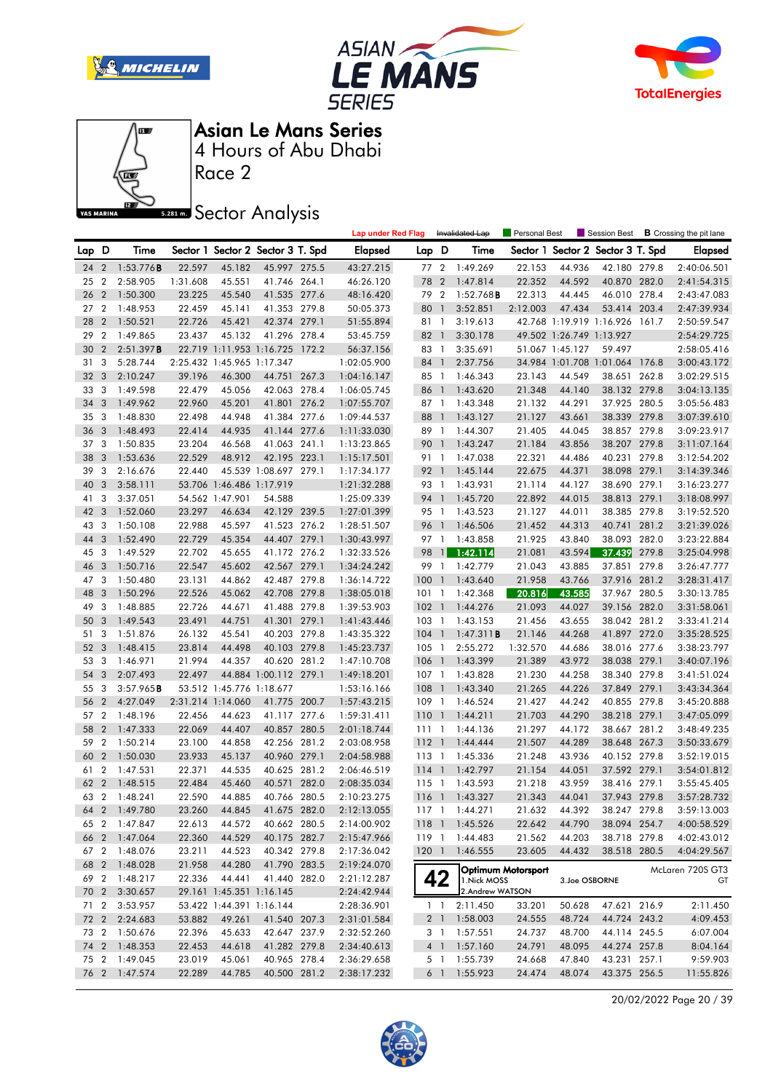







Asian Le Mans Series

Race 2 4 Hours of Abu Dhabi

**Sector Analysis** 

|                 |                         |               |                  |                            |                                   |       | <b>Lap under Red Flag</b> |         |                | Invalidated Lap            | <b>Personal Best</b> |                          |                                   |       | Session Best <b>B</b> Crossing the pit lane |
|-----------------|-------------------------|---------------|------------------|----------------------------|-----------------------------------|-------|---------------------------|---------|----------------|----------------------------|----------------------|--------------------------|-----------------------------------|-------|---------------------------------------------|
| Lap D           |                         | Time          |                  |                            | Sector 1 Sector 2 Sector 3 T. Spd |       | <b>Elapsed</b>            | Lap D   |                | Time                       |                      |                          | Sector 1 Sector 2 Sector 3 T. Spd |       | <b>Elapsed</b>                              |
| 24              | $\overline{2}$          | 1:53.776B     | 22.597           | 45.182                     | 45.997 275.5                      |       | 43:27.215                 | 77 2    |                | 1:49.269                   | 22.153               | 44.936                   | 42.180 279.8                      |       | 2:40:06.501                                 |
| 25              | $\boldsymbol{2}$        | 2:58.905      | 1:31.608         | 45.551                     | 41.746 264.1                      |       | 46:26.120                 | 78      | $\overline{2}$ | 1:47.814                   | 22.352               | 44.592                   | 40.870 282.0                      |       | 2:41:54.315                                 |
| 26              | $\overline{2}$          | 1:50.300      | 23.225           | 45.540                     | 41.535 277.6                      |       | 48:16.420                 | 79 2    |                | 1:52.768B                  | 22.313               | 44.445                   | 46.010 278.4                      |       | 2:43:47.083                                 |
| 27              | $\overline{2}$          | 1:48.953      | 22.459           | 45.141                     | 41.353 279.8                      |       | 50:05.373                 | 80      | $\overline{1}$ | 3:52.851                   | 2:12.003             | 47.434                   | 53.414 203.4                      |       | 2:47:39.934                                 |
| 28              | $\overline{2}$          | 1:50.521      | 22.726           | 45.421                     | 42.374 279.1                      |       | 51:55.894                 | 81 1    |                | 3:19.613                   |                      |                          | 42.768 1:19.919 1:16.926 161.7    |       | 2:50:59.547                                 |
| 29              | $\overline{2}$          | 1:49.865      | 23.437           | 45.132                     | 41.296 278.4                      |       | 53:45.759                 | 82 1    |                | 3:30.178                   |                      | 49.502 1:26.749 1:13.927 |                                   |       | 2:54:29.725                                 |
| 30              | $\overline{2}$          | 2:51.397B     |                  |                            | 22.719 1:11.953 1:16.725 172.2    |       | 56:37.156                 | 83 1    |                | 3:35.691                   |                      | 51.067 1:45.127          | 59.497                            |       | 2:58:05.416                                 |
| 31              | 3                       | 5:28.744      |                  | 2:25.432 1:45.965 1:17.347 |                                   |       | 1:02:05.900               | 84 1    |                | 2:37.756                   |                      |                          | 34.984 1:01.708 1:01.064 176.8    |       | 3:00:43.172                                 |
| 32              | 3                       | 2:10.247      | 39.196           | 46.300                     | 44.751 267.3                      |       | 1:04:16.147               | 85 1    |                | 1:46.343                   | 23.143               | 44.549                   | 38.651                            | 262.8 | 3:02:29.515                                 |
| 33              | 3                       | 1:49.598      | 22.479           | 45.056                     | 42.063 278.4                      |       | 1:06:05.745               | 86      | $\overline{1}$ | 1:43.620                   | 21.348               | 44.140                   | 38.132 279.8                      |       | 3:04:13.135                                 |
| 34              | 3                       | 1:49.962      | 22.960           | 45.201                     | 41.801 276.2                      |       | 1:07:55.707               | 87 1    |                | 1:43.348                   | 21.132               | 44.291                   | 37.925 280.5                      |       | 3:05:56.483                                 |
| 35              | 3                       | 1:48.830      | 22.498           | 44.948                     | 41.384 277.6                      |       | 1:09:44.537               | 88 1    |                | 1:43.127                   | 21.127               | 43.661                   | 38.339 279.8                      |       | 3:07:39.610                                 |
| 36              | $\overline{3}$          | 1:48.493      | 22.414           | 44.935                     | 41.144 277.6                      |       | 1:11:33.030               | 89 1    |                | 1:44.307                   | 21.405               | 44.045                   | 38.857 279.8                      |       | 3:09:23.917                                 |
| 37 <sub>3</sub> |                         | 1:50.835      | 23.204           | 46.568                     | 41.063 241.1                      |       | 1:13:23.865               | 90      | $\overline{1}$ | 1:43.247                   | 21.184               | 43.856                   | 38.207 279.8                      |       | 3:11:07.164                                 |
| 38              | $\overline{\mathbf{3}}$ | 1:53.636      | 22.529           | 48.912                     | 42.195 223.1                      |       | 1:15:17.501               | 91 1    |                | 1:47.038                   | 22.321               | 44.486                   | 40.231 279.8                      |       | 3:12:54.202                                 |
| 39              | 3                       | 2:16.676      | 22.440           |                            | 45.539 1:08.697 279.1             |       | 1:17:34.177               | 92 1    |                | 1:45.144                   | 22.675               | 44.371                   | 38.098 279.1                      |       | 3:14:39.346                                 |
| 40              | 3                       | 3:58.111      |                  | 53.706 1:46.486 1:17.919   |                                   |       | 1:21:32.288               | 93 1    |                | 1:43.931                   | 21.114               | 44.127                   | 38.690 279.1                      |       | 3:16:23.277                                 |
| 41              | 3                       | 3:37.051      |                  | 54.562 1:47.901            | 54.588                            |       | 1:25:09.339               | 94      | $\overline{1}$ | 1:45.720                   | 22.892               | 44.015                   | 38.813 279.1                      |       | 3:18:08.997                                 |
| 42              | $\overline{\mathbf{3}}$ | 1:52.060      | 23.297           | 46.634                     | 42.129 239.5                      |       | 1:27:01.399               | 95 1    |                | 1:43.523                   | 21.127               | 44.011                   | 38.385 279.8                      |       | 3:19:52.520                                 |
| 43              | 3                       | 1:50.108      | 22.988           | 45.597                     | 41.523 276.2                      |       | 1:28:51.507               | 96 1    |                | 1:46.506                   | 21.452               | 44.313                   | 40.741                            | 281.2 | 3:21:39.026                                 |
| 44              | 3                       | 1:52.490      | 22.729           | 45.354                     | 44.407 279.1                      |       | 1:30:43.997               | 97 1    |                | 1:43.858                   | 21.925               | 43.840                   | 38.093 282.0                      |       | 3:23:22.884                                 |
| 45 3            |                         | 1:49.529      | 22.702           | 45.655                     | 41.172 276.2                      |       | 1:32:33.526               | 98      | $\mathbf{1}$   | 1:42.114                   | 21.081               | 43.594                   | 37.439                            | 279.8 | 3:25:04.998                                 |
| 46              | 3                       | 1:50.716      | 22.547           | 45.602                     | 42.567 279.1                      |       | 1:34:24.242               | 99 1    |                | 1:42.779                   | 21.043               | 43.885                   | 37.851 279.8                      |       | 3:26:47.777                                 |
| 47              | -3                      | 1:50.480      | 23.131           | 44.862                     | 42.487 279.8                      |       | 1:36:14.722               | 1001    |                | 1:43.640                   | 21.958               | 43.766                   | 37.916 281.2                      |       | 3:28:31.417                                 |
| 48              | 3                       |               | 22.526           | 45.062                     | 42.708 279.8                      |       | 1:38:05.018               |         | $\overline{1}$ |                            | 20.816               | 43.585                   | 37.967 280.5                      |       |                                             |
| 49              | 3                       | 1:50.296      |                  |                            | 41.488 279.8                      |       |                           | 101     |                | 1:42.368                   |                      |                          | 39.156 282.0                      |       | 3:30:13.785                                 |
|                 |                         | 1:48.885      | 22.726           | 44.671                     |                                   |       | 1:39:53.903               | $102-1$ |                | 1:44.276                   | 21.093               | 44.027                   |                                   |       | 3:31:58.061                                 |
| 50              | $\overline{3}$<br>3     | 1:49.543      | 23.491           | 44.751                     | 41.301 279.1<br>40.203 279.8      |       | 1:41:43.446               | $103-1$ |                | 1:43.153                   | 21.456               | 43.655                   | 38.042 281.2                      |       | 3:33:41.214                                 |
| 51<br>52        | $\overline{\mathbf{3}}$ | 1:51.876      | 26.132           | 45.541                     |                                   |       | 1:43:35.322               | $104$ 1 |                | 1:47.311B                  | 21.146               | 44.268                   | 41.897 272.0                      |       | 3:35:28.525                                 |
| 53 3            |                         | 1:48.415      | 23.814<br>21.994 | 44.498                     | 40.103 279.8                      |       | 1:45:23.737               | $105-1$ |                | 2:55.272                   | 1:32.570             | 44.686                   | 38.016 277.6<br>38.038 279.1      |       | 3:38:23.797                                 |
|                 |                         | 1:46.971      |                  | 44.357                     | 40.620 281.2                      |       | 1:47:10.708               | 106 1   |                | 1:43.399                   | 21.389               | 43.972                   |                                   |       | 3:40:07.196                                 |
| 54              | 3                       | 2:07.493      | 22.497           |                            | 44.884 1:00.112 279.1             |       | 1:49:18.201               | $107-1$ |                | 1:43.828                   | 21.230               | 44.258                   | 38.340 279.8                      |       | 3:41:51.024                                 |
| 55              | 3                       | 3:57.965B     |                  | 53.512 1:45.776 1:18.677   |                                   |       | 1:53:16.166               | $108$ 1 |                | 1:43.340                   | 21.265               | 44.226                   | 37.849 279.1                      |       | 3:43:34.364                                 |
| 56              | $\overline{2}$          | 4:27.049      |                  | 2:31.214 1:14.060          | 41.775 200.7                      |       | 1:57:43.215               | 109     | $\overline{1}$ | 1:46.524                   | 21.427               | 44.242                   | 40.855 279.8                      |       | 3:45:20.888                                 |
| 57 2<br>58      | $\overline{2}$          | 1:48.196      | 22.456           | 44.623                     | 41.117 277.6                      |       | 1:59:31.411               | 1101    |                | 1:44.211                   | 21.703               | 44.290                   | 38.218 279.1                      |       | 3:47:05.099                                 |
|                 |                         | 1:47.333      | 22.069           | 44.407                     | 40.857                            | 280.5 | 2:01:18.744               | 111     | $\overline{1}$ | 1:44.136                   | 21.297               | 44.172                   | 38.667 281.2                      |       | 3:48:49.235                                 |
| 59              | $\overline{2}$          | 1:50.214      | 23.100           | 44.858                     | 42.256                            | 281.2 | 2:03:08.958               | $112-1$ |                | 1:44.444                   | 21.507               | 44.289                   | 38.648                            | 267.3 | 3:50:33.679                                 |
| 60              | $\overline{2}$          | 1:50.030      | 23.933           | 45.137                     | 40.960 279.1                      |       | 2:04:58.988               | 113 1   |                | 1:45.336                   | 21.248               | 43.936                   | 40.152 279.8                      |       | 3:52:19.015                                 |
| 61 2            |                         | 1:47.531      | 22.371           | 44.535                     | 40.625 281.2                      |       | 2:06:46.519               | $114$ 1 |                | 1:42.797                   | 21.154               | 44.051                   | 37.592 279.1                      |       | 3:54:01.812                                 |
| 62              | $\overline{2}$          | 1:48.515      | 22.484           | 45.460                     | 40.571                            | 282.0 | 2:08:35.034               | $115-1$ |                | 1:43.593                   | 21.218               | 43.959                   | 38.416 279.1                      |       | 3:55:45.405                                 |
| 63              | $\overline{2}$          | 1:48.241      | 22.590           | 44.885                     | 40.766 280.5                      |       | 2:10:23.275               |         |                | 116 1 1:43.327             | 21.343               | 44.041                   | 37.943 279.8                      |       | 3:57:28.732                                 |
|                 |                         | 64 2 1:49.780 | 23.260           | 44.845                     | 41.675 282.0                      |       | 2:12:13.055               |         |                | 117 1 1:44.271             | 21.632               | 44.392                   | 38.247 279.8                      |       | 3:59:13.003                                 |
|                 |                         | 65 2 1:47.847 | 22.613           | 44.572                     | 40.662 280.5                      |       | 2:14:00.902               |         |                | 118 1 1:45.526             | 22.642               | 44.790                   | 38.094 254.7                      |       | 4:00:58.529                                 |
|                 |                         | 66 2 1:47.064 | 22.360           | 44.529                     | 40.175 282.7                      |       | 2:15:47.966               |         |                | 119 1 1:44.483             | 21.562               | 44.203                   | 38.718 279.8                      |       | 4:02:43.012                                 |
|                 |                         | 67 2 1:48.076 | 23.211           | 44.523                     | 40.342 279.8                      |       | 2:17:36.042               |         |                | 120 1 1:46.555             | 23.605               | 44.432                   | 38.518 280.5                      |       | 4:04:29.567                                 |
|                 |                         | 68 2 1:48.028 | 21.958           | 44.280                     | 41.790 283.5                      |       | 2:19:24.070               |         |                | Optimum Motorsport         |                      |                          |                                   |       | McLaren 720S GT3                            |
|                 |                         | 69 2 1:48.217 | 22.336           | 44.441                     | 41.440 282.0                      |       | 2:21:12.287               |         | 42             | 1. Nick MOSS               |                      | 3.Joe OSBORNE            |                                   |       | GT                                          |
| 70 2            |                         | 3:30.657      |                  | 29.161 1:45.351 1:16.145   |                                   |       | 2:24:42.944               |         |                | 2.Andrew WATSON            |                      |                          |                                   |       |                                             |
| 71 2            |                         | 3:53.957      |                  | 53.422 1:44.391 1:16.144   |                                   |       | 2:28:36.901               |         |                | $1 \quad 1 \quad 2:11.450$ | 33.201               | 50.628                   | 47.621 216.9                      |       | 2:11.450                                    |
| 72 2            |                         | 2:24.683      | 53.882           | 49.261                     | 41.540 207.3                      |       | 2:31:01.584               |         |                | 2 1 1:58.003               | 24.555               | 48.724                   | 44.724 243.2                      |       | 4:09.453                                    |
|                 |                         | 73 2 1:50.676 | 22.396           | 45.633                     | 42.647 237.9                      |       | 2:32:52.260               |         |                | 3 1 1:57.551               | 24.737               | 48.700                   | 44.114 245.5                      |       | 6:07.004                                    |
|                 |                         | 74 2 1:48.353 | 22.453           | 44.618                     | 41.282 279.8                      |       | 2:34:40.613               |         |                | 4 1 1:57.160               | 24.791               | 48.095                   | 44.274 257.8                      |       | 8:04.164                                    |
|                 |                         | 75 2 1:49.045 | 23.019           | 45.061                     | 40.965 278.4                      |       | 2:36:29.658               |         |                | 5 1 1:55.739               | 24.668               | 47.840                   | 43.231 257.1                      |       | 9:59.903                                    |
|                 |                         | 76 2 1:47.574 | 22.289           | 44.785                     | 40.500 281.2                      |       | 2:38:17.232               |         |                | 6 1 1:55.923               | 24.474               | 48.074                   | 43.375 256.5                      |       | 11:55.826                                   |
|                 |                         |               |                  |                            |                                   |       |                           |         |                |                            |                      |                          |                                   |       |                                             |

20/02/2022 Page 20 / 39

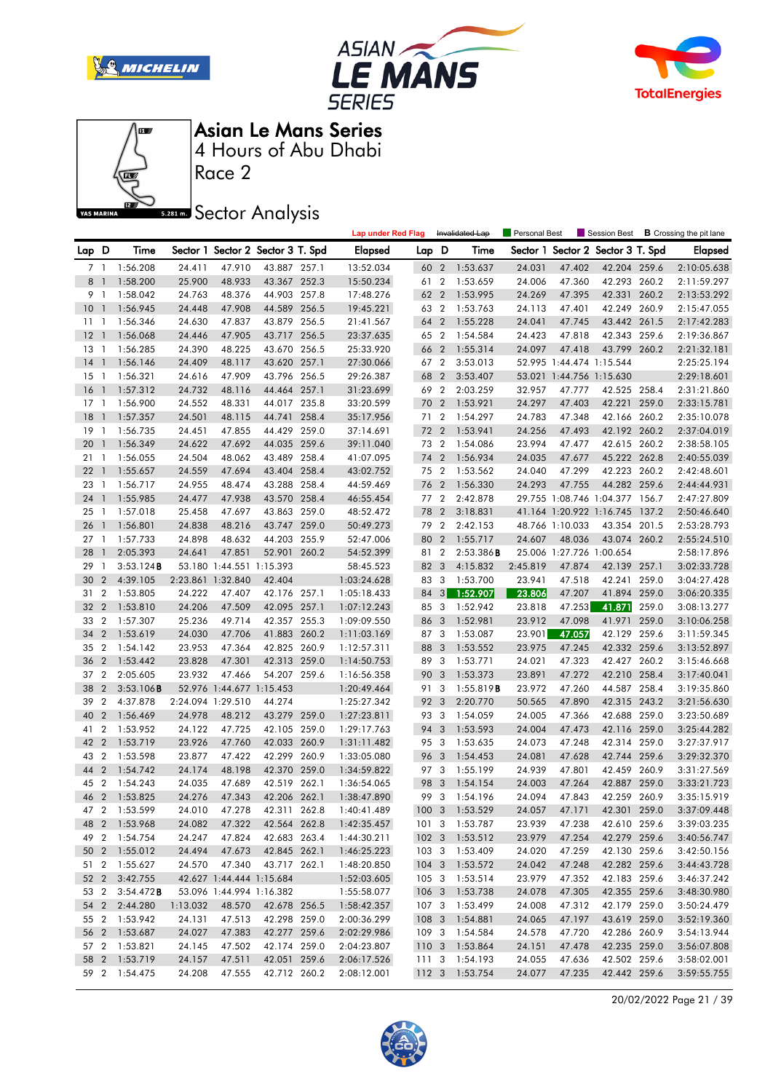







Race 2

**Sector Analysis** 

|        |                          |               |                   |                          |                                   |       | <b>Lap under Red Flag</b> |       |                         | Invalidated Lap | <b>Personal Best</b> |                          | Session Best                   |       | <b>B</b> Crossing the pit lane |
|--------|--------------------------|---------------|-------------------|--------------------------|-----------------------------------|-------|---------------------------|-------|-------------------------|-----------------|----------------------|--------------------------|--------------------------------|-------|--------------------------------|
| Lap D  |                          | Time          |                   |                          | Sector 1 Sector 2 Sector 3 T. Spd |       | Elapsed                   | Lap D |                         | Time            | Sector 1             |                          | Sector 2 Sector 3 T. Spd       |       | <b>Elapsed</b>                 |
|        | 7 1                      | 1:56.208      | 24.411            | 47.910                   | 43.887 257.1                      |       | 13:52.034                 | 60 2  |                         | 1:53.637        | 24.031               | 47.402                   | 42.204 259.6                   |       | 2:10:05.638                    |
| 8      | $\overline{1}$           | 1:58.200      | 25.900            | 48.933                   | 43.367 252.3                      |       | 15:50.234                 | 61    | $\overline{2}$          | 1:53.659        | 24.006               | 47.360                   | 42.293 260.2                   |       | 2:11:59.297                    |
| 9      | $\overline{1}$           | 1:58.042      | 24.763            | 48.376                   | 44.903 257.8                      |       | 17:48.276                 | 62    | $\overline{2}$          | 1:53.995        | 24.269               | 47.395                   | 42.331                         | 260.2 | 2:13:53.292                    |
| 10     | $\mathbf{1}$             | 1:56.945      | 24.448            | 47.908                   | 44.589 256.5                      |       | 19:45.221                 | 63 2  |                         | 1:53.763        | 24.113               | 47.401                   | 42.249 260.9                   |       | 2:15:47.055                    |
| 11     | $\overline{1}$           | 1:56.346      | 24.630            | 47.837                   | 43.879 256.5                      |       | 21:41.567                 | 64    | $\overline{2}$          | 1:55.228        | 24.041               | 47.745                   | 43.442                         | 261.5 | 2:17:42.283                    |
| 12     | $\overline{\phantom{a}}$ | 1:56.068      | 24.446            | 47.905                   | 43.717 256.5                      |       | 23:37.635                 | 65 2  |                         | 1:54.584        | 24.423               | 47.818                   | 42.343 259.6                   |       | 2:19:36.867                    |
| $13-1$ |                          | 1:56.285      | 24.390            | 48.225                   | 43.670 256.5                      |       | 25:33.920                 | 66    | $\overline{2}$          | 1:55.314        | 24.097               | 47.418                   | 43.799 260.2                   |       | 2:21:32.181                    |
| 14     | $\overline{1}$           | 1:56.146      | 24.409            | 48.117                   | 43.620 257.1                      |       | 27:30.066                 | 67 2  |                         | 3:53.013        |                      | 52.995 1:44.474 1:15.544 |                                |       | 2:25:25.194                    |
| 15     | $\overline{1}$           | 1:56.321      | 24.616            | 47.909                   | 43.796 256.5                      |       | 29:26.387                 | 68    | $\overline{2}$          | 3:53.407        |                      | 53.021 1:44.756 1:15.630 |                                |       | 2:29:18.601                    |
| 16     | $\overline{1}$           | 1:57.312      | 24.732            | 48.116                   | 44.464 257.1                      |       | 31:23.699                 | 69    | $\overline{2}$          | 2:03.259        | 32.957               | 47.777                   | 42.525 258.4                   |       | 2:31:21.860                    |
| $17-1$ |                          | 1:56.900      | 24.552            | 48.331                   | 44.017 235.8                      |       | 33:20.599                 | 70    | $\overline{2}$          | 1:53.921        | 24.297               | 47.403                   | 42.221 259.0                   |       | 2:33:15.781                    |
| 18     | $\overline{1}$           | 1:57.357      | 24.501            | 48.115                   | 44.741                            | 258.4 | 35:17.956                 | 71    | $\overline{2}$          | 1:54.297        | 24.783               | 47.348                   | 42.166 260.2                   |       | 2:35:10.078                    |
| 19     | $\overline{1}$           | 1:56.735      | 24.451            | 47.855                   | 44.429                            | 259.0 | 37:14.691                 | 72    | $\overline{2}$          | 1:53.941        | 24.256               | 47.493                   | 42.192                         | 260.2 | 2:37:04.019                    |
| 20     | $\mathbf{1}$             | 1:56.349      | 24.622            | 47.692                   | 44.035 259.6                      |       | 39:11.040                 | 73 2  |                         | 1:54.086        | 23.994               | 47.477                   | 42.615 260.2                   |       | 2:38:58.105                    |
| 21 1   |                          | 1:56.055      | 24.504            | 48.062                   | 43.489 258.4                      |       | 41:07.095                 | 74 2  |                         | 1:56.934        | 24.035               | 47.677                   | 45.222 262.8                   |       | 2:40:55.039                    |
| 22     | -1                       | 1:55.657      | 24.559            | 47.694                   | 43.404 258.4                      |       | 43:02.752                 | 75 2  |                         | 1:53.562        | 24.040               | 47.299                   | 42.223 260.2                   |       | 2:42:48.601                    |
| 23     | $\overline{1}$           | 1:56.717      | 24.955            | 48.474                   | 43.288 258.4                      |       | 44:59.469                 | 76    | $\overline{2}$          | 1:56.330        | 24.293               | 47.755                   | 44.282                         | 259.6 | 2:44:44.931                    |
| 24     | $\mathbf{1}$             | 1:55.985      | 24.477            | 47.938                   | 43.570 258.4                      |       | 46:55.454                 | 77 2  |                         | 2:42.878        |                      |                          | 29.755 1:08.746 1:04.377 156.7 |       | 2:47:27.809                    |
| 25     | $\overline{\phantom{0}}$ | 1:57.018      | 25.458            | 47.697                   | 43.863 259.0                      |       | 48:52.472                 | 78    | $\overline{2}$          | 3:18.831        |                      |                          | 41.164 1:20.922 1:16.745 137.2 |       | 2:50:46.640                    |
| 26     | -1                       | 1:56.801      | 24.838            | 48.216                   | 43.747                            | 259.0 | 50:49.273                 | 79 2  |                         | 2:42.153        |                      | 48.766 1:10.033          | 43.354 201.5                   |       | 2:53:28.793                    |
| $27-1$ |                          | 1:57.733      | 24.898            | 48.632                   | 44.203 255.9                      |       | 52:47.006                 | 80    | $\overline{2}$          | 1:55.717        | 24.607               | 48.036                   | 43.074 260.2                   |       | 2:55:24.510                    |
| 28     |                          | 2:05.393      | 24.641            | 47.851                   | 52.901 260.2                      |       | 54:52.399                 | 81 2  |                         | 2:53.386B       |                      | 25.006 1:27.726 1:00.654 |                                |       | 2:58:17.896                    |
| 29     | $\overline{1}$           | 3:53.124B     |                   | 53.180 1:44.551 1:15.393 |                                   |       | 58:45.523                 | 82 3  |                         | 4:15.832        | 2:45.819             | 47.874                   | 42.139 257.1                   |       | 3:02:33.728                    |
| 30     | $\overline{2}$           | 4:39.105      | 2:23.861 1:32.840 |                          | 42.404                            |       | 1:03:24.628               | 83    | 3                       | 1:53.700        | 23.941               | 47.518                   | 42.241 259.0                   |       | 3:04:27.428                    |
| 31     | $\overline{2}$           | 1:53.805      | 24.222            | 47.407                   | 42.176 257.1                      |       | 1:05:18.433               | 84    | 3                       | 1:52.907        | 23.806               | 47.207                   | 41.894 259.0                   |       | 3:06:20.335                    |
| 32     | $\overline{2}$           | 1:53.810      | 24.206            | 47.509                   | 42.095 257.1                      |       | 1:07:12.243               | 85 3  |                         | 1:52.942        | 23.818               | 47.253                   | 41.871                         | 259.0 | 3:08:13.277                    |
| 33     | $\overline{2}$           | 1:57.307      | 25.236            | 49.714                   | 42.357 255.3                      |       | 1:09:09.550               | 86    | 3                       | 1:52.981        | 23.912               | 47.098                   | 41.971                         | 259.0 | 3:10:06.258                    |
| 34     | $\overline{2}$           | 1:53.619      | 24.030            | 47.706                   | 41.883 260.2                      |       | 1:11:03.169               | 87    | 3                       | 1:53.087        | 23.901               | 47.057                   | 42.129                         | 259.6 | 3:11:59.345                    |
| 35     | $\overline{2}$           | 1:54.142      | 23.953            | 47.364                   | 42.825 260.9                      |       | 1:12:57.311               | 88    | 3                       | 1:53.552        | 23.975               | 47.245                   | 42.332 259.6                   |       | 3:13:52.897                    |
| 36     | $\overline{2}$           | 1:53.442      | 23.828            | 47.301                   | 42.313 259.0                      |       | 1:14:50.753               | 89    | 3                       | 1:53.771        | 24.021               | 47.323                   | 42.427 260.2                   |       | 3:15:46.668                    |
| 37     | $\overline{2}$           | 2:05.605      | 23.932            | 47.466                   | 54.207 259.6                      |       | 1:16:56.358               | 90 3  |                         | 1:53.373        | 23.891               | 47.272                   | 42.210 258.4                   |       | 3:17:40.041                    |
| 38     | $\overline{2}$           | 3:53.106B     |                   | 52.976 1:44.677 1:15.453 |                                   |       | 1:20:49.464               | 91    | 3                       | 1:55.819B       | 23.972               | 47.260                   | 44.587 258.4                   |       | 3:19:35.860                    |
| 39     | $\boldsymbol{2}$         | 4:37.878      |                   | 2:24.094 1:29.510        | 44.274                            |       | 1:25:27.342               | 92    | 3                       | 2:20.770        | 50.565               | 47.890                   | 42.315 243.2                   |       | 3:21:56.630                    |
| 40     | $\overline{2}$           | 1:56.469      | 24.978            | 48.212                   | 43.279 259.0                      |       | 1:27:23.811               | 93 3  |                         | 1:54.059        | 24.005               | 47.366                   | 42.688 259.0                   |       | 3:23:50.689                    |
| 41     | $\overline{2}$           | 1:53.952      | 24.122            | 47.725                   | 42.105 259.0                      |       | 1:29:17.763               | 94 3  |                         | 1:53.593        | 24.004               | 47.473                   | 42.116 259.0                   |       | 3:25:44.282                    |
| 42     | $\overline{2}$           | 1:53.719      | 23.926            | 47.760                   | 42.033 260.9                      |       | 1:31:11.482               | 95 3  |                         | 1:53.635        | 24.073               | 47.248                   | 42.314                         | 259.0 | 3:27:37.917                    |
| 43     | $\overline{2}$           | 1:53.598      | 23.877            | 47.422                   | 42.299 260.9                      |       | 1:33:05.080               | 96 3  |                         | 1:54.453        | 24.081               | 47.628                   | 42.744 259.6                   |       | 3:29:32.370                    |
| 44     | $\overline{2}$           | 1:54.742      | 24.174            | 48.198                   | 42.370 259.0                      |       | 1:34:59.822               | 97 3  |                         | 1:55.199        | 24.939               | 47.801                   | 42.459 260.9                   |       | 3:31:27.569                    |
| 45     | $\overline{2}$           | 1:54.243      | 24.035            | 47.689                   | 42.519 262.1                      |       | 1:36:54.065               | 98 3  |                         | 1:54.154        | 24.003               | 47.264                   | 42.887                         | 259.0 | 3:33:21.723                    |
| 46 2   |                          | 1:53.825      | 24.276            | 47.343                   | 42.206 262.1                      |       | 1:38:47.890               | 99    | $\overline{\mathbf{3}}$ | 1:54.196        | 24.094               | 47.843                   | 42.259 260.9                   |       | 3:35:15.919                    |
| 47 2   |                          | 1:53.599      | 24.010            | 47.278                   | 42.311 262.8                      |       | 1:40:41.489               |       |                         | 100 3 1:53.529  | 24.057               | 47.171                   | 42.301 259.0                   |       | 3:37:09.448                    |
|        |                          | 48 2 1:53.968 | 24.082            | 47.322                   | 42.564 262.8                      |       | 1:42:35.457               |       |                         | 101 3 1:53.787  | 23.939               | 47.238                   | 42.610 259.6                   |       | 3:39:03.235                    |
|        |                          | 49 2 1:54.754 | 24.247            | 47.824                   | 42.683 263.4                      |       | 1:44:30.211               |       |                         | 102 3 1:53.512  | 23.979               | 47.254                   | 42.279 259.6                   |       | 3:40:56.747                    |
|        |                          | 50 2 1:55.012 | 24.494            | 47.673                   | 42.845 262.1                      |       | 1:46:25.223               |       |                         | 103 3 1:53.409  | 24.020               | 47.259                   | 42.130 259.6                   |       | 3:42:50.156                    |
|        |                          | 51 2 1:55.627 | 24.570            | 47.340                   | 43.717 262.1                      |       | 1:48:20.850               |       |                         | 104 3 1:53.572  | 24.042               | 47.248                   | 42.282 259.6                   |       | 3:44:43.728                    |
|        | 52 2                     | 3:42.755      |                   | 42.627 1:44.444 1:15.684 |                                   |       | 1:52:03.605               |       |                         | 105 3 1:53.514  | 23.979               | 47.352                   | 42.183 259.6                   |       | 3:46:37.242                    |
| 53 2   |                          | 3:54.472B     |                   | 53.096 1:44.994 1:16.382 |                                   |       | 1:55:58.077               |       |                         | 106 3 1:53.738  | 24.078               | 47.305                   | 42.355 259.6                   |       | 3:48:30.980                    |
|        | 54 2                     | 2:44.280      | 1:13.032          | 48.570                   | 42.678 256.5                      |       | 1:58:42.357               |       |                         | 107 3 1:53.499  | 24.008               | 47.312                   | 42.179 259.0                   |       | 3:50:24.479                    |
|        |                          | 55 2 1:53.942 | 24.131            | 47.513                   | 42.298 259.0                      |       | 2:00:36.299               |       |                         | 108 3 1:54.881  | 24.065               | 47.197                   | 43.619 259.0                   |       | 3:52:19.360                    |
|        |                          | 56 2 1:53.687 | 24.027            | 47.383                   | 42.277 259.6                      |       | 2:02:29.986               |       |                         | 109 3 1:54.584  | 24.578               | 47.720                   | 42.286 260.9                   |       | 3:54:13.944                    |
|        |                          | 57 2 1:53.821 | 24.145            | 47.502                   | 42.174 259.0                      |       | 2:04:23.807               |       |                         | 110 3 1:53.864  | 24.151               | 47.478                   | 42.235 259.0                   |       | 3:56:07.808                    |
|        |                          | 58 2 1:53.719 | 24.157            | 47.511                   | 42.051 259.6                      |       | 2:06:17.526               |       |                         | 111 3 1:54.193  | 24.055               | 47.636                   | 42.502 259.6                   |       | 3:58:02.001                    |
|        |                          | 59 2 1:54.475 | 24.208            | 47.555                   | 42.712 260.2                      |       | 2:08:12.001               |       |                         | 112 3 1:53.754  | 24.077               | 47.235                   | 42.442 259.6                   |       | 3:59:55.755                    |

20/02/2022 Page 21 / 39

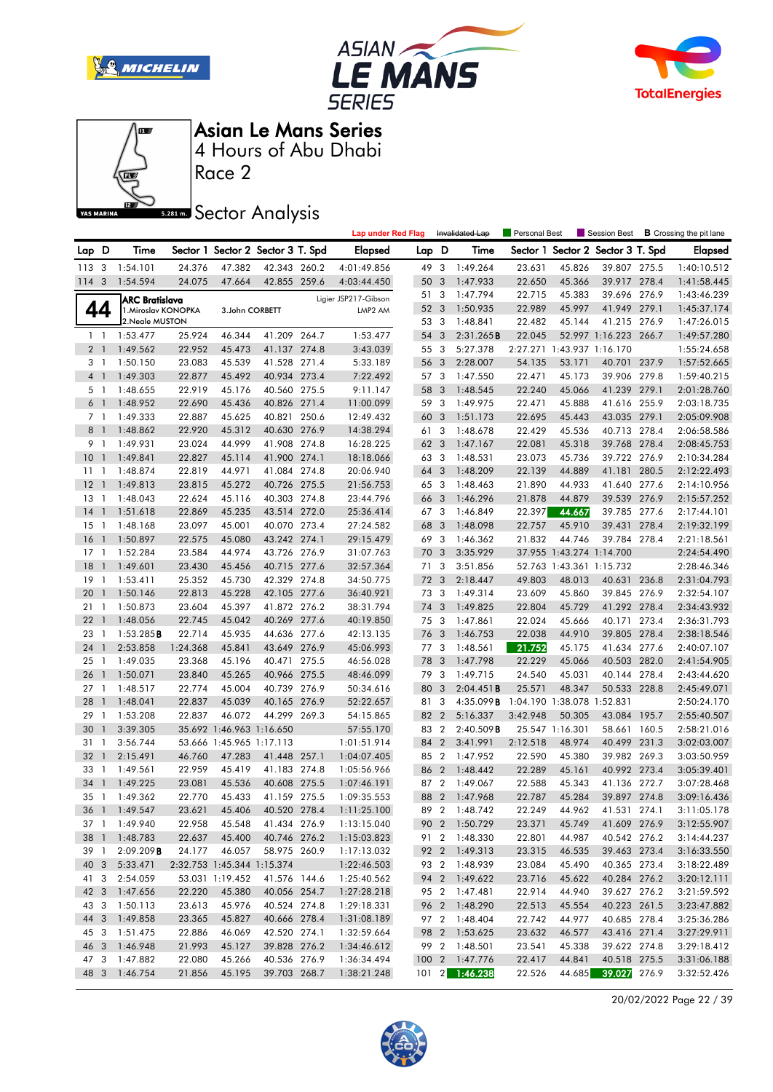







Race 2

### **Sector Analysis**

|                |                          |                       |          |                            |                                   |       | <b>Lap under Red Flag</b> |      |                | Invalidated Lap     | <b>Personal Best</b> |                            | Session Best                      |       | <b>B</b> Crossing the pit lane |
|----------------|--------------------------|-----------------------|----------|----------------------------|-----------------------------------|-------|---------------------------|------|----------------|---------------------|----------------------|----------------------------|-----------------------------------|-------|--------------------------------|
| Lap            | D                        | Time                  |          |                            | Sector 1 Sector 2 Sector 3 T. Spd |       | Elapsed                   | Lap  | D              | Time                |                      |                            | Sector 1 Sector 2 Sector 3 T. Spd |       | <b>Elapsed</b>                 |
| 1133           |                          | 1:54.101              | 24.376   | 47.382                     | 42.343 260.2                      |       | 4:01:49.856               | 49 3 |                | 1:49.264            | 23.631               | 45.826                     | 39.807 275.5                      |       | 1:40:10.512                    |
| $114 - 3$      |                          | 1:54.594              | 24.075   | 47.664                     | 42.855 259.6                      |       | 4:03:44.450               | 50   | 3              | 1:47.933            | 22.650               | 45.366                     | 39.917 278.4                      |       | 1:41:58.445                    |
|                |                          | <b>ARC Bratislava</b> |          |                            |                                   |       | Ligier JSP217-Gibson      | 51   | 3              | 1:47.794            | 22.715               | 45.383                     | 39.696 276.9                      |       | 1:43:46.239                    |
|                | 44                       | 1. Miroslav KONOPKA   |          | 3.John CORBETT             |                                   |       | LMP2 AM                   | 52 3 |                | 1:50.935            | 22.989               | 45.997                     | 41.949 279.1                      |       | 1:45:37.174                    |
|                |                          | 2. Neale MUSTON       |          |                            |                                   |       |                           | 53 3 |                | 1:48.841            | 22.482               | 45.144                     | 41.215 276.9                      |       | 1:47:26.015                    |
|                | 1 <sup>1</sup>           | 1:53.477              | 25.924   | 46.344                     | 41.209 264.7                      |       | 1:53.477                  | 54   | 3              | 2:31.265B           | 22.045               |                            | 52.997 1:16.223 266.7             |       | 1:49:57.280                    |
| 2 <sub>1</sub> |                          | 1:49.562              | 22.952   | 45.473                     | 41.137 274.8                      |       | 3:43.039                  | 55   | -3             | 5:27.378            |                      | 2:27.271 1:43.937 1:16.170 |                                   |       | 1:55:24.658                    |
| 3 <sup>1</sup> |                          | 1:50.150              | 23.083   | 45.539                     | 41.528 271.4                      |       | 5:33.189                  | 56   | 3              | 2:28.007            | 54.135               | 53.171                     | 40.701                            | 237.9 | 1:57:52.665                    |
| 4 <sup>1</sup> |                          | 1:49.303              | 22.877   | 45.492                     | 40.934 273.4                      |       | 7:22.492                  | 57 3 |                | 1:47.550            | 22.471               | 45.173                     | 39.906 279.8                      |       | 1:59:40.215                    |
|                | 5 1                      | 1:48.655              | 22.919   | 45.176                     | 40.560 275.5                      |       | 9:11.147                  | 58 3 |                | 1:48.545            | 22.240               | 45.066                     | 41.239 279.1                      |       | 2:01:28.760                    |
| 6 <sup>1</sup> |                          | 1:48.952              | 22.690   | 45.436                     | 40.826 271.4                      |       | 11:00.099                 | 59   | 3              | 1:49.975            | 22.471               | 45.888                     | 41.616 255.9                      |       | 2:03:18.735                    |
|                | 7 1                      | 1:49.333              | 22.887   | 45.625                     | 40.821                            | 250.6 | 12:49.432                 | 60   | 3              | 1:51.173            | 22.695               | 45.443                     | 43.035 279.1                      |       | 2:05:09.908                    |
| 8 <sup>1</sup> |                          | 1:48.862              | 22.920   | 45.312                     | 40.630 276.9                      |       | 14:38.294                 | 61   | 3              | 1:48.678            | 22.429               | 45.536                     | 40.713 278.4                      |       | 2:06:58.586                    |
|                | 9 1                      | 1:49.931              | 23.024   | 44.999                     | 41.908 274.8                      |       | 16:28.225                 | 62 3 |                | 1:47.167            | 22.081               | 45.318                     | 39.768 278.4                      |       | 2:08:45.753                    |
| 10             | $\overline{\phantom{a}}$ | 1:49.841              | 22.827   | 45.114                     | 41.900 274.1                      |       | 18:18.066                 | 63   | 3              | 1:48.531            | 23.073               | 45.736                     | 39.722 276.9                      |       | 2:10:34.284                    |
| 11             | $\mathbf{1}$             | 1:48.874              | 22.819   | 44.971                     | 41.084                            | 274.8 | 20:06.940                 | 64   | 3              | 1:48.209            | 22.139               | 44.889                     | 41.181                            | 280.5 | 2:12:22.493                    |
| 12             | - 1                      | 1:49.813              | 23.815   | 45.272                     | 40.726 275.5                      |       | 21:56.753                 | 65 3 |                | 1:48.463            | 21.890               | 44.933                     | 41.640 277.6                      |       | 2:14:10.956                    |
| 13             | -1                       | 1:48.043              | 22.624   | 45.116                     | 40.303 274.8                      |       | 23:44.796                 | 66 3 |                | 1:46.296            | 21.878               | 44.879                     | 39.539                            | 276.9 | 2:15:57.252                    |
| 14             | $\overline{1}$           | 1:51.618              | 22.869   | 45.235                     | 43.514 272.0                      |       | 25:36.414                 | 67 3 |                | 1:46.849            | 22.397               | 44.667                     | 39.785 277.6                      |       | 2:17:44.101                    |
| 15             | $\mathbf{1}$             | 1:48.168              | 23.097   | 45.001                     | 40.070 273.4                      |       | 27:24.582                 | 68   | 3              | 1:48.098            | 22.757               | 45.910                     | 39.431                            | 278.4 | 2:19:32.199                    |
| 16             | $\mathbf{1}$             | 1:50.897              | 22.575   | 45.080                     | 43.242 274.1                      |       | 29:15.479                 | 69   | 3              | 1:46.362            | 21.832               | 44.746                     | 39.784 278.4                      |       | 2:21:18.561                    |
| 17             | $\mathbf{1}$             | 1:52.284              | 23.584   | 44.974                     | 43.726 276.9                      |       | 31:07.763                 | 70 3 |                | 3:35.929            |                      | 37.955 1:43.274 1:14.700   |                                   |       | 2:24:54.490                    |
| 18             | $\overline{\phantom{a}}$ | 1:49.601              | 23.430   | 45.456                     | 40.715 277.6                      |       | 32:57.364                 | 71   | 3              | 3:51.856            |                      | 52.763 1:43.361 1:15.732   |                                   |       | 2:28:46.346                    |
| 19             | $\mathbf{1}$             | 1:53.411              | 25.352   | 45.730                     | 42.329 274.8                      |       | 34:50.775                 | 72   | 3              | 2:18.447            | 49.803               | 48.013                     | 40.631 236.8                      |       | 2:31:04.793                    |
| 20             | $\mathbf{1}$             | 1:50.146              | 22.813   | 45.228                     | 42.105 277.6                      |       | 36:40.921                 | 73 3 |                | 1:49.314            | 23.609               | 45.860                     | 39.845 276.9                      |       | 2:32:54.107                    |
| 21             | $\mathbf{1}$             | 1:50.873              | 23.604   | 45.397                     | 41.872 276.2                      |       | 38:31.794                 | 74 3 |                | 1:49.825            | 22.804               | 45.729                     | 41.292 278.4                      |       | 2:34:43.932                    |
| 22             | $\overline{1}$           | 1:48.056              | 22.745   | 45.042                     | 40.269 277.6                      |       | 40:19.850                 | 75 3 |                | 1:47.861            | 22.024               | 45.666                     | 40.171                            | 273.4 | 2:36:31.793                    |
| 23             | -1                       | 1:53.285B             | 22.714   | 45.935                     | 44.636 277.6                      |       | 42:13.135                 | 76   | 3              | 1:46.753            | 22.038               | 44.910                     | 39.805 278.4                      |       | 2:38:18.546                    |
| 24             | $\mathbf{1}$             | 2:53.858              | 1:24.368 | 45.841                     | 43.649 276.9                      |       | 45:06.993                 | 77   | 3              | 1:48.561            | 21.752               | 45.175                     | 41.634 277.6                      |       | 2:40:07.107                    |
| 25             | $\mathbf{1}$             | 1:49.035              | 23.368   | 45.196                     | 40.471 275.5                      |       | 46:56.028                 | 78   | 3              | 1:47.798            | 22.229               | 45.066                     | 40.503                            | 282.0 | 2:41:54.905                    |
| 26             | $\overline{1}$           | 1:50.071              | 23.840   | 45.265                     | 40.966 275.5                      |       | 48:46.099                 | 79 3 |                | 1:49.715            | 24.540               | 45.031                     | 40.144 278.4                      |       | 2:43:44.620                    |
| 27             | $\mathbf{1}$             | 1:48.517              | 22.774   | 45.004                     | 40.739 276.9                      |       | 50:34.616                 | 80   | 3              | 2:04.451B           | 25.571               | 48.347                     | 50.533 228.8                      |       | 2:45:49.071                    |
| 28             | $\mathbf{1}$             | 1:48.041              | 22.837   | 45.039                     | 40.165 276.9                      |       | 52:22.657                 | 81 3 |                | 4:35.099 <b>B</b>   |                      | 1:04.190 1:38.078 1:52.831 |                                   |       | 2:50:24.170                    |
| 29             | $\mathbf{1}$             | 1:53.208              | 22.837   | 46.072                     | 44.299 269.3                      |       | 54:15.865                 | 82 2 |                | 5:16.337            | 3:42.948             | 50.305                     | 43.084 195.7                      |       | 2:55:40.507                    |
| 30             | $\overline{1}$           | 3:39.305              |          | 35.692 1:46.963 1:16.650   |                                   |       | 57:55.170                 | 83 2 |                | $2:40.509$ <b>B</b> |                      | 25.547 1:16.301            | 58.661 160.5                      |       | 2:58:21.016                    |
| 31             | $\mathbf{1}$             | 3:56.744              |          | 53.666 1:45.965 1:17.113   |                                   |       | 1:01:51.914               | 84   | $\overline{2}$ | 3:41.991            | 2:12.518             | 48.974                     | 40.499 231.3                      |       | 3:02:03.007                    |
| 32             | $\overline{1}$           | 2:15.491              | 46.760   | 47.283                     | 41.448 257.1                      |       | 1:04:07.405               | 85 2 |                | 1:47.952            | 22.590               | 45.380                     | 39.982 269.3                      |       | 3:03:50.959                    |
| 33             | $\mathbf{1}$             | 1:49.561              | 22.959   | 45.419                     | 41.183 274.8                      |       | 1:05:56.966               | 86   | $\overline{2}$ | 1:48.442            | 22.289               | 45.161                     | 40.992 273.4                      |       | 3:05:39.401                    |
| 34             | $\mathbf{1}$             | 1:49.225              | 23.081   | 45.536                     | 40.608 275.5                      |       | 1:07:46.191               | 87   | $\overline{2}$ | 1:49.067            | 22.588               | 45.343                     | 41.136 272.7                      |       | 3:07:28.468                    |
| 35 1           |                          | 1:49.362              | 22.770   | 45.433                     | 41.159 275.5                      |       | 1:09:35.553               | 88   | $\overline{2}$ | 1:47.968            | 22.787               | 45.284                     | 39.897 274.8                      |       | 3:09:16.436                    |
|                |                          | 36 1 1:49.547         | 23.621   | 45.406                     | 40.520 278.4                      |       | 1:11:25.100               |      |                | 89 2 1:48.742       | 22.249               | 44.962                     | 41.531 274.1                      |       | 3:11:05.178                    |
| 37 1           |                          | 1:49.940              | 22.958   | 45.548                     | 41.434 276.9                      |       | 1:13:15.040               |      |                | 90 2 1:50.729       | 23.371               | 45.749                     | 41.609 276.9                      |       | 3:12:55.907                    |
| 38 1           |                          | 1:48.783              | 22.637   | 45.400                     | 40.746 276.2                      |       | 1:15:03.823               |      | 91 2           | 1:48.330            | 22.801               | 44.987                     | 40.542 276.2                      |       | 3:14:44.237                    |
| 39 1           |                          | 2:09.209B             | 24.177   | 46.057                     | 58.975 260.9                      |       | 1:17:13.032               |      |                | 92 2 1:49.313       | 23.315               | 46.535                     | 39.463 273.4                      |       | 3:16:33.550                    |
| 40 3           |                          | 5:33.471              |          | 2:32.753 1:45.344 1:15.374 |                                   |       | 1:22:46.503               |      |                | 93 2 1:48.939       | 23.084               | 45.490                     | 40.365 273.4                      |       | 3:18:22.489                    |
| 41 3           |                          | 2:54.059              |          | 53.031 1:19.452            | 41.576 144.6                      |       | 1:25:40.562               |      |                | 94 2 1:49.622       | 23.716               | 45.622                     | 40.284 276.2                      |       | 3:20:12.111                    |
| 42 3           |                          | 1:47.656              | 22.220   | 45.380                     | 40.056 254.7                      |       | 1:27:28.218               | 95 2 |                | 1:47.481            | 22.914               | 44.940                     | 39.627 276.2                      |       | 3:21:59.592                    |
| 43 3           |                          | 1:50.113              | 23.613   | 45.976                     | 40.524 274.8                      |       | 1:29:18.331               |      |                | 96 2 1:48.290       | 22.513               | 45.554                     | 40.223 261.5                      |       | 3:23:47.882                    |
| 44 3           |                          | 1:49.858              | 23.365   | 45.827                     | 40.666 278.4                      |       | 1:31:08.189               |      |                | 97 2 1:48.404       | 22.742               | 44.977                     | 40.685 278.4                      |       | 3:25:36.286                    |
| 45 3           |                          | 1:51.475              | 22.886   | 46.069                     | 42.520 274.1                      |       | 1:32:59.664               |      |                | 98 2 1:53.625       | 23.632               | 46.577                     | 43.416 271.4                      |       | 3:27:29.911                    |
| 46 3           |                          | 1:46.948              | 21.993   | 45.127                     | 39.828 276.2                      |       | 1:34:46.612               |      | 99 2           | 1:48.501            | 23.541               | 45.338                     | 39.622 274.8                      |       | 3:29:18.412                    |
| 47 3           |                          | 1:47.882              | 22.080   | 45.266                     | 40.536 276.9                      |       | 1:36:34.494               |      |                | 100 2 1:47.776      | 22.417               | 44.841                     | 40.518 275.5                      |       | 3:31:06.188                    |
| 48 3           |                          | 1:46.754              | 21.856   | 45.195                     | 39.703 268.7                      |       | 1:38:21.248               |      |                | 101 2 1:46.238      | 22.526               |                            | 44.685 39.027 276.9               |       | 3:32:52.426                    |
|                |                          |                       |          |                            |                                   |       |                           |      |                |                     |                      |                            |                                   |       |                                |

20/02/2022 Page 22 / 39

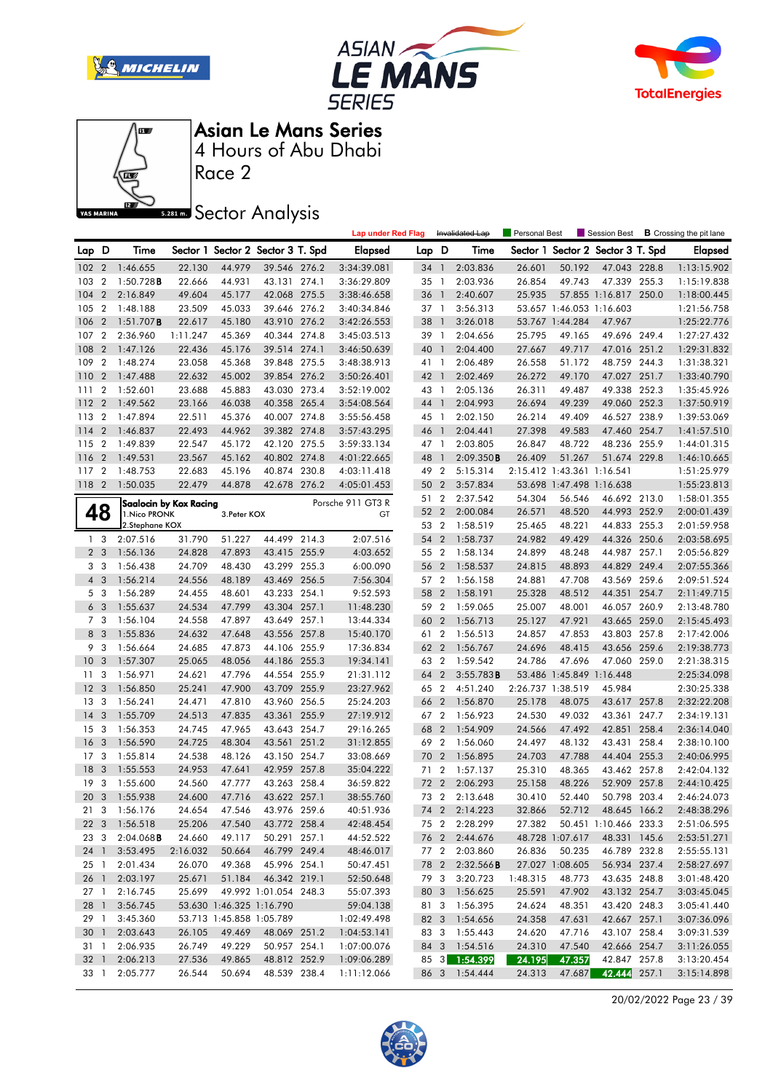







Race 2

### **Sector Analysis**

|                 |                |                        |                        |              |                                   | <b>Lap under Red Flag</b> |       |                          | Invalidated Lap        | Personal Best |                            | Session Best                      |       | <b>B</b> Crossing the pit lane |
|-----------------|----------------|------------------------|------------------------|--------------|-----------------------------------|---------------------------|-------|--------------------------|------------------------|---------------|----------------------------|-----------------------------------|-------|--------------------------------|
| Lap D           |                | Time                   |                        |              | Sector 1 Sector 2 Sector 3 T. Spd | <b>Elapsed</b>            | Lap D |                          | Time                   |               |                            | Sector 1 Sector 2 Sector 3 T. Spd |       | <b>Elapsed</b>                 |
| 1022            |                | 1:46.655               | 22.130                 | 44.979       | 39.546 276.2                      | 3:34:39.081               | 34 1  |                          | 2:03.836               | 26.601        | 50.192                     | 47.043 228.8                      |       | 1:13:15.902                    |
| 103             | $\overline{2}$ | 1:50.728B              | 22.666                 | 44.931       | 43.131 274.1                      | 3:36:29.809               | 35 1  |                          | 2:03.936               | 26.854        | 49.743                     | 47.339 255.3                      |       | 1:15:19.838                    |
| 104             | $\overline{2}$ | 2:16.849               | 49.604                 | 45.177       | 42.068 275.5                      | 3:38:46.658               | 36 1  |                          | 2:40.607               | 25.935        |                            | 57.855 1:16.817 250.0             |       | 1:18:00.445                    |
| 105             | $\overline{2}$ | 1:48.188               | 23.509                 | 45.033       | 39.646 276.2                      | 3:40:34.846               | 37 1  |                          | 3:56.313               |               | 53.657 1:46.053 1:16.603   |                                   |       | 1:21:56.758                    |
| 106             | $\overline{2}$ | $1:51.707$ <b>B</b>    | 22.617                 | 45.180       | 43.910 276.2                      | 3:42:26.553               | 38 1  |                          | 3:26.018               |               | 53.767 1:44.284            | 47.967                            |       | 1:25:22.776                    |
| 107             | $\overline{2}$ | 2:36.960               | 1:11.247               | 45.369       | 40.344 274.8                      | 3:45:03.513               | 39 1  |                          | 2:04.656               | 25.795        | 49.165                     | 49.696 249.4                      |       | 1:27:27.432                    |
| 108             | $\overline{2}$ | 1:47.126               | 22.436                 | 45.176       | 39.514 274.1                      | 3:46:50.639               | 40    | $\overline{1}$           | 2:04.400               | 27.667        | 49.717                     | 47.016 251.2                      |       | 1:29:31.832                    |
| 109             | $\overline{2}$ | 1:48.274               | 23.058                 | 45.368       | 39.848 275.5                      | 3:48:38.913               | 41 1  |                          | 2:06.489               | 26.558        | 51.172                     | 48.759 244.3                      |       | 1:31:38.321                    |
| 110             | $\overline{2}$ | 1:47.488               | 22.632                 | 45.002       | 39.854 276.2                      | 3:50:26.401               | 42 1  |                          | 2:02.469               | 26.272        | 49.170                     | 47.027 251.7                      |       | 1:33:40.790                    |
| 111             | $\overline{2}$ | 1:52.601               | 23.688                 | 45.883       | 43.030 273.4                      | 3:52:19.002               | 43 1  |                          | 2:05.136               | 26.311        | 49.487                     | 49.338 252.3                      |       | 1:35:45.926                    |
| 112             | $\overline{2}$ | 1:49.562               | 23.166                 | 46.038       | 40.358 265.4                      | 3:54:08.564               | 44 1  |                          | 2:04.993               | 26.694        | 49.239                     | 49.060 252.3                      |       | 1:37:50.919                    |
| 113             | $\overline{2}$ | 1:47.894               | 22.511                 | 45.376       | 40.007 274.8                      | 3:55:56.458               | 45 1  |                          | 2:02.150               | 26.214        | 49.409                     | 46.527 238.9                      |       | 1:39:53.069                    |
| 114             | $\overline{2}$ | 1:46.837               | 22.493                 | 44.962       | 39.382 274.8                      | 3:57:43.295               | 46 1  |                          | 2:04.441               | 27.398        | 49.583                     | 47.460 254.7                      |       | 1:41:57.510                    |
| 115             | $\overline{2}$ | 1:49.839               | 22.547                 | 45.172       | 42.120 275.5                      | 3:59:33.134               | 47 1  |                          | 2:03.805               | 26.847        | 48.722                     | 48.236 255.9                      |       | 1:44:01.315                    |
| 116             | $\overline{2}$ | 1:49.531               | 23.567                 | 45.162       | 40.802 274.8                      | 4:01:22.665               | 48    | $\overline{\phantom{a}}$ | 2:09.350B              | 26.409        | 51.267                     | 51.674 229.8                      |       | 1:46:10.665                    |
| 117 2           |                | 1:48.753               | 22.683                 | 45.196       | 40.874 230.8                      | 4:03:11.418               | 49 2  |                          | 5:15.314               |               | 2:15.412 1:43.361 1:16.541 |                                   |       | 1:51:25.979                    |
| 118 2           |                | 1:50.035               | 22.479                 | 44.878       | 42.678 276.2                      | 4:05:01.453               | 50 2  |                          | 3:57.834               |               | 53.698 1:47.498 1:16.638   |                                   |       | 1:55:23.813                    |
|                 |                |                        | Saalocin by Kox Racing |              |                                   | Porsche 911 GT3 R         | 51 2  |                          | 2:37.542               | 54.304        | 56.546                     | 46.692 213.0                      |       | 1:58:01.355                    |
|                 | 48             | 1. Nico PRONK          |                        | 3. Peter KOX |                                   | GT                        | 52    | $\overline{2}$           | 2:00.084               | 26.571        | 48.520                     | 44.993 252.9                      |       | 2:00:01.439                    |
|                 |                | 2.Stephane KOX         |                        |              |                                   |                           | 53 2  |                          | 1:58.519               | 25.465        | 48.221                     | 44.833 255.3                      |       | 2:01:59.958                    |
|                 | 1 <sub>3</sub> | 2:07.516               | 31.790                 | 51.227       | 44.499 214.3                      | 2:07.516                  | 54 2  |                          | 1:58.737               | 24.982        | 49.429                     | 44.326 250.6                      |       | 2:03:58.695                    |
|                 | 2 <sub>3</sub> | 1:56.136               | 24.828                 | 47.893       | 43.415 255.9                      | 4:03.652                  | 55 2  |                          | 1:58.134               | 24.899        | 48.248                     | 44.987                            | 257.1 | 2:05:56.829                    |
| 3 <sub>3</sub>  |                | 1:56.438               | 24.709                 | 48.430       | 43.299 255.3                      | 6:00.090                  | 56 2  |                          | 1:58.537               | 24.815        | 48.893                     | 44.829 249.4                      |       | 2:07:55.366                    |
|                 | 4 3            | 1:56.214               | 24.556                 | 48.189       | 43.469 256.5                      | 7:56.304                  | 57 2  |                          | 1:56.158               | 24.881        | 47.708                     | 43.569 259.6                      |       | 2:09:51.524                    |
|                 | 5 <sub>3</sub> | 1:56.289               | 24.455                 | 48.601       | 43.233 254.1                      | 9:52.593                  | 58 2  |                          | 1:58.191               | 25.328        | 48.512                     | 44.351                            | 254.7 | 2:11:49.715                    |
| 6               | 3              | 1:55.637               | 24.534                 | 47.799       | 43.304 257.1                      | 11:48.230                 | 59    | $\overline{2}$           | 1:59.065               | 25.007        | 48.001                     | 46.057                            | 260.9 | 2:13:48.780                    |
| 7 <sub>3</sub>  |                | 1:56.104               | 24.558                 | 47.897       | 43.649 257.1                      | 13:44.334                 | 60    | $\overline{2}$           | 1:56.713               | 25.127        | 47.921                     | 43.665 259.0                      |       | 2:15:45.493                    |
| 8               | - 3            | 1:55.836               | 24.632                 | 47.648       | 43.556 257.8                      | 15:40.170                 | 61 2  |                          | 1:56.513               | 24.857        | 47.853                     | 43.803 257.8                      |       | 2:17:42.006                    |
|                 | 9 3            | 1:56.664               | 24.685                 | 47.873       | 44.106 255.9                      | 17:36.834                 | 62 2  |                          | 1:56.767               | 24.696        | 48.415                     | 43.656 259.6                      |       | 2:19:38.773                    |
| 10              | 3              | 1:57.307               | 25.065                 | 48.056       | 44.186 255.3                      | 19:34.141                 | 63 2  |                          | 1:59.542               | 24.786        | 47.696                     | 47.060 259.0                      |       | 2:21:38.315                    |
| 11              | 3              | 1:56.971               | 24.621                 | 47.796       | 44.554 255.9                      | 21:31.112                 | 64 2  |                          | 3:55.783B              |               | 53.486 1:45.849 1:16.448   |                                   |       | 2:25:34.098                    |
| 12              | -3             | 1:56.850               | 25.241                 | 47.900       | 43.709 255.9                      | 23:27.962                 | 65 2  |                          | 4:51.240               |               | 2:26.737 1:38.519          | 45.984                            |       | 2:30:25.338                    |
| 13              | 3              | 1:56.241               | 24.471                 | 47.810       | 43.960 256.5                      | 25:24.203                 | 66 2  |                          | 1:56.870               | 25.178        | 48.075                     | 43.617 257.8                      |       | 2:32:22.208                    |
| 14              | 3              | 1:55.709               | 24.513                 | 47.835       | 43.361 255.9                      | 27:19.912                 | 67 2  |                          | 1:56.923               | 24.530        | 49.032                     | 43.361                            | 247.7 | 2:34:19.131                    |
| 15              | - 3            | 1:56.353               | 24.745                 | 47.965       | 43.643 254.7                      | 29:16.265                 | 68    | $\overline{2}$           | 1:54.909               | 24.566        | 47.492                     | 42.851                            | 258.4 | 2:36:14.040                    |
| 16              | 3              | 1:56.590               | 24.725                 | 48.304       | 43.561 251.2                      | 31:12.855                 | 69 2  |                          | 1:56.060               | 24.497        | 48.132                     | 43.431                            | 258.4 | 2:38:10.100                    |
| 17              | -3             | 1:55.814               | 24.538                 | 48.126       | 43.150 254.7                      | 33:08.669                 | 70    | $\overline{2}$           | 1:56.895               | 24.703        | 47.788                     | 44.404                            | 255.3 | 2:40:06.995                    |
| 18              | 3              | 1:55.553               | 24.953                 | 47.641       | 42.959 257.8                      | 35:04.222                 | 71 2  |                          | 1:57.137               | 25.310        | 48.365                     | 43.462 257.8                      |       | 2:42:04.132                    |
| 19              | -3             | 1:55.600               | 24.560                 | 47.777       | 43.263 258.4                      | 36:59.822                 | 72    | $\overline{2}$           | 2:06.293               | 25.158        | 48.226                     | 52.909 257.8                      |       | 2:44:10.425                    |
| 20 <sub>3</sub> |                | 1:55.938               | 24.600                 | 47.716       | 43.622 257.1                      | 38:55.760                 | 73 2  |                          | 2:13.648               | 30.410        | 52.440                     | 50.798 203.4                      |       | 2:46:24.073                    |
|                 |                | 21 3 1:56.176          | 24.654                 | 47.546       | 43.976 259.6                      | 40:51.936                 |       |                          | 74 2 2:14.223          | 32.866        |                            | 52.712 48.645 166.2               |       | 2:48:38.296                    |
|                 |                | 22 3 1:56.518          | 25.206                 | 47.540       | 43.772 258.4                      | 42:48.454                 |       | 75 2                     | 2:28.299               | 27.382        |                            | 50.451 1:10.466 233.3             |       | 2:51:06.595                    |
|                 |                | 23 3 2:04.068 <b>B</b> | 24.660                 | 49.117       | 50.291 257.1                      | 44:52.522                 |       |                          | 76 2 2:44.676          |               | 48.728 1:07.617            | 48.331 145.6                      |       | 2:53:51.271                    |
|                 |                | 24 1 3:53.495          | 2:16.032               | 50.664       | 46.799 249.4                      | 48:46.017                 |       |                          | 77 2 2:03.860          | 26.836        | 50.235                     | 46.789 232.8                      |       | 2:55:55.131                    |
|                 |                | 25 1 2:01.434          | 26.070                 | 49.368       | 45.996 254.1                      | 50:47.451                 |       |                          | 78 2 2:32.566 <b>B</b> |               | 27.027 1:08.605            | 56.934 237.4                      |       | 2:58:27.697                    |
|                 |                | 26 1 2:03.197          | 25.671                 | 51.184       | 46.342 219.1                      | 52:50.648                 | 79 3  |                          | 3:20.723               | 1:48.315      | 48.773                     | 43.635 248.8                      |       | 3:01:48.420                    |
|                 |                | 27 1 2:16.745          | 25.699                 |              | 49.992 1:01.054 248.3             | 55:07.393                 |       |                          | 80 3 1:56.625          | 25.591        | 47.902                     | 43.132 254.7                      |       | 3:03:45.045                    |
|                 |                | 28 1 3:56.745          |                        |              | 53.630 1:46.325 1:16.790          | 59:04.138                 |       |                          | 81 3 1:56.395          | 24.624        | 48.351                     | 43.420 248.3                      |       | 3:05:41.440                    |
|                 |                | 29 1 3:45.360          |                        |              | 53.713 1:45.858 1:05.789          | 1:02:49.498               |       |                          | 82 3 1:54.656          | 24.358        | 47.631                     | 42.667 257.1                      |       | 3:07:36.096                    |
|                 |                | 30 1 2:03.643          | 26.105                 | 49.469       | 48.069 251.2                      | 1:04:53.141               |       |                          | 83 3 1:55.443          | 24.620        | 47.716                     | 43.107 258.4                      |       | 3:09:31.539                    |
|                 |                | 31 1 2:06.935          | 26.749                 | 49.229       | 50.957 254.1                      | 1:07:00.076               |       |                          | 84 3 1:54.516          | 24.310        | 47.540                     | 42.666 254.7                      |       | 3:11:26.055                    |
|                 |                | 32 1 2:06.213          | 27.536                 | 49.865       | 48.812 252.9                      | 1:09:06.289               |       |                          | 85 3 1:54.399          | 24.195        | 47.357                     | 42.847 257.8                      |       | 3:13:20.454                    |
|                 |                | 33 1 2:05.777          | 26.544                 | 50.694       | 48.539 238.4                      | 1:11:12.066               |       |                          | 86 3 1:54.444          | 24.313        | 47.687                     | 42.444 257.1                      |       | 3:15:14.898                    |

20/02/2022 Page 23 / 39

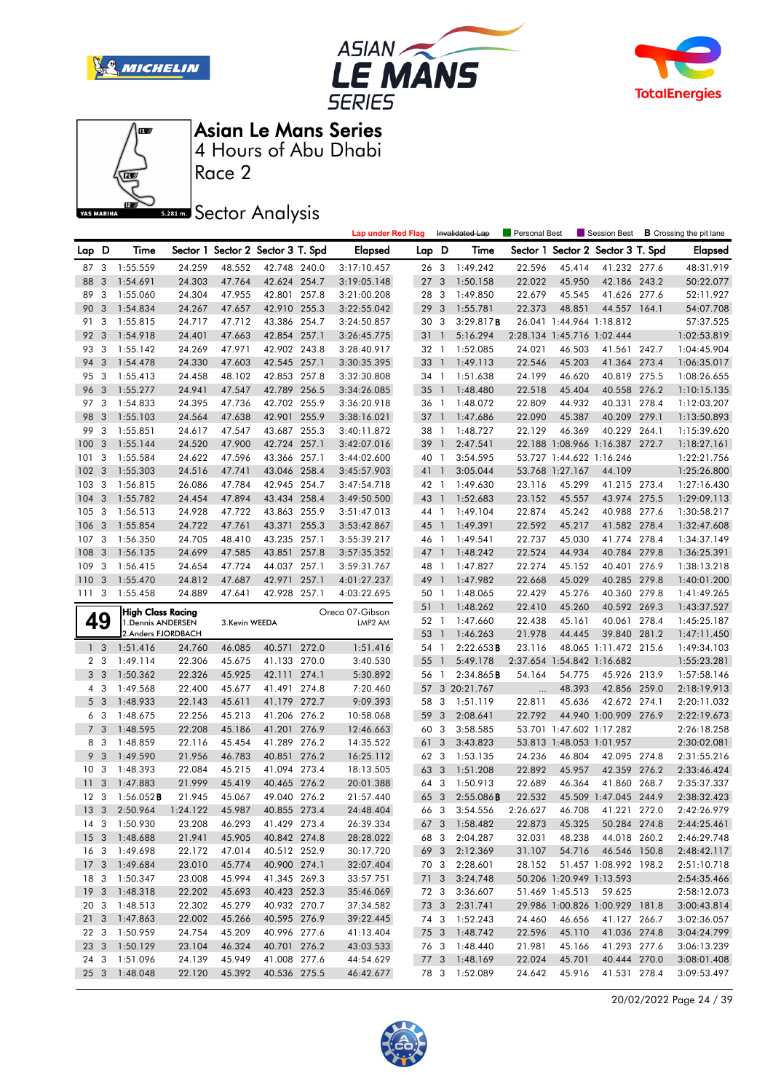







Race 2

**Sector Analysis** 

|                 |                |                                          |          |               |                                   |       | <b>Lap under Red Flag</b> |              |                | Invalidated Lap | Personal Best |                            | Session Best                      |       | <b>B</b> Crossing the pit lane |
|-----------------|----------------|------------------------------------------|----------|---------------|-----------------------------------|-------|---------------------------|--------------|----------------|-----------------|---------------|----------------------------|-----------------------------------|-------|--------------------------------|
| Lap D           |                | Time                                     |          |               | Sector 1 Sector 2 Sector 3 T. Spd |       | <b>Elapsed</b>            | Lap D        |                | Time            |               |                            | Sector 1 Sector 2 Sector 3 T. Spd |       | <b>Elapsed</b>                 |
| 87 3            |                | 1:55.559                                 | 24.259   | 48.552        | 42.748 240.0                      |       | 3:17:10.457               | 26 3         |                | 1:49.242        | 22.596        | 45.414                     | 41.232 277.6                      |       | 48:31.919                      |
| 88              | 3              | 1:54.691                                 | 24.303   | 47.764        | 42.624 254.7                      |       | 3:19:05.148               | 27           | 3              | 1:50.158        | 22.022        | 45.950                     | 42.186 243.2                      |       | 50:22.077                      |
| 89              | 3              | 1:55.060                                 | 24.304   | 47.955        | 42.801                            | 257.8 | 3:21:00.208               | 28 3         |                | 1:49.850        | 22.679        | 45.545                     | 41.626                            | 277.6 | 52:11.927                      |
| 90              | 3              | 1:54.834                                 | 24.267   | 47.657        | 42.910 255.3                      |       | 3:22:55.042               | 29           | 3              | 1:55.781        | 22.373        | 48.851                     | 44.557 164.1                      |       | 54:07.708                      |
| 91              | 3              | 1:55.815                                 | 24.717   | 47.712        | 43.386 254.7                      |       | 3:24:50.857               | 30 3         |                | 3:29.817B       |               | 26.041 1:44.964 1:18.812   |                                   |       | 57:37.525                      |
| 92              | 3              | 1:54.918                                 | 24.401   | 47.663        | 42.854 257.1                      |       | 3:26:45.775               | 31 1         |                | 5:16.294        |               | 2:28.134 1:45.716 1:02.444 |                                   |       | 1:02:53.819                    |
| 93              | 3              | 1:55.142                                 | 24.269   | 47.971        | 42.902 243.8                      |       | 3:28:40.917               | 32 1         |                | 1:52.085        | 24.021        | 46.503                     | 41.561 242.7                      |       | 1:04:45.904                    |
| 94              | 3              | 1:54.478                                 | 24.330   | 47.603        | 42.545 257.1                      |       | 3:30:35.395               | 33           | $\overline{1}$ | 1:49.113        | 22.546        | 45.203                     | 41.364 273.4                      |       | 1:06:35.017                    |
| 95              | -3             | 1:55.413                                 | 24.458   | 48.102        | 42.853 257.8                      |       | 3:32:30.808               | 34 1         |                | 1:51.638        | 24.199        | 46.620                     | 40.819 275.5                      |       | 1:08:26.655                    |
| 96              | 3              | 1:55.277                                 | 24.941   | 47.547        | 42.789 256.5                      |       | 3:34:26.085               | $35 \quad 1$ |                | 1:48.480        | 22.518        | 45.404                     | 40.558 276.2                      |       | 1:10:15.135                    |
| 97              | 3              | 1:54.833                                 | 24.395   | 47.736        | 42.702 255.9                      |       | 3:36:20.918               | 36 1         |                | 1:48.072        | 22.809        | 44.932                     | 40.331                            | 278.4 | 1:12:03.207                    |
| 98              | 3              | 1:55.103                                 | 24.564   | 47.638        | 42.901 255.9                      |       | 3:38:16.021               | 37           | $\overline{1}$ | 1:47.686        | 22.090        | 45.387                     | 40.209 279.1                      |       | 1:13:50.893                    |
| 99              | 3              | 1:55.851                                 | 24.617   | 47.547        | 43.687 255.3                      |       | 3:40:11.872               | 38 1         |                | 1:48.727        | 22.129        | 46.369                     | 40.229 264.1                      |       | 1:15:39.620                    |
| 100             | 3              | 1:55.144                                 | 24.520   | 47.900        | 42.724 257.1                      |       | 3:42:07.016               | 39           | $\overline{1}$ | 2:47.541        |               |                            | 22.188 1:08.966 1:16.387 272.7    |       | 1:18:27.161                    |
| 101             | 3              | 1:55.584                                 | 24.622   | 47.596        | 43.366                            | 257.1 | 3:44:02.600               | 40 1         |                | 3:54.595        |               | 53.727 1:44.622 1:16.246   |                                   |       | 1:22:21.756                    |
| 102             | - 3            | 1:55.303                                 | 24.516   | 47.741        | 43.046 258.4                      |       | 3:45:57.903               | 41 1         |                | 3:05.044        |               | 53.768 1:27.167            | 44.109                            |       | 1:25:26.800                    |
| 103             | 3              | 1:56.815                                 | 26.086   | 47.784        | 42.945 254.7                      |       | 3:47:54.718               | 42 1         |                | 1:49.630        | 23.116        | 45.299                     | 41.215 273.4                      |       | 1:27:16.430                    |
| 104             | 3              | 1:55.782                                 | 24.454   | 47.894        | 43.434 258.4                      |       | 3:49:50.500               | 43 1         |                | 1:52.683        | 23.152        | 45.557                     | 43.974                            | 275.5 | 1:29:09.113                    |
| 105             | 3              | 1:56.513                                 | 24.928   | 47.722        | 43.863                            | 255.9 | 3:51:47.013               | 44 1         |                | 1:49.104        | 22.874        | 45.242                     | 40.988                            | 277.6 | 1:30:58.217                    |
| 106             | 3              | 1:55.854                                 | 24.722   | 47.761        | 43.371 255.3                      |       | 3:53:42.867               | 45 1         |                | 1:49.391        | 22.592        | 45.217                     | 41.582 278.4                      |       | 1:32:47.608                    |
| 107             | 3              | 1:56.350                                 | 24.705   | 48.410        | 43.235 257.1                      |       | 3:55:39.217               | 46 1         |                | 1:49.541        | 22.737        | 45.030                     | 41.774 278.4                      |       | 1:34:37.149                    |
| 108             | 3              | 1:56.135                                 | 24.699   | 47.585        | 43.851                            | 257.8 | 3:57:35.352               | 47 1         |                | 1:48.242        | 22.524        | 44.934                     | 40.784                            | 279.8 | 1:36:25.391                    |
| 109             | 3              | 1:56.415                                 | 24.654   | 47.724        | 44.037 257.1                      |       | 3:59:31.767               | 48           | $\overline{1}$ | 1:47.827        | 22.274        | 45.152                     | 40.401 276.9                      |       | 1:38:13.218                    |
| 110             | -3             | 1:55.470                                 | 24.812   | 47.687        | 42.971                            | 257.1 | 4:01:27.237               | 49 1         |                | 1:47.982        | 22.668        | 45.029                     | 40.285 279.8                      |       | 1:40:01.200                    |
| 111             | 3              | 1:55.458                                 | 24.889   | 47.641        | 42.928 257.1                      |       | 4:03:22.695               | 50 1         |                | 1:48.065        | 22.429        | 45.276                     | 40.360 279.8                      |       | 1:41:49.265                    |
|                 |                |                                          |          |               |                                   |       |                           |              |                | 1:48.262        | 22.410        |                            |                                   |       |                                |
|                 |                |                                          |          |               |                                   |       |                           | 51 1         |                |                 |               | 45.260                     | 40.592 269.3                      |       | 1:43:37.527                    |
|                 |                | <b>High Class Racing</b>                 |          |               |                                   |       | Oreca 07-Gibson           | 52 1         |                | 1:47.660        | 22.438        | 45.161                     | 40.061                            | 278.4 | 1:45:25.187                    |
|                 | 49             | 1. Dennis ANDERSEN<br>2.Anders FJORDBACH |          | 3.Kevin WEEDA |                                   |       | LMP2 AM                   | 53 1         |                | 1:46.263        | 21.978        | 44.445                     | 39.840 281.2                      |       | 1:47:11.450                    |
|                 | 1 <sub>3</sub> | 1:51.416                                 | 24.760   | 46.085        | 40.571                            | 272.0 | 1:51.416                  | 54 1         |                | 2:22.653B       | 23.116        |                            | 48.065 1:11.472 215.6             |       | 1:49:34.103                    |
|                 | 2 <sub>3</sub> | 1:49.114                                 | 22.306   | 45.675        | 41.133 270.0                      |       | 3:40.530                  | 55 1         |                | 5:49.178        |               | 2:37.654 1:54.842 1:16.682 |                                   |       | 1:55:23.281                    |
|                 | 3 <sub>3</sub> | 1:50.362                                 | 22.326   | 45.925        | 42.111 274.1                      |       | 5:30.892                  | 56           | $\overline{1}$ | 2:34.865B       | 54.164        | 54.775                     | 45.926 213.9                      |       | 1:57:58.146                    |
|                 | 4 3            | 1:49.568                                 | 22.400   | 45.677        | 41.491 274.8                      |       | 7:20.460                  | 57           |                | 3 20:21.767     | $\ddots$      | 48.393                     | 42.856 259.0                      |       | 2:18:19.913                    |
|                 | 5 <sub>3</sub> | 1:48.933                                 | 22.143   | 45.611        | 41.179 272.7                      |       | 9:09.393                  | 58           | -3             | 1:51.119        | 22.811        | 45.636                     | 42.672 274.1                      |       | 2:20:11.032                    |
| 6               | -3             | 1:48.675                                 | 22.256   | 45.213        | 41.206 276.2                      |       | 10:58.068                 | 59           | 3              | 2:08.641        | 22.792        |                            | 44.940 1:00.909 276.9             |       | 2:22:19.673                    |
|                 | 7 <sub>3</sub> | 1:48.595                                 | 22.208   | 45.186        | 41.201 276.9                      |       | 12:46.663                 | 60           | 3              | 3:58.585        |               | 53.701 1:47.602 1:17.282   |                                   |       | 2:26:18.258                    |
|                 | 83             | 1:48.859                                 | 22.116   | 45.454        | 41.289 276.2                      |       | 14:35.522                 | 61           | 3              | 3:43.823        |               | 53.813 1:48.053 1:01.957   |                                   |       | 2:30:02.081                    |
| 9               | 3              | 1:49.590                                 | 21.956   | 46.783        | 40.851                            | 276.2 | 16:25.112                 | 62 3         |                | 1:53.135        | 24.236        | 46.804                     | 42.095 274.8                      |       | 2:31:55.216                    |
| 10              | -3             | 1:48.393                                 | 22.084   | 45.215        | 41.094 273.4                      |       | 18:13.505                 | 63           | 3              | 1:51.208        | 22.892        | 45.957                     | 42.359 276.2                      |       | 2:33:46.424                    |
| 11              | 3              | 1:47.883                                 | 21.999   | 45.419        | 40.465 276.2                      |       | 20:01.388                 | 64           | 3              | 1:50.913        | 22.689        | 46.364                     | 41.860 268.7                      |       | 2:35:37.337                    |
| 12 <sup>3</sup> |                | $1:56.052$ <b>B</b>                      | 21.945   | 45.067        | 49.040 276.2                      |       | 21:57.440                 | 65 3         |                | 2:55.086B       | 22.532        |                            | 45.509 1:47.045 244.9             |       | 2:38:32.423                    |
|                 |                | 13 3 2:50.964                            | 1:24.122 | 45.987        | 40.855 273.4                      |       | 24:48.404                 |              |                | 66 3 3:54.556   | 2:26.627      | 46.708                     | 41.221 272.0                      |       | 2:42:26.979                    |
|                 |                | 14 3 1:50.930                            | 23.208   | 46.293        | 41.429 273.4                      |       | 26:39.334                 |              |                | 67 3 1:58.482   | 22.873        | 45.325                     | 50.284 274.8                      |       | 2:44:25.461                    |
|                 |                | 15 3 1:48.688                            | 21.941   | 45.905        | 40.842 274.8                      |       | 28:28.022                 | 68 3         |                | 2:04.287        | 32.031        | 48.238                     | 44.018 260.2                      |       | 2:46:29.748                    |
|                 |                | 16 3 1:49.698                            | 22.172   | 47.014        | 40.512 252.9                      |       | 30:17.720                 |              |                | 69 3 2:12.369   | 31.107        | 54.716                     | 46.546 150.8                      |       | 2:48:42.117                    |
|                 |                | 17 3 1:49.684                            | 23.010   | 45.774        | 40.900 274.1                      |       | 32:07.404                 |              |                | 70 3 2:28.601   | 28.152        |                            | 51.457 1:08.992 198.2             |       | 2:51:10.718                    |
|                 |                | 18 3 1:50.347                            | 23.008   | 45.994        | 41.345 269.3                      |       | 33:57.751                 | 71 3         |                | 3:24.748        |               | 50.206 1:20.949 1:13.593   |                                   |       | 2:54:35.466                    |
|                 |                | 19 3 1:48.318                            | 22.202   | 45.693        | 40.423 252.3                      |       | 35:46.069                 | 72 3         |                | 3:36.607        |               | 51.469 1:45.513 59.625     |                                   |       | 2:58:12.073                    |
|                 |                | 20 3 1:48.513                            | 22.302   | 45.279        | 40.932 270.7                      |       | 37:34.582                 |              |                | 73 3 2:31.741   |               |                            | 29.986 1:00.826 1:00.929 181.8    |       | 3:00:43.814                    |
|                 |                | 21 3 1:47.863                            | 22.002   | 45.266        | 40.595 276.9                      |       | 39:22.445                 |              |                | 74 3 1:52.243   | 24.460        | 46.656                     | 41.127 266.7                      |       | 3:02:36.057                    |
| 22 3            |                | 1:50.959                                 | 24.754   | 45.209        | 40.996 277.6                      |       | 41:13.404                 |              |                | 75 3 1:48.742   | 22.596        | 45.110                     | 41.036 274.8                      |       | 3:04:24.799                    |
|                 |                | 23 3 1:50.129                            | 23.104   | 46.324        | 40.701 276.2                      |       | 43:03.533                 |              |                | 76 3 1:48.440   | 21.981        | 45.166                     | 41.293 277.6                      |       | 3:06:13.239                    |
|                 |                | 24 3 1:51.096                            | 24.139   | 45.949        | 41.008 277.6                      |       | 44:54.629                 |              |                | 77 3 1:48.169   | 22.024        | 45.701                     | 40.444 270.0                      |       | 3:08:01.408                    |

20/02/2022 Page 24 / 39

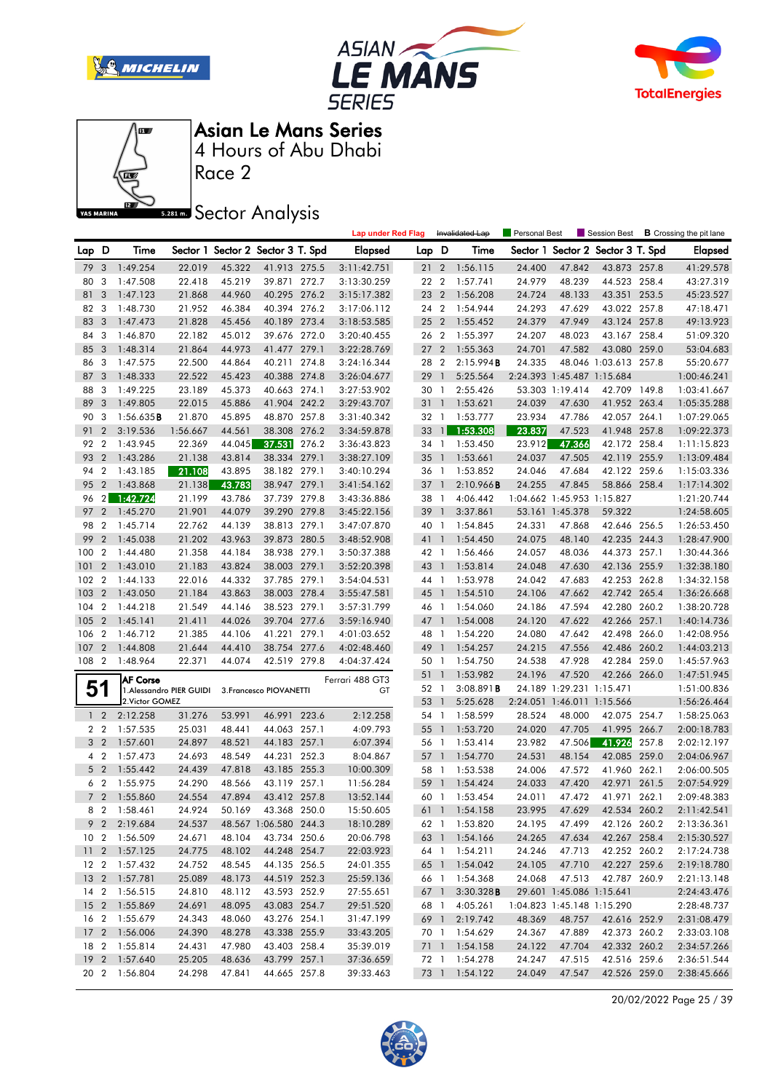







Race 2

**Sector Analysis** 

|       |                                  |                         |                          |                                   |                              |       | <b>Lap under Red Flag</b> |                 |                | Invalidated Lap                | Personal Best    |                            |                                   |       | Session Best <b>B</b> Crossing the pit lane |
|-------|----------------------------------|-------------------------|--------------------------|-----------------------------------|------------------------------|-------|---------------------------|-----------------|----------------|--------------------------------|------------------|----------------------------|-----------------------------------|-------|---------------------------------------------|
| Lap D |                                  | Time                    |                          | Sector 1 Sector 2 Sector 3 T. Spd |                              |       | <b>Elapsed</b>            | Lap D           |                | Time                           |                  |                            | Sector 1 Sector 2 Sector 3 T. Spd |       | <b>Elapsed</b>                              |
| 79    | $\mathbf{3}$                     | 1:49.254                | 22.019                   | 45.322                            | 41.913 275.5                 |       | 3:11:42.751               | 21 2            |                | 1:56.115                       | 24.400           | 47.842                     | 43.873 257.8                      |       | 41:29.578                                   |
| 80    | 3                                | 1:47.508                | 22.418                   | 45.219                            | 39.871 272.7                 |       | 3:13:30.259               | 22 2            |                | 1:57.741                       | 24.979           | 48.239                     | 44.523 258.4                      |       | 43:27.319                                   |
| 81    | 3                                | 1:47.123                | 21.868                   | 44.960                            | 40.295 276.2                 |       | 3:15:17.382               | 23 2            |                | 1:56.208                       | 24.724           | 48.133                     | 43.351                            | 253.5 | 45:23.527                                   |
| 82    | - 3                              | 1:48.730                | 21.952                   | 46.384                            | 40.394 276.2                 |       | 3:17:06.112               | 24 2            |                | 1:54.944                       | 24.293           | 47.629                     | 43.022 257.8                      |       | 47:18.471                                   |
| 83    | 3                                | 1:47.473                | 21.828                   | 45.456                            | 40.189 273.4                 |       | 3:18:53.585               | 25 2            |                | 1:55.452                       | 24.379           | 47.949                     | 43.124 257.8                      |       | 49:13.923                                   |
| 84    | 3                                | 1:46.870                | 22.182                   | 45.012                            | 39.676 272.0                 |       | 3:20:40.455               | 26 2            |                | 1:55.397                       | 24.207           | 48.023                     | 43.167 258.4                      |       | 51:09.320                                   |
| 85    | 3                                | 1:48.314                | 21.864                   | 44.973                            | 41.477 279.1                 |       | 3:22:28.769               | 27 <sub>2</sub> |                | 1:55.363                       | 24.701           | 47.582                     | 43.080 259.0                      |       | 53:04.683                                   |
| 86    | -3                               | 1:47.575                | 22.500                   | 44.864                            | 40.211 274.8                 |       | 3:24:16.344               | 28 2            |                | 2:15.994B                      | 24.335           |                            | 48.046 1:03.613 257.8             |       | 55:20.677                                   |
| 87    | 3                                | 1:48.333                | 22.522                   | 45.423                            | 40.388 274.8                 |       | 3:26:04.677               | 29 1            |                | 5:25.564                       |                  | 2:24.393 1:45.487 1:15.684 |                                   |       | 1:00:46.241                                 |
| 88    | 3                                | 1:49.225                | 23.189                   | 45.373                            | 40.663 274.1                 |       | 3:27:53.902               | 30 1            |                | 2:55.426                       |                  | 53.303 1:19.414            | 42.709 149.8                      |       | 1:03:41.667                                 |
| 89    | 3                                | 1:49.805                | 22.015                   | 45.886                            | 41.904 242.2                 |       | 3:29:43.707               | 31 1            |                | 1:53.621                       | 24.039           | 47.630                     | 41.952 263.4                      |       | 1:05:35.288                                 |
| 90    | -3                               | 1:56.635B               | 21.870                   | 45.895                            | 48.870 257.8                 |       | 3:31:40.342               | 32 1            |                | 1:53.777                       | 23.934           | 47.786                     | 42.057 264.1                      |       | 1:07:29.065                                 |
| 91    | $\overline{2}$                   | 3:19.536                | 1:56.667                 | 44.561                            | 38.308 276.2                 |       | 3:34:59.878               | 33              | $\mathbf{1}$   | 1:53.308                       | 23.837           | 47.523                     | 41.948 257.8                      |       | 1:09:22.373                                 |
| 92    | $\overline{2}$                   | 1:43.945                | 22.369                   | 44.045                            | 37.531                       | 276.2 | 3:36:43.823               | 34 1            |                | 1:53.450                       | 23.912           | 47.366                     | 42.172 258.4                      |       | 1:11:15.823                                 |
| 93    | $\overline{2}$                   | 1:43.286                | 21.138                   | 43.814                            | 38.334 279.1                 |       | 3:38:27.109               | $35 \quad 1$    |                | 1:53.661                       | 24.037           | 47.505                     | 42.119 255.9                      |       | 1:13:09.484                                 |
| 94    | $\overline{2}$                   | 1:43.185                | 21.108                   | 43.895                            | 38.182 279.1                 |       | 3:40:10.294               | 36 1            |                | 1:53.852                       | 24.046           | 47.684                     | 42.122 259.6                      |       | 1:15:03.336                                 |
| 95    | $\overline{2}$                   | 1:43.868                | 21.138                   | 43.783                            | 38.947 279.1                 |       | 3:41:54.162               | $37-1$          |                | 2:10.966B                      | 24.255           | 47.845                     | 58.866 258.4                      |       | 1:17:14.302                                 |
| 96    |                                  | $2 \overline{1:42.724}$ | 21.199                   | 43.786                            | 37.739 279.8                 |       | 3:43:36.886               | 38 1            |                | 4:06.442                       |                  | 1:04.662 1:45.953 1:15.827 |                                   |       | 1:21:20.744                                 |
| 97    |                                  | 2 1:45.270              | 21.901                   | 44.079                            | 39.290 279.8                 |       | 3:45:22.156               | 39 1            |                | 3:37.861                       |                  | 53.161 1:45.378            | 59.322                            |       | 1:24:58.605                                 |
| 98    | $\overline{2}$                   | 1:45.714                | 22.762                   | 44.139                            | 38.813 279.1                 |       | 3:47:07.870               | 40 1            |                | 1:54.845                       | 24.331           | 47.868                     | 42.646 256.5                      |       | 1:26:53.450                                 |
| 99    | $\overline{2}$                   | 1:45.038                | 21.202                   | 43.963                            | 39.873 280.5                 |       | 3:48:52.908               | 41 1            |                | 1:54.450                       | 24.075           | 48.140                     | 42.235 244.3                      |       | 1:28:47.900                                 |
| 100   | $\overline{2}$                   | 1:44.480                | 21.358                   | 44.184                            | 38.938 279.1                 |       | 3:50:37.388               | 42 1            |                | 1:56.466                       | 24.057           | 48.036                     | 44.373 257.1                      |       | 1:30:44.366                                 |
| 101   | $\overline{2}$                   | 1:43.010                | 21.183                   | 43.824                            | 38.003 279.1                 |       | 3:52:20.398               | 43 1            |                | 1:53.814                       | 24.048           | 47.630                     | 42.136 255.9                      |       | 1:32:38.180                                 |
| 102   | $\overline{2}$                   | 1:44.133                | 22.016                   | 44.332                            | 37.785 279.1                 |       | 3:54:04.531               | 44 1            |                | 1:53.978                       | 24.042           | 47.683                     | 42.253 262.8                      |       | 1:34:32.158                                 |
| 103   | $\overline{2}$                   | 1:43.050                | 21.184                   | 43.863                            | 38.003 278.4                 |       | 3:55:47.581               | 45 1            |                | 1:54.510                       | 24.106           | 47.662                     | 42.742 265.4                      |       | 1:36:26.668                                 |
| 104   | $\overline{2}$                   | 1:44.218                | 21.549                   | 44.146                            | 38.523 279.1                 |       | 3:57:31.799               | 46 1            |                | 1:54.060                       | 24.186           | 47.594                     | 42.280 260.2                      |       | 1:38:20.728                                 |
| 105   | $\overline{2}$                   | 1:45.141                | 21.411                   | 44.026                            | 39.704 277.6                 |       | 3:59:16.940               | 47 1            |                | 1:54.008                       | 24.120           | 47.622                     | 42.266 257.1                      |       | 1:40:14.736                                 |
| 106   | $\overline{2}$                   | 1:46.712                | 21.385                   | 44.106                            | 41.221 279.1                 |       | 4:01:03.652               | 48 1            |                | 1:54.220                       | 24.080           | 47.642                     | 42.498 266.0                      |       | 1:42:08.956                                 |
| 107   | $\overline{2}$                   | 1:44.808                | 21.644                   | 44.410                            | 38.754 277.6                 |       | 4:02:48.460               | 49 1            |                | 1:54.257                       | 24.215           | 47.556                     | 42.486 260.2                      |       | 1:44:03.213                                 |
| 108   | $\overline{2}$                   | 1:48.964                | 22.371                   | 44.074                            | 42.519 279.8                 |       | 4:04:37.424               | 50 1            |                | 1:54.750                       | 24.538           | 47.928                     | 42.284 259.0                      |       | 1:45:57.963                                 |
|       |                                  | <b>AF Corse</b>         |                          |                                   |                              |       | Ferrari 488 GT3           | 51 1            |                | 1:53.982                       | 24.196           | 47.520                     | 42.266 266.0                      |       | 1:47:51.945                                 |
| 51    |                                  |                         | 1. Alessandro PIER GUIDI |                                   | 3. Francesco PIOVANETTI      |       | GT                        | 52 1            |                | 3:08.891B                      |                  | 24.189 1:29.231 1:15.471   |                                   |       | 1:51:00.836                                 |
|       |                                  | 2. Victor GOMEZ         |                          |                                   |                              |       |                           | 53 1            |                | 5:25.628                       |                  | 2:24.051 1:46.011 1:15.566 |                                   |       | 1:56:26.464                                 |
|       | $1\quad 2$                       | 2:12.258                | 31.276                   | 53.991                            | 46.991 223.6                 |       | 2:12.258                  | 54 1            |                | 1:58.599                       | 28.524           | 48.000                     | 42.075 254.7                      |       | 1:58:25.063                                 |
|       | 2 <sub>2</sub>                   | 1:57.535                | 25.031                   | 48.441                            | 44.063 257.1                 |       | 4:09.793                  | 55              | $\overline{1}$ | 1:53.720                       | 24.020           | 47.705                     | 41.995 266.7                      |       | 2:00:18.783                                 |
|       | 3 <sub>2</sub>                   | 1:57.601                | 24.897                   | 48.521                            | 44.183 257.1                 |       | 6:07.394                  | 56 1            |                | 1:53.414                       | 23.982           | 47.506                     | 41.926                            | 257.8 | 2:02:12.197                                 |
|       | $4\quad2$                        | 1:57.473                | 24.693                   | 48.549                            | 44.231 252.3                 |       | 8:04.867                  | 57 1            |                | 1:54.770                       | 24.531           | 48.154                     | 42.085 259.0                      |       | 2:04:06.967                                 |
|       | 5 <sub>2</sub><br>6 <sub>2</sub> | 1:55.442<br>1:55.975    | 24.439                   | 47.818                            | 43.185 255.3<br>43.119 257.1 |       | 10:00.309                 | 58 1            | $\overline{1}$ | 1:53.538                       | 24.006           | 47.572                     | 41.960 262.1<br>42.971            |       | 2:06:00.505<br>2:07:54.929                  |
|       |                                  | 7 2 1:55.860            | 24.290<br>24.554         | 48.566<br>47.894                  | 43.412 257.8                 |       | 11:56.284                 | 59<br>60 1      |                | 1:54.424                       | 24.033<br>24.011 | 47.420                     | 41.971 262.1                      | 261.5 |                                             |
|       |                                  | 8 2 1:58.461            | 24.924                   |                                   | 50.169 43.368 250.0          |       | 13:52.144<br>15:50.605    |                 |                | 1:53.454<br>61 1 1:54.158      | 23.995           | 47.472<br>47.629           | 42.534 260.2                      |       | 2:09:48.383<br>2:11:42.541                  |
|       |                                  | 9 2 2:19.684            | 24.537                   |                                   | 48.567 1:06.580 244.3        |       | 18:10.289                 |                 |                |                                | 24.195           | 47.499                     |                                   |       | 2:13:36.361                                 |
|       |                                  | 10 2 1:56.509           | 24.671                   | 48.104                            | 43.734 250.6                 |       | 20:06.798                 |                 |                | 62 1 1:53.820<br>63 1 1:54.166 | 24.265           | 47.634                     | 42.126 260.2<br>42.267 258.4      |       | 2:15:30.527                                 |
|       |                                  | 11 2 1:57.125           | 24.775                   | 48.102                            | 44.248 254.7                 |       | 22:03.923                 |                 |                | 64 1 1:54.211                  | 24.246           | 47.713                     | 42.252 260.2                      |       | 2:17:24.738                                 |
|       |                                  | 12 2 1:57.432           | 24.752                   | 48.545                            | 44.135 256.5                 |       | 24:01.355                 |                 |                | 65 1 1:54.042                  | 24.105           | 47.710                     | 42.227 259.6                      |       | 2:19:18.780                                 |
|       |                                  | 13 2 1:57.781           | 25.089                   | 48.173                            | 44.519 252.3                 |       | 25:59.136                 |                 |                | 66 1 1:54.368                  | 24.068           | 47.513                     | 42.787 260.9                      |       | 2:21:13.148                                 |
|       |                                  | 14 2 1:56.515           | 24.810                   | 48.112                            | 43.593 252.9                 |       | 27:55.651                 |                 |                | 67 1 3:30.328 <b>B</b>         |                  | 29.601 1:45.086 1:15.641   |                                   |       | 2:24:43.476                                 |
|       |                                  | 15 2 1:55.869           | 24.691                   | 48.095                            | 43.083 254.7                 |       | 29:51.520                 |                 | 68 1           | 4:05.261                       |                  |                            | 1:04.823 1:45.148 1:15.290        |       | 2:28:48.737                                 |
|       |                                  | 16 2 1:55.679           | 24.343                   | 48.060                            | 43.276 254.1                 |       | 31:47.199                 |                 |                | 69 1 2:19.742                  | 48.369           | 48.757                     | 42.616 252.9                      |       | 2:31:08.479                                 |
|       |                                  | 17 2 1:56.006           | 24.390                   | 48.278                            | 43.338 255.9                 |       | 33:43.205                 |                 |                | 70 1 1:54.629                  | 24.367           | 47.889                     | 42.373 260.2                      |       | 2:33:03.108                                 |
|       |                                  | 18 2 1:55.814           | 24.431                   | 47.980                            | 43.403 258.4                 |       | 35:39.019                 |                 |                | 71 1 1:54.158                  | 24.122           | 47.704                     | 42.332 260.2                      |       | 2:34:57.266                                 |
|       |                                  | 19 2 1:57.640           | 25.205                   | 48.636                            | 43.799 257.1                 |       | 37:36.659                 |                 |                | 72 1 1:54.278                  | 24.247           | 47.515                     | 42.516 259.6                      |       | 2:36:51.544                                 |
|       |                                  | 20 2 1:56.804           | 24.298                   | 47.841                            | 44.665 257.8                 |       | 39:33.463                 |                 |                | 73 1 1:54.122                  | 24.049           | 47.547                     | 42.526 259.0                      |       | 2:38:45.666                                 |
|       |                                  |                         |                          |                                   |                              |       |                           |                 |                |                                |                  |                            |                                   |       |                                             |

20/02/2022 Page 25 / 39

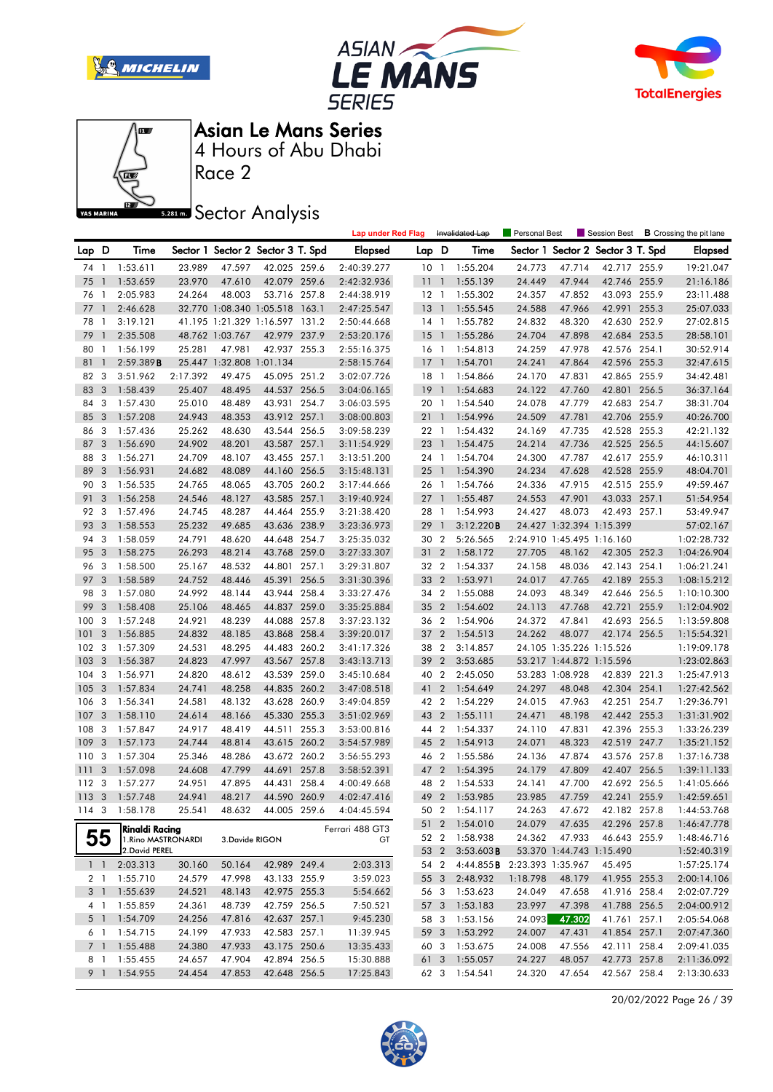







Race 2

**Sector Analysis** 

|                |                |                       |          |                          |                                   | <b>Lap under Red Flag</b> |                 |                          | Invalidated Lap             | Personal Best |                            | Session Best                      |       | <b>B</b> Crossing the pit lane |
|----------------|----------------|-----------------------|----------|--------------------------|-----------------------------------|---------------------------|-----------------|--------------------------|-----------------------------|---------------|----------------------------|-----------------------------------|-------|--------------------------------|
| Lap D          |                | Time                  |          |                          | Sector 1 Sector 2 Sector 3 T. Spd | <b>Elapsed</b>            | Lap D           |                          | Time                        |               |                            | Sector 1 Sector 2 Sector 3 T. Spd |       | <b>Elapsed</b>                 |
| 74 1           |                | 1:53.611              | 23.989   | 47.597                   | 42.025 259.6                      | 2:40:39.277               | 10 <sub>1</sub> |                          | 1:55.204                    | 24.773        | 47.714                     | 42.717 255.9                      |       | 19:21.047                      |
| 75             | $\overline{1}$ | 1:53.659              | 23.970   | 47.610                   | 42.079 259.6                      | 2:42:32.936               | 111             |                          | 1:55.139                    | 24.449        | 47.944                     | 42.746 255.9                      |       | 21:16.186                      |
| 76             | $\,1\,$        | 2:05.983              | 24.264   | 48.003                   | 53.716 257.8                      | 2:44:38.919               | $12-1$          |                          | 1:55.302                    | 24.357        | 47.852                     | 43.093 255.9                      |       | 23:11.488                      |
| 77             | $\overline{1}$ | 2:46.628              |          |                          | 32.770 1:08.340 1:05.518 163.1    | 2:47:25.547               | 13              | $\overline{1}$           | 1:55.545                    | 24.588        | 47.966                     | 42.991 255.3                      |       | 25:07.033                      |
| 78             | - 1            | 3:19.121              |          |                          | 41.195 1:21.329 1:16.597 131.2    | 2:50:44.668               | $14-1$          |                          | 1:55.782                    | 24.832        | 48.320                     | 42.630 252.9                      |       | 27:02.815                      |
| 79             | $\overline{1}$ | 2:35.508              |          | 48.762 1:03.767          | 42.979 237.9                      | 2:53:20.176               | 15              | $\overline{\phantom{a}}$ | 1:55.286                    | 24.704        | 47.898                     | 42.684 253.5                      |       | 28:58.101                      |
| 80             | -1             | 1:56.199              | 25.281   | 47.981                   | 42.937 255.3                      | 2:55:16.375               | 16 <sub>1</sub> |                          | 1:54.813                    | 24.259        | 47.978                     | 42.576 254.1                      |       | 30:52.914                      |
| 81             | $\mathbf{1}$   | 2:59.389B             |          | 25.447 1:32.808 1:01.134 |                                   | 2:58:15.764               | 17              | $\overline{1}$           | 1:54.701                    | 24.241        | 47.864                     | 42.596 255.3                      |       | 32:47.615                      |
| 82             | -3             | 3:51.962              | 2:17.392 | 49.475                   | 45.095 251.2                      | 3:02:07.726               | 18 1            |                          | 1:54.866                    | 24.170        | 47.831                     | 42.865 255.9                      |       | 34:42.481                      |
| 83             | 3              | 1:58.439              | 25.407   | 48.495                   | 44.537 256.5                      | 3:04:06.165               | 19              | $\overline{1}$           | 1:54.683                    | 24.122        | 47.760                     | 42.801 256.5                      |       | 36:37.164                      |
| 84             | 3              | 1:57.430              | 25.010   | 48.489                   | 43.931 254.7                      | 3:06:03.595               | 20 1            |                          | 1:54.540                    | 24.078        | 47.779                     | 42.683 254.7                      |       | 38:31.704                      |
| 85             | 3              | 1:57.208              | 24.943   | 48.353                   | 43.912 257.1                      | 3:08:00.803               | 211             |                          | 1:54.996                    | 24.509        | 47.781                     | 42.706 255.9                      |       | 40:26.700                      |
| 86             | 3              | 1:57.436              | 25.262   | 48.630                   | 43.544 256.5                      | 3:09:58.239               | 22 1            |                          | 1:54.432                    | 24.169        | 47.735                     | 42.528 255.3                      |       | 42:21.132                      |
| 87             | 3              | 1:56.690              | 24.902   | 48.201                   | 43.587 257.1                      | 3:11:54.929               | 23 1            |                          | 1:54.475                    | 24.214        | 47.736                     | 42.525 256.5                      |       | 44:15.607                      |
| 88             | 3              | 1:56.271              | 24.709   | 48.107                   | 43.455 257.1                      | 3:13:51.200               | 24 1            |                          | 1:54.704                    | 24.300        | 47.787                     | 42.617 255.9                      |       | 46:10.311                      |
| 89             | 3              | 1:56.931              | 24.682   | 48.089                   | 44.160 256.5                      | 3:15:48.131               | $25-1$          |                          | 1:54.390                    | 24.234        | 47.628                     | 42.528 255.9                      |       | 48:04.701                      |
| 90             | 3              | 1:56.535              | 24.765   | 48.065                   | 43.705 260.2                      | 3:17:44.666               | 26 1            |                          | 1:54.766                    | 24.336        | 47.915                     | 42.515 255.9                      |       | 49:59.467                      |
| 91             | 3              | 1:56.258              | 24.546   | 48.127                   | 43.585 257.1                      | 3:19:40.924               | $27-1$          |                          | 1:55.487                    | 24.553        | 47.901                     | 43.033 257.1                      |       | 51:54.954                      |
| 92             | 3              | 1:57.496              | 24.745   | 48.287                   | 44.464 255.9                      | 3:21:38.420               | 28 1            |                          | 1:54.993                    | 24.427        | 48.073                     | 42.493 257.1                      |       | 53:49.947                      |
| 93             | 3              | 1:58.553              | 25.232   | 49.685                   | 43.636 238.9                      | 3:23:36.973               | 29              | $\overline{1}$           | 3:12.220B                   |               | 24.427 1:32.394 1:15.399   |                                   |       | 57:02.167                      |
| 94             | 3              | 1:58.059              | 24.791   | 48.620                   | 44.648 254.7                      | 3:25:35.032               | 30 2            |                          | 5:26.565                    |               | 2:24.910 1:45.495 1:16.160 |                                   |       | 1:02:28.732                    |
| 95             | 3              | 1:58.275              | 26.293   | 48.214                   | 43.768 259.0                      | 3:27:33.307               | 31              | $\overline{2}$           | 1:58.172                    | 27.705        | 48.162                     | 42.305 252.3                      |       | 1:04:26.904                    |
| 96             | 3              | 1:58.500              | 25.167   | 48.532                   | 44.801 257.1                      | 3:29:31.807               | 32 2            |                          | 1:54.337                    | 24.158        | 48.036                     | 42.143 254.1                      |       | 1:06:21.241                    |
| 97             | 3              | 1:58.589              | 24.752   | 48.446                   | 45.391 256.5                      | 3:31:30.396               | 33 2            |                          | 1:53.971                    | 24.017        | 47.765                     | 42.189 255.3                      |       | 1:08:15.212                    |
| 98             | 3              | 1:57.080              | 24.992   | 48.144                   | 43.944 258.4                      | 3:33:27.476               | 34 2            |                          | 1:55.088                    | 24.093        | 48.349                     | 42.646 256.5                      |       | 1:10:10.300                    |
| 99             | 3              | 1:58.408              | 25.106   | 48.465                   | 44.837 259.0                      | 3:35:25.884               | 35 2            |                          | 1:54.602                    | 24.113        | 47.768                     | 42.721                            | 255.9 | 1:12:04.902                    |
| 100            | 3              | 1:57.248              | 24.921   | 48.239                   | 44.088 257.8                      | 3:37:23.132               | 36 2            |                          | 1:54.906                    | 24.372        | 47.841                     | 42.693 256.5                      |       | 1:13:59.808                    |
| 101            | 3              | 1:56.885              | 24.832   | 48.185                   | 43.868 258.4                      | 3:39:20.017               | 37 2            |                          | 1:54.513                    | 24.262        | 48.077                     | 42.174 256.5                      |       | 1:15:54.321                    |
| 102            | 3              | 1:57.309              | 24.531   | 48.295                   | 44.483 260.2                      | 3:41:17.326               | 38 2            |                          | 3:14.857                    |               | 24.105 1:35.226 1:15.526   |                                   |       | 1:19:09.178                    |
| 103            | 3              | 1:56.387              | 24.823   | 47.997                   | 43.567 257.8                      | 3:43:13.713               | 39              | $\overline{2}$           | 3:53.685                    |               | 53.217 1:44.872 1:15.596   |                                   |       | 1:23:02.863                    |
| 104            | 3              | 1:56.971              | 24.820   | 48.612                   | 43.539 259.0                      | 3:45:10.684               | 40 2            |                          | 2:45.050                    |               | 53.283 1:08.928            | 42.839 221.3                      |       | 1:25:47.913                    |
| 105            | 3              | 1:57.834              | 24.741   | 48.258                   | 44.835 260.2                      | 3:47:08.518               | 41 2            |                          | 1:54.649                    | 24.297        | 48.048                     | 42.304 254.1                      |       | 1:27:42.562                    |
| 106            | 3              | 1:56.341              | 24.581   | 48.132                   | 43.628 260.9                      | 3:49:04.859               | 42 2            |                          | 1:54.229                    | 24.015        | 47.963                     | 42.251 254.7                      |       | 1:29:36.791                    |
| 107            | 3              | 1:58.110              | 24.614   | 48.166                   | 45.330 255.3                      | 3:51:02.969               | 43              | $\overline{2}$           | 1:55.111                    | 24.471        | 48.198                     | 42.442 255.3                      |       | 1:31:31.902                    |
| 108            | 3              | 1:57.847              | 24.917   | 48.419                   | 44.511 255.3                      | 3:53:00.816               | 44 2            |                          | 1:54.337                    | 24.110        | 47.831                     | 42.396 255.3                      |       | 1:33:26.239                    |
| 109            | 3              | 1:57.173              | 24.744   | 48.814                   | 43.615 260.2                      | 3:54:57.989               | 45 2            |                          | 1:54.913                    | 24.071        | 48.323                     | 42.519 247.7                      |       | 1:35:21.152                    |
| 110            | 3              | 1:57.304              | 25.346   | 48.286                   | 43.672 260.2                      | 3:56:55.293               | 46 2            |                          | 1:55.586                    | 24.136        | 47.874                     | 43.576 257.8                      |       | 1:37:16.738                    |
| 111            | 3              | 1:57.098              | 24.608   | 47.799                   | 44.691 257.8                      | 3:58:52.391               | 47 2            |                          | 1:54.395                    | 24.179        | 47.809                     | 42.407 256.5                      |       | 1:39:11.133                    |
| 112 3          |                | 1:57.277              | 24.951   | 47.895                   | 44.431 258.4                      | 4:00:49.668               | 48 2            |                          | 1:54.533                    | 24.141        | 47.700                     | 42.692 256.5                      |       | 1:41:05.666                    |
| 1133           |                | 1:57.748              | 24.941   | 48.217                   | 44.590 260.9                      | 4:02:47.416               | 49 2            |                          | 1:53.985                    | 23.985        | 47.759                     | 42.241 255.9                      |       | 1:42:59.651                    |
|                |                | 114 3 1:58.178        | 25.541   |                          | 48.632 44.005 259.6               | 4:04:45.594               |                 |                          | 50 2 1:54.117               | 24.263        | 47.672                     | 42.182 257.8                      |       | 1:44:53.768                    |
|                |                | <b>Rinaldi Racing</b> |          |                          |                                   | Ferrari 488 GT3           |                 |                          | 51 2 1:54.010               | 24.079        | 47.635                     | 42.296 257.8                      |       | 1:46:47.778                    |
|                | 55             | 1. Rino MASTRONARDI   |          | 3.Davide RIGON           |                                   | GT                        |                 |                          | 52 2 1:58.938               | 24.362        | 47.933                     | 46.643 255.9                      |       | 1:48:46.716                    |
|                |                | 2. David PEREL        |          |                          |                                   |                           |                 | 53 2                     | $3:53.603$ <b>B</b>         |               | 53.370 1:44.743 1:15.490   |                                   |       | 1:52:40.319                    |
| $1\quad1$      |                | 2:03.313              | 30.160   | 50.164                   | 42.989 249.4                      | 2:03.313                  |                 | 54 2                     | 4:44.855B 2:23.393 1:35.967 |               |                            | 45.495                            |       | 1:57:25.174                    |
| 2 1            |                | 1:55.710              | 24.579   | 47.998                   | 43.133 255.9                      | 3:59.023                  |                 | 55 3                     | 2:48.932                    | 1:18.798      | 48.179                     | 41.955 255.3                      |       | 2:00:14.106                    |
| 3 <sup>1</sup> |                | 1:55.639              | 24.521   | 48.143                   | 42.975 255.3                      | 5:54.662                  |                 |                          | 56 3 1:53.623               | 24.049        | 47.658                     | 41.916 258.4                      |       | 2:02:07.729                    |
| 4 1            |                | 1:55.859              | 24.361   | 48.739                   | 42.759 256.5                      | 7:50.521                  |                 |                          | 57 3 1:53.183               | 23.997        | 47.398                     | 41.788 256.5                      |       | 2:04:00.912                    |
| 5 <sub>1</sub> |                | 1:54.709              | 24.256   | 47.816                   | 42.637 257.1                      | 9:45.230                  | 58 3            |                          | 1:53.156                    | 24.093        | 47.302                     | 41.761 257.1                      |       | 2:05:54.068                    |
| 6 1            |                | 1:54.715              | 24.199   | 47.933                   | 42.583 257.1                      | 11:39.945                 | 59 3            |                          | 1:53.292                    | 24.007        | 47.431                     | 41.854 257.1                      |       | 2:07:47.360                    |
| 7 1            |                | 1:55.488              | 24.380   | 47.933                   | 43.175 250.6                      | 13:35.433                 | 60 3            |                          | 1:53.675                    | 24.008        | 47.556                     | 42.111 258.4                      |       | 2:09:41.035                    |
| 8 1            |                | 1:55.455              | 24.657   | 47.904                   | 42.894 256.5                      | 15:30.888                 | 61 3            |                          | 1:55.057                    | 24.227        | 48.057                     | 42.773 257.8                      |       | 2:11:36.092                    |
| 9 1            |                | 1:54.955              | 24.454   | 47.853                   | 42.648 256.5                      | 17:25.843                 |                 |                          | 62 3 1:54.541               | 24.320        | 47.654                     | 42.567 258.4                      |       | 2:13:30.633                    |

20/02/2022 Page 26 / 39

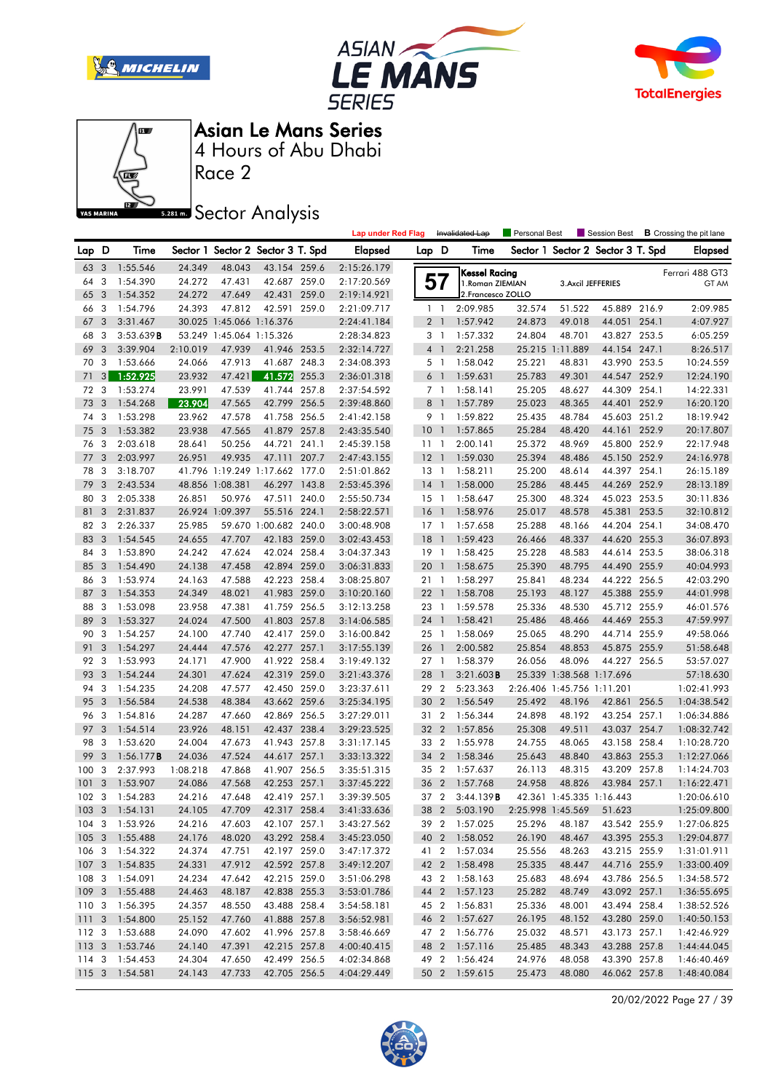







Race 2

### **Sector Analysis**

|                  |                |                |                  |                          |                                   |       | <b>Lap under Red Flag</b> |                 |                | Invalidated Lap                | Personal Best            |                            | Session Best                      |       | <b>B</b> Crossing the pit lane |
|------------------|----------------|----------------|------------------|--------------------------|-----------------------------------|-------|---------------------------|-----------------|----------------|--------------------------------|--------------------------|----------------------------|-----------------------------------|-------|--------------------------------|
| Lap D            |                | Time           |                  |                          | Sector 1 Sector 2 Sector 3 T. Spd |       | <b>Elapsed</b>            | Lap D           |                | Time                           |                          |                            | Sector 1 Sector 2 Sector 3 T. Spd |       | <b>Elapsed</b>                 |
| 63 3             |                | 1:55.546       | 24.349           | 48.043                   | 43.154 259.6                      |       | 2:15:26.179               |                 |                | Kessel Racing                  |                          |                            |                                   |       | Ferrari 488 GT3                |
| 64               | 3              | 1:54.390       | 24.272           | 47.431                   | 42.687 259.0                      |       | 2:17:20.569               |                 | 57             | 1. Roman ZIEMIAN               |                          | 3. Axcil JEFFERIES         |                                   |       | GT AM                          |
| 65               | 3              | 1:54.352       | 24.272           | 47.649                   | 42.431                            | 259.0 | 2:19:14.921               |                 |                | 2. Francesco ZOLLO             |                          |                            |                                   |       |                                |
| 66               | 3              | 1:54.796       | 24.393           | 47.812                   | 42.591 259.0                      |       | 2:21:09.717               |                 | $1\quad$       | 2:09.985                       | 32.574                   | 51.522                     | 45.889 216.9                      |       | 2:09.985                       |
| 67               | 3              | 3:31.467       |                  | 30.025 1:45.066 1:16.376 |                                   |       | 2:24:41.184               |                 | 2 <sub>1</sub> | 1:57.942                       | 24.873                   | 49.018                     | 44.051 254.1                      |       | 4:07.927                       |
| 68               | 3              | 3:53.639B      |                  | 53.249 1:45.064 1:15.326 |                                   |       | 2:28:34.823               |                 | 3 1            | 1:57.332                       | 24.804                   | 48.701                     | 43.827 253.5                      |       | 6:05.259                       |
| 69               | 3              | 3:39.904       | 2:10.019         | 47.939                   | 41.946 253.5                      |       | 2:32:14.727               |                 | 4 <sup>1</sup> | 2:21.258                       |                          | 25.215 1:11.889            | 44.154 247.1                      |       | 8:26.517                       |
| 70               | 3              | 1:53.666       | 24.066           | 47.913                   | 41.687 248.3                      |       | 2:34:08.393               |                 | 5 <sub>1</sub> | 1:58.042                       | 25.221                   | 48.831                     | 43.990 253.5                      |       | 10:24.559                      |
| 71               | 3 <sup>1</sup> | 1:52.925       | 23.932           | 47.421                   | 41.572                            | 255.3 | 2:36:01.318               |                 | 6 <sup>1</sup> | 1:59.631                       | 25.783                   | 49.301                     | 44.547 252.9                      |       | 12:24.190                      |
| 72               | 3              | 1:53.274       | 23.991           | 47.539                   | 41.744 257.8                      |       | 2:37:54.592               |                 | 7 <sub>1</sub> | 1:58.141                       | 25.205                   | 48.627                     | 44.309 254.1                      |       | 14:22.331                      |
| 73               | 3              | 1:54.268       | 23.904           | 47.565                   | 42.799 256.5                      |       | 2:39:48.860               | 8               | $\overline{1}$ | 1:57.789                       | 25.023                   | 48.365                     | 44.401                            | 252.9 | 16:20.120                      |
| 74               | 3              | 1:53.298       | 23.962           | 47.578                   | 41.758 256.5                      |       | 2:41:42.158               |                 | 9 1            | 1:59.822                       | 25.435                   | 48.784                     | 45.603 251.2                      |       | 18:19.942                      |
| 75               | 3              | 1:53.382       | 23.938           | 47.565                   | 41.879 257.8                      |       | 2:43:35.540               | 10 <sup>°</sup> | $\overline{1}$ | 1:57.865                       | 25.284                   | 48.420                     | 44.161                            | 252.9 | 20:17.807                      |
| 76               | 3              | 2:03.618       | 28.641           | 50.256                   | 44.721                            | 241.1 | 2:45:39.158               | 1111            |                | 2:00.141                       | 25.372                   | 48.969                     | 45.800 252.9                      |       | 22:17.948                      |
| 77               | 3              | 2:03.997       | 26.951           | 49.935                   | 47.111                            | 207.7 | 2:47:43.155               | 12              | $\overline{1}$ | 1:59.030                       | 25.394                   | 48.486                     | 45.150 252.9                      |       | 24:16.978                      |
| 78               | 3              | 3:18.707       |                  |                          | 41.796 1:19.249 1:17.662 177.0    |       | 2:51:01.862               | $13-1$          |                | 1:58.211                       | 25.200                   | 48.614                     | 44.397 254.1                      |       | 26:15.189                      |
| 79               | 3              | 2:43.534       |                  | 48.856 1:08.381          | 46.297 143.8                      |       | 2:53:45.396               | $14-1$          |                | 1:58.000                       | 25.286                   | 48.445                     | 44.269 252.9                      |       | 28:13.189                      |
| 80               | 3              | 2:05.338       | 26.851           | 50.976                   | 47.511 240.0                      |       | 2:55:50.734               | $15-1$          |                | 1:58.647                       | 25.300                   | 48.324                     | 45.023 253.5                      |       | 30:11.836                      |
| 81               | 3              | 2:31.837       |                  | 26.924 1:09.397          | 55.516 224.1                      |       | 2:58:22.571               | 16              | $\overline{1}$ | 1:58.976                       | 25.017                   | 48.578                     | 45.381                            | 253.5 | 32:10.812                      |
| 82               | 3              | 2:26.337       | 25.985           |                          | 59.670 1:00.682 240.0             |       | 3:00:48.908               | $17-1$          |                | 1:57.658                       | 25.288                   | 48.166                     | 44.204 254.1                      |       | 34:08.470                      |
| 83               | 3              | 1:54.545       | 24.655           | 47.707                   | 42.183 259.0                      |       | 3:02:43.453               | 18              | $\overline{1}$ | 1:59.423                       | 26.466                   | 48.337                     | 44.620 255.3                      |       | 36:07.893                      |
| 84               | 3              | 1:53.890       | 24.242           | 47.624                   | 42.024 258.4                      |       | 3:04:37.343               | 19              | $\overline{1}$ | 1:58.425                       | 25.228                   | 48.583                     | 44.614 253.5                      |       | 38:06.318                      |
| 85               | 3              | 1:54.490       | 24.138           | 47.458                   | 42.894 259.0                      |       | 3:06:31.833               | 20              | $\mathbf{1}$   | 1:58.675                       | 25.390                   | 48.795                     | 44.490 255.9                      |       | 40:04.993                      |
| 86               | 3              | 1:53.974       | 24.163           | 47.588                   | 42.223 258.4                      |       | 3:08:25.807               | 21 1            |                | 1:58.297                       | 25.841                   | 48.234                     | 44.222 256.5                      |       | 42:03.290                      |
| 87               | 3              | 1:54.353       | 24.349           | 48.021                   | 41.983 259.0                      |       | 3:10:20.160               | 221             |                | 1:58.708                       | 25.193                   | 48.127                     | 45.388 255.9                      |       | 44:01.998                      |
| 88               | 3              | 1:53.098       | 23.958           | 47.381                   | 41.759 256.5                      |       | 3:12:13.258               | 23 1            |                | 1:59.578                       | 25.336                   | 48.530                     | 45.712 255.9                      |       | 46:01.576                      |
| 89               | 3              | 1:53.327       | 24.024           | 47.500                   | 41.803 257.8                      |       | 3:14:06.585               | 24              | $\mathbf{1}$   | 1:58.421                       | 25.486                   | 48.466                     | 44.469 255.3                      |       | 47:59.997                      |
| 90               | 3              | 1:54.257       | 24.100           | 47.740                   | 42.417 259.0                      |       | 3:16:00.842               | 25 1            |                | 1:58.069                       | 25.065                   | 48.290                     | 44.714 255.9                      |       | 49:58.066                      |
| 91               | 3              | 1:54.297       | 24.444           | 47.576                   | 42.277 257.1                      |       | 3:17:55.139               | 26              | $\overline{1}$ | 2:00.582                       | 25.854                   | 48.853                     | 45.875 255.9                      |       | 51:58.648                      |
| 92               | 3              | 1:53.993       | 24.171           | 47.900                   | 41.922 258.4                      |       | 3:19:49.132               | 27 1            |                | 1:58.379                       | 26.056                   | 48.096                     | 44.227 256.5                      |       | 53:57.027                      |
| 93               | 3              | 1:54.244       | 24.301           | 47.624                   | 42.319 259.0                      |       | 3:21:43.376               | 28              | $\mathbf{1}$   | 3:21.603B                      |                          | 25.339 1:38.568 1:17.696   |                                   |       | 57:18.630                      |
| 94               | 3              | 1:54.235       | 24.208           | 47.577                   | 42.450 259.0                      |       | 3:23:37.611               | 29 2            |                | 5:23.363                       |                          | 2:26.406 1:45.756 1:11.201 |                                   |       | 1:02:41.993                    |
| 95               | 3              | 1:56.584       | 24.538           | 48.384                   | 43.662 259.6                      |       | 3:25:34.195               | 30 2            |                | 1:56.549                       | 25.492                   | 48.196                     | 42.861                            | 256.5 | 1:04:38.542                    |
| 96               | 3              | 1:54.816       | 24.287           | 47.660                   | 42.869 256.5                      |       | 3:27:29.011               | 31 2            |                | 1:56.344                       | 24.898                   | 48.192                     | 43.254 257.1                      |       | 1:06:34.886                    |
| 97               | 3              | 1:54.514       | 23.926           | 48.151                   | 42.437 238.4                      |       | 3:29:23.525               | 32 2            |                | 1:57.856                       | 25.308                   | 49.511                     | 43.037 254.7                      |       | 1:08:32.742                    |
| 98               | 3              | 1:53.620       | 24.004           | 47.673                   | 41.943 257.8                      |       | 3:31:17.145               | 33 2            |                | 1:55.978                       | 24.755                   | 48.065                     | 43.158 258.4                      |       | 1:10:28.720                    |
| 99               | 3              | 1:56.177B      | 24.036           | 47.524                   | 44.617 257.1                      |       | 3:33:13.322               | 34              | $\overline{2}$ | 1:58.346                       | 25.643                   | 48.840                     | 43.863 255.3                      |       | 1:12:27.066                    |
| 100              | 3              | 2:37.993       | 1:08.218         | 47.868                   | 41.907 256.5                      |       | 3:35:51.315               | 35 2            |                | 1:57.637                       | 26.113                   | 48.315                     | 43.209 257.8                      |       | 1:14:24.703                    |
| 101              | 3              | 1:53.907       | 24.086           | 47.568                   | 42.253 257.1                      |       | 3:37:45.222               | 36              | $\overline{2}$ | 1:57.768                       | 24.958                   | 48.826                     | 43.984 257.1                      |       | 1:16:22.471                    |
| 102 <sub>3</sub> |                | 1:54.283       | 24.216           | 47.648                   | 42.419 257.1                      |       | 3:39:39.505               | 37 2            |                | 3:44.139B                      |                          | 42.361 1:45.335 1:16.443   |                                   |       | 1:20:06.610                    |
|                  |                | 103 3 1:54.131 | 24.105           | 47.709                   | 42.317 258.4                      |       | 3:41:33.636               |                 |                | 38 2 5:03.190                  | 2:25.998 1:45.569 51.623 |                            |                                   |       | 1:25:09.800                    |
|                  |                | 104 3 1:53.926 | 24.216           | 47.603                   | 42.107 257.1                      |       | 3:43:27.562               |                 |                | 39 2 1:57.025                  | 25.296                   | 48.187                     | 43.542 255.9                      |       | 1:27:06.825                    |
| $105 \quad 3$    |                | 1:55.488       | 24.176           | 48.020                   | 43.292 258.4                      |       | 3:45:23.050               |                 |                | 40 2 1:58.052                  | 26.190                   | 48.467                     | 43.395 255.3                      |       | 1:29:04.877                    |
| 106 3            |                | 1:54.322       | 24.374           | 47.751                   | 42.197 259.0                      |       | 3:47:17.372               |                 |                | 41 2 1:57.034                  | 25.556                   | 48.263                     | 43.215 255.9                      |       | 1:31:01.911                    |
| 107 <sub>3</sub> |                | 1:54.835       | 24.331           | 47.912                   | 42.592 257.8                      |       | 3:49:12.207               |                 |                | 42 2 1:58.498                  | 25.335                   | 48.447                     | 44.716 255.9                      |       | 1:33:00.409                    |
| 108 3            |                | 1:54.091       | 24.234           | 47.642                   | 42.215 259.0                      |       | 3:51:06.298               |                 |                | 43 2 1:58.163                  | 25.683                   | 48.694                     | 43.786 256.5                      |       | 1:34:58.572                    |
| 109 <sub>3</sub> |                |                |                  |                          |                                   |       |                           |                 |                |                                |                          |                            |                                   |       |                                |
| 110 <sub>3</sub> |                | 1:55.488       | 24.463           | 48.187                   | 42.838 255.3                      |       | 3:53:01.786               |                 |                | 44 2 1:57.123                  | 25.282                   | 48.749<br>48.001           | 43.092 257.1                      |       | 1:36:55.695                    |
|                  |                | 1:56.395       | 24.357<br>25.152 | 48.550                   | 43.488 258.4                      |       | 3:54:58.181               |                 |                | 45 2 1:56.831                  | 25.336                   |                            | 43.494 258.4                      |       | 1:38:52.526                    |
| 1113             |                | 1:54.800       |                  | 47.760                   | 41.888 257.8                      |       | 3:56:52.981               |                 |                | 46 2 1:57.627<br>47 2 1:56.776 | 26.195                   | 48.152                     | 43.280 259.0                      |       | 1:40:50.153<br>1:42:46.929     |
| 112 3            |                | 1:53.688       | 24.090           | 47.602                   | 41.996 257.8                      |       | 3:58:46.669               |                 |                |                                | 25.032                   | 48.571                     | 43.173 257.1                      |       |                                |
| 1133             |                | 1:53.746       | 24.140           | 47.391                   | 42.215 257.8                      |       | 4:00:40.415               |                 |                | 48 2 1:57.116<br>49 2 1:56.424 | 25.485                   | 48.343<br>48.058           | 43.288 257.8                      |       | 1:44:44.045<br>1:46:40.469     |
| 114 3            |                | 1:54.453       | 24.304           | 47.650                   | 42.499 256.5                      |       | 4:02:34.868               |                 |                |                                | 24.976                   |                            | 43.390 257.8                      |       |                                |
|                  |                | 115 3 1:54.581 | 24.143           | 47.733                   | 42.705 256.5                      |       | 4:04:29.449               |                 |                | 50 2 1:59.615                  | 25.473                   | 48.080                     | 46.062 257.8                      |       | 1:48:40.084                    |

20/02/2022 Page 27 / 39

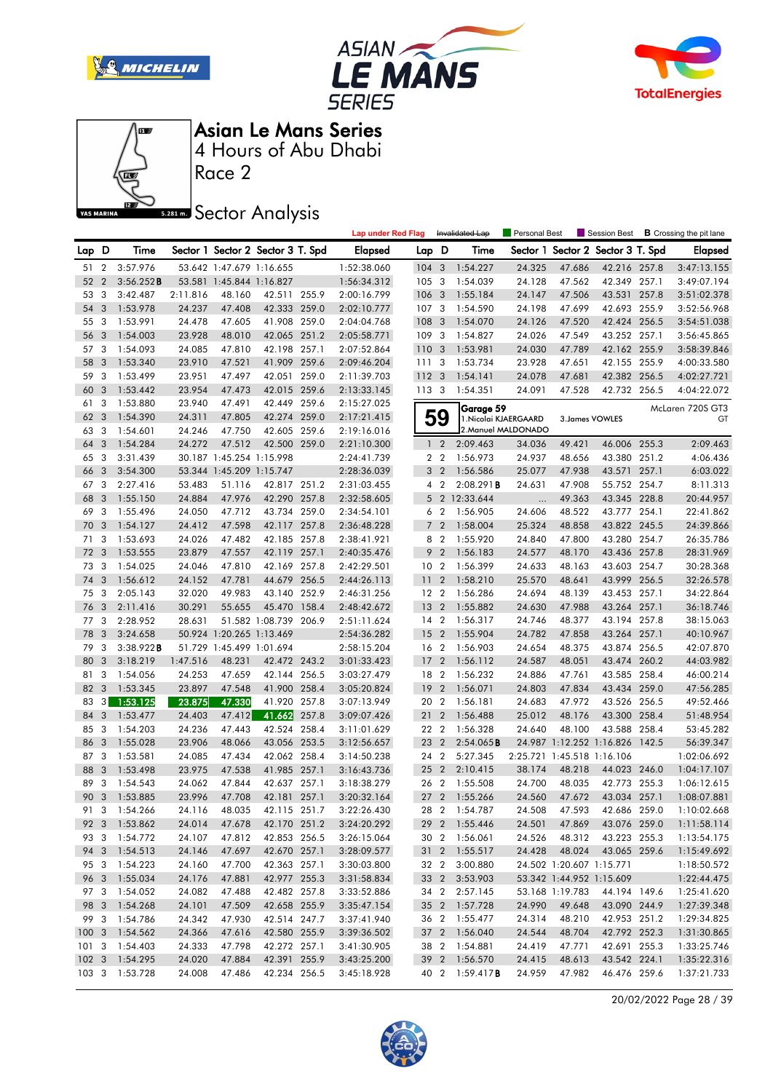







Race 2

**Sector Analysis** 

|                  |                |               |          |                          |                                   |       | <b>Lap under Red Flag</b> |                 |                         | Invalidated Lap        | <b>Personal Best</b>       |                          | Session Best             |       | <b>B</b> Crossing the pit lane |
|------------------|----------------|---------------|----------|--------------------------|-----------------------------------|-------|---------------------------|-----------------|-------------------------|------------------------|----------------------------|--------------------------|--------------------------|-------|--------------------------------|
| Lap D            |                | Time          |          |                          | Sector 1 Sector 2 Sector 3 T. Spd |       | <b>Elapsed</b>            | Lap D           |                         | Time                   | Sector 1                   |                          | Sector 2 Sector 3 T. Spd |       | <b>Elapsed</b>                 |
| 51               | $\overline{2}$ | 3:57.976      |          | 53.642 1:47.679 1:16.655 |                                   |       | 1:52:38.060               | 104             | 3                       | 1:54.227               | 24.325                     | 47.686                   | 42.216 257.8             |       | 3:47:13.155                    |
| 52               | $\overline{2}$ | 3:56.252B     |          | 53.581 1:45.844 1:16.827 |                                   |       | 1:56:34.312               | 105             | $\overline{3}$          | 1:54.039               | 24.128                     | 47.562                   | 42.349 257.1             |       | 3:49:07.194                    |
| 53               | 3              | 3:42.487      | 2:11.816 | 48.160                   | 42.511 255.9                      |       | 2:00:16.799               | 106             | 3                       | 1:55.184               | 24.147                     | 47.506                   | 43.531                   | 257.8 | 3:51:02.378                    |
| 54               | 3              | 1:53.978      | 24.237   | 47.408                   | 42.333 259.0                      |       | 2:02:10.777               | 107             | 3                       | 1:54.590               | 24.198                     | 47.699                   | 42.693 255.9             |       | 3:52:56.968                    |
| 55               | 3              | 1:53.991      | 24.478   | 47.605                   | 41.908                            | 259.0 | 2:04:04.768               | 108             | 3                       | 1:54.070               | 24.126                     | 47.520                   | 42.424                   | 256.5 | 3:54:51.038                    |
| 56               | 3              | 1:54.003      | 23.928   | 48.010                   | 42.065 251.2                      |       | 2:05:58.771               | 109             | 3                       | 1:54.827               | 24.026                     | 47.549                   | 43.252 257.1             |       | 3:56:45.865                    |
| 57               | 3              | 1:54.093      | 24.085   | 47.810                   | 42.198 257.1                      |       | 2:07:52.864               | 110             | $\overline{\mathbf{3}}$ | 1:53.981               | 24.030                     | 47.789                   | 42.162 255.9             |       | 3:58:39.846                    |
| 58               | 3              | 1:53.340      | 23.910   | 47.521                   | 41.909 259.6                      |       | 2:09:46.204               | 111             | -3                      | 1:53.734               | 23.928                     | 47.651                   | 42.155 255.9             |       | 4:00:33.580                    |
| 59               | 3              | 1:53.499      | 23.951   | 47.497                   | 42.051 259.0                      |       | 2:11:39.703               | 1123            |                         | 1:54.141               | 24.078                     | 47.681                   | 42.382 256.5             |       | 4:02:27.721                    |
| 60               | 3              | 1:53.442      | 23.954   | 47.473                   | 42.015 259.6                      |       | 2:13:33.145               | 113 3           |                         | 1:54.351               | 24.091                     | 47.528                   | 42.732 256.5             |       | 4:04:22.072                    |
| 61               | 3              | 1:53.880      | 23.940   | 47.491                   | 42.449 259.6                      |       | 2:15:27.025               |                 |                         | Garage 59              |                            |                          |                          |       | McLaren 720S GT3               |
| 62               | 3              | 1:54.390      | 24.311   | 47.805                   | 42.274 259.0                      |       | 2:17:21.415               |                 | 59                      | 1. Nicolai KJAERGAARD  |                            |                          | 3. James VOWLES          |       | GT                             |
| 63               | 3              | 1:54.601      | 24.246   | 47.750                   | 42.605 259.6                      |       | 2:19:16.016               |                 |                         | 2. Manuel MALDONADO    |                            |                          |                          |       |                                |
| 64               | 3              | 1:54.284      | 24.272   | 47.512                   | 42.500 259.0                      |       | 2:21:10.300               |                 | 1 <sub>2</sub>          | 2:09.463               | 34.036                     | 49.421                   | 46.006 255.3             |       | 2:09.463                       |
| 65               | 3              | 3:31.439      |          | 30.187 1:45.254 1:15.998 |                                   |       | 2:24:41.739               |                 | 2 <sub>2</sub>          | 1:56.973               | 24.937                     | 48.656                   | 43.380 251.2             |       | 4:06.436                       |
| 66               | 3              | 3:54.300      |          | 53.344 1:45.209 1:15.747 |                                   |       | 2:28:36.039               |                 | 3 <sub>2</sub>          | 1:56.586               | 25.077                     | 47.938                   | 43.571                   | 257.1 | 6:03.022                       |
| 67               | 3              | 2:27.416      | 53.483   | 51.116                   | 42.817 251.2                      |       | 2:31:03.455               |                 | 4 <sup>2</sup>          | 2:08.291B              | 24.631                     | 47.908                   | 55.752 254.7             |       | 8:11.313                       |
| 68               | 3              | 1:55.150      | 24.884   | 47.976                   | 42.290 257.8                      |       | 2:32:58.605               |                 | 5 <sub>2</sub>          | 12:33.644              |                            | 49.363                   | 43.345 228.8             |       | 20:44.957                      |
| 69               | 3              | 1:55.496      | 24.050   | 47.712                   | 43.734 259.0                      |       | 2:34:54.101               |                 | 6 <sub>2</sub>          | 1:56.905               | 24.606                     | 48.522                   | 43.777 254.1             |       | 22:41.862                      |
| 70               | 3              | 1:54.127      | 24.412   | 47.598                   | 42.117 257.8                      |       | 2:36:48.228               | $\overline{7}$  | $\overline{2}$          | 1:58.004               | 25.324                     | 48.858                   | 43.822 245.5             |       | 24:39.866                      |
| 71               | 3              | 1:53.693      | 24.026   | 47.482                   | 42.185 257.8                      |       | 2:38:41.921               |                 | 8 2                     | 1:55.920               | 24.840                     | 47.800                   | 43.280 254.7             |       | 26:35.786                      |
| 72               | -3             | 1:53.555      | 23.879   | 47.557                   | 42.119 257.1                      |       | 2:40:35.476               | 9               | $\overline{2}$          | 1:56.183               | 24.577                     | 48.170                   | 43.436 257.8             |       | 28:31.969                      |
| 73               | -3             | 1:54.025      | 24.046   | 47.810                   | 42.169 257.8                      |       | 2:42:29.501               | 10 <sub>2</sub> |                         | 1:56.399               | 24.633                     | 48.163                   | 43.603 254.7             |       | 30:28.368                      |
| 74               | 3              | 1:56.612      | 24.152   | 47.781                   | 44.679 256.5                      |       | 2:44:26.113               | 11              | $\overline{2}$          | 1:58.210               | 25.570                     | 48.641                   | 43.999 256.5             |       | 32:26.578                      |
| 75               | 3              | 2:05.143      | 32.020   | 49.983                   | 43.140                            | 252.9 | 2:46:31.256               | 12 2            |                         | 1:56.286               | 24.694                     | 48.139                   | 43.453 257.1             |       | 34:22.864                      |
| 76               | 3              | 2:11.416      | 30.291   | 55.655                   | 45.470 158.4                      |       | 2:48:42.672               | 13              | $\overline{2}$          | 1:55.882               | 24.630                     | 47.988                   | 43.264 257.1             |       | 36:18.746                      |
| 77               | -3             | 2:28.952      | 28.631   |                          | 51.582 1:08.739 206.9             |       | 2:51:11.624               | 14 2            |                         | 1:56.317               | 24.746                     | 48.377                   | 43.194 257.8             |       | 38:15.063                      |
| 78               | 3              | 3:24.658      |          | 50.924 1:20.265 1:13.469 |                                   |       | 2:54:36.282               | 15              | $\overline{2}$          | 1:55.904               | 24.782                     | 47.858                   | 43.264                   | 257.1 | 40:10.967                      |
| 79               | 3              | 3:38.922B     |          | 51.729 1:45.499 1:01.694 |                                   |       | 2:58:15.204               | 16 2            |                         | 1:56.903               | 24.654                     | 48.375                   | 43.874 256.5             |       | 42:07.870                      |
| 80               | 3              | 3:18.219      | 1:47.516 | 48.231                   | 42.472 243.2                      |       | 3:01:33.423               | 17              | $\overline{2}$          | 1:56.112               | 24.587                     | 48.051                   | 43.474 260.2             |       | 44:03.982                      |
| 81               | 3              | 1:54.056      | 24.253   | 47.659                   | 42.144 256.5                      |       | 3:03:27.479               | 18 2            |                         | 1:56.232               | 24.886                     | 47.761                   | 43.585 258.4             |       | 46:00.214                      |
| 82               | 3              | 1:53.345      | 23.897   | 47.548                   | 41.900 258.4                      |       | 3:05:20.824               | 19              | $\overline{2}$          | 1:56.071               | 24.803                     | 47.834                   | 43.434                   | 259.0 | 47:56.285                      |
| 83               | 3 <sup>1</sup> | 1:53.125      | 23.875   | 47.330                   | 41.920                            | 257.8 | 3:07:13.949               | 20              | $\overline{2}$          | 1:56.181               | 24.683                     | 47.972                   | 43.526 256.5             |       | 49:52.466                      |
| 84               | 3              | 1:53.477      | 24.403   | 47.412                   | 41.662                            | 257.8 | 3:09:07.426               | 21              | $\overline{2}$          | 1:56.488               | 25.012                     | 48.176                   | 43.300 258.4             |       | 51:48.954                      |
| 85               | 3              | 1:54.203      | 24.236   | 47.443                   | 42.524 258.4                      |       | 3:11:01.629               | 22 2            |                         | 1:56.328               | 24.640                     | 48.100                   | 43.588 258.4             |       | 53:45.282                      |
| 86               | 3              | 1:55.028      | 23.906   | 48.066                   | 43.056 253.5                      |       | 3:12:56.657               | 23              | $\overline{2}$          | 2:54.065B              |                            |                          | 24.987 1:12.252 1:16.826 | 142.5 | 56:39.347                      |
| 87               | 3              | 1:53.581      | 24.085   | 47.434                   | 42.062 258.4                      |       | 3:14:50.238               | 24 2            |                         | 5:27.345               | 2:25.721 1:45.518 1:16.106 |                          |                          |       | 1:02:06.692                    |
| 88               | 3              | 1:53.498      | 23.975   | 47.538                   | 41.985 257.1                      |       | 3:16:43.736               | 25              | $\overline{2}$          | 2:10.415               | 38.174                     | 48.218                   | 44.023 246.0             |       | 1:04:17.107                    |
| 89               | 3              | 1:54.543      | 24.062   | 47.844                   | 42.637 257.1                      |       | 3:18:38.279               | 26 2            |                         | 1:55.508               | 24.700                     | 48.035                   | 42.773 255.3             |       | 1:06:12.615                    |
| 90               | $\overline{3}$ | 1:53.885      | 23.996   | 47.708                   | 42.181 257.1                      |       | 3:20:32.164               | 27 <sub>2</sub> |                         | 1:55.266               | 24.560                     | 47.672                   | 43.034 257.1             |       | 1:08:07.881                    |
|                  |                | 91 3 1:54.266 | 24.116   | 48.035                   | 42.115 251.7                      |       | 3:22:26.430               |                 |                         | 28 2 1:54.787          | 24.508                     | 47.593                   | 42.686 259.0             |       | 1:10:02.668                    |
|                  |                | 92 3 1:53.862 | 24.014   | 47.678                   | 42.170 251.2                      |       | 3:24:20.292               |                 |                         | 29 2 1:55.446          | 24.501                     | 47.869                   | 43.076 259.0             |       | 1:11:58.114                    |
| 93 3             |                | 1:54.772      | 24.107   | 47.812                   | 42.853 256.5                      |       | 3:26:15.064               |                 |                         | 30 2 1:56.061          | 24.526                     | 48.312                   | 43.223 255.3             |       | 1:13:54.175                    |
| 94 3             |                | 1:54.513      | 24.146   | 47.697                   | 42.670 257.1                      |       | 3:28:09.577               |                 |                         | 31 2 1:55.517          | 24.428                     | 48.024                   | 43.065 259.6             |       | 1:15:49.692                    |
| 95 3             |                | 1:54.223      | 24.160   | 47.700                   | 42.363 257.1                      |       | 3:30:03.800               |                 | 32 2                    | 3:00.880               |                            | 24.502 1:20.607 1:15.771 |                          |       | 1:18:50.572                    |
| 96 3             |                | 1:55.034      | 24.176   | 47.881                   | 42.977 255.3                      |       | 3:31:58.834               |                 | 33 2                    | 3:53.903               |                            |                          | 53.342 1:44.952 1:15.609 |       | 1:22:44.475                    |
| 97 3             |                | 1:54.052      | 24.082   | 47.488                   | 42.482 257.8                      |       | 3:33:52.886               |                 |                         | 34 2 2:57.145          |                            | 53.168 1:19.783          | 44.194 149.6             |       | 1:25:41.620                    |
| 98 3             |                | 1:54.268      | 24.101   | 47.509                   | 42.658 255.9                      |       | 3:35:47.154               |                 |                         | 35 2 1:57.728          | 24.990                     | 49.648                   | 43.090 244.9             |       | 1:27:39.348                    |
| 99 3             |                | 1:54.786      | 24.342   | 47.930                   | 42.514 247.7                      |       | 3:37:41.940               |                 |                         | 36 2 1:55.477          | 24.314                     | 48.210                   | 42.953 251.2             |       | 1:29:34.825                    |
| 1003             |                | 1:54.562      | 24.366   | 47.616                   | 42.580 255.9                      |       | 3:39:36.502               |                 |                         | 37 2 1:56.040          | 24.544                     | 48.704                   | 42.792 252.3             |       | 1:31:30.865                    |
| 1013             |                | 1:54.403      | 24.333   | 47.798                   | 42.272 257.1                      |       | 3:41:30.905               |                 |                         | 38 2 1:54.881          | 24.419                     | 47.771                   | 42.691 255.3             |       | 1:33:25.746                    |
| 102 <sub>3</sub> |                | 1:54.295      | 24.020   | 47.884                   | 42.391 255.9                      |       | 3:43:25.200               |                 |                         | 39 2 1:56.570          | 24.415                     | 48.613                   | 43.542 224.1             |       | 1:35:22.316                    |
| 103 <sub>3</sub> |                | 1:53.728      | 24.008   | 47.486                   | 42.234 256.5                      |       | 3:45:18.928               |                 |                         | 40 2 1:59.417 <b>B</b> | 24.959                     | 47.982                   | 46.476 259.6             |       | 1:37:21.733                    |

20/02/2022 Page 28 / 39

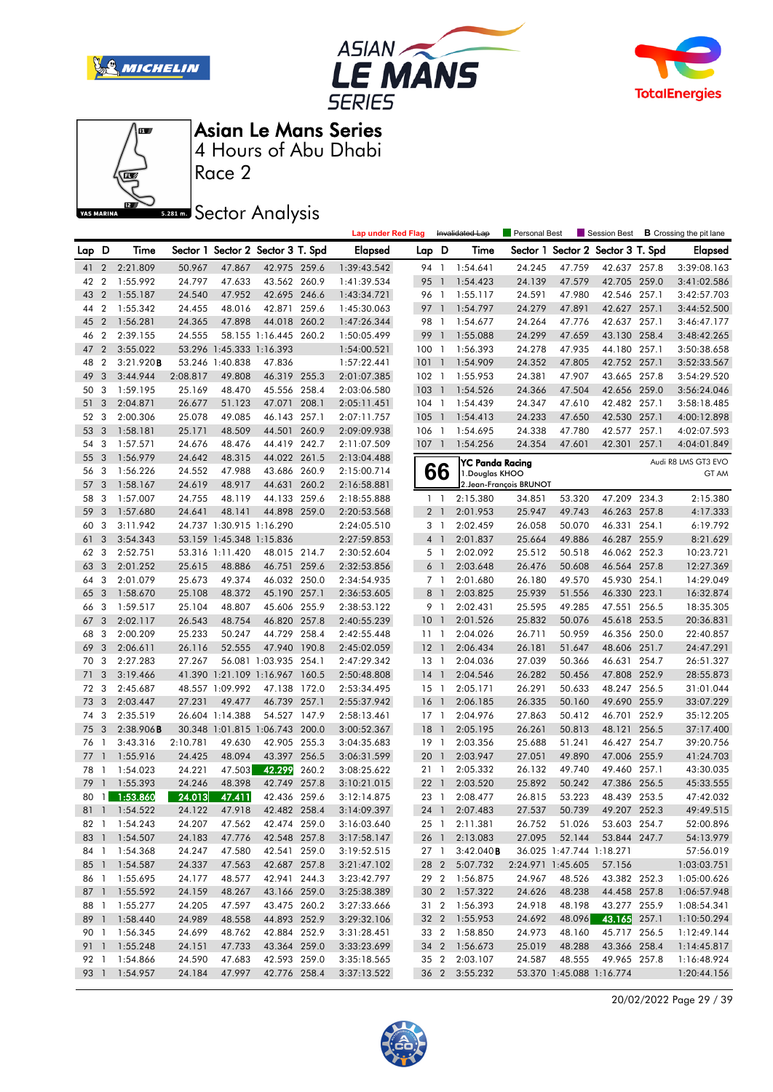







Race 2

### **Sector Analysis**

|       |                              |                                |                  |                          |                                   |       | <b>Lap under Red Flag</b>  |                  |                | Invalidated Lap           | Personal Best           |                          | Session Best                        | <b>B</b> Crossing the pit lane |
|-------|------------------------------|--------------------------------|------------------|--------------------------|-----------------------------------|-------|----------------------------|------------------|----------------|---------------------------|-------------------------|--------------------------|-------------------------------------|--------------------------------|
| Lap D |                              | Time                           |                  |                          | Sector 1 Sector 2 Sector 3 T. Spd |       | <b>Elapsed</b>             | Lap D            |                | Time                      |                         |                          | Sector 1 Sector 2 Sector 3 T. Spd   | Elapsed                        |
| 41 2  |                              | 2:21.809                       | 50.967           | 47.867                   | 42.975 259.6                      |       | 1:39:43.542                | 94 1             |                | 1:54.641                  | 24.245                  | 47.759                   | 42.637 257.8                        | 3:39:08.163                    |
| 42    | $\overline{2}$               | 1:55.992                       | 24.797           | 47.633                   | 43.562 260.9                      |       | 1:41:39.534                | 95 1             |                | 1:54.423                  | 24.139                  | 47.579                   | 42.705 259.0                        | 3:41:02.586                    |
| 43    | $\overline{2}$               | 1:55.187                       | 24.540           | 47.952                   | 42.695 246.6                      |       | 1:43:34.721                | 96 1             |                | 1:55.117                  | 24.591                  | 47.980                   | 42.546 257.1                        | 3:42:57.703                    |
| 44    | $\overline{2}$               | 1:55.342                       | 24.455           | 48.016                   | 42.871 259.6                      |       | 1:45:30.063                | 97               | $\mathbf{1}$   | 1:54.797                  | 24.279                  | 47.891                   | 42.627 257.1                        | 3:44:52.500                    |
| 45    | $\overline{2}$               | 1:56.281                       | 24.365           | 47.898                   | 44.018 260.2                      |       | 1:47:26.344                | 98 1             |                | 1:54.677                  | 24.264                  | 47.776                   | 42.637 257.1                        | 3:46:47.177                    |
| 46    | $\overline{2}$               | 2:39.155                       | 24.555           |                          | 58.155 1:16.445 260.2             |       | 1:50:05.499                | 99               | $\overline{1}$ | 1:55.088                  | 24.299                  | 47.659                   | 43.130 258.4                        | 3:48:42.265                    |
| 47    | $\overline{2}$               | 3:55.022                       |                  | 53.296 1:45.333 1:16.393 |                                   |       | 1:54:00.521                | 1001             |                | 1:56.393                  | 24.278                  | 47.935                   | 44.180 257.1                        | 3:50:38.658                    |
| 48    | $\overline{2}$               | 3:21.920B                      |                  | 53.246 1:40.838          | 47.836                            |       | 1:57:22.441                | 101              | $\blacksquare$ | 1:54.909                  | 24.352                  | 47.805                   | 42.752 257.1                        | 3:52:33.567                    |
| 49    | 3                            | 3:44.944                       | 2:08.817         | 49.808                   | 46.319 255.3                      |       | 2:01:07.385                | $102$ 1          |                | 1:55.953                  | 24.381                  | 47.907                   | 43.665 257.8                        | 3:54:29.520                    |
| 50    | 3                            | 1:59.195                       | 25.169           | 48.470                   | 45.556 258.4                      |       | 2:03:06.580                | $103-1$          |                | 1:54.526                  | 24.366                  | 47.504                   | 42.656 259.0                        | 3:56:24.046                    |
| 51    | 3                            | 2:04.871                       | 26.677           | 51.123                   | 47.071                            | 208.1 | 2:05:11.451                | $104$ 1          |                | 1:54.439                  | 24.347                  | 47.610                   | 42.482 257.1                        | 3:58:18.485                    |
| 52 3  |                              | 2:00.306                       | 25.078           | 49.085                   | 46.143 257.1                      |       | 2:07:11.757                | 105              | $\overline{1}$ | 1:54.413                  | 24.233                  | 47.650                   | 42.530 257.1                        | 4:00:12.898                    |
| 53    | 3                            | 1:58.181                       | 25.171           | 48.509                   | 44.501                            | 260.9 | 2:09:09.938                | 106 <sub>1</sub> |                | 1:54.695                  | 24.338                  | 47.780                   | 42.577 257.1                        | 4:02:07.593                    |
| 54    | 3                            | 1:57.571                       | 24.676           | 48.476                   | 44.419 242.7                      |       | 2:11:07.509                | $107-1$          |                | 1:54.256                  | 24.354                  | 47.601                   | 42.301 257.1                        | 4:04:01.849                    |
| 55    | 3                            | 1:56.979                       | 24.642           | 48.315                   | 44.022 261.5                      |       | 2:13:04.488                |                  |                | YC Panda Racing           |                         |                          |                                     | Audi R8 LMS GT3 EVO            |
| 56    | -3                           | 1:56.226                       | 24.552           | 47.988                   | 43.686 260.9                      |       | 2:15:00.714                |                  | 66             | 1. Douglas KHOO           |                         |                          |                                     | GT AM                          |
| 57    | 3                            | 1:58.167                       | 24.619           | 48.917                   | 44.631                            | 260.2 | 2:16:58.881                |                  |                |                           | 2. Jean-François BRUNOT |                          |                                     |                                |
| 58    | 3                            | 1:57.007                       | 24.755           | 48.119                   | 44.133 259.6                      |       | 2:18:55.888                |                  | $1\quad$       | 2:15.380                  | 34.851                  | 53.320                   | 47.209 234.3                        | 2:15.380                       |
| 59    | 3                            | 1:57.680                       | 24.641           | 48.141                   | 44.898 259.0                      |       | 2:20:53.568                |                  | 2 <sub>1</sub> | 2:01.953                  | 25.947                  | 49.743                   | 46.263 257.8                        | 4:17.333                       |
| 60    | 3                            | 3:11.942                       |                  | 24.737 1:30.915 1:16.290 |                                   |       | 2:24:05.510                |                  | 3 1            | 2:02.459                  | 26.058                  | 50.070                   | 46.331 254.1                        | 6:19.792                       |
| 61    | 3                            | 3:54.343                       |                  | 53.159 1:45.348 1:15.836 |                                   |       | 2:27:59.853                |                  | 4 <sup>1</sup> | 2:01.837                  | 25.664                  | 49.886                   | 46.287 255.9                        | 8:21.629                       |
| 62    | 3                            | 2:52.751                       |                  | 53.316 1:11.420          | 48.015 214.7                      |       | 2:30:52.604                | 5 <sub>1</sub>   |                | 2:02.092                  | 25.512                  | 50.518                   | 46.062 252.3                        | 10:23.721                      |
| 63    | 3                            | 2:01.252                       | 25.615           | 48.886                   | 46.751 259.6                      |       | 2:32:53.856                | 6                | $\overline{1}$ | 2:03.648                  | 26.476                  | 50.608                   | 46.564 257.8                        | 12:27.369                      |
| 64    | 3                            | 2:01.079                       | 25.673           | 49.374                   | 46.032 250.0                      |       | 2:34:54.935                | 7 <sup>1</sup>   |                | 2:01.680                  | 26.180                  | 49.570                   | 45.930 254.1                        | 14:29.049                      |
| 65    | $\overline{3}$               | 1:58.670                       | 25.108           | 48.372                   | 45.190 257.1                      |       | 2:36:53.605                |                  | 8 <sup>1</sup> | 2:03.825                  | 25.939                  | 51.556                   | 46.330 223.1                        | 16:32.874                      |
| 66    | 3                            | 1:59.517                       | 25.104           | 48.807                   | 45.606 255.9                      |       | 2:38:53.122                | 9                | $\overline{1}$ | 2:02.431                  | 25.595                  | 49.285                   | 47.551 256.5                        | 18:35.305                      |
| 67    | 3                            | 2:02.117                       | 26.543           | 48.754                   | 46.820 257.8                      |       | 2:40:55.239                | 10               | $\overline{1}$ | 2:01.526                  | 25.832                  | 50.076                   | 45.618 253.5                        | 20:36.831                      |
| 68    | 3                            | 2:00.209                       | 25.233           | 50.247                   | 44.729 258.4                      |       | 2:42:55.448                | $11-1$           |                | 2:04.026                  | 26.711                  | 50.959                   | 46.356 250.0                        | 22:40.857                      |
| 69    | 3                            | 2:06.611                       | 26.116           | 52.555                   | 47.940 190.8                      |       | 2:45:02.059                | $12-1$           |                | 2:06.434                  | 26.181                  | 51.647                   | 48.606 251.7                        | 24:47.291                      |
| 70    | 3                            | 2:27.283                       | 27.267           |                          | 56.081 1:03.935 254.1             |       | 2:47:29.342                | $13-1$           |                | 2:04.036                  | 27.039                  | 50.366                   | 46.631 254.7                        | 26:51.327                      |
| 71    | 3                            | 3:19.466                       |                  |                          | 41.390 1:21.109 1:16.967 160.5    |       | 2:50:48.808                | 14               | $\overline{1}$ | 2:04.546                  | 26.282                  | 50.456                   | 47.808 252.9                        | 28:55.873                      |
| 72 3  |                              | 2:45.687                       |                  | 48.557 1:09.992          | 47.138 172.0                      |       | 2:53:34.495                | $15-1$           |                | 2:05.171                  | 26.291                  | 50.633                   | 48.247 256.5                        | 31:01.044                      |
| 73    | $\overline{3}$               | 2:03.447                       | 27.231           | 49.477                   | 46.739 257.1                      |       | 2:55:37.942                | 16               | $\overline{1}$ | 2:06.185                  | 26.335                  | 50.160                   | 49.690 255.9                        | 33:07.229                      |
| 74    | 3                            | 2:35.519                       |                  | 26.604 1:14.388          | 54.527 147.9                      |       | 2:58:13.461                | $17-1$           |                | 2:04.976                  | 27.863                  | 50.412                   | 46.701 252.9                        | 35:12.205                      |
| 75    | $\overline{\mathbf{3}}$      | 2:38.906B                      |                  |                          | 30.348 1:01.815 1:06.743 200.0    |       | 3:00:52.367                | 18               | $\mathbf{1}$   | 2:05.195                  | 26.261                  | 50.813                   | 48.121 256.5                        | 37:17.400                      |
| 76 1  |                              | 3:43.316                       | 2:10.781         | 49.630                   | 42.905 255.3                      |       | 3:04:35.683                | $19-1$           |                | 2:03.356                  | 25.688                  | 51.241<br>49.890         | 46.427 254.7                        | 39:20.756                      |
| 77    | $\mathbf{1}$                 | 1:55.916                       | 24.425           | 48.094                   | 43.397                            | 256.5 | 3:06:31.599                | 20 <sub>1</sub>  |                | 2:03.947                  | 27.051                  |                          | 47.006 255.9                        | 41:24.703                      |
| 78    | $\mathbf{1}$<br>$\mathbf{1}$ | 1:54.023<br>1:55.393           | 24.221           | 47.503                   | 42.299                            | 260.2 | 3:08:25.622                | 21 1             |                | 2:05.332                  | 26.132                  | 49.740                   | 49.460 257.1                        | 43:30.035                      |
| 79    |                              |                                | 24.246<br>24.013 | 48.398<br>47.411         | 42.749 257.8                      |       | 3:10:21.015                | 22<br>23 1       | $\mathbf{1}$   | 2:03.520                  | 25.892                  | 50.242<br>53.223         | 47.386 256.5                        | 45:33.555                      |
|       |                              | 80 1 1:53.860<br>81 1 1:54.522 | 24.122           | 47.918                   | 42.436 259.6<br>42.482 258.4      |       | 3:12:14.875                |                  |                | 2:08.477<br>24 1 2:07.483 | 26.815                  |                          | 48.439 253.5<br>50.739 49.207 252.3 | 47:42.032<br>49:49.515         |
|       |                              |                                |                  |                          |                                   |       | 3:14:09.397                |                  |                | 25 1 2:11.381             | 27.537<br>26.752        | 51.026                   | 53.603 254.7                        | 52:00.896                      |
|       |                              | 82 1 1:54.243<br>83 1 1:54.507 | 24.207<br>24.183 | 47.562<br>47.776         | 42.474 259.0<br>42.548 257.8      |       | 3:16:03.640<br>3:17:58.147 |                  |                | 2:13.083                  | 27.095                  | 52.144                   | 53.844 247.7                        | 54:13.979                      |
|       |                              | 84 1 1:54.368                  | 24.247           | 47.580                   | 42.541 259.0                      |       | 3:19:52.515                |                  | 26 1<br>27 1   | $3:42.040$ <b>B</b>       |                         | 36.025 1:47.744 1:18.271 |                                     | 57:56.019                      |
|       |                              | 85 1 1:54.587                  | 24.337           | 47.563                   | 42.687 257.8                      |       | 3:21:47.102                |                  |                | 28 2 5:07.732             | 2:24.971 1:45.605       |                          | 57.156                              | 1:03:03.751                    |
|       |                              | 86 1 1:55.695                  | 24.177           | 48.577                   | 42.941 244.3                      |       | 3:23:42.797                |                  |                | 29 2 1:56.875             | 24.967                  | 48.526                   | 43.382 252.3                        | 1:05:00.626                    |
|       |                              | 87 1 1:55.592                  | 24.159           | 48.267                   | 43.166 259.0                      |       | 3:25:38.389                |                  |                | 30 2 1:57.322             | 24.626                  | 48.238                   | 44.458 257.8                        | 1:06:57.948                    |
|       |                              | 88 1 1:55.277                  | 24.205           | 47.597                   | 43.475 260.2                      |       | 3:27:33.666                |                  |                | 31 2 1:56.393             | 24.918                  | 48.198                   | 43.277 255.9                        | 1:08:54.341                    |
|       |                              | 89 1 1:58.440                  | 24.989           | 48.558                   | 44.893 252.9                      |       | 3:29:32.106                |                  |                | 32 2 1:55.953             | 24.692                  | 48.096                   | 43.165 257.1                        | 1:10:50.294                    |
|       |                              | 90 1 1:56.345                  | 24.699           | 48.762                   | 42.884 252.9                      |       | 3:31:28.451                |                  |                | 33 2 1:58.850             | 24.973                  | 48.160                   | 45.717 256.5                        | 1:12:49.144                    |
|       |                              | 91 1 1:55.248                  | 24.151           | 47.733                   | 43.364 259.0                      |       | 3:33:23.699                |                  |                | 34 2 1:56.673             | 25.019                  | 48.288                   | 43.366 258.4                        | 1:14:45.817                    |
|       |                              | 92 1 1:54.866                  | 24.590           | 47.683                   | 42.593 259.0                      |       | 3:35:18.565                |                  |                | 35 2 2:03.107             | 24.587                  | 48.555                   | 49.965 257.8                        | 1:16:48.924                    |
|       |                              | 93 1 1:54.957                  | 24.184           | 47.997                   | 42.776 258.4                      |       | 3:37:13.522                |                  |                | 36 2 3:55.232             |                         | 53.370 1:45.088 1:16.774 |                                     | 1:20:44.156                    |
|       |                              |                                |                  |                          |                                   |       |                            |                  |                |                           |                         |                          |                                     |                                |

20/02/2022 Page 29 / 39

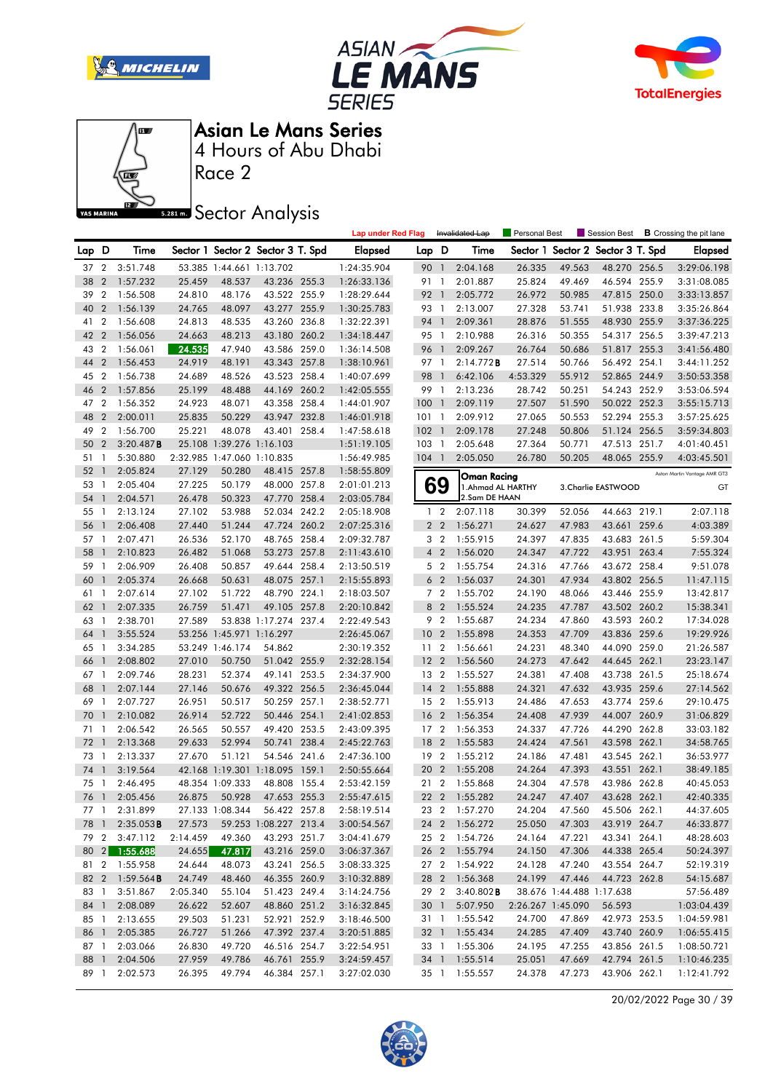







Race 2

### **Sector Analysis**

|          |                              |                        |          |                                             |                                   |       | <b>Lap under Red Flag</b>  |                       |                 | Invalidated Lap           | Personal Best     |                          | Session Best                      |       | <b>B</b> Crossing the pit lane |
|----------|------------------------------|------------------------|----------|---------------------------------------------|-----------------------------------|-------|----------------------------|-----------------------|-----------------|---------------------------|-------------------|--------------------------|-----------------------------------|-------|--------------------------------|
| Lap      | D                            | Time                   |          |                                             | Sector 1 Sector 2 Sector 3 T. Spd |       | Elapsed                    | Lap D                 |                 | Time                      |                   |                          | Sector 1 Sector 2 Sector 3 T. Spd |       | <b>Elapsed</b>                 |
| 37 2     |                              | 3:51.748               |          | 53.385 1:44.661 1:13.702                    |                                   |       | 1:24:35.904                | 90 1                  |                 | 2:04.168                  | 26.335            | 49.563                   | 48.270 256.5                      |       | 3:29:06.198                    |
| 38       | $\overline{2}$               | 1:57.232               | 25.459   | 48.537                                      | 43.236 255.3                      |       | 1:26:33.136                | 91 1                  |                 | 2:01.887                  | 25.824            | 49.469                   | 46.594 255.9                      |       | 3:31:08.085                    |
| 39       | $\overline{2}$               | 1:56.508               | 24.810   | 48.176                                      | 43.522 255.9                      |       | 1:28:29.644                | 92 1                  |                 | 2:05.772                  | 26.972            | 50.985                   | 47.815 250.0                      |       | 3:33:13.857                    |
| 40       | $\overline{2}$               | 1:56.139               | 24.765   | 48.097                                      | 43.277 255.9                      |       | 1:30:25.783                | 93 1                  |                 | 2:13.007                  | 27.328            | 53.741                   | 51.938 233.8                      |       | 3:35:26.864                    |
| 41       | 2                            | 1:56.608               | 24.813   | 48.535                                      | 43.260 236.8                      |       | 1:32:22.391                | 94 1                  |                 | 2:09.361                  | 28.876            | 51.555                   | 48.930 255.9                      |       | 3:37:36.225                    |
| 42       | $\overline{2}$               | 1:56.056               | 24.663   | 48.213                                      | 43.180 260.2                      |       | 1:34:18.447                | 95 1                  |                 | 2:10.988                  | 26.316            | 50.355                   | 54.317 256.5                      |       | 3:39:47.213                    |
| 43       | $\overline{2}$               | 1:56.061               | 24.535   | 47.940                                      | 43.586 259.0                      |       | 1:36:14.508                | 96 1                  |                 | 2:09.267                  | 26.764            | 50.686                   | 51.817 255.3                      |       | 3:41:56.480                    |
| 44       | $\overline{2}$               | 1:56.453               | 24.919   | 48.191                                      | 43.343 257.8                      |       | 1:38:10.961                | 97 1                  |                 | 2:14.772B                 | 27.514            | 50.766                   | 56.492 254.1                      |       | 3:44:11.252                    |
| 45       | $\overline{2}$               | 1:56.738               | 24.689   | 48.526                                      | 43.523 258.4                      |       | 1:40:07.699                | 98                    | $\overline{1}$  | 6:42.106                  | 4:53.329          | 55.912                   | 52.865 244.9                      |       | 3:50:53.358                    |
| 46       | $\overline{2}$               | 1:57.856               | 25.199   | 48.488                                      | 44.169 260.2                      |       | 1:42:05.555                | 99                    | $\overline{1}$  | 2:13.236                  | 28.742            | 50.251                   | 54.243 252.9                      |       | 3:53:06.594                    |
| 47       | 2                            | 1:56.352               | 24.923   | 48.071                                      | 43.358 258.4                      |       | 1:44:01.907                | 100                   | $\overline{1}$  | 2:09.119                  | 27.507            | 51.590                   | 50.022 252.3                      |       | 3:55:15.713                    |
| 48       | $\overline{2}$               | 2:00.011               | 25.835   | 50.229                                      | 43.947 232.8                      |       | 1:46:01.918                | 101                   | $\overline{1}$  | 2:09.912                  | 27.065            | 50.553                   | 52.294 255.3                      |       | 3:57:25.625                    |
| 49       | $\overline{2}$               | 1:56.700               | 25.221   | 48.078                                      | 43.401 258.4                      |       | 1:47:58.618                | $102 \quad 1$         |                 | 2:09.178                  | 27.248            | 50.806                   | 51.124 256.5                      |       | 3:59:34.803                    |
| 50       | $\overline{2}$               | 3:20.487B              |          | 25.108 1:39.276 1:16.103                    |                                   |       | 1:51:19.105                | 103                   | $\overline{1}$  | 2:05.648                  | 27.364            | 50.771                   | 47.513 251.7                      |       | 4:01:40.451                    |
| 51       | 1                            | 5:30.880               |          | 2:32.985 1:47.060 1:10.835                  |                                   |       | 1:56:49.985                | $104$ 1               |                 | 2:05.050                  | 26.780            | 50.205                   | 48.065 255.9                      |       | 4:03:45.501                    |
| 52       | $\overline{1}$               | 2:05.824               | 27.129   | 50.280                                      | 48.415 257.8                      |       | 1:58:55.809                |                       |                 | <b>Oman Racing</b>        |                   |                          |                                   |       | Aston Martin Vantage AMR GT3   |
| 53       | $\mathbf{1}$                 | 2:05.404               | 27.225   | 50.179                                      | 48.000 257.8                      |       | 2:01:01.213                |                       | 69              | 1. Ahmad AL HARTHY        |                   |                          | 3. Charlie EASTWOOD               |       | GT                             |
| 54       | $\mathbf{1}$                 | 2:04.571               | 26.478   | 50.323                                      | 47.770 258.4                      |       | 2:03:05.784                |                       |                 | 2.Sam DE HAAN             |                   |                          |                                   |       |                                |
| 55       | $\mathbf{1}$                 | 2:13.124               | 27.102   | 53.988                                      | 52.034                            | 242.2 | 2:05:18.908                |                       | $1\quad 2$      | 2:07.118                  | 30.399            | 52.056                   | 44.663 219.1                      |       | 2:07.118                       |
| 56       | $\mathbf{1}$                 | 2:06.408               | 27.440   | 51.244                                      | 47.724 260.2                      |       | 2:07:25.316                |                       | 2 <sub>2</sub>  | 1:56.271                  | 24.627            | 47.983                   | 43.661 259.6                      |       | 4:03.389                       |
| 57       | 1                            | 2:07.471               | 26.536   | 52.170                                      | 48.765 258.4                      |       | 2:09:32.787                |                       | 3 <sub>2</sub>  | 1:55.915                  | 24.397            | 47.835                   | 43.683 261.5                      |       | 5:59.304                       |
| 58       | $\mathbf{1}$                 | 2:10.823               | 26.482   | 51.068                                      | 53.273 257.8                      |       | 2:11:43.610                |                       | 4 <sup>2</sup>  | 1:56.020                  | 24.347            | 47.722                   | 43.951                            | 263.4 | 7:55.324                       |
| 59       | -1                           | 2:06.909               | 26.408   | 50.857                                      | 49.644 258.4                      |       | 2:13:50.519                |                       | 5 <sub>2</sub>  | 1:55.754                  | 24.316            | 47.766                   | 43.672 258.4                      |       | 9:51.078                       |
| 60       | -1                           | 2:05.374               | 26.668   | 50.631                                      | 48.075 257.1                      |       | 2:15:55.893                |                       | 6 <sub>2</sub>  | 1:56.037                  | 24.301            | 47.934                   | 43.802 256.5                      |       | 11:47.115                      |
| 61       | $\mathbf{1}$                 | 2:07.614               | 27.102   | 51.722                                      | 48.790 224.1                      |       | 2:18:03.507                |                       | 7 <sub>2</sub>  | 1:55.702                  | 24.190            | 48.066                   | 43.446 255.9                      |       | 13:42.817                      |
| 62       | $\overline{1}$               | 2:07.335               | 26.759   | 51.471                                      | 49.105 257.8                      |       | 2:20:10.842                | 8                     | $\overline{2}$  | 1:55.524                  | 24.235            | 47.787                   | 43.502 260.2                      |       | 15:38.341                      |
| 63       | -1                           | 2:38.701               | 27.589   |                                             | 53.838 1:17.274 237.4             |       | 2:22:49.543                |                       | 9 <sub>2</sub>  | 1:55.687                  | 24.234            | 47.860                   | 43.593 260.2                      |       | 17:34.028                      |
| 64       | $\mathbf{1}$                 | 3:55.524               |          | 53.256 1:45.971 1:16.297                    |                                   |       | 2:26:45.067                | 10 <sub>2</sub>       |                 | 1:55.898                  | 24.353            | 47.709                   | 43.836 259.6                      |       | 19:29.926                      |
| 65       | $\mathbf{1}$                 | 3:34.285               |          | 53.249 1:46.174                             | 54.862                            |       | 2:30:19.352                | 11 <sub>2</sub>       |                 | 1:56.661                  | 24.231            | 48.340                   | 44.090 259.0                      |       | 21:26.587                      |
| 66       | $\mathbf{1}$                 | 2:08.802               | 27.010   | 50.750                                      | 51.042 255.9                      |       | 2:32:28.154                | 12                    | $\overline{2}$  | 1:56.560                  | 24.273            | 47.642                   | 44.645 262.1                      |       | 23:23.147                      |
| 67       | 1                            | 2:09.746               | 28.231   | 52.374                                      | 49.141 253.5                      |       | 2:34:37.900                | 13 <sub>2</sub>       |                 | 1:55.527                  | 24.381            | 47.408                   | 43.738 261.5                      |       | 25:18.674                      |
| 68       | $\mathbf{1}$                 | 2:07.144               | 27.146   | 50.676                                      | 49.322 256.5                      |       | 2:36:45.044                | $14 \quad 2$          |                 | 1:55.888                  | 24.321            | 47.632                   | 43.935 259.6                      |       | 27:14.562                      |
| 69       | $\mathbf{1}$                 | 2:07.727               | 26.951   | 50.517                                      | 50.259 257.1                      |       | 2:38:52.771                | 15 <sub>2</sub>       |                 | 1:55.913                  | 24.486            | 47.653                   | 43.774 259.6                      |       | 29:10.475                      |
| 70       | $\mathbf{1}$                 | 2:10.082               | 26.914   | 52.722                                      | 50.446 254.1                      |       | 2:41:02.853                | 16                    | $\overline{2}$  | 1:56.354                  | 24.408            | 47.939                   | 44.007 260.9                      |       | 31:06.829                      |
| 71       | 1                            | 2:06.542               | 26.565   | 50.557                                      | 49.420 253.5                      |       | 2:43:09.395                | 17 <sup>2</sup>       |                 | 1:56.353                  | 24.337            | 47.726                   | 44.290 262.8                      |       | 33:03.182                      |
| 72       | $\mathbf{1}$                 | 2:13.368               | 29.633   | 52.994                                      | 50.741 238.4<br>54.546 241.6      |       | 2:45:22.763                | 18                    | $\overline{2}$  | 1:55.583                  | 24.424            | 47.561                   | 43.598 262.1                      |       | 34:58.765                      |
| 73<br>74 | $\mathbf{1}$<br>$\mathbf{1}$ | 2:13.337               | 27.670   | 51.121                                      |                                   | 159.1 | 2:47:36.100                | 19 <sup>2</sup><br>20 | $\overline{2}$  | 1:55.212                  | 24.186<br>24.264  | 47.481<br>47.393         | 43.545 262.1                      |       | 36:53.977                      |
| 75       | -1                           | 3:19.564               |          | 42.168 1:19.301 1:18.095<br>48.354 1:09.333 |                                   |       | 2:50:55.664                | 21 2                  |                 | 1:55.208                  |                   | 47.578                   | 43.551 262.1<br>43.986 262.8      |       | 38:49.185<br>40:45.053         |
|          | 76 1                         | 2:46.495<br>2:05.456   | 26.875   | 50.928                                      | 48.808 155.4<br>47.653 255.3      |       | 2:53:42.159<br>2:55:47.615 |                       |                 | 1:55.868<br>22 2 1:55.282 | 24.304<br>24.247  | 47.407                   | 43.628 262.1                      |       | 42:40.335                      |
|          |                              | 77 1 2:31.899          |          | 27.133 1:08.344                             | 56.422 257.8                      |       | 2:58:19.514                |                       |                 | 23 2 1:57.270             | 24.204            | 47.560                   | 45.506 262.1                      |       | 44:37.605                      |
|          |                              | 78 1 2:35.053 <b>B</b> | 27.573   |                                             | 59.253 1:08.227 213.4             |       | 3:00:54.567                |                       |                 | 24 2 1:56.272             | 25.050            | 47.303                   | 43.919 264.7                      |       | 46:33.877                      |
|          |                              | 79 2 3:47.112          | 2:14.459 | 49.360                                      | 43.293 251.7                      |       | 3:04:41.679                |                       |                 | 25 2 1:54.726             | 24.164            | 47.221                   | 43.341 264.1                      |       | 48:28.603                      |
|          |                              | 80 2 1:55.688          | 24.655   | 47.817                                      | 43.216 259.0                      |       | 3:06:37.367                |                       |                 | 26 2 1:55.794             | 24.150            | 47.306                   | 44.338 265.4                      |       | 50:24.397                      |
|          |                              | 81 2 1:55.958          | 24.644   | 48.073                                      | 43.241 256.5                      |       | 3:08:33.325                |                       |                 | 27 2 1:54.922             | 24.128            | 47.240                   | 43.554 264.7                      |       | 52:19.319                      |
|          |                              | 82 2 1:59.564 <b>B</b> | 24.749   | 48.460                                      | 46.355 260.9                      |       | 3:10:32.889                |                       |                 | 28 2 1:56.368             | 24.199            | 47.446                   | 44.723 262.8                      |       | 54:15.687                      |
|          |                              | 83 1 3:51.867          | 2:05.340 | 55.104                                      | 51.423 249.4                      |       | 3:14:24.756                |                       | 29 2            | $3:40.802$ <b>B</b>       |                   | 38.676 1:44.488 1:17.638 |                                   |       | 57:56.489                      |
|          | 84 1                         | 2:08.089               | 26.622   | 52.607                                      | 48.860 251.2                      |       | 3:16:32.845                |                       | 30 <sub>1</sub> | 5:07.950                  | 2:26.267 1:45.090 |                          | 56.593                            |       | 1:03:04.439                    |
|          |                              | 85 1 2:13.655          | 29.503   | 51.231                                      | 52.921 252.9                      |       | 3:18:46.500                |                       |                 | 31 1 1:55.542             | 24.700            | 47.869                   | 42.973 253.5                      |       | 1:04:59.981                    |
|          | 86 1                         | 2:05.385               | 26.727   | 51.266                                      | 47.392 237.4                      |       | 3:20:51.885                |                       |                 | 32 1 1:55.434             | 24.285            | 47.409                   | 43.740 260.9                      |       | 1:06:55.415                    |
|          |                              | 87 1 2:03.066          | 26.830   | 49.720                                      | 46.516 254.7                      |       | 3:22:54.951                |                       |                 | 33 1 1:55.306             | 24.195            | 47.255                   | 43.856 261.5                      |       | 1:08:50.721                    |
|          | 88 1                         | 2:04.506               | 27.959   | 49.786                                      | 46.761 255.9                      |       | 3:24:59.457                |                       |                 | 34 1 1:55.514             | 25.051            | 47.669                   | 42.794 261.5                      |       | 1:10:46.235                    |
|          | 89 1                         | 2:02.573               | 26.395   | 49.794                                      | 46.384 257.1                      |       | 3:27:02.030                |                       |                 | 35 1 1:55.557             | 24.378            | 47.273                   | 43.906 262.1                      |       | 1:12:41.792                    |

20/02/2022 Page 30 / 39

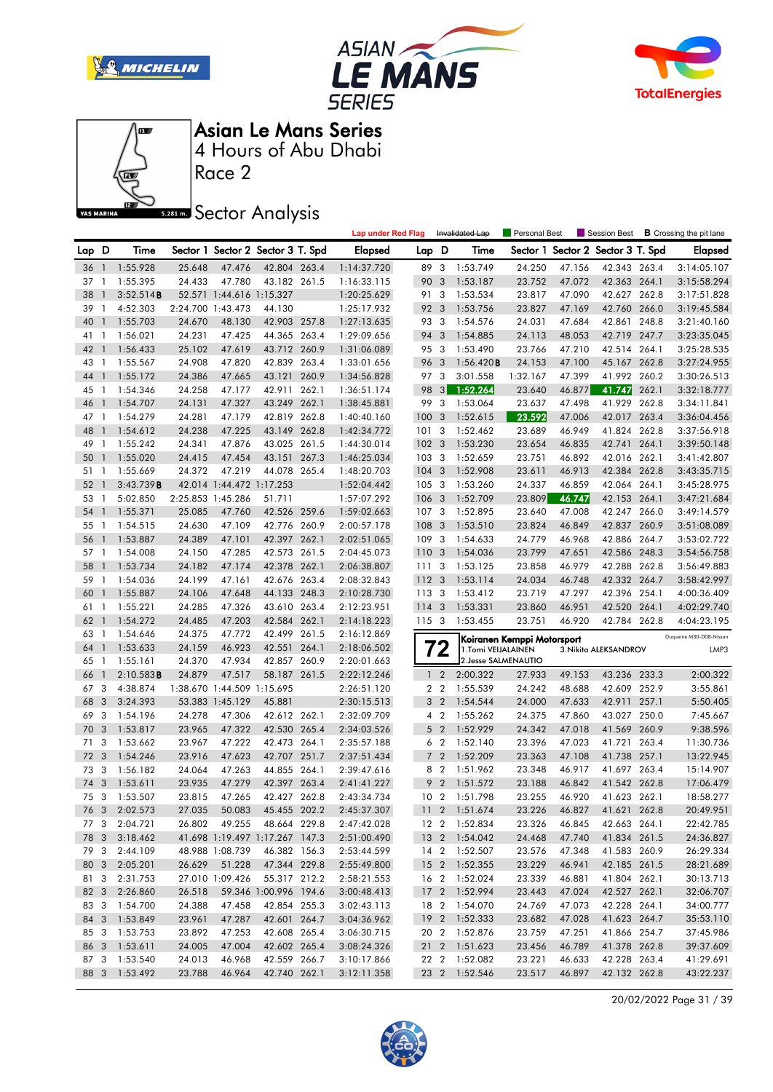







Race 2

### **Sector Analysis**

|       |                |               |        |                            |                                   |       | <b>Lap under Red Flag</b> |                  |                         | Invalidated Lap      | Personal Best              |        | Session Best                      |       | <b>B</b> Crossing the pit lane |
|-------|----------------|---------------|--------|----------------------------|-----------------------------------|-------|---------------------------|------------------|-------------------------|----------------------|----------------------------|--------|-----------------------------------|-------|--------------------------------|
| Lap D |                | Time          |        |                            | Sector 1 Sector 2 Sector 3 T. Spd |       | <b>Elapsed</b>            | Lap D            |                         | Time                 |                            |        | Sector 1 Sector 2 Sector 3 T. Spd |       | <b>Elapsed</b>                 |
| 36    | $\overline{1}$ | 1:55.928      | 25.648 | 47.476                     | 42.804 263.4                      |       | 1:14:37.720               | 89 3             |                         | 1:53.749             | 24.250                     | 47.156 | 42.343 263.4                      |       | 3:14:05.107                    |
| 37    | $\mathbf{1}$   | 1:55.395      | 24.433 | 47.780                     | 43.182 261.5                      |       | 1:16:33.115               | 90 3             |                         | 1:53.187             | 23.752                     | 47.072 | 42.363 264.1                      |       | 3:15:58.294                    |
| 38    | $\mathbf{1}$   | 3:52.514B     |        | 52.571 1:44.616 1:15.327   |                                   |       | 1:20:25.629               | 91 3             |                         | 1:53.534             | 23.817                     | 47.090 | 42.627 262.8                      |       | 3:17:51.828                    |
| 39    | -1             | 4:52.303      |        | 2:24.700 1:43.473          | 44.130                            |       | 1:25:17.932               | 92               | 3                       | 1:53.756             | 23.827                     | 47.169 | 42.760 266.0                      |       | 3:19:45.584                    |
| 40    | $\mathbf{1}$   | 1:55.703      | 24.670 | 48.130                     | 42.903 257.8                      |       | 1:27:13.635               | 93 3             |                         | 1:54.576             | 24.031                     | 47.684 | 42.861 248.8                      |       | 3:21:40.160                    |
| 41    | $\mathbf{1}$   | 1:56.021      | 24.231 | 47.425                     | 44.365 263.4                      |       | 1:29:09.656               | 94               | 3                       | 1:54.885             | 24.113                     | 48.053 | 42.719 247.7                      |       | 3:23:35.045                    |
| 42    | $\overline{1}$ | 1:56.433      | 25.102 | 47.619                     | 43.712 260.9                      |       | 1:31:06.089               | 95 3             |                         | 1:53.490             | 23.766                     | 47.210 | 42.514 264.1                      |       | 3:25:28.535                    |
| 43    | $\overline{1}$ | 1:55.567      | 24.908 | 47.820                     | 42.839 263.4                      |       | 1:33:01.656               | 96               | 3                       | 1:56.420B            | 24.153                     | 47.100 | 45.167 262.8                      |       | 3:27:24.955                    |
| 44    | $\mathbf{1}$   | 1:55.172      | 24.386 | 47.665                     | 43.121 260.9                      |       | 1:34:56.828               | 97 3             |                         | 3:01.558             | 1:32.167                   | 47.399 | 41.992 260.2                      |       | 3:30:26.513                    |
| 45    | $\overline{1}$ | 1:54.346      | 24.258 | 47.177                     | 42.911 262.1                      |       | 1:36:51.174               | 98               | 3                       | 1:52.264             | 23.640                     | 46.877 | 41.747                            | 262.1 | 3:32:18.777                    |
| 46    | $\mathbf{1}$   | 1:54.707      | 24.131 | 47.327                     | 43.249 262.1                      |       | 1:38:45.881               | 99               | $\overline{\mathbf{3}}$ | 1:53.064             | 23.637                     | 47.498 | 41.929                            | 262.8 | 3:34:11.841                    |
| 47    | $\overline{1}$ | 1:54.279      | 24.281 | 47.179                     | 42.819 262.8                      |       | 1:40:40.160               | 100              | 3                       | 1:52.615             | 23.592                     | 47.006 | 42.017 263.4                      |       | 3:36:04.456                    |
| 48    | $\mathbf{1}$   | 1:54.612      | 24.238 | 47.225                     | 43.149 262.8                      |       | 1:42:34.772               | 101              | 3                       | 1:52.462             | 23.689                     | 46.949 | 41.824 262.8                      |       | 3:37:56.918                    |
| 49    | $\mathbf{1}$   | 1:55.242      | 24.341 | 47.876                     | 43.025 261.5                      |       | 1:44:30.014               | 102              | 3                       | 1:53.230             | 23.654                     | 46.835 | 42.741                            | 264.1 | 3:39:50.148                    |
| 50    | $\mathbf{1}$   | 1:55.020      | 24.415 | 47.454                     | 43.151                            | 267.3 | 1:46:25.034               | 103              | $\overline{\mathbf{3}}$ | 1:52.659             | 23.751                     | 46.892 | 42.016 262.1                      |       | 3:41:42.807                    |
| 51    | $\overline{1}$ | 1:55.669      | 24.372 | 47.219                     | 44.078 265.4                      |       | 1:48:20.703               | 104              | 3                       | 1:52.908             | 23.611                     | 46.913 | 42.384 262.8                      |       | 3:43:35.715                    |
| 52    | $\mathbf{1}$   | 3:43.739B     |        | 42.014 1:44.472 1:17.253   |                                   |       | 1:52:04.442               | $105 - 3$        |                         | 1:53.260             | 24.337                     | 46.859 | 42.064 264.1                      |       | 3:45:28.975                    |
| 53    | $\mathbf{1}$   | 5:02.850      |        | 2:25.853 1:45.286          | 51.711                            |       | 1:57:07.292               | 106 <sub>3</sub> |                         | 1:52.709             | 23.809                     | 46.747 | 42.153 264.1                      |       | 3:47:21.684                    |
| 54    | $\mathbf{1}$   | 1:55.371      | 25.085 | 47.760                     | 42.526 259.6                      |       | 1:59:02.663               | 107              | $\overline{\mathbf{3}}$ | 1:52.895             | 23.640                     | 47.008 | 42.247 266.0                      |       | 3:49:14.579                    |
| 55    | -1             | 1:54.515      | 24.630 | 47.109                     | 42.776 260.9                      |       | 2:00:57.178               | 108              | 3                       | 1:53.510             | 23.824                     | 46.849 | 42.837 260.9                      |       | 3:51:08.089                    |
| 56    | $\mathbf{1}$   | 1:53.887      | 24.389 | 47.101                     | 42.397 262.1                      |       | 2:02:51.065               | 109              | -3                      | 1:54.633             | 24.779                     | 46.968 | 42.886 264.7                      |       | 3:53:02.722                    |
| 57    | $\overline{1}$ | 1:54.008      | 24.150 | 47.285                     | 42.573 261.5                      |       | 2:04:45.073               | 110 3            |                         | 1:54.036             | 23.799                     | 47.651 | 42.586 248.3                      |       | 3:54:56.758                    |
| 58    | $\mathbf{1}$   | 1:53.734      | 24.182 | 47.174                     | 42.378 262.1                      |       | 2:06:38.807               | 111              | 3                       | 1:53.125             | 23.858                     | 46.979 | 42.288 262.8                      |       | 3:56:49.883                    |
| 59    | $\overline{1}$ | 1:54.036      | 24.199 | 47.161                     | 42.676 263.4                      |       | 2:08:32.843               | 1123             |                         | 1:53.114             | 24.034                     | 46.748 | 42.332 264.7                      |       | 3:58:42.997                    |
| 60    | $\mathbf{1}$   | 1:55.887      | 24.106 | 47.648                     | 44.133 248.3                      |       | 2:10:28.730               | 113 3            |                         | 1:53.412             | 23.719                     | 47.297 | 42.396 254.1                      |       | 4:00:36.409                    |
| 61    | $\overline{1}$ | 1:55.221      | 24.285 | 47.326                     | 43.610 263.4                      |       | 2:12:23.951               | $114 - 3$        |                         | 1:53.331             | 23.860                     | 46.951 | 42.520 264.1                      |       | 4:02:29.740                    |
| 62    | $\mathbf{1}$   | 1:54.272      | 24.485 | 47.203                     | 42.584 262.1                      |       | 2:14:18.223               | 115 3            |                         | 1:53.455             | 23.751                     | 46.920 | 42.784 262.8                      |       | 4:04:23.195                    |
| 63    | $\mathbf{1}$   | 1:54.646      | 24.375 | 47.772                     | 42.499 261.5                      |       | 2:16:12.869               |                  |                         |                      | Koiranen Kemppi Motorsport |        |                                   |       | Duqueine M30-D08-Nissan        |
| 64    | $\overline{1}$ | 1:53.633      | 24.159 | 46.923                     | 42.551                            | 264.1 | 2:18:06.502               |                  | 72                      | 1.Tomi VEIJALAINEN   |                            |        | 3. Nikita ALEKSANDROV             |       | LMP3                           |
| 65    | $\mathbf{1}$   | 1:55.161      | 24.370 | 47.934                     | 42.857 260.9                      |       | 2:20:01.663               |                  |                         | 2. Jesse SALMENAUTIO |                            |        |                                   |       |                                |
| 66    | -1             | 2:10.583B     | 24.879 | 47.517                     | 58.187 261.5                      |       | 2:22:12.246               | 1 <sub>2</sub>   |                         | 2:00.322             | 27.933                     | 49.153 | 43.236 233.3                      |       | 2:00.322                       |
| 67 3  |                | 4:38.874      |        | 1:38.670 1:44.509 1:15.695 |                                   |       | 2:26:51.120               | 2 <sub>2</sub>   |                         | 1:55.539             | 24.242                     | 48.688 | 42.609 252.9                      |       | 3:55.861                       |
| 68    | 3              | 3:24.393      |        | 53.383 1:45.129            | 45.881                            |       | 2:30:15.513               | 3 <sub>2</sub>   |                         | 1:54.544             | 24.000                     | 47.633 | 42.911                            | 257.1 | 5:50.405                       |
| 69    | 3              | 1:54.196      | 24.278 | 47.306                     | 42.612 262.1                      |       | 2:32:09.709               | 4 <sup>2</sup>   |                         | 1:55.262             | 24.375                     | 47.860 | 43.027                            | 250.0 | 7:45.667                       |
| 70    | 3              | 1:53.817      | 23.965 | 47.322                     | 42.530 265.4                      |       | 2:34:03.526               | 5 <sub>2</sub>   |                         | 1:52.929             | 24.342                     | 47.018 | 41.569 260.9                      |       | 9:38.596                       |
| 71    | -3             | 1:53.662      | 23.967 | 47.222                     | 42.473 264.1                      |       | 2:35:57.188               | 6 <sub>2</sub>   |                         | 1:52.140             | 23.396                     | 47.023 | 41.721 263.4                      |       | 11:30.736                      |
| 72    | 3              | 1:54.246      | 23.916 | 47.623                     | 42.707                            | 251.7 | 2:37:51.434               | $\overline{7}$   | $\overline{2}$          | 1:52.209             | 23.363                     | 47.108 | 41.738 257.1                      |       | 13:22.945                      |
| 73    | -3             | 1:56.182      | 24.064 | 47.263                     | 44.855 264.1                      |       | 2:39:47.616               | 8 2              |                         | 1:51.962             | 23.348                     | 46.917 | 41.697 263.4                      |       | 15:14.907                      |
| 74    | 3              | 1:53.611      | 23.935 | 47.279                     | 42.397 263.4                      |       | 2:41:41.227               | 9                | $\overline{2}$          | 1:51.572             | 23.188                     | 46.842 | 41.542 262.8                      |       | 17:06.479                      |
| 75 3  |                | 1:53.507      | 23.815 | 47.265                     | 42.427 262.8                      |       | 2:43:34.734               | 10 <sub>2</sub>  |                         | 1:51.798             | 23.255                     | 46.920 | 41.623 262.1                      |       | 18:58.277                      |
|       |                | 76 3 2:02.573 | 27.035 | 50.083                     | 45.455 202.2                      |       | 2:45:37.307               |                  |                         | 11 2 1:51.674        | 23.226                     | 46.827 | 41.621 262.8                      |       | 20:49.951                      |
|       | 77 3           | 2:04.721      | 26.802 | 49.255                     | 48.664 229.8                      |       | 2:47:42.028               |                  |                         | 12 2 1:52.834        | 23.326                     | 46.845 | 42.663 264.1                      |       | 22:42.785                      |
| 78 3  |                | 3:18.462      |        |                            | 41.698 1:19.497 1:17.267 147.3    |       | 2:51:00.490               |                  |                         | 13 2 1:54.042        | 24.468                     | 47.740 | 41.834 261.5                      |       | 24:36.827                      |
|       |                | 79 3 2:44.109 |        | 48.988 1:08.739            | 46.382 156.3                      |       | 2:53:44.599               |                  |                         | 14 2 1:52.507        | 23.576                     | 47.348 | 41.583 260.9                      |       | 26:29.334                      |
|       |                | 80 3 2:05.201 | 26.629 | 51.228                     | 47.344 229.8                      |       | 2:55:49.800               |                  |                         | 15 2 1:52.355        | 23.229                     | 46.941 | 42.185 261.5                      |       | 28:21.689                      |
| 81 3  |                | 2:31.753      |        | 27.010 1:09.426            | 55.317 212.2                      |       | 2:58:21.553               |                  |                         | 16 2 1:52.024        | 23.339                     | 46.881 | 41.804 262.1                      |       | 30:13.713                      |
|       | 82 3           | 2:26.860      | 26.518 |                            | 59.346 1:00.996 194.6             |       | 3:00:48.413               |                  |                         | 17 2 1:52.994        | 23.443                     | 47.024 | 42.527 262.1                      |       | 32:06.707                      |
|       |                | 83 3 1:54.700 | 24.388 | 47.458                     | 42.854 255.3                      |       | 3:02:43.113               |                  |                         | 18 2 1:54.070        | 24.769                     | 47.073 | 42.228 264.1                      |       | 34:00.777                      |
|       |                | 84 3 1:53.849 | 23.961 | 47.287                     | 42.601 264.7                      |       | 3:04:36.962               |                  |                         | 19 2 1:52.333        | 23.682                     | 47.028 | 41.623 264.7                      |       | 35:53.110                      |
| 85 3  |                | 1:53.753      | 23.892 | 47.253                     | 42.608 265.4                      |       | 3:06:30.715               |                  |                         | 20 2 1:52.876        | 23.759                     | 47.251 | 41.866 254.7                      |       | 37:45.986                      |
| 86 3  |                | 1:53.611      | 24.005 | 47.004                     | 42.602 265.4                      |       | 3:08:24.326               |                  |                         | 21 2 1:51.623        | 23.456                     | 46.789 | 41.378 262.8                      |       | 39:37.609                      |
|       |                | 87 3 1:53.540 | 24.013 | 46.968                     | 42.559 266.7                      |       | 3:10:17.866               |                  |                         | 22 2 1:52.082        | 23.221                     | 46.633 | 42.228 263.4                      |       | 41:29.691                      |
|       |                |               |        |                            |                                   |       |                           |                  |                         |                      |                            |        |                                   |       |                                |
|       |                | 88 3 1:53.492 | 23.788 | 46.964                     | 42.740 262.1                      |       | 3:12:11.358               |                  |                         | 23 2 1:52.546        | 23.517                     | 46.897 | 42.132 262.8                      |       | 43:22.237                      |

20/02/2022 Page 31 / 39

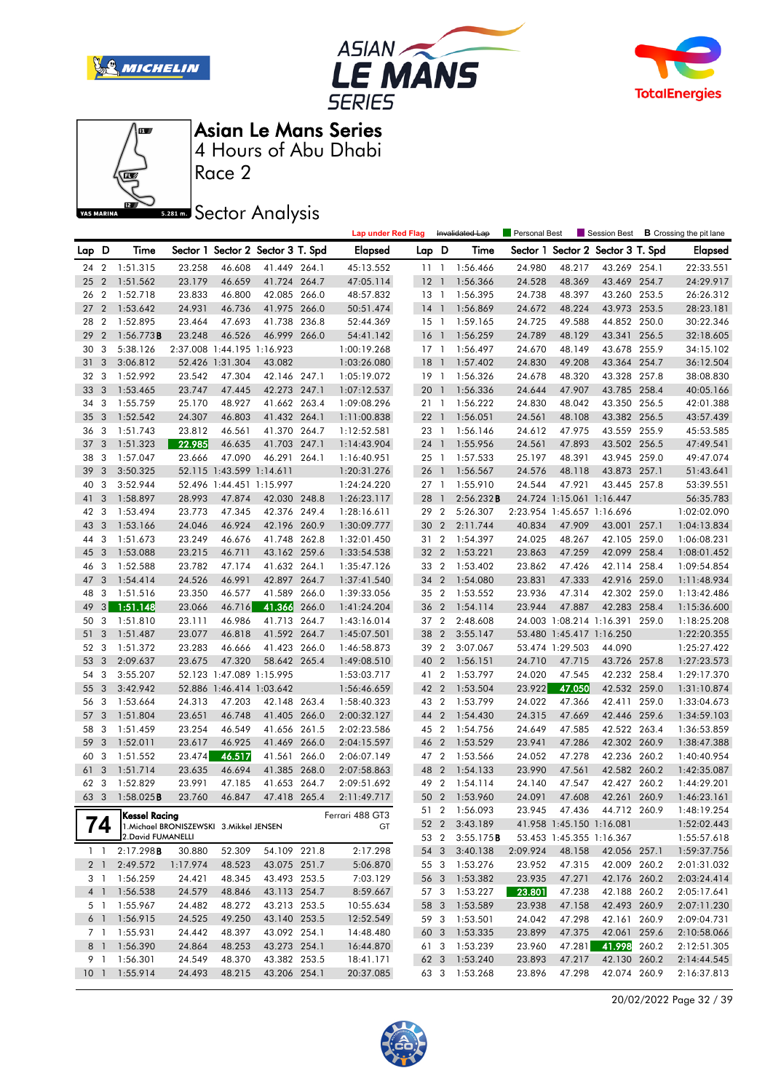







Race 2

**Sector Analysis** 

|                 |                         |                      |                                          |                            |                                   |       | <b>Lap under Red Flag</b> |                 |                | Invalidated Lap      | Personal Best    |                            |                                   |       | Session Best <b>B</b> Crossing the pit lane |
|-----------------|-------------------------|----------------------|------------------------------------------|----------------------------|-----------------------------------|-------|---------------------------|-----------------|----------------|----------------------|------------------|----------------------------|-----------------------------------|-------|---------------------------------------------|
| Lap D           |                         | Time                 |                                          |                            | Sector 1 Sector 2 Sector 3 T. Spd |       | Elapsed                   | Lap D           |                | Time                 |                  |                            | Sector 1 Sector 2 Sector 3 T. Spd |       | <b>Elapsed</b>                              |
| 24              |                         | 2 1:51.315           | 23.258                                   | 46.608                     | 41.449 264.1                      |       | 45:13.552                 | 111             |                | 1:56.466             | 24.980           | 48.217                     | 43.269 254.1                      |       | 22:33.551                                   |
| 25              |                         | 2 1:51.562           | 23.179                                   | 46.659                     | 41.724 264.7                      |       | 47:05.114                 | $12-1$          |                | 1:56.366             | 24.528           | 48.369                     | 43.469 254.7                      |       | 24:29.917                                   |
| 26              | $\overline{2}$          | 1:52.718             | 23.833                                   | 46.800                     | 42.085 266.0                      |       | 48:57.832                 | $13-1$          |                | 1:56.395             | 24.738           | 48.397                     | 43.260 253.5                      |       | 26:26.312                                   |
| 27              |                         | 2 1:53.642           | 24.931                                   | 46.736                     | 41.975 266.0                      |       | 50:51.474                 | $14-1$          |                | 1:56.869             | 24.672           | 48.224                     | 43.973 253.5                      |       | 28:23.181                                   |
| 28              | $\overline{2}$          | 1:52.895             | 23.464                                   | 47.693                     | 41.738 236.8                      |       | 52:44.369                 | $15-1$          |                | 1:59.165             | 24.725           | 49.588                     | 44.852 250.0                      |       | 30:22.346                                   |
| 29              | $\overline{2}$          | 1:56.773B            | 23.248                                   | 46.526                     | 46.999 266.0                      |       | 54:41.142                 | $16-1$          |                | 1:56.259             | 24.789           | 48.129                     | 43.341 256.5                      |       | 32:18.605                                   |
| 30              | 3                       | 5:38.126             |                                          | 2:37.008 1:44.195 1:16.923 |                                   |       | 1:00:19.268               | $17-1$          |                | 1:56.497             | 24.670           | 48.149                     | 43.678 255.9                      |       | 34:15.102                                   |
| 31              | 3                       | 3:06.812             |                                          | 52.426 1:31.304            | 43.082                            |       | 1:03:26.080               | $18-1$          |                | 1:57.402             | 24.830           | 49.208                     | 43.364 254.7                      |       | 36:12.504                                   |
| 32              | 3                       | 1:52.992             | 23.542                                   | 47.304                     | 42.146 247.1                      |       | 1:05:19.072               | $19-1$          |                | 1:56.326             | 24.678           | 48.320                     | 43.328 257.8                      |       | 38:08.830                                   |
| 33              | $\overline{3}$          | 1:53.465             | 23.747                                   | 47.445                     | 42.273 247.1                      |       | 1:07:12.537               | 20 1            |                | 1:56.336             | 24.644           | 47.907                     | 43.785 258.4                      |       | 40:05.166                                   |
| 34              | 3                       | 1:55.759             | 25.170                                   | 48.927                     | 41.662 263.4                      |       | 1:09:08.296               | 21 1            |                | 1:56.222             | 24.830           | 48.042                     | 43.350 256.5                      |       | 42:01.388                                   |
| 35              | $\overline{3}$          | 1:52.542             | 24.307                                   | 46.803                     | 41.432 264.1                      |       | 1:11:00.838               | 22 <sub>1</sub> |                | 1:56.051             | 24.561           | 48.108                     | 43.382 256.5                      |       | 43:57.439                                   |
| 36              | 3                       | 1:51.743             | 23.812                                   | 46.561                     | 41.370 264.7                      |       | 1:12:52.581               | 23 1            |                | 1:56.146             | 24.612           | 47.975                     | 43.559 255.9                      |       | 45:53.585                                   |
| 37              | $\overline{3}$          | 1:51.323             | 22.985                                   | 46.635                     | 41.703 247.1                      |       | 1:14:43.904               | 24 1            |                | 1:55.956             | 24.561           | 47.893                     | 43.502 256.5                      |       | 47:49.541                                   |
| 38              | -3                      | 1:57.047             | 23.666                                   | 47.090                     | 46.291 264.1                      |       | 1:16:40.951               | $25 \quad 1$    |                | 1:57.533             | 25.197           | 48.391                     | 43.945 259.0                      |       | 49:47.074                                   |
| 39              | 3                       | 3:50.325             |                                          | 52.115 1:43.599 1:14.611   |                                   |       | 1:20:31.276               | 26 1            |                | 1:56.567             | 24.576           | 48.118                     | 43.873 257.1                      |       | 51:43.641                                   |
| 40              | 3                       | 3:52.944             |                                          | 52.496 1:44.451 1:15.997   |                                   |       | 1:24:24.220               | 27 <sub>1</sub> |                | 1:55.910             | 24.544           | 47.921                     | 43.445 257.8                      |       | 53:39.551                                   |
| 41              | 3                       | 1:58.897             | 28.993                                   | 47.874                     | 42.030 248.8                      |       | 1:26:23.117               | 28              | $\mathbf{1}$   | 2:56.232B            |                  | 24.724 1:15.061 1:16.447   |                                   |       | 56:35.783                                   |
| 42              | 3                       | 1:53.494             | 23.773                                   | 47.345                     | 42.376 249.4                      |       | 1:28:16.611               | 29 2            |                | 5:26.307             |                  | 2:23.954 1:45.657 1:16.696 |                                   |       | 1:02:02.090                                 |
| 43              | $\overline{3}$          | 1:53.166             | 24.046                                   | 46.924                     | 42.196 260.9                      |       | 1:30:09.777               | 30 2            |                | 2:11.744             | 40.834           | 47.909                     | 43.001 257.1                      |       | 1:04:13.834                                 |
| 44              | 3                       | 1:51.673             | 23.249                                   | 46.676                     | 41.748 262.8                      |       | 1:32:01.450               | 31 2            |                | 1:54.397             | 24.025           | 48.267                     | 42.105 259.0                      |       | 1:06:08.231                                 |
| 45              | - 3                     | 1:53.088             | 23.215                                   | 46.711                     | 43.162 259.6                      |       | 1:33:54.538               | 32 2            |                | 1:53.221             | 23.863           | 47.259                     | 42.099 258.4                      |       | 1:08:01.452                                 |
| 46              | -3                      | 1:52.588             | 23.782                                   | 47.174                     | 41.632 264.1                      |       | 1:35:47.126               | 33 2            |                | 1:53.402             | 23.862           | 47.426                     | 42.114 258.4                      |       | 1:09:54.854                                 |
| 47              | 3                       | 1:54.414             | 24.526                                   | 46.991                     | 42.897                            | 264.7 | 1:37:41.540               | 34 2            |                | 1:54.080             | 23.831           | 47.333                     | 42.916 259.0                      |       | 1:11:48.934                                 |
| 48              | 3                       | 1:51.516             | 23.350                                   | 46.577                     | 41.589                            | 266.0 | 1:39:33.056               | 35 2            |                | 1:53.552             | 23.936           | 47.314                     | 42.302 259.0                      |       | 1:13:42.486                                 |
| 49              | 3                       | 1:51.148             | 23.066                                   | 46.716                     | 41.366                            | 266.0 | 1:41:24.204               | 36              | $\overline{2}$ | 1:54.114             | 23.944           | 47.887                     | 42.283 258.4                      |       | 1:15:36.600                                 |
| 50              | 3                       | 1:51.810             | 23.111                                   | 46.986                     | 41.713 264.7                      |       | 1:43:16.014               | 37 2            |                | 2:48.608             |                  |                            | 24.003 1:08.214 1:16.391 259.0    |       | 1:18:25.208                                 |
| 51              | 3                       | 1:51.487             | 23.077                                   | 46.818                     | 41.592 264.7                      |       | 1:45:07.501               | 38              | $\overline{2}$ | 3:55.147             |                  | 53.480 1:45.417 1:16.250   |                                   |       | 1:22:20.355                                 |
| 52              | 3                       | 1:51.372             | 23.283                                   | 46.666                     | 41.423 266.0                      |       | 1:46:58.873               | 39 2            |                | 3:07.067             |                  | 53.474 1:29.503            | 44.090                            |       | 1:25:27.422                                 |
| 53              | $\overline{3}$          | 2:09.637             | 23.675                                   | 47.320                     | 58.642 265.4                      |       | 1:49:08.510               | 40              | $\overline{2}$ | 1:56.151             | 24.710           | 47.715                     | 43.726 257.8                      |       | 1:27:23.573                                 |
| 54              | 3                       | 3:55.207             |                                          | 52.123 1:47.089 1:15.995   |                                   |       | 1:53:03.717               | 41 2            |                | 1:53.797             | 24.020           | 47.545                     | 42.232 258.4                      |       | 1:29:17.370                                 |
| 55              | 3                       | 3:42.942             |                                          | 52.886 1:46.414 1:03.642   |                                   |       | 1:56:46.659               | 42 2            |                | 1:53.504             | 23.922           | 47.050                     | 42.532 259.0                      |       | 1:31:10.874                                 |
| 56              | 3                       | 1:53.664             | 24.313                                   | 47.203                     | 42.148 263.4                      |       | 1:58:40.323               | 43 2            |                | 1:53.799             | 24.022           | 47.366                     | 42.411                            | 259.0 | 1:33:04.673                                 |
| 57              | 3                       | 1:51.804             | 23.651                                   | 46.748                     | 41.405 266.0                      |       | 2:00:32.127               | 44              | $\overline{2}$ | 1:54.430             | 24.315           | 47.669                     | 42.446 259.6                      |       | 1:34:59.103                                 |
| 58              | 3                       | 1:51.459             | 23.254                                   | 46.549                     | 41.656 261.5                      |       | 2:02:23.586               | 45 2            |                | 1:54.756             | 24.649           | 47.585                     | 42.522 263.4                      |       | 1:36:53.859                                 |
| 59              | 3                       | 1:52.011             | 23.617                                   | 46.925                     | 41.469                            | 266.0 | 2:04:15.597               | 46 2            |                | 1:53.529             | 23.941           | 47.286                     | 42.302 260.9                      |       | 1:38:47.388                                 |
| 60              | 3                       | 1:51.552             | 23.474                                   | 46.517                     | 41.561                            | 266.0 | 2:06:07.149               | 47 2            |                | 1:53.566             | 24.052           | 47.278                     | 42.236 260.2                      |       | 1:40:40.954                                 |
| 61              | $\overline{3}$          | 1:51.714             | 23.635                                   | 46.694                     | 41.385 268.0                      |       | 2:07:58.863               | 48              | $\overline{2}$ | 1:54.133             | 23.990           | 47.561                     | 42.582 260.2                      |       | 1:42:35.087                                 |
| 62              | 3                       | 1:52.829             | 23.991                                   | 47.185                     | 41.653 264.7                      |       | 2:09:51.692               | 49 2            |                | 1:54.114             | 24.140           | 47.547                     | 42.427 260.2                      |       | 1:44:29.201                                 |
| 63              | $\overline{\mathbf{3}}$ | 1:58.025B            | 23.760                                   | 46.847                     | 47.418 265.4                      |       | 2:11:49.717               | 50 2            |                | 1:53.960             | 24.091           | 47.608                     | 42.261 260.9                      |       | 1:46:23.161                                 |
|                 |                         | Kessel Racing        |                                          |                            |                                   |       | Ferrari 488 GT3           |                 |                | 51 2 1:56.093        | 23.945           | 47.436                     | 44.712 260.9                      |       | 1:48:19.254                                 |
|                 | 74                      |                      | 1. Michael BRONISZEWSKI 3. Mikkel JENSEN |                            |                                   |       | GT                        |                 |                | 52 2 3:43.189        |                  | 41.958 1:45.150 1:16.081   |                                   |       | 1:52:02.443                                 |
|                 |                         | 2. David FUMANELLI   |                                          |                            |                                   |       |                           |                 | 53 2           | 3:55.175B            |                  | 53.453 1:45.355 1:16.367   |                                   |       | 1:55:57.618                                 |
|                 | $1 \quad 1$             | 2:17.298B            | 30.880                                   | 52.309                     | 54.109 221.8                      |       | 2:17.298                  | 54 3            |                | 3:40.138             | 2:09.924         | 48.158                     | 42.056 257.1                      |       | 1:59:37.756                                 |
| 2 <sub>1</sub>  |                         | 2:49.572             | 1:17.974                                 | 48.523                     | 43.075 251.7                      |       | 5:06.870                  | 55 3            |                | 1:53.276             | 23.952           | 47.315                     | 42.009 260.2                      |       | 2:01:31.032                                 |
|                 | 3 1                     | 1:56.259             | 24.421                                   | 48.345                     | 43.493 253.5                      |       | 7:03.129                  | 56 3            |                | 1:53.382             | 23.935           | 47.271                     | 42.176 260.2                      |       | 2:03:24.414                                 |
| 4 <sup>1</sup>  |                         | 1:56.538             | 24.579                                   | 48.846                     | 43.113 254.7                      |       | 8:59.667                  | 57 3            |                | 1:53.227             | 23.801           | 47.238                     | 42.188 260.2                      |       | 2:05:17.641                                 |
|                 | 5 1                     | 1:55.967             | 24.482                                   | 48.272                     | 43.213 253.5                      |       | 10:55.634                 | 58 3            |                | 1:53.589<br>1:53.501 | 23.938           | 47.158                     | 42.493 260.9                      |       | 2:07:11.230                                 |
| $6-1$           | 7 1                     | 1:56.915<br>1:55.931 | 24.525<br>24.442                         | 49.250<br>48.397           | 43.140 253.5<br>43.092 254.1      |       | 12:52.549                 | 59 3            |                |                      | 24.042           | 47.298                     | 42.161 260.9<br>42.061 259.6      |       | 2:09:04.731                                 |
|                 | 8 1                     | 1:56.390             | 24.864                                   | 48.253                     | 43.273 254.1                      |       | 14:48.480<br>16:44.870    | 60 3<br>61 3    |                | 1:53.335<br>1:53.239 | 23.899<br>23.960 | 47.375<br>47.281           | 41.998 260.2                      |       | 2:10:58.066                                 |
| 9 1             |                         | 1:56.301             | 24.549                                   | 48.370                     | 43.382 253.5                      |       | 18:41.171                 | 62 3            |                | 1:53.240             | 23.893           | 47.217                     | 42.130 260.2                      |       | 2:12:51.305<br>2:14:44.545                  |
| 10 <sub>1</sub> |                         | 1:55.914             | 24.493                                   | 48.215                     | 43.206 254.1                      |       | 20:37.085                 | 63 3            |                | 1:53.268             | 23.896           | 47.298                     | 42.074 260.9                      |       | 2:16:37.813                                 |
|                 |                         |                      |                                          |                            |                                   |       |                           |                 |                |                      |                  |                            |                                   |       |                                             |

20/02/2022 Page 32 / 39

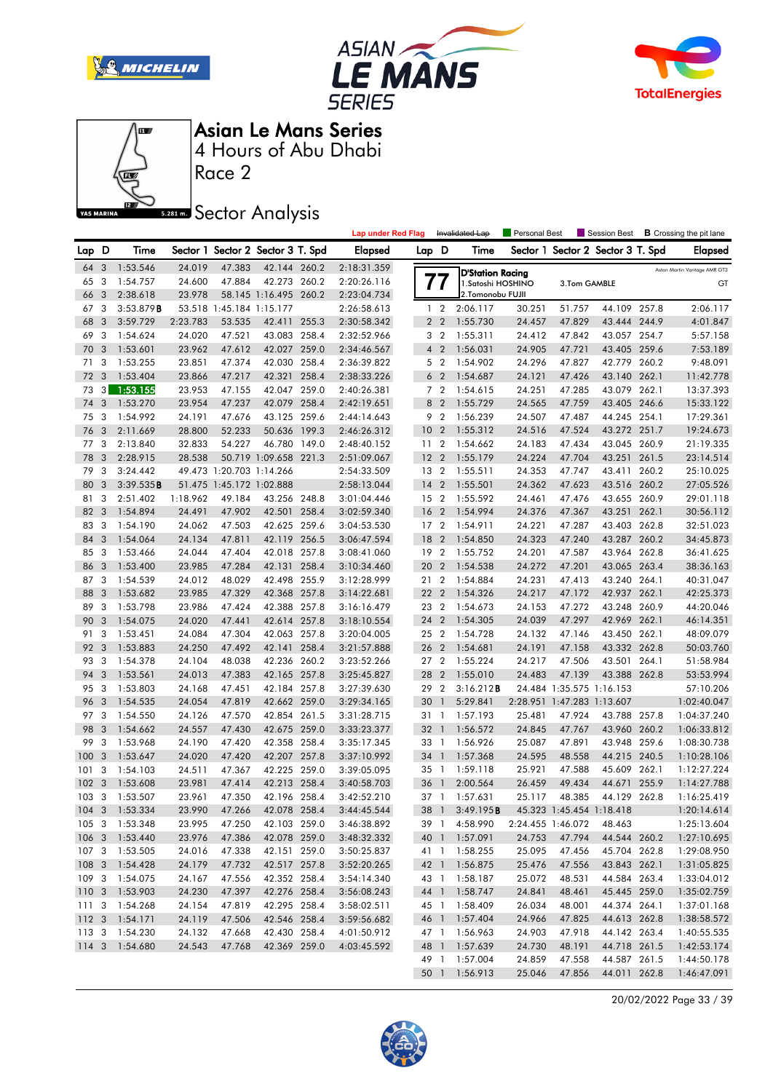







Race 2

### **Sector Analysis**

|                  |                |                |          |                          |                                   |       | <b>Lap under Red Flag</b> |                 |                | Invalidated Lap         | Personal Best |                            | Session Best                      |       | <b>B</b> Crossing the pit lane |
|------------------|----------------|----------------|----------|--------------------------|-----------------------------------|-------|---------------------------|-----------------|----------------|-------------------------|---------------|----------------------------|-----------------------------------|-------|--------------------------------|
| Lap D            |                | Time           |          |                          | Sector 1 Sector 2 Sector 3 T. Spd |       | <b>Elapsed</b>            | Lap D           |                | Time                    |               |                            | Sector 1 Sector 2 Sector 3 T. Spd |       | <b>Elapsed</b>                 |
| 64               | 3              | 1:53.546       | 24.019   | 47.383                   | 42.144 260.2                      |       | 2:18:31.359               |                 |                | <b>D'Station Racing</b> |               |                            |                                   |       | Aston Martin Vantage AMR GT3   |
| 65               | 3              | 1:54.757       | 24.600   | 47.884                   | 42.273 260.2                      |       | 2:20:26.116               |                 | $\prime\prime$ | 1. Satoshi HOSHINO      |               | 3.Tom GAMBLE               |                                   |       | GT                             |
| 66               | 3              | 2:38.618       | 23.978   |                          | 58.145 1:16.495 260.2             |       | 2:23:04.734               |                 |                | 2.Tomonobu FUJII        |               |                            |                                   |       |                                |
| 67               | 3              | 3:53.879B      |          | 53.518 1:45.184 1:15.177 |                                   |       | 2:26:58.613               |                 | 1 <sub>2</sub> | 2:06.117                | 30.251        | 51.757                     | 44.109 257.8                      |       | 2:06.117                       |
| 68               | 3              | 3:59.729       | 2:23.783 | 53.535                   | 42.411                            | 255.3 | 2:30:58.342               |                 | 2 <sub>2</sub> | 1:55.730                | 24.457        | 47.829                     | 43.444 244.9                      |       | 4:01.847                       |
| 69               | 3              | 1:54.624       | 24.020   | 47.521                   | 43.083 258.4                      |       | 2:32:52.966               |                 | 3 <sub>2</sub> | 1:55.311                | 24.412        | 47.842                     | 43.057 254.7                      |       | 5:57.158                       |
| 70               | -3             | 1:53.601       | 23.962   | 47.612                   | 42.027 259.0                      |       | 2:34:46.567               |                 | 4 <sup>2</sup> | 1:56.031                | 24.905        | 47.721                     | 43.405 259.6                      |       | 7:53.189                       |
| 71               | 3              | 1:53.255       | 23.851   | 47.374                   | 42.030 258.4                      |       | 2:36:39.822               |                 | 5 <sub>2</sub> | 1:54.902                | 24.296        | 47.827                     | 42.779 260.2                      |       | 9:48.091                       |
| 72               | 3              | 1:53.404       | 23.866   | 47.217                   | 42.321 258.4                      |       | 2:38:33.226               |                 | 6 <sub>2</sub> | 1:54.687                | 24.121        | 47.426                     | 43.140 262.1                      |       | 11:42.778                      |
| 73               | 3 <sup>1</sup> | 1:53.155       | 23.953   | 47.155                   | 42.047 259.0                      |       | 2:40:26.381               |                 | 7 <sub>2</sub> | 1:54.615                | 24.251        | 47.285                     | 43.079 262.1                      |       | 13:37.393                      |
| 74               | 3              | 1:53.270       | 23.954   | 47.237                   | 42.079 258.4                      |       | 2:42:19.651               | 8               | $\overline{2}$ | 1:55.729                | 24.565        | 47.759                     | 43.405 246.6                      |       | 15:33.122                      |
| 75               | 3              | 1:54.992       | 24.191   | 47.676                   | 43.125 259.6                      |       | 2:44:14.643               |                 | 9 2            | 1:56.239                | 24.507        | 47.487                     | 44.245 254.1                      |       | 17:29.361                      |
| 76               | 3              | 2:11.669       | 28.800   | 52.233                   | 50.636                            | 199.3 | 2:46:26.312               | 10              | $\overline{2}$ | 1:55.312                | 24.516        | 47.524                     | 43.272 251.7                      |       | 19:24.673                      |
| 77               | 3              | 2:13.840       | 32.833   | 54.227                   | 46.780 149.0                      |       | 2:48:40.152               | 11 <sub>2</sub> |                | 1:54.662                | 24.183        | 47.434                     | 43.045 260.9                      |       | 21:19.335                      |
| 78               | 3              | 2:28.915       | 28.538   |                          | 50.719 1:09.658 221.3             |       | 2:51:09.067               | 12 <sub>2</sub> |                | 1:55.179                | 24.224        | 47.704                     | 43.251 261.5                      |       | 23:14.514                      |
| 79               | 3              | 3:24.442       |          | 49.473 1:20.703 1:14.266 |                                   |       | 2:54:33.509               | 13 2            |                | 1:55.511                | 24.353        | 47.747                     | 43.411                            | 260.2 | 25:10.025                      |
| 80               | 3              | 3:39.535B      |          | 51.475 1:45.172 1:02.888 |                                   |       | 2:58:13.044               | 14              | $\overline{2}$ | 1:55.501                | 24.362        | 47.623                     | 43.516 260.2                      |       | 27:05.526                      |
| 81               | 3              | 2:51.402       | 1:18.962 | 49.184                   | 43.256 248.8                      |       | 3:01:04.446               | 15 2            |                | 1:55.592                | 24.461        | 47.476                     | 43.655 260.9                      |       | 29:01.118                      |
| 82               | 3              | 1:54.894       | 24.491   | 47.902                   | 42.501 258.4                      |       | 3:02:59.340               | 16              | $\overline{2}$ | 1:54.994                | 24.376        | 47.367                     | 43.251 262.1                      |       | 30:56.112                      |
| 83               | 3              | 1:54.190       | 24.062   | 47.503                   | 42.625 259.6                      |       | 3:04:53.530               | 17 <sub>2</sub> |                | 1:54.911                | 24.221        | 47.287                     | 43.403 262.8                      |       | 32:51.023                      |
| 84               | 3              | 1:54.064       | 24.134   | 47.811                   | 42.119 256.5                      |       | 3:06:47.594               | 18              | $\overline{2}$ | 1:54.850                | 24.323        | 47.240                     | 43.287 260.2                      |       | 34:45.873                      |
| 85               | -3             | 1:53.466       | 24.044   | 47.404                   | 42.018 257.8                      |       | 3:08:41.060               | 19 2            |                | 1:55.752                | 24.201        | 47.587                     | 43.964 262.8                      |       | 36:41.625                      |
| 86               | 3              | 1:53.400       | 23.985   | 47.284                   | 42.131 258.4                      |       | 3:10:34.460               | 20 2            |                | 1:54.538                | 24.272        | 47.201                     | 43.065 263.4                      |       | 38:36.163                      |
| 87               | 3              | 1:54.539       | 24.012   | 48.029                   | 42.498 255.9                      |       | 3:12:28.999               | 21 2            |                | 1:54.884                | 24.231        | 47.413                     | 43.240 264.1                      |       | 40:31.047                      |
| 88               | 3              | 1:53.682       | 23.985   | 47.329                   | 42.368 257.8                      |       | 3:14:22.681               | 22 2            |                | 1:54.326                | 24.217        | 47.172                     | 42.937 262.1                      |       | 42:25.373                      |
| 89               | 3              | 1:53.798       | 23.986   | 47.424                   | 42.388 257.8                      |       | 3:16:16.479               | 23 2            |                | 1:54.673                | 24.153        | 47.272                     | 43.248 260.9                      |       | 44:20.046                      |
| 90               | 3              | 1:54.075       | 24.020   | 47.441                   | 42.614 257.8                      |       | 3:18:10.554               | 24              | $\overline{2}$ | 1:54.305                | 24.039        | 47.297                     | 42.969 262.1                      |       | 46:14.351                      |
| 91               | 3              | 1:53.451       | 24.084   | 47.304                   | 42.063 257.8                      |       | 3:20:04.005               | 25 2            |                | 1:54.728                | 24.132        | 47.146                     | 43.450 262.1                      |       | 48:09.079                      |
| 92               | 3              | 1:53.883       | 24.250   | 47.492                   | 42.141                            | 258.4 | 3:21:57.888               | 26 2            |                | 1:54.681                | 24.191        | 47.158                     | 43.332 262.8                      |       | 50:03.760                      |
| 93               | -3             | 1:54.378       | 24.104   | 48.038                   | 42.236 260.2                      |       | 3:23:52.266               | 27 2            |                | 1:55.224                | 24.217        | 47.506                     | 43.501 264.1                      |       | 51:58.984                      |
| 94               | 3              | 1:53.561       | 24.013   | 47.383                   | 42.165 257.8                      |       | 3:25:45.827               | 28 2            |                | 1:55.010                | 24.483        | 47.139                     | 43.388 262.8                      |       | 53:53.994                      |
| 95               | 3              | 1:53.803       | 24.168   | 47.451                   | 42.184 257.8                      |       | 3:27:39.630               | 29              | $\overline{2}$ | 3:16.212B               |               | 24.484 1:35.575 1:16.153   |                                   |       | 57:10.206                      |
| 96               | 3              | 1:54.535       | 24.054   | 47.819                   | 42.662 259.0                      |       | 3:29:34.165               | 30              | $\mathbf{1}$   | 5:29.841                |               | 2:28.951 1:47.283 1:13.607 |                                   |       | 1:02:40.047                    |
| 97               | -3             | 1:54.550       | 24.126   | 47.570                   | 42.854 261.5                      |       | 3:31:28.715               | 31 1            |                | 1:57.193                | 25.481        | 47.924                     | 43.788 257.8                      |       | 1:04:37.240                    |
| 98               | 3              | 1:54.662       | 24.557   | 47.430                   | 42.675 259.0                      |       | 3:33:23.377               | 32 1            |                | 1:56.572                | 24.845        | 47.767                     | 43.960 260.2                      |       | 1:06:33.812                    |
| 99               | 3              | 1:53.968       | 24.190   | 47.420                   | 42.358                            | 258.4 | 3:35:17.345               | 33 1            |                | 1:56.926                | 25.087        | 47.891                     | 43.948 259.6                      |       | 1:08:30.738                    |
| 100              | 3              | 1:53.647       | 24.020   | 47.420                   | 42.207 257.8                      |       | 3:37:10.992               | 34              | $\overline{1}$ | 1:57.368                | 24.595        | 48.558                     | 44.215 240.5                      |       | 1:10:28.106                    |
| 101              | 3              | 1:54.103       | 24.511   | 47.367                   | 42.225 259.0                      |       | 3:39:05.095               | 35 1            |                | 1:59.118                | 25.921        | 47.588                     | 45.609 262.1                      |       | 1:12:27.224                    |
| 102              | 3              | 1:53.608       | 23.981   | 47.414                   | 42.213 258.4                      |       | 3:40:58.703               | 36              | $\overline{1}$ | 2:00.564                | 26.459        | 49.434                     | 44.671                            | 255.9 | 1:14:27.788                    |
| 103              | 3              | 1:53.507       | 23.961   | 47.350                   | 42.196 258.4                      |       | 3:42:52.210               | 37 1            |                | 1:57.631                | 25.117        | 48.385                     | 44.129 262.8                      |       | 1:16:25.419                    |
|                  |                | 104 3 1:53.334 | 23.990   | 47.266                   | 42.078 258.4                      |       | 3:44:45.544               | 38 1            |                | 3:49.195B               |               | 45.323 1:45.454 1:18.418   |                                   |       | 1:20:14.614                    |
|                  |                | 105 3 1:53.348 | 23.995   | 47.250                   | 42.103 259.0                      |       | 3:46:38.892               |                 |                | 39 1 4:58.990           |               | 2:24.455 1:46.072          | 48.463                            |       | 1:25:13.604                    |
|                  |                | 106 3 1:53.440 | 23.976   | 47.386                   | 42.078 259.0                      |       | 3:48:32.332               |                 |                | 40 1 1:57.091           | 24.753        | 47.794                     | 44.544 260.2                      |       | 1:27:10.695                    |
|                  |                | 107 3 1:53.505 | 24.016   | 47.338                   | 42.151 259.0                      |       | 3:50:25.837               |                 |                | 41 1 1:58.255           | 25.095        | 47.456                     | 45.704 262.8                      |       | 1:29:08.950                    |
|                  |                | 108 3 1:54.428 | 24.179   | 47.732                   | 42.517 257.8                      |       | 3:52:20.265               |                 |                | 42 1 1:56.875           | 25.476        | 47.556                     | 43.843 262.1                      |       | 1:31:05.825                    |
|                  |                | 109 3 1:54.075 | 24.167   | 47.556                   | 42.352 258.4                      |       | 3:54:14.340               |                 |                | 43 1 1:58.187           | 25.072        | 48.531                     | 44.584 263.4                      |       | 1:33:04.012                    |
|                  |                | 110 3 1:53.903 | 24.230   | 47.397                   | 42.276 258.4                      |       | 3:56:08.243               |                 |                | 44 1 1:58.747           | 24.841        | 48.461                     | 45.445 259.0                      |       | 1:35:02.759                    |
| 1113             |                | 1:54.268       | 24.154   | 47.819                   | 42.295 258.4                      |       | 3:58:02.511               |                 |                | 45 1 1:58.409           | 26.034        | 48.001                     | 44.374 264.1                      |       | 1:37:01.168                    |
| 112 <sup>3</sup> |                | 1:54.171       | 24.119   | 47.506                   | 42.546 258.4                      |       | 3:59:56.682               |                 |                | 46 1 1:57.404           | 24.966        | 47.825                     | 44.613 262.8                      |       | 1:38:58.572                    |
|                  |                | 113 3 1:54.230 | 24.132   | 47.668                   | 42.430 258.4                      |       | 4:01:50.912               |                 |                | 47 1 1:56.963           | 24.903        | 47.918                     | 44.142 263.4                      |       | 1:40:55.535                    |
|                  |                | 114 3 1:54.680 | 24.543   | 47.768                   | 42.369 259.0                      |       | 4:03:45.592               |                 |                | 48 1 1:57.639           | 24.730        | 48.191                     | 44.718 261.5                      |       | 1:42:53.174                    |
|                  |                |                |          |                          |                                   |       |                           |                 |                | 49 1 1:57.004           | 24.859        | 47.558                     | 44.587 261.5                      |       | 1:44:50.178                    |
|                  |                |                |          |                          |                                   |       |                           |                 |                | 50 1 1:56.913           | 25.046        | 47.856                     | 44.011 262.8                      |       | 1:46:47.091                    |

20/02/2022 Page 33 / 39

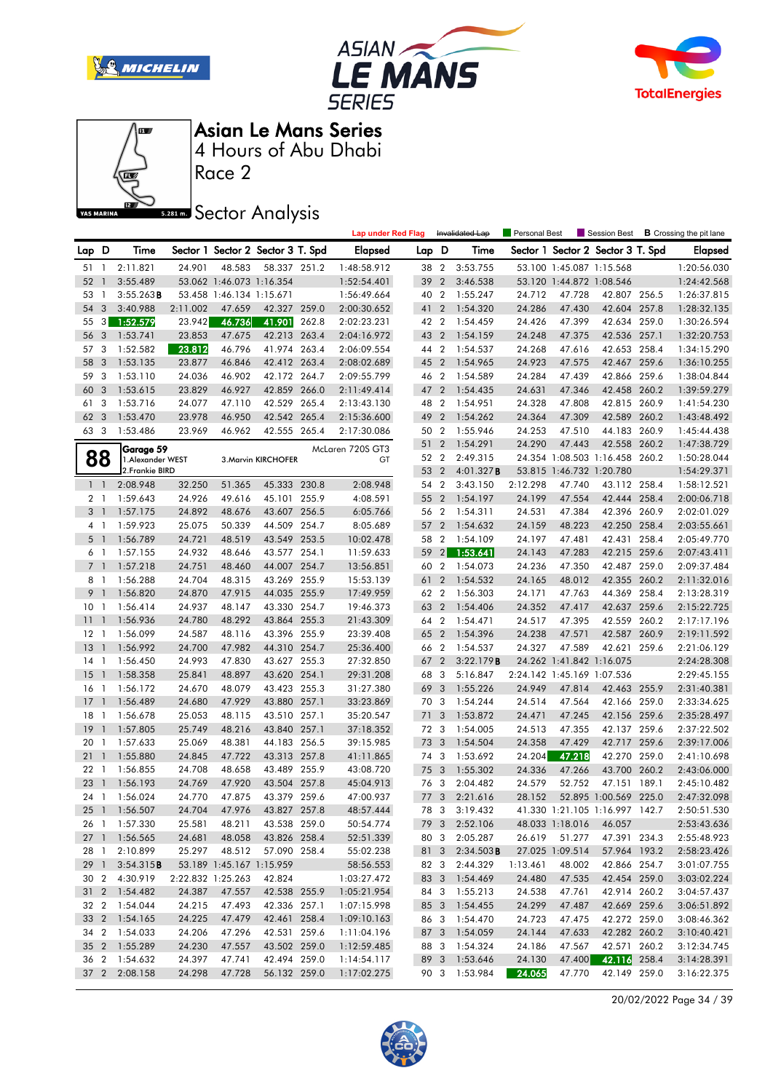







Asian Le Mans Series

Race 2 4 Hours of Abu Dhabi

**Sector Analysis** 

|                 |                |                           |                  |                                               |                                   |       | <b>Lap under Red Flag</b> |              |                | Invalidated Lap                | Personal Best    |                            | Session Best                      |       | <b>B</b> Crossing the pit lane |
|-----------------|----------------|---------------------------|------------------|-----------------------------------------------|-----------------------------------|-------|---------------------------|--------------|----------------|--------------------------------|------------------|----------------------------|-----------------------------------|-------|--------------------------------|
| Lap D           |                | Time                      |                  |                                               | Sector 1 Sector 2 Sector 3 T. Spd |       | Elapsed                   | Lap D        |                | Time                           |                  |                            | Sector 1 Sector 2 Sector 3 T. Spd |       | <b>Elapsed</b>                 |
| 51 1            |                | 2:11.821                  | 24.901           | 48.583                                        | 58.337 251.2                      |       | 1:48:58.912               | 38 2         |                | 3:53.755                       |                  | 53.100 1:45.087 1:15.568   |                                   |       | 1:20:56.030                    |
| 52 1            |                | 3:55.489                  |                  | 53.062 1:46.073 1:16.354                      |                                   |       | 1:52:54.401               | 39           | $\overline{2}$ | 3:46.538                       |                  | 53.120 1:44.872 1:08.546   |                                   |       | 1:24:42.568                    |
| 53              | $\overline{1}$ | $3:55.263$ <b>B</b>       |                  | 53.458 1:46.134 1:15.671                      |                                   |       | 1:56:49.664               | 40 2         |                | 1:55.247                       | 24.712           | 47.728                     | 42.807 256.5                      |       | 1:26:37.815                    |
| 54              | 3              | 3:40.988                  | 2:11.002         | 47.659                                        | 42.327 259.0                      |       | 2:00:30.652               | 41           | $\overline{2}$ | 1:54.320                       | 24.286           | 47.430                     | 42.604 257.8                      |       | 1:28:32.135                    |
| 55              | 3              | 1:52.579                  | 23.942           | 46.736                                        | 41.901                            | 262.8 | 2:02:23.231               | 42 2         |                | 1:54.459                       | 24.426           | 47.399                     | 42.634 259.0                      |       | 1:30:26.594                    |
| 56              | 3              | 1:53.741                  | 23.853           | 47.675                                        | 42.213 263.4                      |       | 2:04:16.972               | 43 2         |                | 1:54.159                       | 24.248           | 47.375                     | 42.536 257.1                      |       | 1:32:20.753                    |
| 57              | 3              | 1:52.582                  | 23.812           | 46.796                                        | 41.974 263.4                      |       | 2:06:09.554               | 44 2         |                | 1:54.537                       | 24.268           | 47.616                     | 42.653 258.4                      |       | 1:34:15.290                    |
| 58              | 3              | 1:53.135                  | 23.877           | 46.846                                        | 42.412 263.4                      |       | 2:08:02.689               | 45 2         |                | 1:54.965                       | 24.923           | 47.575                     | 42.467 259.6                      |       | 1:36:10.255                    |
| 59              | 3              | 1:53.110                  | 24.036           | 46.902                                        | 42.172 264.7                      |       | 2:09:55.799               | 46 2         |                | 1:54.589                       | 24.284           | 47.439                     | 42.866 259.6                      |       | 1:38:04.844                    |
| 60              | 3              | 1:53.615                  | 23.829           | 46.927                                        | 42.859 266.0                      |       | 2:11:49.414               | 47 2         |                | 1:54.435                       | 24.631           | 47.346                     | 42.458 260.2                      |       | 1:39:59.279                    |
| 61              | 3              | 1:53.716                  | 24.077           | 47.110                                        | 42.529 265.4                      |       | 2:13:43.130               | 48 2         |                | 1:54.951                       | 24.328           | 47.808                     | 42.815 260.9                      |       | 1:41:54.230                    |
| 62              | 3              | 1:53.470                  | 23.978           | 46.950                                        | 42.542 265.4                      |       | 2:15:36.600               | 49           | $\overline{2}$ | 1:54.262                       | 24.364           | 47.309                     | 42.589 260.2                      |       | 1:43:48.492                    |
| 63 3            |                | 1:53.486                  | 23.969           | 46.962                                        | 42.555 265.4                      |       | 2:17:30.086               | 50 2         |                | 1:55.946                       | 24.253           | 47.510                     | 44.183 260.9                      |       | 1:45:44.438                    |
|                 |                | Garage 59                 |                  |                                               |                                   |       | McLaren 720S GT3          | 51 2         |                | 1:54.291                       | 24.290           | 47.443                     | 42.558                            | 260.2 | 1:47:38.729                    |
| 88              |                | 1.Alexander WEST          |                  |                                               | 3. Marvin KIRCHOFER               |       | GT                        | 52 2         |                | 2:49.315                       |                  |                            | 24.354 1:08.503 1:16.458 260.2    |       | 1:50:28.044                    |
|                 |                | 2. Frankie BIRD           |                  |                                               |                                   |       |                           | 53 2         |                | 4:01.327B                      |                  | 53.815 1:46.732 1:20.780   |                                   |       | 1:54:29.371                    |
| 1 <sup>1</sup>  |                | 2:08.948                  | 32.250           | 51.365                                        | 45.333 230.8                      |       | 2:08.948                  | 54 2         |                | 3:43.150                       | 2:12.298         | 47.740                     | 43.112 258.4                      |       | 1:58:12.521                    |
| 2 <sub>1</sub>  |                | 1:59.643                  | 24.926           | 49.616                                        | 45.101                            | 255.9 | 4:08.591                  | 55 2         |                | 1:54.197                       | 24.199           | 47.554                     | 42.444 258.4                      |       | 2:00:06.718                    |
| 3 <sup>1</sup>  |                | 1:57.175                  | 24.892           | 48.676                                        | 43.607                            | 256.5 | 6:05.766                  | 56 2         |                | 1:54.311                       | 24.531           | 47.384                     | 42.396 260.9                      |       | 2:02:01.029                    |
| 4 1             |                | 1:59.923                  | 25.075           | 50.339                                        | 44.509                            | 254.7 | 8:05.689                  | 57 2         |                | 1:54.632                       | 24.159           | 48.223                     | 42.250 258.4                      |       | 2:03:55.661                    |
| 5 <sub>1</sub>  |                | 1:56.789                  | 24.721           | 48.519                                        | 43.549 253.5                      |       | 10:02.478                 | 58 2         |                | 1:54.109                       | 24.197           | 47.481                     | 42.431 258.4                      |       | 2:05:49.770                    |
| 6 1             |                | 1:57.155                  | 24.932           | 48.646                                        | 43.577 254.1                      |       | 11:59.633                 | $59 \quad 2$ |                | 1:53.641                       | 24.143           | 47.283                     | 42.215 259.6                      |       | 2:07:43.411                    |
| 7 <sup>1</sup>  |                | 1:57.218                  | 24.751           | 48.460                                        | 44.007                            | 254.7 | 13:56.851                 | 60           | $\overline{2}$ | 1:54.073                       | 24.236           | 47.350                     | 42.487 259.0                      |       | 2:09:37.484                    |
| 8 1             |                | 1:56.288                  | 24.704           | 48.315                                        | 43.269 255.9                      |       | 15:53.139                 | 61           | $\overline{2}$ | 1:54.532                       | 24.165           | 48.012                     | 42.355 260.2                      |       | 2:11:32.016                    |
| 9               | $\overline{1}$ | 1:56.820                  | 24.870           | 47.915                                        | 44.035 255.9                      |       | 17:49.959                 | 62 2         |                | 1:56.303                       | 24.171           | 47.763                     | 44.369 258.4                      |       | 2:13:28.319                    |
| 10 <sub>1</sub> |                | 1:56.414                  | 24.937           | 48.147                                        | 43.330 254.7                      |       | 19:46.373                 | 63 2         |                | 1:54.406                       | 24.352           | 47.417                     | 42.637 259.6                      |       | 2:15:22.725                    |
| 11              | $\overline{1}$ | 1:56.936                  | 24.780           | 48.292                                        | 43.864 255.3                      |       | 21:43.309                 | 64 2         |                | 1:54.471                       | 24.517           | 47.395                     | 42.559 260.2                      |       | 2:17:17.196                    |
| $12-1$          |                | 1:56.099                  | 24.587           | 48.116                                        | 43.396 255.9                      |       | 23:39.408                 | 65 2         |                | 1:54.396                       | 24.238           | 47.571                     | 42.587 260.9                      |       | 2:19:11.592                    |
| $13-1$          |                | 1:56.992                  | 24.700           | 47.982                                        | 44.310 254.7                      |       | 25:36.400                 | 66 2         |                | 1:54.537                       | 24.327           | 47.589                     | 42.621 259.6                      |       | 2:21:06.129                    |
| $14-1$          |                | 1:56.450                  | 24.993           | 47.830                                        | 43.627 255.3                      |       | 27:32.850                 | 67           | $\overline{2}$ | 3:22.179B                      |                  | 24.262 1:41.842 1:16.075   |                                   |       | 2:24:28.308                    |
| $15-1$          |                | 1:58.358                  | 25.841           | 48.897                                        | 43.620 254.1                      |       | 29:31.208                 | 68           | 3              | 5:16.847                       |                  | 2:24.142 1:45.169 1:07.536 |                                   |       | 2:29:45.155                    |
| 16 1            |                | 1:56.172                  | 24.670           | 48.079                                        | 43.423 255.3                      |       | 31:27.380                 | 69           | $\overline{3}$ | 1:55.226                       | 24.949           | 47.814                     | 42.463 255.9                      |       | 2:31:40.381                    |
| $17-1$          |                | 1:56.489                  | 24.680           | 47.929                                        | 43.880 257.1                      |       | 33:23.869                 | 70 3         |                | 1:54.244                       | 24.514           | 47.564                     | 42.166 259.0                      |       | 2:33:34.625                    |
| 18 1            |                | 1:56.678                  | 25.053           | 48.115                                        | 43.510 257.1                      |       | 35:20.547                 | 71           | 3              | 1:53.872                       | 24.471           | 47.245                     | 42.156 259.6                      |       | 2:35:28.497                    |
| 19              | $\overline{1}$ | 1:57.805                  | 25.749           | 48.216                                        | 43.840 257.1                      |       | 37:18.352                 | 72 3         |                | 1:54.005                       | 24.513           | 47.355                     | 42.137 259.6                      |       | 2:37:22.502                    |
| 20 1            |                | 1:57.633                  | 25.069           | 48.381                                        | 44.183 256.5                      |       | 39:15.985                 | 73           | $\overline{3}$ | 1:54.504                       | 24.358           | 47.429                     | 42.717 259.6                      |       | 2:39:17.006                    |
| 211             |                | 1:55.880                  | 24.845           | 47.722                                        | 43.313 257.8                      |       | 41:11.865                 | 74 3         |                | 1:53.692                       | 24.204           | 47.218                     | 42.270                            | 259.0 | 2:41:10.698                    |
| 221             |                | 1:56.855                  | 24.708           | 48.658                                        | 43.489 255.9                      |       | 43:08.720                 | 75           | $\overline{3}$ | 1:55.302                       | 24.336           | 47.266                     | 43.700                            | 260.2 | 2:43:06.000                    |
| 23              | $\overline{1}$ | 1:56.193                  | 24.769           | 47.920                                        | 43.504 257.8                      |       | 45:04.913                 | 76           | -3             | 2:04.482                       | 24.579           | 52.752                     | 47.151                            | 189.1 | 2:45:10.482                    |
| 24 1            |                | 1:56.024                  | 24.770           | 47.875                                        | 43.379 259.6                      |       | 47:00.937                 | 77 3         |                | 2:21.616                       | 28.152           |                            | 52.895 1:00.569 225.0             |       | 2:47:32.098                    |
| 25 1            |                | 1:56.507                  | 24.704           | 47.976                                        | 43.827 257.8                      |       | 48:57.444                 |              |                | 78 3 3:19.432                  |                  |                            | 41.330 1:21.105 1:16.997 142.7    |       | 2:50:51.530                    |
|                 |                | 26 1 1:57.330             | 25.581           | 48.211                                        | 43.538 259.0                      |       | 50:54.774                 |              |                | 79 3 2:52.106                  |                  | 48.033 1:18.016            | 46.057                            |       | 2:53:43.636                    |
| $27-1$          |                | 1:56.565                  | 24.681           | 48.058                                        | 43.826 258.4                      |       | 52:51.339                 | 80 3         |                | 2:05.287                       | 26.619           | 51.277                     | 47.391 234.3                      |       | 2:55:48.923                    |
| 28 1            |                | 2:10.899                  | 25.297           | 48.512                                        | 57.090 258.4                      |       | 55:02.238                 |              |                | 81 3 2:34.503 <b>B</b>         |                  | 27.025 1:09.514            | 57.964 193.2                      |       | 2:58:23.426                    |
| 29 1            |                | 3:54.315B                 |                  | 53.189 1:45.167 1:15.959<br>2:22.832 1:25.263 |                                   |       | 58:56.553                 |              |                | 82 3 2:44.329<br>83 3 1:54.469 | 1:13.461         | 48.002<br>47.535           | 42.866 254.7                      |       | 3:01:07.755                    |
| 30 2            |                | 4:30.919<br>31 2 1:54.482 |                  |                                               | 42.824                            |       | 1:03:27.472               |              |                |                                | 24.480           |                            | 42.454 259.0                      |       | 3:03:02.224                    |
|                 |                |                           | 24.387           | 47.557                                        | 42.538 255.9                      |       | 1:05:21.954               | 84 3         |                | 1:55.213<br>85 3 1:54.455      | 24.538           | 47.761                     | 42.914 260.2                      |       | 3:04:57.437                    |
| 32 2            |                | 1:54.044<br>33 2 1:54.165 | 24.215           | 47.493                                        | 42.336 257.1<br>42.461 258.4      |       | 1:07:15.998               |              |                |                                | 24.299           | 47.487                     | 42.669 259.6                      |       | 3:06:51.892                    |
| 34 2            |                | 1:54.033                  | 24.225<br>24.206 | 47.479                                        | 42.531 259.6                      |       | 1:09:10.163               |              |                | 86 3 1:54.470<br>87 3 1:54.059 | 24.723           | 47.475                     | 42.272 259.0                      |       | 3:08:46.362                    |
| 35 <sub>2</sub> |                | 1:55.289                  | 24.230           | 47.296                                        | 43.502 259.0                      |       | 1:11:04.196               |              |                |                                | 24.144<br>24.186 | 47.633<br>47.567           | 42.282 260.2<br>42.571 260.2      |       | 3:10:40.421                    |
|                 |                |                           |                  | 47.557                                        |                                   |       | 1:12:59.485               |              |                | 88 3 1:54.324                  |                  |                            | 42.116 258.4                      |       | 3:12:34.745                    |
| 36 2            |                | 1:54.632                  | 24.397           | 47.741                                        | 42.494 259.0<br>56.132 259.0      |       | 1:14:54.117               |              |                | 89 3 1:53.646                  | 24.130           | 47.400                     |                                   |       | 3:14:28.391                    |
|                 |                | 37 2 2:08.158             | 24.298           | 47.728                                        |                                   |       | 1:17:02.275               |              |                | 90 3 1:53.984                  | 24.065           | 47.770                     | 42.149 259.0                      |       | 3:16:22.375                    |

20/02/2022 Page 34 / 39

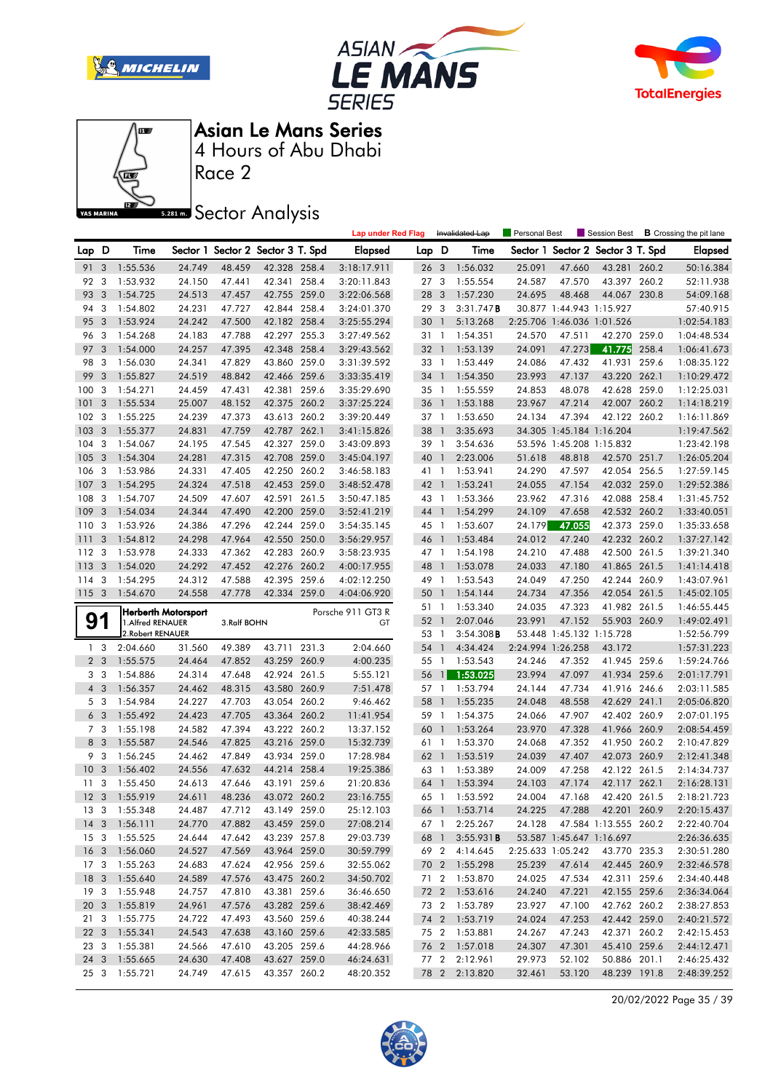







Race 2

**Sector Analysis** 

|                 |                         |                                                |                  |                                   |                              |       | <b>Lap under Red Flag</b> |                 |                 | Invalidated Lap                | Personal Best     |                            | Session Best                      |       | <b>B</b> Crossing the pit lane |
|-----------------|-------------------------|------------------------------------------------|------------------|-----------------------------------|------------------------------|-------|---------------------------|-----------------|-----------------|--------------------------------|-------------------|----------------------------|-----------------------------------|-------|--------------------------------|
| Lap             | D                       | Time                                           |                  | Sector 1 Sector 2 Sector 3 T. Spd |                              |       | <b>Elapsed</b>            | Lap D           |                 | Time                           |                   |                            | Sector 1 Sector 2 Sector 3 T. Spd |       | <b>Elapsed</b>                 |
| 91 3            |                         | 1:55.536                                       | 24.749           | 48.459                            | 42.328 258.4                 |       | 3:18:17.911               | 26 <sub>3</sub> |                 | 1:56.032                       | 25.091            | 47.660                     | 43.281 260.2                      |       | 50:16.384                      |
| 92              | 3                       | 1:53.932                                       | 24.150           | 47.441                            | 42.341 258.4                 |       | 3:20:11.843               | 27 <sub>3</sub> |                 | 1:55.554                       | 24.587            | 47.570                     | 43.397 260.2                      |       | 52:11.938                      |
| 93              | 3                       | 1:54.725                                       | 24.513           | 47.457                            | 42.755 259.0                 |       | 3:22:06.568               | 28 3            |                 | 1:57.230                       | 24.695            | 48.468                     | 44.067                            | 230.8 | 54:09.168                      |
| 94              | 3                       | 1:54.802                                       | 24.231           | 47.727                            | 42.844 258.4                 |       | 3:24:01.370               | 29              | 3               | 3:31.747B                      |                   | 30.877 1:44.943 1:15.927   |                                   |       | 57:40.915                      |
| 95              | 3                       | 1:53.924                                       | 24.242           | 47.500                            | 42.182 258.4                 |       | 3:25:55.294               | 30              | $\overline{1}$  | 5:13.268                       |                   | 2:25.706 1:46.036 1:01.526 |                                   |       | 1:02:54.183                    |
| 96              | 3                       | 1:54.268                                       | 24.183           | 47.788                            | 42.297 255.3                 |       | 3:27:49.562               | 31 <sub>1</sub> |                 | 1:54.351                       | 24.570            | 47.511                     | 42.270 259.0                      |       | 1:04:48.534                    |
| 97              | 3                       | 1:54.000                                       | 24.257           | 47.395                            | 42.348 258.4                 |       | 3:29:43.562               | 32 1            |                 | 1:53.139                       | 24.091            | 47.273                     | 41.775                            | 258.4 | 1:06:41.673                    |
| 98              | -3                      | 1:56.030                                       | 24.341           | 47.829                            | 43.860 259.0                 |       | 3:31:39.592               | 33 1            |                 | 1:53.449                       | 24.086            | 47.432                     | 41.931 259.6                      |       | 1:08:35.122                    |
| 99              | 3                       | 1:55.827                                       | 24.519           | 48.842                            | 42.466 259.6                 |       | 3:33:35.419               | 34 1            |                 | 1:54.350                       | 23.993            | 47.137                     | 43.220 262.1                      |       | 1:10:29.472                    |
| 100             | 3                       | 1:54.271                                       | 24.459           | 47.431                            | 42.381 259.6                 |       | 3:35:29.690               | 35 1            |                 | 1:55.559                       | 24.853            | 48.078                     | 42.628 259.0                      |       | 1:12:25.031                    |
| 101             | 3                       | 1:55.534                                       | 25.007           | 48.152                            | 42.375 260.2                 |       | 3:37:25.224               | 36 1            |                 | 1:53.188                       | 23.967            | 47.214                     | 42.007 260.2                      |       | 1:14:18.219                    |
| 102             | 3                       | 1:55.225                                       | 24.239           | 47.373                            | 43.613 260.2                 |       | 3:39:20.449               | 37 1            |                 | 1:53.650                       | 24.134            | 47.394                     | 42.122 260.2                      |       | 1:16:11.869                    |
| 103             | 3                       | 1:55.377                                       | 24.831           | 47.759                            | 42.787 262.1                 |       | 3:41:15.826               | 38 1            |                 | 3:35.693                       |                   | 34.305 1:45.184 1:16.204   |                                   |       | 1:19:47.562                    |
| 104             | 3                       | 1:54.067                                       | 24.195           | 47.545                            | 42.327 259.0                 |       | 3:43:09.893               | 39 1            |                 | 3:54.636                       |                   | 53.596 1:45.208 1:15.832   |                                   |       | 1:23:42.198                    |
| 105             | 3                       | 1:54.304                                       | 24.281           | 47.315                            | 42.708 259.0                 |       | 3:45:04.197               | 40              | $\overline{1}$  | 2:23.006                       | 51.618            | 48.818                     | 42.570 251.7                      |       | 1:26:05.204                    |
| 106             | -3                      | 1:53.986                                       | 24.331           | 47.405                            | 42.250 260.2                 |       | 3:46:58.183               | 41 1            |                 | 1:53.941                       | 24.290            | 47.597                     | 42.054 256.5                      |       | 1:27:59.145                    |
| 107             | 3                       | 1:54.295                                       | 24.324           | 47.518                            | 42.453 259.0                 |       | 3:48:52.478               | 42 1            |                 | 1:53.241                       | 24.055            | 47.154                     | 42.032 259.0                      |       | 1:29:52.386                    |
| 108             | 3                       | 1:54.707                                       | 24.509           | 47.607                            | 42.591 261.5                 |       | 3:50:47.185               | 43 1            |                 | 1:53.366                       | 23.962            | 47.316                     | 42.088 258.4                      |       | 1:31:45.752                    |
| 109             | 3                       | 1:54.034                                       | 24.344           | 47.490                            | 42.200 259.0                 |       | 3:52:41.219               | 44 1            |                 | 1:54.299                       | 24.109            | 47.658                     | 42.532 260.2                      |       | 1:33:40.051                    |
| 110             | 3                       | 1:53.926                                       | 24.386           | 47.296                            | 42.244 259.0                 |       | 3:54:35.145               | 45 1            |                 | 1:53.607                       | 24.179            | 47.055                     | 42.373 259.0                      |       | 1:35:33.658                    |
| 111             | 3                       | 1:54.812                                       | 24.298           | 47.964                            | 42.550                       | 250.0 | 3:56:29.957               | 46 1            |                 | 1:53.484                       | 24.012            | 47.240                     | 42.232 260.2                      |       | 1:37:27.142                    |
| 112             | 3                       | 1:53.978                                       | 24.333           | 47.362                            | 42.283 260.9                 |       | 3:58:23.935               | 47 1            |                 | 1:54.198                       | 24.210            | 47.488                     | 42.500 261.5                      |       | 1:39:21.340                    |
| 113             | 3                       | 1:54.020                                       | 24.292           | 47.452                            | 42.276 260.2                 |       | 4:00:17.955               | 48              | $\overline{1}$  | 1:53.078                       | 24.033            | 47.180                     | 41.865 261.5                      |       | 1:41:14.418                    |
| 114             | 3                       | 1:54.295                                       | 24.312           | 47.588                            | 42.395 259.6                 |       | 4:02:12.250               | 49 1            |                 | 1:53.543                       | 24.049            | 47.250                     | 42.244 260.9                      |       | 1:43:07.961                    |
| 115             | $\overline{\mathbf{3}}$ | 1:54.670                                       | 24.558           | 47.778                            | 42.334 259.0                 |       | 4:04:06.920               | 50 1            |                 | 1:54.144                       | 24.734            | 47.356                     | 42.054 261.5                      |       | 1:45:02.105                    |
|                 |                         |                                                |                  |                                   |                              |       |                           |                 |                 | 1:53.340                       | 24.035            |                            |                                   |       |                                |
|                 |                         |                                                |                  |                                   |                              |       |                           | 51 1            |                 |                                |                   | 47.323                     | 41.982 261.5                      |       | 1:46:55.445                    |
|                 | 1                       | <b>Herberth Motorsport</b><br>1.Alfred RENAUER |                  | 3.Ralf BOHN                       |                              |       | Porsche 911 GT3 R<br>GT   | 52 1            |                 | 2:07.046                       | 23.991            | 47.152                     | 55.903 260.9                      |       | 1:49:02.491                    |
| 9               |                         | 2. Robert RENAUER                              |                  |                                   |                              |       |                           | 53 1            |                 | $3:54.308$ B                   |                   | 53.448 1:45.132 1:15.728   |                                   |       | 1:52:56.799                    |
|                 | 1 <sub>3</sub>          | 2:04.660                                       | 31.560           | 49.389                            | 43.711 231.3                 |       | 2:04.660                  | 54 1            |                 | 4:34.424                       | 2:24.994 1:26.258 |                            | 43.172                            |       | 1:57:31.223                    |
|                 | 2 <sub>3</sub>          | 1:55.575                                       | 24.464           | 47.852                            | 43.259 260.9                 |       | 4:00.235                  | 55 1            |                 | 1:53.543                       | 24.246            | 47.352                     | 41.945 259.6                      |       | 1:59:24.766                    |
|                 | 3 <sub>3</sub>          | 1:54.886                                       | 24.314           | 47.648                            | 42.924 261.5                 |       | 5:55.121                  | 56              | $\mathbf{1}$    | 1:53.025                       | 23.994            | 47.097                     | 41.934 259.6                      |       | 2:01:17.791                    |
| 4 <sup>3</sup>  |                         | 1:56.357                                       | 24.462           | 48.315                            | 43.580 260.9                 |       | 7:51.478                  | 57 1            |                 | 1:53.794                       | 24.144            | 47.734                     | 41.916 246.6                      |       | 2:03:11.585                    |
|                 | 5 <sub>3</sub>          | 1:54.984                                       | 24.227           | 47.703                            | 43.054 260.2                 |       | 9:46.462                  | 58              | $\overline{1}$  | 1:55.235                       | 24.048            | 48.558                     | 42.629 241.1                      |       | 2:05:06.820                    |
| 6               | $\overline{3}$          | 1:55.492                                       | 24.423           | 47.705                            | 43.364 260.2                 |       | 11:41.954                 | 59 1            |                 | 1:54.375                       | 24.066            | 47.907                     | 42.402 260.9                      |       | 2:07:01.195                    |
|                 | 7 <sub>3</sub>          | 1:55.198                                       | 24.582           | 47.394                            | 43.222 260.2                 |       | 13:37.152                 | 60              | $\overline{1}$  | 1:53.264                       | 23.970            | 47.328                     | 41.966 260.9                      |       | 2:08:54.459                    |
| 8               | $\overline{\mathbf{3}}$ | 1:55.587                                       | 24.546           | 47.825                            | 43.216 259.0                 |       | 15:32.739                 | 61 1            |                 | 1:53.370                       | 24.068            | 47.352                     | 41.950 260.2                      |       | 2:10:47.829                    |
| 9               | $\overline{3}$          | 1:56.245                                       | 24.462           | 47.849                            | 43.934 259.0                 |       | 17:28.984                 | 62 1            |                 | 1:53.519                       | 24.039            | 47.407                     | 42.073 260.9                      |       | 2:12:41.348                    |
| 10              | 3                       | 1:56.402                                       | 24.556           | 47.632                            | 44.214 258.4                 |       | 19:25.386                 | 63 1            |                 | 1:53.389                       | 24.009            | 47.258                     | 42.122 261.5                      |       | 2:14:34.737                    |
| 11              | 3                       | 1:55.450                                       | 24.613           | 47.646                            | 43.191 259.6                 |       | 21:20.836                 | 64              | $\mathbbmss{1}$ | 1:53.394                       | 24.103            | 47.174                     | 42.117 262.1                      |       | 2:16:28.131                    |
| 12 <sup>3</sup> |                         | 1:55.919                                       | 24.611           | 48.236                            | 43.072 260.2                 |       | 23:16.755                 | 65 1            |                 | 1:53.592                       | 24.004            | 47.168                     | 42.420 261.5                      |       | 2:18:21.723                    |
|                 |                         | 13 3 1:55.348                                  | 24.487           | 47.712                            | 43.149 259.0                 |       | 25:12.103                 |                 |                 | 66 1 1:53.714                  |                   |                            | 24.225 47.288 42.201 260.9        |       | 2:20:15.437                    |
|                 |                         | 14 3 1:56.111                                  | 24.770           | 47.882                            | 43.459 259.0                 |       | 27:08.214                 |                 |                 | 67 1 2:25.267                  | 24.128            |                            | 47.584 1:13.555 260.2             |       | 2:22:40.704                    |
|                 |                         | 15 3 1:55.525                                  | 24.644           | 47.642                            | 43.239 257.8                 |       | 29:03.739                 | 68 1            |                 | 3:55.931B                      |                   | 53.587 1:45.647 1:16.697   |                                   |       | 2:26:36.635                    |
|                 |                         | 16 3 1:56.060                                  | 24.527           | 47.569                            | 43.964 259.0                 |       | 30:59.799                 |                 |                 | 69 2 4:14.645                  |                   | 2:25.633 1:05.242          | 43.770 235.3                      |       | 2:30:51.280                    |
|                 |                         | 17 3 1:55.263                                  | 24.683           | 47.624                            | 42.956 259.6                 |       | 32:55.062                 |                 |                 | 70 2 1:55.298                  | 25.239            | 47.614                     | 42.445 260.9                      |       | 2:32:46.578                    |
|                 |                         | 18 3 1:55.640                                  | 24.589           | 47.576                            | 43.475 260.2                 |       | 34:50.702                 |                 |                 | 71 2 1:53.870                  | 24.025            | 47.534                     | 42.311 259.6                      |       | 2:34:40.448                    |
|                 |                         | 19 3 1:55.948                                  | 24.757           | 47.810                            | 43.381 259.6                 |       | 36:46.650                 |                 |                 | 72 2 1:53.616                  | 24.240            | 47.221                     | 42.155 259.6                      |       | 2:36:34.064                    |
|                 |                         | 20 3 1:55.819                                  | 24.961           | 47.576                            | 43.282 259.6                 |       | 38:42.469                 |                 |                 | 73 2 1:53.789                  | 23.927            | 47.100                     | 42.762 260.2                      |       | 2:38:27.853                    |
|                 |                         | 21 3 1:55.775                                  | 24.722           | 47.493                            | 43.560 259.6                 |       | 40:38.244                 |                 |                 | 74 2 1:53.719                  | 24.024            | 47.253                     | 42.442 259.0                      |       | 2:40:21.572                    |
|                 |                         | 22 3 1:55.341                                  | 24.543           | 47.638                            | 43.160 259.6                 |       | 42:33.585                 |                 |                 | 75 2 1:53.881                  | 24.267            | 47.243                     | 42.371 260.2                      |       | 2:42:15.453                    |
|                 |                         | 23 3 1:55.381                                  | 24.566           | 47.610                            | 43.205 259.6                 |       | 44:28.966                 |                 |                 | 76 2 1:57.018                  | 24.307            | 47.301                     | 45.410 259.6                      |       | 2:44:12.471                    |
|                 |                         | 24 3 1:55.665<br>25 3 1:55.721                 | 24.630<br>24.749 | 47.408<br>47.615                  | 43.627 259.0<br>43.357 260.2 |       | 46:24.631<br>48:20.352    |                 |                 | 77 2 2:12.961<br>78 2 2:13.820 | 29.973<br>32.461  | 52.102<br>53.120           | 50.886 201.1<br>48.239 191.8      |       | 2:46:25.432<br>2:48:39.252     |

20/02/2022 Page 35 / 39

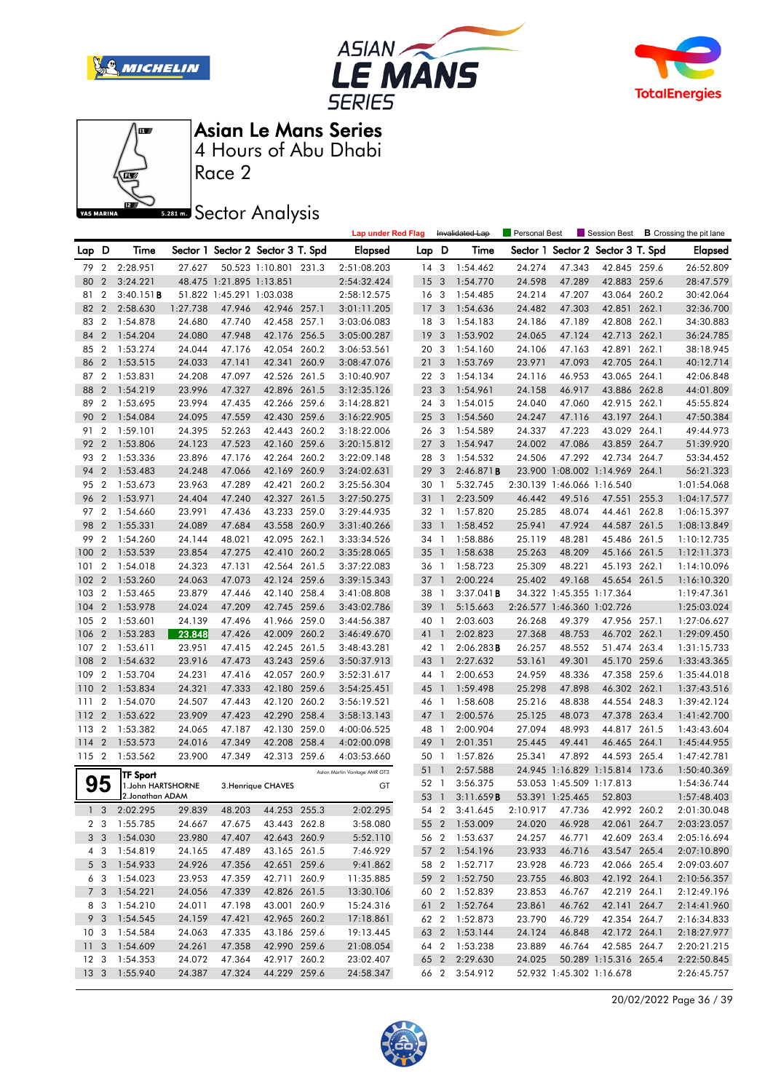







Race 2

**Sector Analysis** 

|                 |                |                   |          |                          |                                   |       | <b>Lap under Red Flag</b>    |                 |                | Invalidated Lap     | <b>Personal Best</b> |                            | Session Best                   |       | <b>B</b> Crossing the pit lane |
|-----------------|----------------|-------------------|----------|--------------------------|-----------------------------------|-------|------------------------------|-----------------|----------------|---------------------|----------------------|----------------------------|--------------------------------|-------|--------------------------------|
| Lap D           |                | Time              |          |                          | Sector 1 Sector 2 Sector 3 T. Spd |       | <b>Elapsed</b>               | Lap D           |                | Time                | Sector 1             |                            | Sector 2 Sector 3 T. Spd       |       | <b>Elapsed</b>                 |
| 79              | $\overline{2}$ | 2:28.951          | 27.627   |                          | 50.523 1:10.801 231.3             |       | 2:51:08.203                  | 14              | 3              | 1:54.462            | 24.274               | 47.343                     | 42.845 259.6                   |       | 26:52.809                      |
| 80              | $\overline{2}$ | 3:24.221          |          | 48.475 1:21.895 1:13.851 |                                   |       | 2:54:32.424                  | 15              | $\overline{3}$ | 1:54.770            | 24.598               | 47.289                     | 42.883 259.6                   |       | 28:47.579                      |
| 81              | $\overline{2}$ | 3:40.151B         |          | 51.822 1:45.291 1:03.038 |                                   |       | 2:58:12.575                  | 16 <sub>3</sub> |                | 1:54.485            | 24.214               | 47.207                     | 43.064 260.2                   |       | 30:42.064                      |
| 82              | $\overline{2}$ | 2:58.630          | 1:27.738 | 47.946                   | 42.946 257.1                      |       | 3:01:11.205                  | 17              | 3              | 1:54.636            | 24.482               | 47.303                     | 42.851                         | 262.1 | 32:36.700                      |
| 83              | $\overline{2}$ | 1:54.878          | 24.680   | 47.740                   | 42.458 257.1                      |       | 3:03:06.083                  | 18              | 3              | 1:54.183            | 24.186               | 47.189                     | 42.808                         | 262.1 | 34:30.883                      |
| 84              | $\overline{2}$ | 1:54.204          | 24.080   | 47.948                   | 42.176 256.5                      |       | 3:05:00.287                  | 19              | 3              | 1:53.902            | 24.065               | 47.124                     | 42.713 262.1                   |       | 36:24.785                      |
| 85              | $\overline{2}$ | 1:53.274          | 24.044   | 47.176                   | 42.054 260.2                      |       | 3:06:53.561                  | 20 <sub>3</sub> |                | 1:54.160            | 24.106               | 47.163                     | 42.891 262.1                   |       | 38:18.945                      |
| 86              | $\overline{2}$ | 1:53.515          | 24.033   | 47.141                   | 42.341                            | 260.9 | 3:08:47.076                  | 21              | 3              | 1:53.769            | 23.971               | 47.093                     | 42.705 264.1                   |       | 40:12.714                      |
| 87              | $\overline{2}$ | 1:53.831          | 24.208   | 47.097                   | 42.526 261.5                      |       | 3:10:40.907                  | 22 3            |                | 1:54.134            | 24.116               | 46.953                     | 43.065 264.1                   |       | 42:06.848                      |
| 88              | $\overline{2}$ | 1:54.219          | 23.996   | 47.327                   | 42.896 261.5                      |       | 3:12:35.126                  | 23 3            |                | 1:54.961            | 24.158               | 46.917                     | 43.886 262.8                   |       | 44:01.809                      |
| 89              | $\overline{2}$ | 1:53.695          | 23.994   | 47.435                   | 42.266 259.6                      |       | 3:14:28.821                  | 24              | 3              | 1:54.015            | 24.040               | 47.060                     | 42.915 262.1                   |       | 45:55.824                      |
| 90              | $\overline{2}$ | 1:54.084          | 24.095   | 47.559                   | 42.430 259.6                      |       | 3:16:22.905                  | 25 <sub>2</sub> | 3              | 1:54.560            | 24.247               | 47.116                     | 43.197                         | 264.1 | 47:50.384                      |
| 91              | $\overline{2}$ | 1:59.101          | 24.395   | 52.263                   | 42.443                            | 260.2 | 3:18:22.006                  | 26 3            |                | 1:54.589            | 24.337               | 47.223                     | 43.029                         | 264.1 | 49:44.973                      |
| 92              | $\overline{2}$ | 1:53.806          | 24.123   | 47.523                   | 42.160 259.6                      |       | 3:20:15.812                  | 27              | 3              | 1:54.947            | 24.002               | 47.086                     | 43.859 264.7                   |       | 51:39.920                      |
| 93              | $\overline{2}$ | 1:53.336          | 23.896   | 47.176                   | 42.264 260.2                      |       | 3:22:09.148                  | 28 3            |                | 1:54.532            | 24.506               | 47.292                     | 42.734 264.7                   |       | 53:34.452                      |
| 94              | $\overline{2}$ | 1:53.483          | 24.248   | 47.066                   | 42.169                            | 260.9 | 3:24:02.631                  | 29              | 3              | 2:46.871B           |                      |                            | 23.900 1:08.002 1:14.969 264.1 |       | 56:21.323                      |
| 95              | $\overline{2}$ | 1:53.673          | 23.963   | 47.289                   | 42.421                            | 260.2 | 3:25:56.304                  | 30 1            |                | 5:32.745            |                      | 2:30.139 1:46.066 1:16.540 |                                |       | 1:01:54.068                    |
| 96              | $\overline{2}$ | 1:53.971          | 24.404   | 47.240                   | 42.327 261.5                      |       | 3:27:50.275                  | 31              | $\mathbf{1}$   | 2:23.509            | 46.442               | 49.516                     | 47.551                         | 255.3 | 1:04:17.577                    |
| 97              | $\overline{2}$ | 1:54.660          | 23.991   | 47.436                   | 43.233 259.0                      |       | 3:29:44.935                  | 32 1            |                | 1:57.820            | 25.285               | 48.074                     | 44.461                         | 262.8 | 1:06:15.397                    |
| 98              | $\overline{2}$ | 1:55.331          | 24.089   | 47.684                   | 43.558 260.9                      |       | 3:31:40.266                  | 33              | $\overline{1}$ | 1:58.452            | 25.941               | 47.924                     | 44.587                         | 261.5 | 1:08:13.849                    |
| 99              | $\overline{2}$ | 1:54.260          | 24.144   | 48.021                   | 42.095 262.1                      |       | 3:33:34.526                  | 34 1            |                | 1:58.886            | 25.119               | 48.281                     | 45.486 261.5                   |       | 1:10:12.735                    |
| 100             | $\overline{2}$ | 1:53.539          | 23.854   | 47.275                   | 42.410 260.2                      |       | 3:35:28.065                  | 35              | $\mathbf{1}$   | 1:58.638            | 25.263               | 48.209                     | 45.166 261.5                   |       | 1:12:11.373                    |
| 101             | $\overline{2}$ | 1:54.018          | 24.323   | 47.131                   | 42.564 261.5                      |       | 3:37:22.083                  | 36 1            |                | 1:58.723            | 25.309               | 48.221                     | 45.193 262.1                   |       | 1:14:10.096                    |
| 102             | $\overline{2}$ | 1:53.260          | 24.063   | 47.073                   | 42.124 259.6                      |       | 3:39:15.343                  | $37-1$          |                | 2:00.224            | 25.402               | 49.168                     | 45.654 261.5                   |       | 1:16:10.320                    |
| 103             | $\overline{2}$ | 1:53.465          | 23.879   | 47.446                   | 42.140 258.4                      |       | 3:41:08.808                  | 38 1            |                | 3:37.041B           |                      | 34.322 1:45.355 1:17.364   |                                |       | 1:19:47.361                    |
| 104             | $\overline{2}$ | 1:53.978          | 24.024   | 47.209                   | 42.745 259.6                      |       | 3:43:02.786                  | 39              | $\mathbf{1}$   | 5:15.663            |                      | 2:26.577 1:46.360 1:02.726 |                                |       | 1:25:03.024                    |
| 105             | $\overline{2}$ | 1:53.601          | 24.139   | 47.496                   | 41.966 259.0                      |       | 3:44:56.387                  | 40 1            |                | 2:03.603            | 26.268               | 49.379                     | 47.956 257.1                   |       | 1:27:06.627                    |
| 106             | $\overline{2}$ | 1:53.283          | 23.848   | 47.426                   | 42.009                            | 260.2 | 3:46:49.670                  | 41 1            |                | 2:02.823            | 27.368               | 48.753                     | 46.702                         | 262.1 | 1:29:09.450                    |
| 107             | $\overline{2}$ | 1:53.611          | 23.951   | 47.415                   | 42.245 261.5                      |       | 3:48:43.281                  | 42 1            |                | $2:06.283$ <b>B</b> | 26.257               | 48.552                     | 51.474                         | 263.4 | 1:31:15.733                    |
| 108             | $\overline{2}$ | 1:54.632          | 23.916   | 47.473                   | 43.243 259.6                      |       | 3:50:37.913                  | 43              | $\overline{1}$ | 2:27.632            | 53.161               | 49.301                     | 45.170 259.6                   |       | 1:33:43.365                    |
| 109             | $\overline{2}$ | 1:53.704          | 24.231   | 47.416                   | 42.057 260.9                      |       | 3:52:31.617                  | 44 1            |                | 2:00.653            | 24.959               | 48.336                     | 47.358 259.6                   |       | 1:35:44.018                    |
| 110             | $\overline{2}$ | 1:53.834          | 24.321   | 47.333                   | 42.180 259.6                      |       | 3:54:25.451                  | 45 1            |                | 1:59.498            | 25.298               | 47.898                     | 46.302 262.1                   |       | 1:37:43.516                    |
| 111             | $\overline{2}$ | 1:54.070          | 24.507   | 47.443                   | 42.120 260.2                      |       | 3:56:19.521                  | 46 1            |                | 1:58.608            | 25.216               | 48.838                     | 44.554                         | 248.3 | 1:39:42.124                    |
| 112             | $\overline{2}$ | 1:53.622          | 23.909   | 47.423                   | 42.290 258.4                      |       | 3:58:13.143                  | 47              | $\mathbf{1}$   | 2:00.576            | 25.125               | 48.073                     | 47.378 263.4                   |       | 1:41:42.700                    |
| 113             | $\overline{2}$ | 1:53.382          | 24.065   | 47.187                   | 42.130 259.0                      |       | 4:00:06.525                  | 48 1            |                | 2:00.904            | 27.094               | 48.993                     | 44.817                         | 261.5 | 1:43:43.604                    |
| 114             | $\overline{2}$ | 1:53.573          | 24.016   | 47.349                   | 42.208 258.4                      |       | 4:02:00.098                  | 49              | $\overline{1}$ | 2:01.351            | 25.445               | 49.441                     | 46.465                         | 264.1 | 1:45:44.955                    |
| 115 2           |                | 1:53.562          | 23.900   | 47.349                   | 42.313 259.6                      |       | 4:03:53.660                  | 50              | $\overline{1}$ | 1:57.826            | 25.341               | 47.892                     | 44.593 265.4                   |       | 1:47:42.781                    |
|                 |                | TF Sport          |          |                          |                                   |       | Aston Martin Vantage AMR GT3 | 51 1            |                | 2:57.588            |                      |                            | 24.945 1:16.829 1:15.814 173.6 |       | 1:50:40.369                    |
|                 | 95             | 1.John HARTSHORNE |          |                          | 3. Henrique CHAVES                |       | GT                           | 52              | $\overline{1}$ | 3:56.375            |                      | 53.053 1:45.509 1:17.813   |                                |       | 1:54:36.744                    |
|                 |                | 2.Jonathan ADAM   |          |                          |                                   |       |                              | 53 1            |                | 3:11.659B           |                      | 53.391 1:25.465            | 52.803                         |       | 1:57:48.403                    |
|                 | 1 <sub>3</sub> | 2:02.295          | 29.839   | 48.203                   | 44.253 255.3                      |       | 2:02.295                     | 54 2            |                | 3:41.645            | 2:10.917 47.736      |                            | 42.992 260.2                   |       | 2:01:30.048                    |
|                 |                | 2 3 1:55.785      | 24.667   | 47.675                   | 43.443 262.8                      |       | 3:58.080                     |                 |                | 55 2 1:53.009       | 24.020               | 46.928                     | 42.061 264.7                   |       | 2:03:23.057                    |
|                 |                | 3 3 1:54.030      | 23.980   | 47.407                   | 42.643 260.9                      |       | 5:52.110                     |                 |                | 56 2 1:53.637       | 24.257               | 46.771                     | 42.609 263.4                   |       | 2:05:16.694                    |
|                 | 4 3            | 1:54.819          | 24.165   | 47.489                   | 43.165 261.5                      |       | 7:46.929                     |                 |                | 57 2 1:54.196       | 23.933               | 46.716                     | 43.547 265.4                   |       | 2:07:10.890                    |
|                 | 5 <sub>3</sub> | 1:54.933          | 24.926   | 47.356                   | 42.651 259.6                      |       | 9:41.862                     |                 | 58 2           | 1:52.717            | 23.928               | 46.723                     | 42.066 265.4                   |       | 2:09:03.607                    |
|                 |                | 6 3 1:54.023      | 23.953   | 47.359                   | 42.711 260.9                      |       | 11:35.885                    |                 |                | 59 2 1:52.750       | 23.755               | 46.803                     | 42.192 264.1                   |       | 2:10:56.357                    |
|                 |                | 7 3 1:54.221      | 24.056   | 47.339                   | 42.826 261.5                      |       | 13:30.106                    |                 |                | 60 2 1:52.839       | 23.853               | 46.767                     | 42.219 264.1                   |       | 2:12:49.196                    |
|                 | 8 3            | 1:54.210          | 24.011   | 47.198                   | 43.001 260.9                      |       | 15:24.316                    |                 |                | 61 2 1:52.764       | 23.861               | 46.762                     | 42.141 264.7                   |       | 2:14:41.960                    |
|                 | 9 3            | 1:54.545          | 24.159   | 47.421                   | 42.965 260.2                      |       | 17:18.861                    |                 |                | 62 2 1:52.873       | 23.790               | 46.729                     | 42.354 264.7                   |       | 2:16:34.833                    |
| 10 <sub>3</sub> |                | 1:54.584          | 24.063   | 47.335                   | 43.186 259.6                      |       | 19:13.445                    |                 |                | 63 2 1:53.144       | 24.124               | 46.848                     | 42.172 264.1                   |       | 2:18:27.977                    |
|                 |                | 11 3 1:54.609     | 24.261   | 47.358                   | 42.990 259.6                      |       | 21:08.054                    |                 |                | 64 2 1:53.238       | 23.889               | 46.764                     | 42.585 264.7                   |       | 2:20:21.215                    |
| 12 <sup>3</sup> |                | 1:54.353          | 24.072   | 47.364                   | 42.917 260.2                      |       | 23:02.407                    |                 |                | 65 2 2:29.630       | 24.025               |                            | 50.289 1:15.316 265.4          |       | 2:22:50.845                    |
| 13 <sub>3</sub> |                | 1:55.940          | 24.387   | 47.324                   | 44.229 259.6                      |       | 24:58.347                    |                 |                | 66 2 3:54.912       |                      |                            | 52.932 1:45.302 1:16.678       |       | 2:26:45.757                    |

20/02/2022 Page 36 / 39

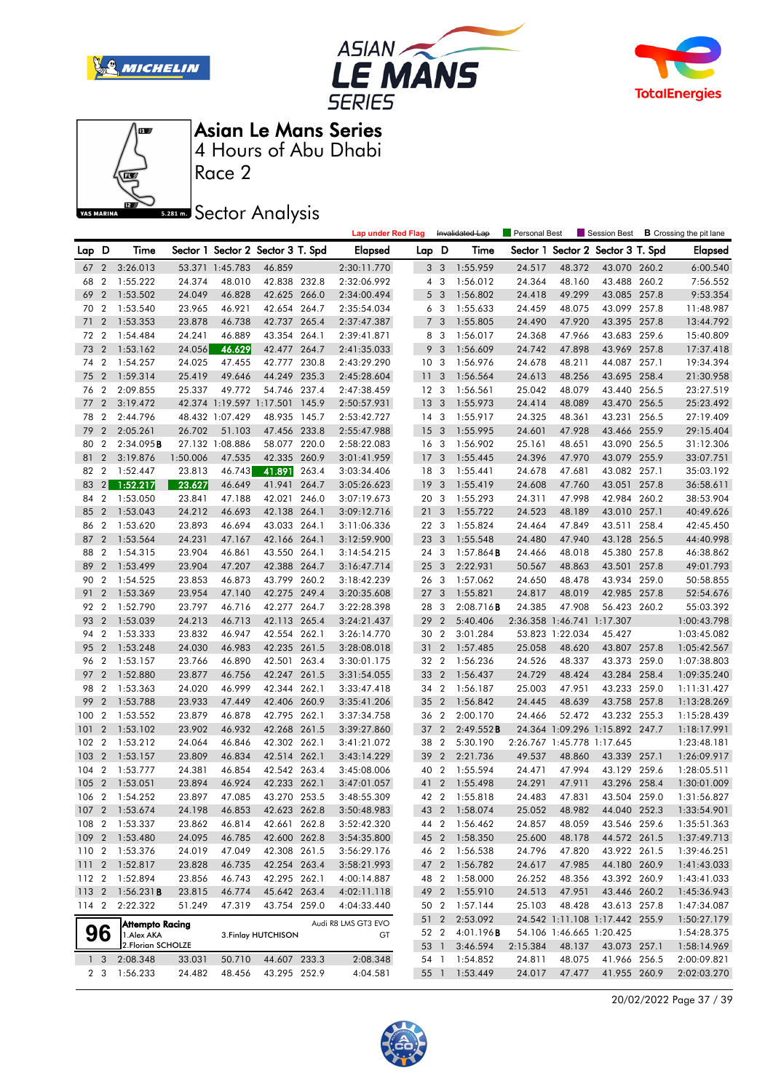







Asian Le Mans Series

Race 2 4 Hours of Abu Dhabi

**Sector Analysis** 

|       |                |                         |          |                 |                                   |       | <b>Lap under Red Flag</b> |                 | Invalidated Lap         |                     | <b>Personal Best</b> |                            | Session Best                   |       | <b>B</b> Crossing the pit lane |
|-------|----------------|-------------------------|----------|-----------------|-----------------------------------|-------|---------------------------|-----------------|-------------------------|---------------------|----------------------|----------------------------|--------------------------------|-------|--------------------------------|
| Lap D |                | Time                    |          |                 | Sector 1 Sector 2 Sector 3 T. Spd |       | <b>Elapsed</b>            | Lap D           |                         | Time                | Sector 1             |                            | Sector 2 Sector 3 T. Spd       |       | <b>Elapsed</b>                 |
| 67    | $\mathbf{2}$   | 3:26.013                |          | 53.371 1:45.783 | 46.859                            |       | 2:30:11.770               |                 | 3 <sub>3</sub>          | 1:55.959            | 24.517               | 48.372                     | 43.070 260.2                   |       | 6:00.540                       |
| 68    | 2              | 1:55.222                | 24.374   | 48.010          | 42.838 232.8                      |       | 2:32:06.992               | 4               | $\overline{\mathbf{3}}$ | 1:56.012            | 24.364               | 48.160                     | 43.488 260.2                   |       | 7:56.552                       |
| 69    | $\overline{2}$ | 1:53.502                | 24.049   | 46.828          | 42.625 266.0                      |       | 2:34:00.494               | 5               | $\overline{\mathbf{3}}$ | 1:56.802            | 24.418               | 49.299                     | 43.085 257.8                   |       | 9:53.354                       |
| 70    | $\overline{2}$ | 1:53.540                | 23.965   | 46.921          | 42.654 264.7                      |       | 2:35:54.034               |                 | 6 <sub>3</sub>          | 1:55.633            | 24.459               | 48.075                     | 43.099 257.8                   |       | 11:48.987                      |
| 71    | $\overline{2}$ | 1:53.353                | 23.878   | 46.738          | 42.737 265.4                      |       | 2:37:47.387               | $\overline{7}$  | 3                       | 1:55.805            | 24.490               | 47.920                     | 43.395 257.8                   |       | 13:44.792                      |
| 72    | $\overline{2}$ | 1:54.484                | 24.241   | 46.889          | 43.354 264.1                      |       | 2:39:41.871               |                 | 8 3                     | 1:56.017            | 24.368               | 47.966                     | 43.683 259.6                   |       | 15:40.809                      |
| 73    | $\overline{2}$ | 1:53.162                | 24.056   | 46.629          | 42.477 264.7                      |       | 2:41:35.033               | 9               | $\overline{3}$          | 1:56.609            | 24.742               | 47.898                     | 43.969 257.8                   |       | 17:37.418                      |
| 74    | $\overline{2}$ | 1:54.257                | 24.025   | 47.455          | 42.777 230.8                      |       | 2:43:29.290               | 10 <sub>3</sub> |                         | 1:56.976            | 24.678               | 48.211                     | 44.087 257.1                   |       | 19:34.394                      |
| 75    | $\overline{2}$ | 1:59.314                | 25.419   | 49.646          | 44.249                            | 235.3 | 2:45:28.604               | 11              | 3                       | 1:56.564            | 24.613               | 48.256                     | 43.695 258.4                   |       | 21:30.958                      |
| 76    | $\overline{2}$ | 2:09.855                | 25.337   | 49.772          | 54.746 237.4                      |       | 2:47:38.459               | 12 <sup>3</sup> |                         | 1:56.561            | 25.042               | 48.079                     | 43.440 256.5                   |       | 23:27.519                      |
| 77    | $\overline{2}$ | 3:19.472                |          |                 | 42.374 1:19.597 1:17.501 145.9    |       | 2:50:57.931               | 13              | 3                       | 1:55.973            | 24.414               | 48.089                     | 43.470 256.5                   |       | 25:23.492                      |
| 78    | $\overline{2}$ | 2:44.796                |          | 48.432 1:07.429 | 48.935 145.7                      |       | 2:53:42.727               | $14 \quad 3$    |                         | 1:55.917            | 24.325               | 48.361                     | 43.231 256.5                   |       | 27:19.409                      |
| 79    | $\overline{2}$ | 2:05.261                | 26.702   | 51.103          | 47.456 233.8                      |       | 2:55:47.988               | 15              | 3                       | 1:55.995            | 24.601               | 47.928                     | 43.466 255.9                   |       | 29:15.404                      |
| 80    | $\overline{2}$ | 2:34.095B               |          | 27.132 1:08.886 | 58.077 220.0                      |       | 2:58:22.083               | 16 <sub>3</sub> |                         | 1:56.902            | 25.161               | 48.651                     | 43.090 256.5                   |       | 31:12.306                      |
| 81    | $\overline{2}$ | 3:19.876                | 1:50.006 | 47.535          | 42.335 260.9                      |       | 3:01:41.959               | 17 <sub>3</sub> |                         | 1:55.445            | 24.396               | 47.970                     | 43.079 255.9                   |       | 33:07.751                      |
| 82    | $\overline{2}$ | 1:52.447                | 23.813   | 46.743          | 41.891                            | 263.4 | 3:03:34.406               | 18 3            |                         | 1:55.441            | 24.678               | 47.681                     | 43.082 257.1                   |       | 35:03.192                      |
| 83    |                | 2 1:52.217              | 23.627   | 46.649          | 41.941                            | 264.7 | 3:05:26.623               | 19              | 3                       | 1:55.419            | 24.608               | 47.760                     | 43.051                         | 257.8 | 36:58.611                      |
| 84    | $\overline{2}$ | 1:53.050                | 23.841   | 47.188          | 42.021 246.0                      |       | 3:07:19.673               | 20 3            |                         | 1:55.293            | 24.311               | 47.998                     | 42.984 260.2                   |       | 38:53.904                      |
| 85    | $\overline{2}$ | 1:53.043                | 24.212   | 46.693          | 42.138 264.1                      |       | 3:09:12.716               | 21              | 3                       | 1:55.722            | 24.523               | 48.189                     | 43.010 257.1                   |       | 40:49.626                      |
| 86    | 2              | 1:53.620                | 23.893   | 46.694          | 43.033 264.1                      |       | 3:11:06.336               | 22 3            |                         | 1:55.824            | 24.464               | 47.849                     | 43.511 258.4                   |       | 42:45.450                      |
| 87    | $\overline{2}$ | 1:53.564                | 24.231   | 47.167          | 42.166 264.1                      |       | 3:12:59.900               | 23 3            |                         | 1:55.548            | 24.480               | 47.940                     | 43.128 256.5                   |       | 44:40.998                      |
| 88    | $\overline{2}$ | 1:54.315                | 23.904   | 46.861          | 43.550 264.1                      |       | 3:14:54.215               | 24 3            |                         | $1:57.864$ <b>B</b> | 24.466               | 48.018                     | 45.380 257.8                   |       | 46:38.862                      |
| 89    | $\overline{2}$ | 1:53.499                | 23.904   | 47.207          | 42.388 264.7                      |       | 3:16:47.714               | 25 <sub>3</sub> |                         | 2:22.931            | 50.567               | 48.863                     | 43.501 257.8                   |       | 49:01.793                      |
| 90    | 2              | 1:54.525                | 23.853   | 46.873          | 43.799 260.2                      |       | 3:18:42.239               | 26 3            |                         | 1:57.062            | 24.650               | 48.478                     | 43.934 259.0                   |       | 50:58.855                      |
| 91    | $\overline{2}$ | 1:53.369                | 23.954   | 47.140          | 42.275 249.4                      |       | 3:20:35.608               | 27 <sub>3</sub> |                         | 1:55.821            | 24.817               | 48.019                     | 42.985 257.8                   |       | 52:54.676                      |
| 92 2  |                | 1:52.790                | 23.797   | 46.716          | 42.277 264.7                      |       | 3:22:28.398               | 28              | 3                       | 2:08.716B           | 24.385               | 47.908                     | 56.423 260.2                   |       | 55:03.392                      |
| 93    | $\overline{2}$ | 1:53.039                | 24.213   | 46.713          | 42.113 265.4                      |       | 3:24:21.437               | 29              | $\overline{2}$          | 5:40.406            |                      | 2:36.358 1:46.741 1:17.307 |                                |       | 1:00:43.798                    |
| 94    | $\overline{2}$ | 1:53.333                | 23.832   | 46.947          | 42.554 262.1                      |       | 3:26:14.770               | 30 2            |                         | 3:01.284            |                      | 53.823 1:22.034            | 45.427                         |       | 1:03:45.082                    |
| 95    | $\overline{2}$ | 1:53.248                | 24.030   | 46.983          | 42.235 261.5                      |       | 3:28:08.018               | 31              | $\overline{2}$          | 1:57.485            | 25.058               | 48.620                     | 43.807 257.8                   |       | 1:05:42.567                    |
| 96 2  |                | 1:53.157                | 23.766   | 46.890          | 42.501 263.4                      |       | 3:30:01.175               | 32 2            |                         | 1:56.236            | 24.526               | 48.337                     | 43.373 259.0                   |       | 1:07:38.803                    |
| 97    | $\overline{2}$ | 1:52.880                | 23.877   | 46.756          | 42.247 261.5                      |       | 3:31:54.055               | 33 2            |                         | 1:56.437            | 24.729               | 48.424                     | 43.284 258.4                   |       | 1:09:35.240                    |
| 98    | $\overline{2}$ | 1:53.363                | 24.020   | 46.999          | 42.344 262.1                      |       | 3:33:47.418               | 34 2            |                         | 1:56.187            | 25.003               | 47.951                     | 43.233 259.0                   |       | 1:11:31.427                    |
| 99    | $\overline{2}$ | 1:53.788                | 23.933   | 47.449          | 42.406 260.9                      |       | 3:35:41.206               | 35 2            |                         | 1:56.842            | 24.445               | 48.639                     | 43.758 257.8                   |       | 1:13:28.269                    |
| 100   | $\overline{2}$ | 1:53.552                | 23.879   | 46.878          | 42.795 262.1                      |       | 3:37:34.758               | 36 2            |                         | 2:00.170            | 24.466               | 52.472                     | 43.232 255.3                   |       | 1:15:28.439                    |
| 101   | $\overline{2}$ | 1:53.102                | 23.902   | 46.932          | 42.268 261.5                      |       | 3:39:27.860               | 37 2            |                         | 2:49.552B           |                      |                            | 24.364 1:09.296 1:15.892 247.7 |       | 1:18:17.991                    |
| 102   | $\overline{2}$ | 1:53.212                | 24.064   | 46.846          | 42.302 262.1                      |       | 3:41:21.072               | 38              | $\overline{2}$          | 5:30.190            |                      | 2:26.767 1:45.778 1:17.645 |                                |       | 1:23:48.181                    |
| 103   | $\overline{2}$ | 1:53.157                | 23.809   | 46.834          | 42.514 262.1                      |       | 3:43:14.229               | 39              | $\overline{2}$          | 2:21.736            | 49.537               | 48.860                     | 43.339 257.1                   |       | 1:26:09.917                    |
| 104   | $\overline{2}$ | 1:53.777                | 24.381   | 46.854          | 42.542 263.4                      |       | 3:45:08.006               | 40 2            |                         | 1:55.594            | 24.471               | 47.994                     | 43.129 259.6                   |       | 1:28:05.511                    |
| 105   | $\overline{2}$ | 1:53.051                | 23.894   | 46.924          | 42.233 262.1                      |       | 3:47:01.057               | 41 2            |                         | 1:55.498            | 24.291               | 47.911                     | 43.296 258.4                   |       | 1:30:01.009                    |
| 106   | $\overline{2}$ | 1:54.252                | 23.897   | 47.085          | 43.270 253.5                      |       | 3:48:55.309               | 42 2            |                         | 1:55.818            | 24.483               | 47.831                     | 43.504 259.0                   |       | 1:31:56.827                    |
|       |                | 107 2 1:53.674          | 24.198   | 46.853          | 42.623 262.8                      |       | 3:50:48.983               |                 |                         | 43 2 1:58.074       | 25.052               | 48.982                     | 44.040 252.3                   |       | 1:33:54.901                    |
|       |                | 108 2 1:53.337          | 23.862   | 46.814          | 42.661 262.8                      |       | 3:52:42.320               |                 |                         | 44 2 1:56.462       | 24.857               | 48.059                     | 43.546 259.6                   |       | 1:35:51.363                    |
|       |                | 109 2 1:53.480          | 24.095   | 46.785          | 42.600 262.8                      |       | 3:54:35.800               |                 |                         | 45 2 1:58.350       | 25.600               | 48.178                     | 44.572 261.5                   |       | 1:37:49.713                    |
|       |                | 110 2 1:53.376          | 24.019   | 47.049          | 42.308 261.5                      |       | 3:56:29.176               |                 |                         | 46 2 1:56.538       | 24.796               | 47.820                     | 43.922 261.5                   |       | 1:39:46.251                    |
|       |                | 111 2 1:52.817          | 23.828   | 46.735          | 42.254 263.4                      |       | 3:58:21.993               |                 | 47 2                    | 1:56.782            | 24.617               | 47.985                     | 44.180 260.9                   |       | 1:41:43.033                    |
|       |                | 112 2 1:52.894          | 23.856   | 46.743          | 42.295 262.1                      |       | 4:00:14.887               |                 |                         | 48 2 1:58.000       | 26.252               | 48.356                     | 43.392 260.9                   |       | 1:43:41.033                    |
|       |                | 113 2 1:56.231 <b>B</b> | 23.815   | 46.774          | 45.642 263.4                      |       | 4:02:11.118               |                 |                         | 49 2 1:55.910       | 24.513               | 47.951                     | 43.446 260.2                   |       | 1:45:36.943                    |
| 114 2 |                | 2:22.322                | 51.249   | 47.319          | 43.754 259.0                      |       | 4:04:33.440               | 50 2            |                         | 1:57.144            | 25.103               | 48.428                     | 43.613 257.8                   |       | 1:47:34.087                    |
|       |                | Attempto Racing         |          |                 |                                   |       | Audi R8 LMS GT3 EVO       |                 | 51 2                    | 2:53.092            |                      |                            | 24.542 1:11.108 1:17.442 255.9 |       | 1:50:27.179                    |
|       | 96             | 1.Alex AKA              |          |                 | 3. Finlay HUTCHISON               |       | GT                        |                 | 52 2                    | 4:01.196 <b>B</b>   |                      | 54.106 1:46.665 1:20.425   |                                |       | 1:54:28.375                    |
|       |                | 2. Florian SCHOLZE      |          |                 |                                   |       |                           |                 | 53 1                    | 3:46.594            | 2:15.384             | 48.137                     | 43.073 257.1                   |       | 1:58:14.969                    |
|       | 1 <sup>3</sup> | 2:08.348                | 33.031   | 50.710          | 44.607 233.3                      |       | 2:08.348                  |                 |                         | 54 1 1:54.852       | 24.811<br>24.017     | 48.075<br>47.477           | 41.966 256.5                   |       | 2:00:09.821                    |
|       |                | 2 3 1:56.233            | 24.482   | 48.456          | 43.295 252.9                      |       | 4:04.581                  |                 |                         | 55 1 1:53.449       |                      |                            | 41.955 260.9                   |       | 2:02:03.270                    |

20/02/2022 Page 37 / 39

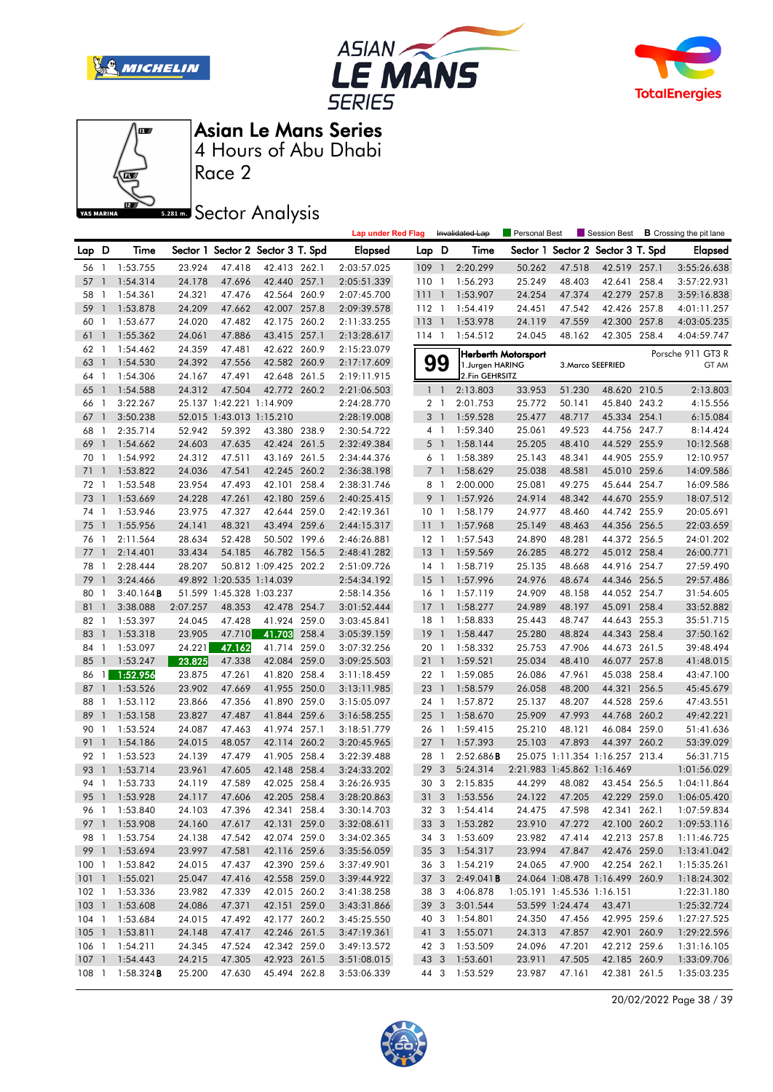







Race 2

**Sector Analysis** 

|          |                   |                         |                  |                          |                                   |       | <b>Lap under Red Flag</b>  |                      |                | Invalidated Lap      | Personal Best       |                            | Session Best                      |       | <b>B</b> Crossing the pit lane |
|----------|-------------------|-------------------------|------------------|--------------------------|-----------------------------------|-------|----------------------------|----------------------|----------------|----------------------|---------------------|----------------------------|-----------------------------------|-------|--------------------------------|
| Lap D    |                   | Time                    |                  |                          | Sector 1 Sector 2 Sector 3 T. Spd |       | <b>Elapsed</b>             | Lap D                |                | Time                 |                     |                            | Sector 1 Sector 2 Sector 3 T. Spd |       | Elapsed                        |
| 56 1     |                   | 1:53.755                | 23.924           | 47.418                   | 42.413 262.1                      |       | 2:03:57.025                | $109-1$              |                | 2:20.299             | 50.262              | 47.518                     | 42.519 257.1                      |       | 3:55:26.638                    |
| 57       | $\mathbf{1}$      | 1:54.314                | 24.178           | 47.696                   | 42.440 257.1                      |       | 2:05:51.339                | 1101                 |                | 1:56.293             | 25.249              | 48.403                     | 42.641                            | 258.4 | 3:57:22.931                    |
| 58       | $\mathbf{1}$      | 1:54.361                | 24.321           | 47.476                   | 42.564 260.9                      |       | 2:07:45.700                | 11111                |                | 1:53.907             | 24.254              | 47.374                     | 42.279                            | 257.8 | 3:59:16.838                    |
| 59       | $\mathbf{1}$      | 1:53.878                | 24.209           | 47.662                   | 42.007 257.8                      |       | 2:09:39.578                | $112-1$              |                | 1:54.419             | 24.451              | 47.542                     | 42.426 257.8                      |       | 4:01:11.257                    |
| 60       | 1                 | 1:53.677                | 24.020           | 47.482                   | 42.175 260.2                      |       | 2:11:33.255                | $113-1$              |                | 1:53.978             | 24.119              | 47.559                     | 42.300 257.8                      |       | 4:03:05.235                    |
| 61       | $\mathbf{1}$      | 1:55.362                | 24.061           | 47.886                   | 43.415 257.1                      |       | 2:13:28.617                | 114 1                |                | 1:54.512             | 24.045              | 48.162                     | 42.305 258.4                      |       | 4:04:59.747                    |
| 62       | -1                | 1:54.462                | 24.359           | 47.481                   | 42.622 260.9                      |       | 2:15:23.079                |                      |                |                      | Herberth Motorsport |                            |                                   |       | Porsche 911 GT3 R              |
| 63       | $\mathbf{1}$      | 1:54.530                | 24.392           | 47.556                   | 42.582 260.9                      |       | 2:17:17.609                |                      | 99             | 1.Jurgen HARING      |                     |                            | 3. Marco SEEFRIED                 |       | GT AM                          |
| 64       | $\overline{1}$    | 1:54.306                | 24.167           | 47.491                   | 42.648 261.5                      |       | 2:19:11.915                |                      |                | 2.Fin GEHRSITZ       |                     |                            |                                   |       |                                |
| 65       | $\mathbf{1}$      | 1:54.588                | 24.312           | 47.504                   | 42.772 260.2                      |       | 2:21:06.503                |                      | $1\quad1$      | 2:13.803             | 33.953              | 51.230                     | 48.620 210.5                      |       | 2:13.803                       |
| 66       | $\mathbf{1}$      | 3:22.267                |                  | 25.137 1:42.221 1:14.909 |                                   |       | 2:24:28.770                | 2 <sub>1</sub>       |                | 2:01.753             | 25.772              | 50.141                     | 45.840 243.2                      |       | 4:15.556                       |
| 67       | $\mathbf{1}$      | 3:50.238                |                  |                          | 52.015 1:43.013 1:15.210          |       | 2:28:19.008                | 3 <sup>1</sup>       |                | 1:59.528             | 25.477              | 48.717                     | 45.334 254.1                      |       | 6:15.084                       |
| 68       | 1                 | 2:35.714                | 52.942           | 59.392                   | 43.380 238.9                      |       | 2:30:54.722                | 4 1                  |                | 1:59.340             | 25.061              | 49.523                     | 44.756 247.7                      |       | 8:14.424                       |
| 69       | $\mathbf{1}$      | 1:54.662                | 24.603           | 47.635                   | 42.424 261.5                      |       | 2:32:49.384                | 5 <sub>1</sub>       |                | 1:58.144             | 25.205              | 48.410                     | 44.529 255.9                      |       | 10:12.568                      |
| 70       | 1                 | 1:54.992                | 24.312           | 47.511                   | 43.169 261.5                      |       | 2:34:44.376                | 6 1                  |                | 1:58.389             | 25.143              | 48.341                     | 44.905 255.9                      |       | 12:10.957                      |
| 71       | $\mathbf{1}$      | 1:53.822                | 24.036           | 47.541                   | 42.245 260.2                      |       | 2:36:38.198                | 7 <sup>1</sup>       |                | 1:58.629             | 25.038              | 48.581                     | 45.010 259.6                      |       | 14:09.586                      |
| 72       | $\mathbf{1}$      | 1:53.548                | 23.954           | 47.493                   | 42.101 258.4                      |       | 2:38:31.746                | 8 1                  |                | 2:00.000             | 25.081              | 49.275                     | 45.644 254.7                      |       | 16:09.586                      |
| 73       | $\mathbf{1}$      | 1:53.669                | 24.228           | 47.261                   | 42.180 259.6                      |       | 2:40:25.415                | 9                    | $\overline{1}$ | 1:57.926             | 24.914              | 48.342                     | 44.670 255.9                      |       | 18:07.512                      |
| 74       | 1                 | 1:53.946                | 23.975           | 47.327                   | 42.644 259.0                      |       | 2:42:19.361                | 10 <sub>1</sub>      |                | 1:58.179             | 24.977              | 48.460                     | 44.742 255.9                      |       | 20:05.691                      |
| 75       | $\mathbf{1}$      | 1:55.956                | 24.141           | 48.321                   | 43.494 259.6                      |       | 2:44:15.317                | 111                  |                | 1:57.968             | 25.149              | 48.463                     | 44.356 256.5                      |       | 22:03.659                      |
| 76       | $\overline{1}$    | 2:11.564                | 28.634           | 52.428                   | 50.502 199.6                      |       | 2:46:26.881                | $12-1$               |                | 1:57.543             | 24.890              | 48.281                     | 44.372 256.5                      |       | 24:01.202                      |
| 77       | $\mathbf{1}$      | 2:14.401                | 33.434           | 54.185                   | 46.782 156.5                      |       | 2:48:41.282                | $13-1$               |                | 1:59.569             | 26.285              | 48.272                     | 45.012 258.4                      |       | 26:00.771                      |
| 78       | -1                | 2:28.444                | 28.207           |                          | 50.812 1:09.425 202.2             |       | 2:51:09.726                | $14-1$               |                | 1:58.719             | 25.135              | 48.668                     | 44.916 254.7                      |       | 27:59.490                      |
| 79       | $\mathbf{1}$      | 3:24.466                |                  | 49.892 1:20.535 1:14.039 |                                   |       | 2:54:34.192                | 15                   | $\overline{1}$ | 1:57.996             | 24.976              | 48.674                     | 44.346 256.5                      |       | 29:57.486                      |
| 80       | -1                | 3:40.164B               |                  |                          | 51.599 1:45.328 1:03.237          |       | 2:58:14.356                | 16 <sub>1</sub>      |                | 1:57.119             | 24.909              | 48.158                     | 44.052 254.7                      |       | 31:54.605                      |
| 81       | $\mathbf{1}$      | 3:38.088                | 2:07.257         | 48.353                   | 42.478 254.7                      |       | 3:01:52.444                | 17                   | $\overline{1}$ | 1:58.277             | 24.989              | 48.197                     | 45.091                            | 258.4 | 33:52.882                      |
| 82       | 1                 | 1:53.397                | 24.045           | 47.428                   | 41.924 259.0                      |       | 3:03:45.841                | 18                   | $\overline{1}$ | 1:58.833             | 25.443              | 48.747                     | 44.643 255.3                      |       | 35:51.715                      |
| 83       | $\mathbf{1}$      | 1:53.318                | 23.905           | 47.710                   | 41.703                            | 258.4 | 3:05:39.159                | 19                   | $\overline{1}$ | 1:58.447             | 25.280              | 48.824                     | 44.343 258.4                      |       | 37:50.162                      |
| 84       | $\mathbf{1}$      | 1:53.097                | 24.221           | 47.162                   | 41.714 259.0                      |       | 3:07:32.256                | 20 1                 |                | 1:58.332             | 25.753              | 47.906                     | 44.673 261.5                      |       | 39:48.494                      |
| 85       | $\mathbf{1}$      | 1:53.247                | 23.825           | 47.338                   | 42.084                            | 259.0 | 3:09:25.503                | 211                  |                | 1:59.521             | 25.034              | 48.410                     | 46.077                            | 257.8 | 41:48.015                      |
| 86       |                   | 1.52.956                | 23.875           | 47.261                   | 41.820 258.4                      |       | 3:11:18.459                | 22 1                 |                | 1:59.085             | 26.086              | 47.961                     | 45.038 258.4                      |       | 43:47.100                      |
| 87       | $\mathbf{1}$      | 1:53.526                | 23.902           | 47.669                   | 41.955 250.0                      |       | 3:13:11.985                | 23 1                 |                | 1:58.579             | 26.058              | 48.200                     | 44.321                            | 256.5 | 45:45.679                      |
| 88       | 1                 | 1:53.112                | 23.866           | 47.356                   | 41.890 259.0                      |       | 3:15:05.097                | 24 1                 |                | 1:57.872<br>1:58.670 | 25.137              | 48.207                     | 44.528 259.6                      |       | 47:43.551                      |
| 89<br>90 | $\mathbf{1}$<br>1 | 1:53.158<br>1:53.524    | 23.827<br>24.087 | 47.487<br>47.463         | 41.844<br>41.974 257.1            | 259.6 | 3:16:58.255<br>3:18:51.779 | $25 \quad 1$<br>26 1 |                | 1:59.415             | 25.909<br>25.210    | 47.993<br>48.121           | 44.768 260.2<br>46.084 259.0      |       | 49:42.221<br>51:41.636         |
| 91       | $\mathbf{1}$      | 1:54.186                | 24.015           | 48.057                   | 42.114 260.2                      |       | 3:20:45.965                | $27-1$               |                | 1:57.393             | 25.103              | 47.893                     | 44.397 260.2                      |       | 53:39.029                      |
| 92       | $\mathbf{1}$      | 1:53.523                | 24.139           | 47.479                   | 41.905 258.4                      |       | 3:22:39.488                | 28                   | $\overline{1}$ | 2:52.686B            |                     |                            | 25.075 1:11.354 1:16.257 213.4    |       | 56:31.715                      |
| 93       | $\mathbf{1}$      | 1:53.714                | 23.961           | 47.605                   | 42.148 258.4                      |       | 3:24:33.202                | 29                   | 3              | 5:24.314             |                     | 2:21.983 1:45.862 1:16.469 |                                   |       | 1:01:56.029                    |
| 94       | $\mathbf{1}$      | 1:53.733                | 24.119           | 47.589                   | 42.025 258.4                      |       | 3:26:26.935                | 30 3                 |                | 2:15.835             | 44.299              | 48.082                     | 43.454 256.5                      |       | 1:04:11.864                    |
| 95       |                   | $1 \quad 1:53.928$      | 24.117           | 47.606                   | 42.205 258.4                      |       | 3:28:20.863                | 31 <sub>3</sub>      |                | 1:53.556             | 24.122              | 47.205                     | 42.229 259.0                      |       | 1:06:05.420                    |
|          |                   | 96 1 1:53.840           | 24.103           | 47.396                   | 42.341 258.4                      |       | 3:30:14.703                |                      |                | 32 3 1:54.414        | 24.475              | 47.598                     | 42.341 262.1                      |       | 1:07:59.834                    |
|          |                   | 97 1 1:53.908           | 24.160           | 47.617                   | 42.131 259.0                      |       | 3:32:08.611                |                      |                | 33 3 1:53.282        | 23.910              | 47.272                     | 42.100 260.2                      |       | 1:09:53.116                    |
|          |                   | 98 1 1:53.754           | 24.138           | 47.542                   | 42.074 259.0                      |       | 3:34:02.365                |                      |                | 34 3 1:53.609        | 23.982              | 47.414                     | 42.213 257.8                      |       | 1:11:46.725                    |
|          |                   | 99 1 1:53.694           | 23.997           | 47.581                   | 42.116 259.6                      |       | 3:35:56.059                |                      |                | 35 3 1:54.317        | 23.994              | 47.847                     | 42.476 259.0                      |       | 1:13:41.042                    |
|          |                   | 100 1 1:53.842          | 24.015           | 47.437                   | 42.390 259.6                      |       | 3:37:49.901                |                      |                | 36 3 1:54.219        | 24.065              | 47.900                     | 42.254 262.1                      |       | 1:15:35.261                    |
|          |                   | 101 1 1:55.021          | 25.047           | 47.416                   | 42.558 259.0                      |       | 3:39:44.922                |                      | 37 3           | 2:49.041B            |                     |                            | 24.064 1:08.478 1:16.499 260.9    |       | 1:18:24.302                    |
|          |                   | 102 1 1:53.336          | 23.982           | 47.339                   | 42.015 260.2                      |       | 3:41:38.258                |                      | 38 3           | 4:06.878             |                     | 1:05.191 1:45.536 1:16.151 |                                   |       | 1:22:31.180                    |
|          |                   | 103 1 1:53.608          | 24.086           | 47.371                   | 42.151 259.0                      |       | 3:43:31.866                | 39 3                 |                | 3:01.544             |                     | 53.599 1:24.474            | 43.471                            |       | 1:25:32.724                    |
|          |                   | 104 1 1:53.684          | 24.015           | 47.492                   | 42.177 260.2                      |       | 3:45:25.550                |                      |                | 40 3 1:54.801        | 24.350              | 47.456                     | 42.995 259.6                      |       | 1:27:27.525                    |
|          |                   | 105 1 1:53.811          | 24.148           | 47.417                   | 42.246 261.5                      |       | 3:47:19.361                | 41 3                 |                | 1:55.071             | 24.313              | 47.857                     | 42.901 260.9                      |       | 1:29:22.596                    |
|          |                   | 106 1 1:54.211          | 24.345           | 47.524                   | 42.342 259.0                      |       | 3:49:13.572                | 42 3                 |                | 1:53.509             | 24.096              | 47.201                     | 42.212 259.6                      |       | 1:31:16.105                    |
|          |                   | 107 1 1:54.443          | 24.215           | 47.305                   | 42.923 261.5                      |       | 3:51:08.015                |                      | 43 3           | 1:53.601             | 23.911              | 47.505                     | 42.185 260.9                      |       | 1:33:09.706                    |
|          |                   | 108 1 1:58.324 <b>B</b> | 25.200           | 47.630                   | 45.494 262.8                      |       | 3:53:06.339                |                      |                | 44 3 1:53.529        | 23.987              | 47.161                     | 42.381 261.5                      |       | 1:35:03.235                    |
|          |                   |                         |                  |                          |                                   |       |                            |                      |                |                      |                     |                            |                                   |       |                                |

20/02/2022 Page 38 / 39